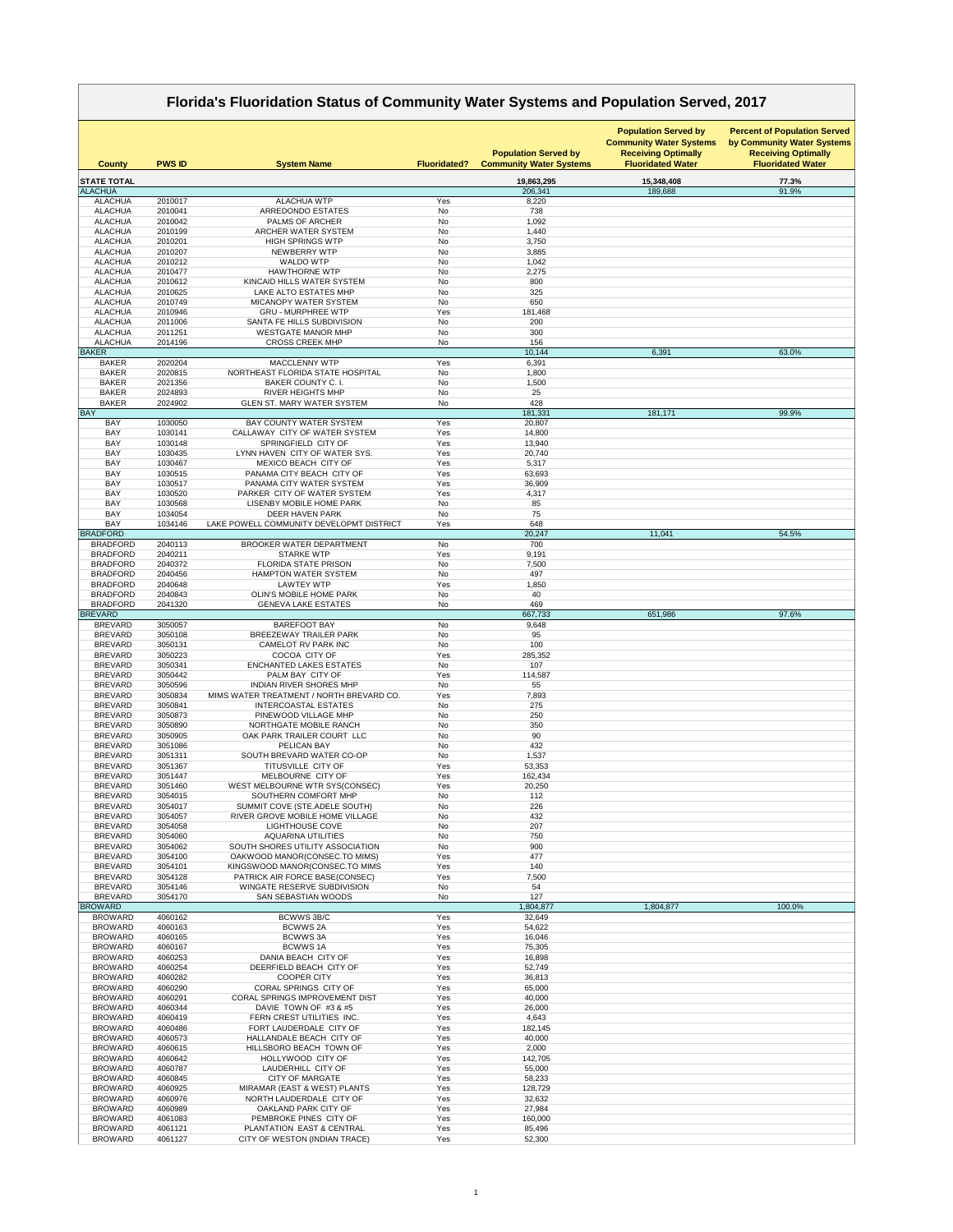|                                    | Florida's Fluoridation Status of Community Water Systems and Population Served, 2017 |                                                                         |                     |                                                               |                                                                                                                         |                                                                                                                             |  |  |  |
|------------------------------------|--------------------------------------------------------------------------------------|-------------------------------------------------------------------------|---------------------|---------------------------------------------------------------|-------------------------------------------------------------------------------------------------------------------------|-----------------------------------------------------------------------------------------------------------------------------|--|--|--|
| <b>County</b>                      | <b>PWS ID</b>                                                                        | <b>System Name</b>                                                      | <b>Fluoridated?</b> | <b>Population Served by</b><br><b>Community Water Systems</b> | <b>Population Served by</b><br><b>Community Water Systems</b><br><b>Receiving Optimally</b><br><b>Fluoridated Water</b> | <b>Percent of Population Served</b><br>by Community Water Systems<br><b>Receiving Optimally</b><br><b>Fluoridated Water</b> |  |  |  |
| <b>STATE TOTAL</b>                 |                                                                                      |                                                                         |                     | 19,863,295                                                    | 15,348,408                                                                                                              | 77.3%                                                                                                                       |  |  |  |
| <b>ALACHUA</b><br><b>ALACHUA</b>   | 2010017                                                                              | <b>ALACHUA WTP</b>                                                      | Yes                 | 206,341<br>8,220                                              | 189,688                                                                                                                 | 91.9%                                                                                                                       |  |  |  |
| <b>ALACHUA</b>                     | 2010041                                                                              | ARREDONDO ESTATES                                                       | No                  | 738                                                           |                                                                                                                         |                                                                                                                             |  |  |  |
| <b>ALACHUA</b>                     | 2010042                                                                              | <b>PALMS OF ARCHER</b><br>ARCHER WATER SYSTEM                           | No<br><b>No</b>     | 1,092                                                         |                                                                                                                         |                                                                                                                             |  |  |  |
| <b>ALACHUA</b><br><b>ALACHUA</b>   | 2010199<br>2010201                                                                   | <b>HIGH SPRINGS WTP</b>                                                 | No                  | 1,440<br>3,750                                                |                                                                                                                         |                                                                                                                             |  |  |  |
| <b>ALACHUA</b>                     | 2010207                                                                              | NEWBERRY WTP                                                            | <b>No</b>           | 3,885                                                         |                                                                                                                         |                                                                                                                             |  |  |  |
| <b>ALACHUA</b><br><b>ALACHUA</b>   | 2010212<br>2010477                                                                   | <b>WALDO WTP</b><br><b>HAWTHORNE WTP</b>                                | No<br>No            | 1,042<br>2,275                                                |                                                                                                                         |                                                                                                                             |  |  |  |
| <b>ALACHUA</b>                     | 2010612                                                                              | KINCAID HILLS WATER SYSTEM                                              | <b>No</b>           | 800                                                           |                                                                                                                         |                                                                                                                             |  |  |  |
| <b>ALACHUA</b>                     | 2010625                                                                              | LAKE ALTO ESTATES MHP                                                   | No                  | 325                                                           |                                                                                                                         |                                                                                                                             |  |  |  |
| <b>ALACHUA</b><br><b>ALACHUA</b>   | 2010749<br>2010946                                                                   | <b>MICANOPY WATER SYSTEM</b><br><b>GRU - MURPHREE WTP</b>               | No<br>Yes           | 650<br>181,468                                                |                                                                                                                         |                                                                                                                             |  |  |  |
| <b>ALACHUA</b>                     | 2011006                                                                              | SANTA FE HILLS SUBDIVISION                                              | No                  | 200                                                           |                                                                                                                         |                                                                                                                             |  |  |  |
| <b>ALACHUA</b>                     | 2011251                                                                              | <b>WESTGATE MANOR MHP</b>                                               | No                  | 300                                                           |                                                                                                                         |                                                                                                                             |  |  |  |
| <b>ALACHUA</b><br><b>BAKER</b>     | 2014196                                                                              | <b>CROSS CREEK MHP</b>                                                  | No                  | 156<br>10,144                                                 | 6,391                                                                                                                   | 63.0%                                                                                                                       |  |  |  |
| <b>BAKER</b>                       | 2020204                                                                              | <b>MACCLENNY WTP</b>                                                    | Yes                 | 6,391                                                         |                                                                                                                         |                                                                                                                             |  |  |  |
| <b>BAKER</b>                       | 2020815                                                                              | NORTHEAST FLORIDA STATE HOSPITAL                                        | No                  | 1,800                                                         |                                                                                                                         |                                                                                                                             |  |  |  |
| <b>BAKER</b><br><b>BAKER</b>       | 2021356<br>2024893                                                                   | <b>BAKER COUNTY C. I.</b><br><b>RIVER HEIGHTS MHP</b>                   | No<br>No            | 1,500<br>25                                                   |                                                                                                                         |                                                                                                                             |  |  |  |
| <b>BAKER</b>                       | 2024902                                                                              | <b>GLEN ST. MARY WATER SYSTEM</b>                                       | No                  | 428                                                           |                                                                                                                         |                                                                                                                             |  |  |  |
| <b>BAY</b>                         |                                                                                      |                                                                         |                     | 181,331                                                       | 181,171                                                                                                                 | 99.9%                                                                                                                       |  |  |  |
| <b>BAY</b><br><b>BAY</b>           | 1030050<br>1030141                                                                   | <b>BAY COUNTY WATER SYSTEM</b><br>CALLAWAY CITY OF WATER SYSTEM         | Yes<br>Yes          | 20,807<br>14,800                                              |                                                                                                                         |                                                                                                                             |  |  |  |
| <b>BAY</b>                         | 1030148                                                                              | SPRINGFIELD CITY OF                                                     | Yes                 | 13,940                                                        |                                                                                                                         |                                                                                                                             |  |  |  |
| <b>BAY</b>                         | 1030435                                                                              | LYNN HAVEN CITY OF WATER SYS.                                           | Yes                 | 20,740                                                        |                                                                                                                         |                                                                                                                             |  |  |  |
| <b>BAY</b><br><b>BAY</b>           | 1030467<br>1030515                                                                   | MEXICO BEACH CITY OF<br>PANAMA CITY BEACH CITY OF                       | Yes<br>Yes          | 5,317<br>63,693                                               |                                                                                                                         |                                                                                                                             |  |  |  |
| <b>BAY</b>                         | 1030517                                                                              | PANAMA CITY WATER SYSTEM                                                | Yes                 | 36,909                                                        |                                                                                                                         |                                                                                                                             |  |  |  |
| <b>BAY</b>                         | 1030520                                                                              | PARKER CITY OF WATER SYSTEM<br><b>LISENBY MOBILE HOME PARK</b>          | Yes                 | 4,317                                                         |                                                                                                                         |                                                                                                                             |  |  |  |
| <b>BAY</b><br><b>BAY</b>           | 1030568<br>1034054                                                                   | <b>DEER HAVEN PARK</b>                                                  | No<br>No            | 85<br>75                                                      |                                                                                                                         |                                                                                                                             |  |  |  |
| <b>BAY</b>                         | 1034146                                                                              | LAKE POWELL COMMUNITY DEVELOPMT DISTRICT                                | Yes                 | 648                                                           |                                                                                                                         |                                                                                                                             |  |  |  |
| <b>BRADFORD</b><br><b>BRADFORD</b> | 2040113                                                                              | <b>BROOKER WATER DEPARTMENT</b>                                         | No                  | 20,247<br>700                                                 | 11,041                                                                                                                  | 54.5%                                                                                                                       |  |  |  |
| <b>BRADFORD</b>                    | 2040211                                                                              | <b>STARKE WTP</b>                                                       | Yes                 | 9,191                                                         |                                                                                                                         |                                                                                                                             |  |  |  |
| <b>BRADFORD</b>                    | 2040372                                                                              | <b>FLORIDA STATE PRISON</b>                                             | No                  | 7,500                                                         |                                                                                                                         |                                                                                                                             |  |  |  |
| <b>BRADFORD</b><br><b>BRADFORD</b> | 2040456<br>2040648                                                                   | <b>HAMPTON WATER SYSTEM</b><br><b>LAWTEY WTP</b>                        | No<br>Yes           | 497<br>1,850                                                  |                                                                                                                         |                                                                                                                             |  |  |  |
| <b>BRADFORD</b>                    | 2040843                                                                              | <b>OLIN'S MOBILE HOME PARK</b>                                          | No                  | 40                                                            |                                                                                                                         |                                                                                                                             |  |  |  |
| <b>BRADFORD</b>                    | 2041320                                                                              | <b>GENEVA LAKE ESTATES</b>                                              | No                  | 469                                                           |                                                                                                                         |                                                                                                                             |  |  |  |
| <b>BREVARD</b><br><b>BREVARD</b>   | 3050057                                                                              | <b>BAREFOOT BAY</b>                                                     | No                  | 667,733<br>9,648                                              | 651,986                                                                                                                 | 97.6%                                                                                                                       |  |  |  |
| <b>BREVARD</b>                     | 3050108                                                                              | <b>BREEZEWAY TRAILER PARK</b>                                           | No                  | 95                                                            |                                                                                                                         |                                                                                                                             |  |  |  |
| <b>BREVARD</b>                     | 3050131                                                                              | CAMELOT RV PARK INC                                                     | No                  | 100                                                           |                                                                                                                         |                                                                                                                             |  |  |  |
| <b>BREVARD</b><br><b>BREVARD</b>   | 3050223<br>3050341                                                                   | COCOA CITY OF<br><b>ENCHANTED LAKES ESTATES</b>                         | Yes<br>No           | 285,352<br>107                                                |                                                                                                                         |                                                                                                                             |  |  |  |
| <b>BREVARD</b>                     | 3050442                                                                              | PALM BAY CITY OF                                                        | Yes                 | 114,587                                                       |                                                                                                                         |                                                                                                                             |  |  |  |
| <b>BREVARD</b>                     | 3050596                                                                              | <b>INDIAN RIVER SHORES MHP</b>                                          | No                  | 55                                                            |                                                                                                                         |                                                                                                                             |  |  |  |
| <b>BREVARD</b><br><b>BREVARD</b>   | 3050834<br>3050841                                                                   | MIMS WATER TREATMENT / NORTH BREVARD CO.<br><b>INTERCOASTAL ESTATES</b> | Yes<br>No           | 7,893<br>275                                                  |                                                                                                                         |                                                                                                                             |  |  |  |
| <b>BREVARD</b>                     | 3050873                                                                              | PINEWOOD VILLAGE MHP                                                    | No                  | 250                                                           |                                                                                                                         |                                                                                                                             |  |  |  |
| <b>BREVARD</b><br><b>BREVARD</b>   | 3050890<br>3050905                                                                   | NORTHGATE MOBILE RANCH<br>OAK PARK TRAILER COURT LLC                    | <b>No</b><br>No     | 350<br>90                                                     |                                                                                                                         |                                                                                                                             |  |  |  |
| <b>BREVARD</b>                     | 3051086                                                                              | PELICAN BAY                                                             | <b>No</b>           | 432                                                           |                                                                                                                         |                                                                                                                             |  |  |  |
| <b>BREVARD</b>                     | 3051311                                                                              | SOUTH BREVARD WATER CO-OP                                               | No                  | 1,537                                                         |                                                                                                                         |                                                                                                                             |  |  |  |
| <b>BREVARD</b><br><b>BREVARD</b>   | 3051367<br>3051447                                                                   | TITUSVILLE CITY OF<br>MELBOURNE CITY OF                                 | Yes<br>Yes          | 53,353<br>162,434                                             |                                                                                                                         |                                                                                                                             |  |  |  |
| <b>BREVARD</b>                     | 3051460                                                                              | WEST MELBOURNE WTR SYS(CONSEC)                                          | Yes                 | 20,250                                                        |                                                                                                                         |                                                                                                                             |  |  |  |
| <b>BREVARD</b>                     | 3054015                                                                              | SOUTHERN COMFORT MHP                                                    | No                  | 112                                                           |                                                                                                                         |                                                                                                                             |  |  |  |
| <b>BREVARD</b><br><b>BREVARD</b>   | 3054017<br>3054057                                                                   | SUMMIT COVE (STE.ADELE SOUTH)<br>RIVER GROVE MOBILE HOME VILLAGE        | No<br>No            | 226<br>432                                                    |                                                                                                                         |                                                                                                                             |  |  |  |
| <b>BREVARD</b>                     | 3054058                                                                              | <b>LIGHTHOUSE COVE</b>                                                  | No                  | 207                                                           |                                                                                                                         |                                                                                                                             |  |  |  |
| <b>BREVARD</b>                     | 3054060                                                                              | <b>AQUARINA UTILITIES</b>                                               | No                  | 750                                                           |                                                                                                                         |                                                                                                                             |  |  |  |
| <b>BREVARD</b><br><b>BREVARD</b>   | 3054062<br>3054100                                                                   | SOUTH SHORES UTILITY ASSOCIATION<br>OAKWOOD MANOR(CONSEC.TO MIMS)       | No<br>Yes           | 900<br>477                                                    |                                                                                                                         |                                                                                                                             |  |  |  |
| <b>BREVARD</b>                     | 3054101                                                                              | KINGSWOOD MANOR(CONSEC.TO MIMS                                          | Yes                 | 140                                                           |                                                                                                                         |                                                                                                                             |  |  |  |
| <b>BREVARD</b>                     | 3054128                                                                              | PATRICK AIR FORCE BASE(CONSEC)<br>WINGATE RESERVE SUBDIVISION           | Yes<br>No           | 7,500<br>54                                                   |                                                                                                                         |                                                                                                                             |  |  |  |
| <b>BREVARD</b><br><b>BREVARD</b>   | 3054146<br>3054170                                                                   | <b>SAN SEBASTIAN WOODS</b>                                              | No                  | 127                                                           |                                                                                                                         |                                                                                                                             |  |  |  |
| <b>BROWARD</b>                     |                                                                                      |                                                                         |                     | 1,804,877                                                     | 1,804,877                                                                                                               | 100.0%                                                                                                                      |  |  |  |
| <b>BROWARD</b><br><b>BROWARD</b>   | 4060162<br>4060163                                                                   | <b>BCWWS 3B/C</b><br><b>BCWWS 2A</b>                                    | Yes<br>Yes          | 32,649<br>54,622                                              |                                                                                                                         |                                                                                                                             |  |  |  |
| <b>BROWARD</b>                     | 4060165                                                                              | <b>BCWWS3A</b>                                                          | Yes                 | 16,046                                                        |                                                                                                                         |                                                                                                                             |  |  |  |
| <b>BROWARD</b>                     | 4060167                                                                              | <b>BCWWS1A</b>                                                          | Yes                 | 75,305                                                        |                                                                                                                         |                                                                                                                             |  |  |  |
| <b>BROWARD</b><br><b>BROWARD</b>   | 4060253<br>4060254                                                                   | DANIA BEACH CITY OF<br>DEERFIELD BEACH CITY OF                          | Yes<br>Yes          | 16,898<br>52,749                                              |                                                                                                                         |                                                                                                                             |  |  |  |
| <b>BROWARD</b>                     | 4060282                                                                              | <b>COOPER CITY</b>                                                      | Yes                 | 36,813                                                        |                                                                                                                         |                                                                                                                             |  |  |  |
| <b>BROWARD</b>                     | 4060290                                                                              | <b>CORAL SPRINGS CITY OF</b>                                            | Yes                 | 65,000                                                        |                                                                                                                         |                                                                                                                             |  |  |  |
| <b>BROWARD</b><br><b>BROWARD</b>   | 4060291<br>4060344                                                                   | <b>CORAL SPRINGS IMPROVEMENT DIST</b><br>DAVIE TOWN OF #3 & #5          | Yes<br>Yes          | 40,000<br>26,000                                              |                                                                                                                         |                                                                                                                             |  |  |  |
| <b>BROWARD</b>                     | 4060419                                                                              | FERN CREST UTILITIES INC.                                               | Yes                 | 4,643                                                         |                                                                                                                         |                                                                                                                             |  |  |  |
| <b>BROWARD</b>                     | 4060486                                                                              | FORT LAUDERDALE CITY OF                                                 | Yes                 | 182,145                                                       |                                                                                                                         |                                                                                                                             |  |  |  |
| <b>BROWARD</b><br><b>BROWARD</b>   | 4060573<br>4060615                                                                   | HALLANDALE BEACH CITY OF<br>HILLSBORO BEACH TOWN OF                     | Yes<br>Yes          | 40,000<br>2,000                                               |                                                                                                                         |                                                                                                                             |  |  |  |
| <b>BROWARD</b>                     | 4060642                                                                              | HOLLYWOOD CITY OF                                                       | Yes                 | 142,705                                                       |                                                                                                                         |                                                                                                                             |  |  |  |
| <b>BROWARD</b>                     | 4060787                                                                              | LAUDERHILL CITY OF                                                      | Yes                 | 55,000                                                        |                                                                                                                         |                                                                                                                             |  |  |  |
| <b>BROWARD</b><br><b>BROWARD</b>   | 4060845<br>4060925                                                                   | <b>CITY OF MARGATE</b><br>MIRAMAR (EAST & WEST) PLANTS                  | Yes<br>Yes          | 58,233<br>128,729                                             |                                                                                                                         |                                                                                                                             |  |  |  |
| <b>BROWARD</b>                     | 4060976                                                                              | NORTH LAUDERDALE CITY OF                                                | Yes                 | 32,632                                                        |                                                                                                                         |                                                                                                                             |  |  |  |
| <b>BROWARD</b>                     | 4060989                                                                              | OAKLAND PARK CITY OF                                                    | Yes                 | 27,984                                                        |                                                                                                                         |                                                                                                                             |  |  |  |
| <b>BROWARD</b><br><b>BROWARD</b>   | 4061083<br>4061121                                                                   | PEMBROKE PINES CITY OF<br>PLANTATION EAST & CENTRAL                     | Yes<br>Yes          | 160,000<br>85,496                                             |                                                                                                                         |                                                                                                                             |  |  |  |
| <b>BROWARD</b>                     | 4061127                                                                              | CITY OF WESTON (INDIAN TRACE)                                           | Yes                 | 52,300                                                        |                                                                                                                         |                                                                                                                             |  |  |  |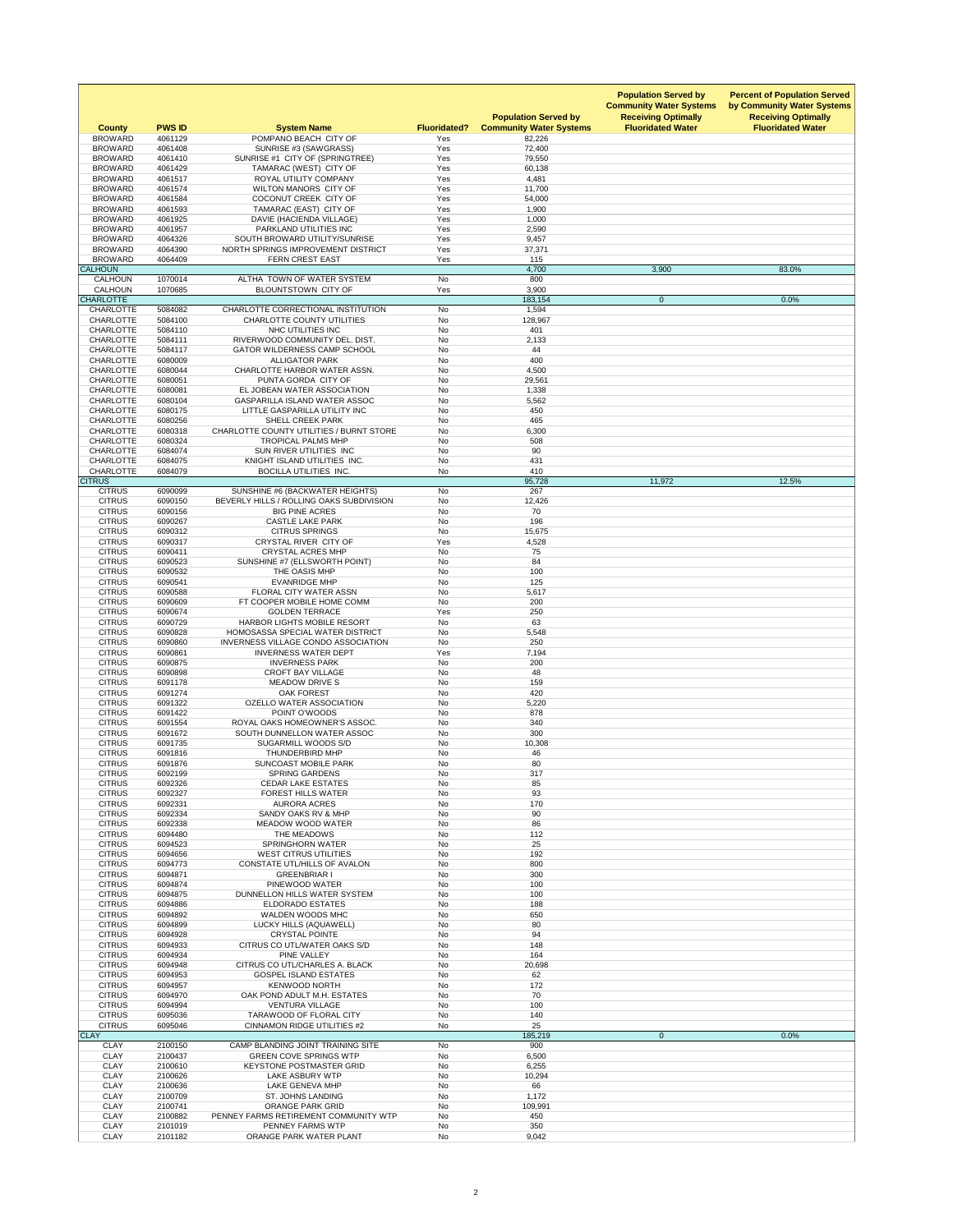| <b>County</b>                        | <b>PWS ID</b>      | <b>System Name</b>                                                     | <b>Fluoridated?</b>    | <b>Population Served by</b><br><b>Community Water Systems</b> | <b>Population Served by</b><br><b>Community Water Systems</b><br><b>Receiving Optimally</b><br><b>Fluoridated Water</b> | <b>Percent of Population Served</b><br>by Community Water Systems<br><b>Receiving Optimally</b><br><b>Fluoridated Water</b> |
|--------------------------------------|--------------------|------------------------------------------------------------------------|------------------------|---------------------------------------------------------------|-------------------------------------------------------------------------------------------------------------------------|-----------------------------------------------------------------------------------------------------------------------------|
| <b>BROWARD</b><br><b>BROWARD</b>     | 4061129<br>4061408 | POMPANO BEACH CITY OF                                                  | Yes<br>Yes             | 82,226<br>72,400                                              |                                                                                                                         |                                                                                                                             |
| <b>BROWARD</b>                       | 4061410            | SUNRISE #3 (SAWGRASS)<br>SUNRISE #1 CITY OF (SPRINGTREE)               | Yes                    | 79,550                                                        |                                                                                                                         |                                                                                                                             |
| <b>BROWARD</b>                       | 4061429            | TAMARAC (WEST) CITY OF                                                 | Yes                    | 60,138                                                        |                                                                                                                         |                                                                                                                             |
| <b>BROWARD</b>                       | 4061517            | <b>ROYAL UTILITY COMPANY</b>                                           | Yes                    | 4,481                                                         |                                                                                                                         |                                                                                                                             |
| <b>BROWARD</b><br><b>BROWARD</b>     | 4061574<br>4061584 | <b>WILTON MANORS CITY OF</b><br>COCONUT CREEK CITY OF                  | Yes<br>Yes             | 11,700<br>54,000                                              |                                                                                                                         |                                                                                                                             |
| <b>BROWARD</b>                       | 4061593            | TAMARAC (EAST) CITY OF                                                 | Yes                    | 1,900                                                         |                                                                                                                         |                                                                                                                             |
| <b>BROWARD</b>                       | 4061925            | DAVIE (HACIENDA VILLAGE)                                               | Yes                    | 1,000                                                         |                                                                                                                         |                                                                                                                             |
| <b>BROWARD</b>                       | 4061957            | PARKLAND UTILITIES INC                                                 | Yes                    | 2,590                                                         |                                                                                                                         |                                                                                                                             |
| <b>BROWARD</b>                       | 4064326            | SOUTH BROWARD UTILITY/SUNRISE                                          | Yes                    | 9,457                                                         |                                                                                                                         |                                                                                                                             |
| <b>BROWARD</b><br><b>BROWARD</b>     | 4064390<br>4064409 | NORTH SPRINGS IMPROVEMENT DISTRICT<br><b>FERN CREST EAST</b>           | Yes<br>Yes             | 37,371<br>115                                                 |                                                                                                                         |                                                                                                                             |
| <b>CALHOUN</b>                       |                    |                                                                        |                        | 4,700                                                         | 3,900                                                                                                                   | 83.0%                                                                                                                       |
| <b>CALHOUN</b>                       | 1070014            | ALTHA TOWN OF WATER SYSTEM                                             | <b>No</b>              | 800                                                           |                                                                                                                         |                                                                                                                             |
| <b>CALHOUN</b>                       | 1070685            | <b>BLOUNTSTOWN CITY OF</b>                                             | Yes                    | 3,900                                                         |                                                                                                                         |                                                                                                                             |
| <b>CHARLOTTE</b><br><b>CHARLOTTE</b> | 5084082            | CHARLOTTE CORRECTIONAL INSTITUTION                                     | No                     | 183,154<br>1,594                                              | $\overline{0}$                                                                                                          | 0.0%                                                                                                                        |
| <b>CHARLOTTE</b>                     | 5084100            | <b>CHARLOTTE COUNTY UTILITIES</b>                                      | <b>No</b>              | 128,967                                                       |                                                                                                                         |                                                                                                                             |
| <b>CHARLOTTE</b>                     | 5084110            | NHC UTILITIES INC                                                      | No                     | 401                                                           |                                                                                                                         |                                                                                                                             |
| <b>CHARLOTTE</b>                     | 5084111            | RIVERWOOD COMMUNITY DEL. DIST.                                         | No                     | 2,133                                                         |                                                                                                                         |                                                                                                                             |
| <b>CHARLOTTE</b><br><b>CHARLOTTE</b> | 5084117            | <b>GATOR WILDERNESS CAMP SCHOOL</b><br><b>ALLIGATOR PARK</b>           | <b>No</b><br><b>No</b> | 44                                                            |                                                                                                                         |                                                                                                                             |
| <b>CHARLOTTE</b>                     | 6080009<br>6080044 | CHARLOTTE HARBOR WATER ASSN.                                           | <b>No</b>              | 400<br>4,500                                                  |                                                                                                                         |                                                                                                                             |
| <b>CHARLOTTE</b>                     | 6080051            | PUNTA GORDA CITY OF                                                    | <b>No</b>              | 29,561                                                        |                                                                                                                         |                                                                                                                             |
| <b>CHARLOTTE</b>                     | 6080081            | EL JOBEAN WATER ASSOCIATION                                            | No                     | 1,338                                                         |                                                                                                                         |                                                                                                                             |
| <b>CHARLOTTE</b>                     | 6080104            | GASPARILLA ISLAND WATER ASSOC                                          | No                     | 5,562                                                         |                                                                                                                         |                                                                                                                             |
| <b>CHARLOTTE</b><br><b>CHARLOTTE</b> | 6080175            | LITTLE GASPARILLA UTILITY INC<br><b>SHELL CREEK PARK</b>               | <b>No</b><br>No        | 450<br>465                                                    |                                                                                                                         |                                                                                                                             |
| <b>CHARLOTTE</b>                     | 6080256<br>6080318 | <b>CHARLOTTE COUNTY UTILITIES / BURNT STORE</b>                        | <b>No</b>              | 6,300                                                         |                                                                                                                         |                                                                                                                             |
| <b>CHARLOTTE</b>                     | 6080324            | <b>TROPICAL PALMS MHP</b>                                              | <b>No</b>              | 508                                                           |                                                                                                                         |                                                                                                                             |
| <b>CHARLOTTE</b>                     | 6084074            | SUN RIVER UTILITIES INC                                                | No                     | 90                                                            |                                                                                                                         |                                                                                                                             |
| <b>CHARLOTTE</b>                     | 6084075            | KNIGHT ISLAND UTILITIES INC.                                           | <b>No</b>              | 431                                                           |                                                                                                                         |                                                                                                                             |
| <b>CHARLOTTE</b><br><b>CITRUS</b>    | 6084079            | <b>BOCILLA UTILITIES INC.</b>                                          | No                     | 410<br>95,728                                                 | 11,972                                                                                                                  | 12.5%                                                                                                                       |
| <b>CITRUS</b>                        | 6090099            | SUNSHINE #6 (BACKWATER HEIGHTS)                                        | No                     | 267                                                           |                                                                                                                         |                                                                                                                             |
| <b>CITRUS</b>                        | 6090150            | BEVERLY HILLS / ROLLING OAKS SUBDIVISION                               | No                     | 12,426                                                        |                                                                                                                         |                                                                                                                             |
| <b>CITRUS</b>                        | 6090156            | <b>BIG PINE ACRES</b>                                                  | No                     | 70                                                            |                                                                                                                         |                                                                                                                             |
| <b>CITRUS</b><br><b>CITRUS</b>       | 6090267<br>6090312 | <b>CASTLE LAKE PARK</b><br><b>CITRUS SPRINGS</b>                       | <b>No</b><br>No        | 196<br>15,675                                                 |                                                                                                                         |                                                                                                                             |
| <b>CITRUS</b>                        | 6090317            | CRYSTAL RIVER CITY OF                                                  | Yes                    | 4,528                                                         |                                                                                                                         |                                                                                                                             |
| <b>CITRUS</b>                        | 6090411            | <b>CRYSTAL ACRES MHP</b>                                               | <b>No</b>              | 75                                                            |                                                                                                                         |                                                                                                                             |
| <b>CITRUS</b>                        | 6090523            | SUNSHINE #7 (ELLSWORTH POINT)                                          | <b>No</b>              | 84                                                            |                                                                                                                         |                                                                                                                             |
| <b>CITRUS</b><br><b>CITRUS</b>       | 6090532<br>6090541 | THE OASIS MHP<br><b>EVANRIDGE MHP</b>                                  | No<br><b>No</b>        | 100<br>125                                                    |                                                                                                                         |                                                                                                                             |
| <b>CITRUS</b>                        | 6090588            | FLORAL CITY WATER ASSN                                                 | No                     | 5,617                                                         |                                                                                                                         |                                                                                                                             |
| <b>CITRUS</b>                        | 6090609            | FT COOPER MOBILE HOME COMM                                             | No                     | 200                                                           |                                                                                                                         |                                                                                                                             |
| <b>CITRUS</b>                        | 6090674            | <b>GOLDEN TERRACE</b>                                                  | Yes                    | 250                                                           |                                                                                                                         |                                                                                                                             |
| <b>CITRUS</b><br><b>CITRUS</b>       | 6090729<br>6090828 | <b>HARBOR LIGHTS MOBILE RESORT</b><br>HOMOSASSA SPECIAL WATER DISTRICT | No<br>No               | 63<br>5,548                                                   |                                                                                                                         |                                                                                                                             |
| <b>CITRUS</b>                        | 6090860            | <b>INVERNESS VILLAGE CONDO ASSOCIATION</b>                             | No                     | 250                                                           |                                                                                                                         |                                                                                                                             |
| <b>CITRUS</b>                        | 6090861            | <b>INVERNESS WATER DEPT</b>                                            | Yes                    | 7,194                                                         |                                                                                                                         |                                                                                                                             |
| <b>CITRUS</b>                        | 6090875            | <b>INVERNESS PARK</b>                                                  | <b>No</b>              | 200                                                           |                                                                                                                         |                                                                                                                             |
| <b>CITRUS</b><br><b>CITRUS</b>       | 6090898<br>6091178 | <b>CROFT BAY VILLAGE</b><br><b>MEADOW DRIVE S</b>                      | <b>No</b><br>No        | 48<br>159                                                     |                                                                                                                         |                                                                                                                             |
| <b>CITRUS</b>                        | 6091274            | <b>OAK FOREST</b>                                                      | No                     | 420                                                           |                                                                                                                         |                                                                                                                             |
| <b>CITRUS</b>                        | 6091322            | <b>OZELLO WATER ASSOCIATION</b>                                        | No                     | 5,220                                                         |                                                                                                                         |                                                                                                                             |
| <b>CITRUS</b>                        | 6091422            | POINT O'WOODS                                                          | No                     | 878                                                           |                                                                                                                         |                                                                                                                             |
| <b>CITRUS</b><br><b>CITRUS</b>       | 6091554<br>6091672 | ROYAL OAKS HOMEOWNER'S ASSOC.<br>SOUTH DUNNELLON WATER ASSOC           | No<br>No               | 340<br>300                                                    |                                                                                                                         |                                                                                                                             |
| <b>CITRUS</b>                        | 6091735            | <b>SUGARMILL WOODS S/D</b>                                             | No                     | 10,308                                                        |                                                                                                                         |                                                                                                                             |
| <b>CITRUS</b>                        | 6091816            | THUNDERBIRD MHP                                                        | <b>No</b>              | 46                                                            |                                                                                                                         |                                                                                                                             |
| <b>CITRUS</b>                        | 6091876            | <b>SUNCOAST MOBILE PARK</b>                                            | No                     | 80                                                            |                                                                                                                         |                                                                                                                             |
| <b>CITRUS</b><br><b>CITRUS</b>       | 6092199<br>6092326 | <b>SPRING GARDENS</b><br><b>CEDAR LAKE ESTATES</b>                     | No<br><b>No</b>        | 317<br>85                                                     |                                                                                                                         |                                                                                                                             |
| <b>CITRUS</b>                        | 6092327            | <b>FOREST HILLS WATER</b>                                              | No                     | 93                                                            |                                                                                                                         |                                                                                                                             |
| <b>CITRUS</b>                        | 6092331            | <b>AURORA ACRES</b>                                                    | No                     | 170                                                           |                                                                                                                         |                                                                                                                             |
| <b>CITRUS</b>                        | 6092334            | SANDY OAKS RV & MHP                                                    | <b>No</b>              | 90                                                            |                                                                                                                         |                                                                                                                             |
| <b>CITRUS</b><br><b>CITRUS</b>       | 6092338<br>6094480 | MEADOW WOOD WATER<br>THE MEADOWS                                       | No<br><b>No</b>        | 86<br>112                                                     |                                                                                                                         |                                                                                                                             |
| <b>CITRUS</b>                        | 6094523            | <b>SPRINGHORN WATER</b>                                                | <b>No</b>              | 25                                                            |                                                                                                                         |                                                                                                                             |
| <b>CITRUS</b>                        | 6094656            | <b>WEST CITRUS UTILITIES</b>                                           | No                     | 192                                                           |                                                                                                                         |                                                                                                                             |
| <b>CITRUS</b>                        | 6094773            | CONSTATE UTL/HILLS OF AVALON                                           | <b>No</b>              | 800                                                           |                                                                                                                         |                                                                                                                             |
| <b>CITRUS</b><br><b>CITRUS</b>       | 6094871<br>6094874 | <b>GREENBRIAR I</b><br>PINEWOOD WATER                                  | No<br>No               | 300<br>100                                                    |                                                                                                                         |                                                                                                                             |
| <b>CITRUS</b>                        | 6094875            | DUNNELLON HILLS WATER SYSTEM                                           | No                     | 100                                                           |                                                                                                                         |                                                                                                                             |
| <b>CITRUS</b>                        | 6094886            | <b>ELDORADO ESTATES</b>                                                | No                     | 188                                                           |                                                                                                                         |                                                                                                                             |
| <b>CITRUS</b>                        | 6094892            | <b>WALDEN WOODS MHC</b>                                                | No                     | 650                                                           |                                                                                                                         |                                                                                                                             |
| <b>CITRUS</b>                        | 6094899            | LUCKY HILLS (AQUAWELL)                                                 | <b>No</b>              | 80                                                            |                                                                                                                         |                                                                                                                             |
| <b>CITRUS</b><br><b>CITRUS</b>       | 6094928<br>6094933 | <b>CRYSTAL POINTE</b><br>CITRUS CO UTL/WATER OAKS S/D                  | <b>No</b><br>No        | 94<br>148                                                     |                                                                                                                         |                                                                                                                             |
| <b>CITRUS</b>                        | 6094934            | PINE VALLEY                                                            | <b>No</b>              | 164                                                           |                                                                                                                         |                                                                                                                             |
| <b>CITRUS</b>                        | 6094948            | CITRUS CO UTL/CHARLES A. BLACK                                         | No                     | 20,698                                                        |                                                                                                                         |                                                                                                                             |
| <b>CITRUS</b>                        | 6094953            | <b>GOSPEL ISLAND ESTATES</b>                                           | No                     | 62                                                            |                                                                                                                         |                                                                                                                             |
| <b>CITRUS</b><br><b>CITRUS</b>       | 6094957<br>6094970 | <b>KENWOOD NORTH</b><br>OAK POND ADULT M.H. ESTATES                    | <b>No</b><br><b>No</b> | 172<br>70                                                     |                                                                                                                         |                                                                                                                             |
| <b>CITRUS</b>                        | 6094994            | <b>VENTURA VILLAGE</b>                                                 | No                     | 100                                                           |                                                                                                                         |                                                                                                                             |
| <b>CITRUS</b>                        | 6095036            | TARAWOOD OF FLORAL CITY                                                | <b>No</b>              | 140                                                           |                                                                                                                         |                                                                                                                             |
| <b>CITRUS</b><br><b>CLAY</b>         | 6095046            | <b>CINNAMON RIDGE UTILITIES #2</b>                                     | No                     | 25                                                            |                                                                                                                         | 0.0%                                                                                                                        |
| <b>CLAY</b>                          | 2100150            | CAMP BLANDING JOINT TRAINING SITE                                      | No                     | 185,219<br>900                                                | $\overline{0}$                                                                                                          |                                                                                                                             |
| <b>CLAY</b>                          | 2100437            | <b>GREEN COVE SPRINGS WTP</b>                                          | No                     | 6,500                                                         |                                                                                                                         |                                                                                                                             |
| <b>CLAY</b>                          | 2100610            | <b>KEYSTONE POSTMASTER GRID</b>                                        | No                     | 6,255                                                         |                                                                                                                         |                                                                                                                             |
| <b>CLAY</b>                          | 2100626            | <b>LAKE ASBURY WTP</b><br><b>LAKE GENEVA MHP</b>                       | No                     | 10,294                                                        |                                                                                                                         |                                                                                                                             |
| <b>CLAY</b><br><b>CLAY</b>           | 2100636<br>2100709 | <b>ST. JOHNS LANDING</b>                                               | No<br><b>No</b>        | 66<br>1,172                                                   |                                                                                                                         |                                                                                                                             |
| <b>CLAY</b>                          | 2100741            | <b>ORANGE PARK GRID</b>                                                | No                     | 109,991                                                       |                                                                                                                         |                                                                                                                             |
| <b>CLAY</b>                          | 2100882            | PENNEY FARMS RETIREMENT COMMUNITY WTP                                  | No                     | 450                                                           |                                                                                                                         |                                                                                                                             |
| <b>CLAY</b><br><b>CLAY</b>           | 2101019<br>2101182 | PENNEY FARMS WTP<br>ORANGE PARK WATER PLANT                            | No<br>No               | 350<br>9,042                                                  |                                                                                                                         |                                                                                                                             |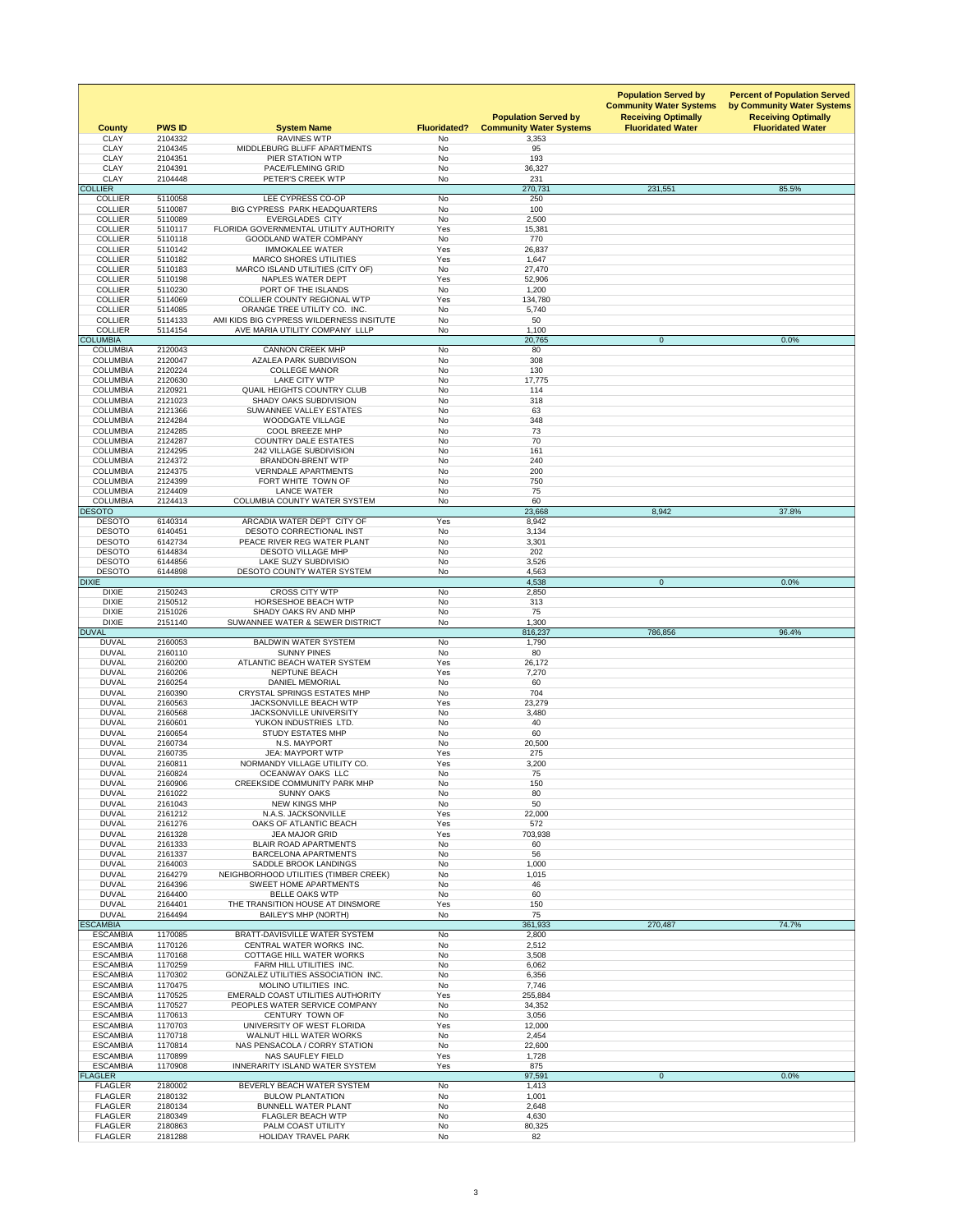| <b>County</b>                      | <b>PWS ID</b>      | <b>System Name</b><br><b>RAVINES WTP</b>                                | <b>Fluoridated?</b>    | <b>Population Served by</b><br><b>Community Water Systems</b> | <b>Population Served by</b><br><b>Community Water Systems</b><br><b>Receiving Optimally</b><br><b>Fluoridated Water</b> | <b>Percent of Population Served</b><br>by Community Water Systems<br><b>Receiving Optimally</b><br><b>Fluoridated Water</b> |
|------------------------------------|--------------------|-------------------------------------------------------------------------|------------------------|---------------------------------------------------------------|-------------------------------------------------------------------------------------------------------------------------|-----------------------------------------------------------------------------------------------------------------------------|
| <b>CLAY</b><br><b>CLAY</b>         | 2104332<br>2104345 | MIDDLEBURG BLUFF APARTMENTS                                             | No<br><b>No</b>        | 3,353<br>95                                                   |                                                                                                                         |                                                                                                                             |
| <b>CLAY</b>                        | 2104351            | PIER STATION WTP                                                        | No                     | 193                                                           |                                                                                                                         |                                                                                                                             |
| <b>CLAY</b><br><b>CLAY</b>         | 2104391<br>2104448 | PACE/FLEMING GRID<br>PETER'S CREEK WTP                                  | No<br>No               | 36,327<br>231                                                 |                                                                                                                         |                                                                                                                             |
| <b>COLLIER</b>                     |                    |                                                                         |                        | 270,731                                                       | 231,551                                                                                                                 | 85.5%                                                                                                                       |
| <b>COLLIER</b><br><b>COLLIER</b>   | 5110058<br>5110087 | LEE CYPRESS CO-OP<br>BIG CYPRESS PARK HEADQUARTERS                      | <b>No</b><br><b>No</b> | 250<br>100                                                    |                                                                                                                         |                                                                                                                             |
| <b>COLLIER</b>                     | 5110089            | <b>EVERGLADES CITY</b>                                                  | No                     | 2,500                                                         |                                                                                                                         |                                                                                                                             |
| <b>COLLIER</b><br><b>COLLIER</b>   | 5110117<br>5110118 | FLORIDA GOVERNMENTAL UTILITY AUTHORITY<br><b>GOODLAND WATER COMPANY</b> | Yes<br>No              | 15,381<br>770                                                 |                                                                                                                         |                                                                                                                             |
| <b>COLLIER</b>                     | 5110142            | <b>IMMOKALEE WATER</b>                                                  | Yes                    | 26,837                                                        |                                                                                                                         |                                                                                                                             |
| <b>COLLIER</b><br><b>COLLIER</b>   | 5110182<br>5110183 | <b>MARCO SHORES UTILITIES</b><br>MARCO ISLAND UTILITIES (CITY OF)       | Yes<br>No              | 1,647<br>27,470                                               |                                                                                                                         |                                                                                                                             |
| <b>COLLIER</b>                     | 5110198            | NAPLES WATER DEPT                                                       | Yes                    | 52,906                                                        |                                                                                                                         |                                                                                                                             |
| <b>COLLIER</b><br><b>COLLIER</b>   | 5110230<br>5114069 | PORT OF THE ISLANDS<br><b>COLLIER COUNTY REGIONAL WTP</b>               | <b>No</b><br>Yes       | 1,200                                                         |                                                                                                                         |                                                                                                                             |
| <b>COLLIER</b>                     | 5114085            | ORANGE TREE UTILITY CO. INC.                                            | No                     | 134,780<br>5,740                                              |                                                                                                                         |                                                                                                                             |
| <b>COLLIER</b>                     | 5114133            | AMI KIDS BIG CYPRESS WILDERNESS INSITUTE                                | <b>No</b>              | 50                                                            |                                                                                                                         |                                                                                                                             |
| <b>COLLIER</b><br><b>COLUMBIA</b>  | 5114154            | AVE MARIA UTILITY COMPANY LLLP                                          | No                     | 1,100<br>20,765                                               | $\overline{0}$                                                                                                          | 0.0%                                                                                                                        |
| <b>COLUMBIA</b>                    | 2120043            | <b>CANNON CREEK MHP</b>                                                 | <b>No</b>              | 80                                                            |                                                                                                                         |                                                                                                                             |
| <b>COLUMBIA</b><br><b>COLUMBIA</b> | 2120047<br>2120224 | <b>AZALEA PARK SUBDIVISON</b><br><b>COLLEGE MANOR</b>                   | <b>No</b><br>No        | 308<br>130                                                    |                                                                                                                         |                                                                                                                             |
| <b>COLUMBIA</b>                    | 2120630            | <b>LAKE CITY WTP</b>                                                    | <b>No</b>              | 17,775                                                        |                                                                                                                         |                                                                                                                             |
| <b>COLUMBIA</b><br><b>COLUMBIA</b> | 2120921<br>2121023 | <b>QUAIL HEIGHTS COUNTRY CLUB</b><br>SHADY OAKS SUBDIVISION             | No<br>No               | 114<br>318                                                    |                                                                                                                         |                                                                                                                             |
| <b>COLUMBIA</b>                    | 2121366            | <b>SUWANNEE VALLEY ESTATES</b>                                          | <b>No</b>              | 63                                                            |                                                                                                                         |                                                                                                                             |
| <b>COLUMBIA</b>                    | 2124284            | <b>WOODGATE VILLAGE</b>                                                 | No                     | 348                                                           |                                                                                                                         |                                                                                                                             |
| <b>COLUMBIA</b><br><b>COLUMBIA</b> | 2124285<br>2124287 | <b>COOL BREEZE MHP</b><br><b>COUNTRY DALE ESTATES</b>                   | No<br>No               | 73<br>70                                                      |                                                                                                                         |                                                                                                                             |
| <b>COLUMBIA</b>                    | 2124295            | <b>242 VILLAGE SUBDIVISION</b>                                          | No                     | 161                                                           |                                                                                                                         |                                                                                                                             |
| <b>COLUMBIA</b><br><b>COLUMBIA</b> | 2124372<br>2124375 | <b>BRANDON-BRENT WTP</b><br><b>VERNDALE APARTMENTS</b>                  | No<br><b>No</b>        | 240<br>200                                                    |                                                                                                                         |                                                                                                                             |
| <b>COLUMBIA</b>                    | 2124399            | FORT WHITE TOWN OF                                                      | No                     | 750                                                           |                                                                                                                         |                                                                                                                             |
| <b>COLUMBIA</b>                    | 2124409            | <b>LANCE WATER</b>                                                      | <b>No</b>              | 75                                                            |                                                                                                                         |                                                                                                                             |
| <b>COLUMBIA</b><br><b>DESOTO</b>   | 2124413            | <b>COLUMBIA COUNTY WATER SYSTEM</b>                                     | No                     | 60<br>23,668                                                  | 8,942                                                                                                                   | 37.8%                                                                                                                       |
| <b>DESOTO</b>                      | 6140314            | ARCADIA WATER DEPT CITY OF                                              | Yes                    | 8,942                                                         |                                                                                                                         |                                                                                                                             |
| <b>DESOTO</b><br><b>DESOTO</b>     | 6140451<br>6142734 | DESOTO CORRECTIONAL INST<br>PEACE RIVER REG WATER PLANT                 | No<br>No               | 3,134<br>3,301                                                |                                                                                                                         |                                                                                                                             |
| <b>DESOTO</b>                      | 6144834            | <b>DESOTO VILLAGE MHP</b>                                               | <b>No</b>              | 202                                                           |                                                                                                                         |                                                                                                                             |
| <b>DESOTO</b><br><b>DESOTO</b>     | 6144856<br>6144898 | LAKE SUZY SUBDIVISIO<br><b>DESOTO COUNTY WATER SYSTEM</b>               | No<br>No               | 3,526<br>4,563                                                |                                                                                                                         |                                                                                                                             |
| <b>DIXIE</b>                       |                    |                                                                         |                        | 4,538                                                         | $\overline{0}$                                                                                                          | 0.0%                                                                                                                        |
| <b>DIXIE</b>                       | 2150243            | <b>CROSS CITY WTP</b>                                                   | <b>No</b>              | 2,850                                                         |                                                                                                                         |                                                                                                                             |
| <b>DIXIE</b><br><b>DIXIE</b>       | 2150512<br>2151026 | <b>HORSESHOE BEACH WTP</b><br>SHADY OAKS RV AND MHP                     | No<br><b>No</b>        | 313<br>75                                                     |                                                                                                                         |                                                                                                                             |
| <b>DIXIE</b>                       | 2151140            | SUWANNEE WATER & SEWER DISTRICT                                         | No                     | 1,300                                                         |                                                                                                                         |                                                                                                                             |
| <b>DUVAL</b><br><b>DUVAL</b>       | 2160053            | <b>BALDWIN WATER SYSTEM</b>                                             | <b>No</b>              | 816,237<br>1,790                                              | 786,856                                                                                                                 | 96.4%                                                                                                                       |
| <b>DUVAL</b>                       | 2160110            | <b>SUNNY PINES</b>                                                      | No                     | 80                                                            |                                                                                                                         |                                                                                                                             |
| <b>DUVAL</b><br><b>DUVAL</b>       | 2160200<br>2160206 | ATLANTIC BEACH WATER SYSTEM<br><b>NEPTUNE BEACH</b>                     | Yes<br>Yes             | 26,172<br>7,270                                               |                                                                                                                         |                                                                                                                             |
| <b>DUVAL</b>                       | 2160254            | <b>DANIEL MEMORIAL</b>                                                  | No                     | 60                                                            |                                                                                                                         |                                                                                                                             |
| <b>DUVAL</b>                       | 2160390            | <b>CRYSTAL SPRINGS ESTATES MHP</b><br><b>JACKSONVILLE BEACH WTP</b>     | No                     | 704                                                           |                                                                                                                         |                                                                                                                             |
| <b>DUVAL</b><br><b>DUVAL</b>       | 2160563<br>2160568 | <b>JACKSONVILLE UNIVERSITY</b>                                          | Yes<br>No              | 23,279<br>3,480                                               |                                                                                                                         |                                                                                                                             |
| <b>DUVAL</b>                       | 2160601            | YUKON INDUSTRIES LTD.                                                   | No                     | 40                                                            |                                                                                                                         |                                                                                                                             |
| <b>DUVAL</b><br><b>DUVAL</b>       | 2160654<br>2160734 | <b>STUDY ESTATES MHP</b><br>N.S. MAYPORT                                | No<br>No               | 60<br>20,500                                                  |                                                                                                                         |                                                                                                                             |
| <b>DUVAL</b>                       | 2160735            | <b>JEA: MAYPORT WTP</b>                                                 | Yes                    | 275                                                           |                                                                                                                         |                                                                                                                             |
| <b>DUVAL</b><br><b>DUVAL</b>       | 2160811<br>2160824 | NORMANDY VILLAGE UTILITY CO.<br>OCEANWAY OAKS LLC                       | Yes<br>No              | 3,200<br>75                                                   |                                                                                                                         |                                                                                                                             |
| <b>DUVAL</b>                       | 2160906            | <b>CREEKSIDE COMMUNITY PARK MHP</b>                                     | No                     | 150                                                           |                                                                                                                         |                                                                                                                             |
| <b>DUVAL</b>                       | 2161022            | <b>SUNNY OAKS</b>                                                       | No                     | 80                                                            |                                                                                                                         |                                                                                                                             |
| <b>DUVAL</b><br><b>DUVAL</b>       | 2161043<br>2161212 | <b>NEW KINGS MHP</b><br>N.A.S. JACKSONVILLE                             | No<br>Yes              | 50<br>22,000                                                  |                                                                                                                         |                                                                                                                             |
| <b>DUVAL</b>                       | 2161276            | OAKS OF ATLANTIC BEACH                                                  | Yes                    | 572                                                           |                                                                                                                         |                                                                                                                             |
| <b>DUVAL</b><br><b>DUVAL</b>       | 2161328<br>2161333 | <b>JEA MAJOR GRID</b><br><b>BLAIR ROAD APARTMENTS</b>                   | Yes<br><b>No</b>       | 703,938<br>60                                                 |                                                                                                                         |                                                                                                                             |
| <b>DUVAL</b>                       | 2161337            | <b>BARCELONA APARTMENTS</b>                                             | No                     | 56                                                            |                                                                                                                         |                                                                                                                             |
| <b>DUVAL</b><br><b>DUVAL</b>       | 2164003<br>2164279 | SADDLE BROOK LANDINGS<br>NEIGHBORHOOD UTILITIES (TIMBER CREEK)          | No<br>No               | 1,000<br>1,015                                                |                                                                                                                         |                                                                                                                             |
| <b>DUVAL</b>                       | 2164396            | <b>SWEET HOME APARTMENTS</b>                                            | No                     | 46                                                            |                                                                                                                         |                                                                                                                             |
| <b>DUVAL</b>                       | 2164400            | <b>BELLE OAKS WTP</b>                                                   | <b>No</b>              | 60                                                            |                                                                                                                         |                                                                                                                             |
| <b>DUVAL</b><br><b>DUVAL</b>       | 2164401<br>2164494 | THE TRANSITION HOUSE AT DINSMORE<br><b>BAILEY'S MHP (NORTH)</b>         | Yes<br>No              | 150<br>75                                                     |                                                                                                                         |                                                                                                                             |
| <b>ESCAMBIA</b>                    |                    |                                                                         |                        | 361,933                                                       | 270,487                                                                                                                 | 74.7%                                                                                                                       |
| <b>ESCAMBIA</b><br><b>ESCAMBIA</b> | 1170085<br>1170126 | BRATT-DAVISVILLE WATER SYSTEM<br>CENTRAL WATER WORKS INC.               | <b>No</b><br>No        | 2,800<br>2,512                                                |                                                                                                                         |                                                                                                                             |
| <b>ESCAMBIA</b>                    | 1170168            | <b>COTTAGE HILL WATER WORKS</b>                                         | <b>No</b>              | 3,508                                                         |                                                                                                                         |                                                                                                                             |
| <b>ESCAMBIA</b><br><b>ESCAMBIA</b> | 1170259<br>1170302 | FARM HILL UTILITIES INC.<br><b>GONZALEZ UTILITIES ASSOCIATION INC.</b>  | <b>No</b><br>No        | 6,062<br>6,356                                                |                                                                                                                         |                                                                                                                             |
| <b>ESCAMBIA</b>                    | 1170475            | MOLINO UTILITIES INC.                                                   | <b>No</b>              | 7,746                                                         |                                                                                                                         |                                                                                                                             |
| <b>ESCAMBIA</b>                    | 1170525            | <b>EMERALD COAST UTILITIES AUTHORITY</b>                                | Yes                    | 255,884                                                       |                                                                                                                         |                                                                                                                             |
| <b>ESCAMBIA</b><br><b>ESCAMBIA</b> | 1170527<br>1170613 | PEOPLES WATER SERVICE COMPANY<br>CENTURY TOWN OF                        | No<br>No               | 34,352<br>3,056                                               |                                                                                                                         |                                                                                                                             |
| <b>ESCAMBIA</b>                    | 1170703            | UNIVERSITY OF WEST FLORIDA                                              | Yes                    | 12,000                                                        |                                                                                                                         |                                                                                                                             |
| <b>ESCAMBIA</b><br><b>ESCAMBIA</b> | 1170718<br>1170814 | <b>WALNUT HILL WATER WORKS</b><br>NAS PENSACOLA / CORRY STATION         | No<br>No               | 2,454<br>22,600                                               |                                                                                                                         |                                                                                                                             |
| <b>ESCAMBIA</b>                    | 1170899            | <b>NAS SAUFLEY FIELD</b>                                                | Yes                    | 1,728                                                         |                                                                                                                         |                                                                                                                             |
| <b>ESCAMBIA</b><br><b>FLAGLER</b>  | 1170908            | <b>INNERARITY ISLAND WATER SYSTEM</b>                                   | Yes                    | 875<br>97,591                                                 | $\overline{0}$                                                                                                          | 0.0%                                                                                                                        |
| <b>FLAGLER</b>                     | 2180002            | BEVERLY BEACH WATER SYSTEM                                              | No                     | 1,413                                                         |                                                                                                                         |                                                                                                                             |
| <b>FLAGLER</b>                     | 2180132            | <b>BULOW PLANTATION</b>                                                 | No                     | 1,001                                                         |                                                                                                                         |                                                                                                                             |
| <b>FLAGLER</b><br><b>FLAGLER</b>   | 2180134<br>2180349 | <b>BUNNELL WATER PLANT</b><br><b>FLAGLER BEACH WTP</b>                  | No<br>No               | 2,648<br>4,630                                                |                                                                                                                         |                                                                                                                             |
| <b>FLAGLER</b>                     | 2180863            | PALM COAST UTILITY                                                      | No                     | 80,325                                                        |                                                                                                                         |                                                                                                                             |
| <b>FLAGLER</b>                     | 2181288            | <b>HOLIDAY TRAVEL PARK</b>                                              | No                     | 82                                                            |                                                                                                                         |                                                                                                                             |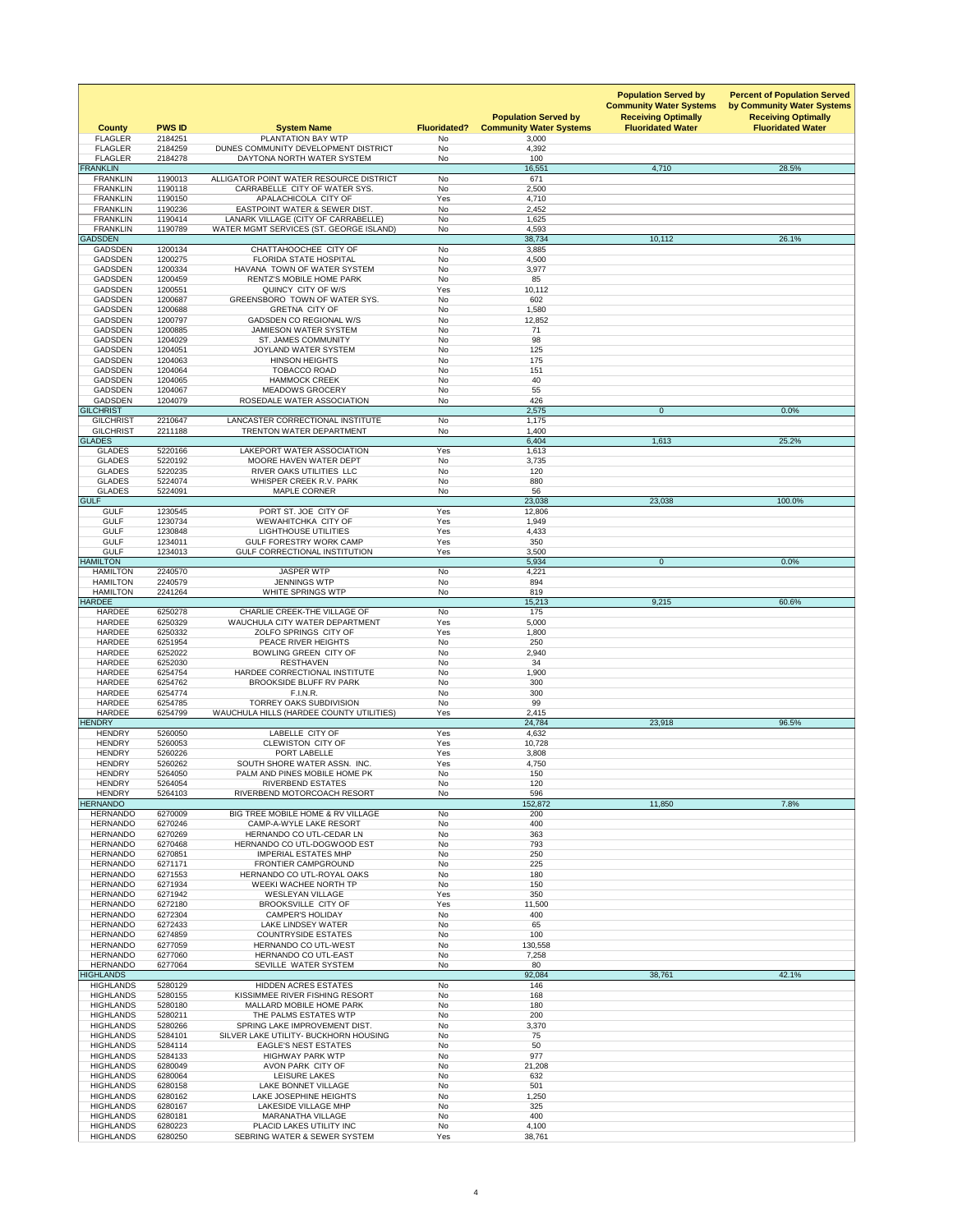| <b>County</b><br><b>FLAGLER</b>      | <b>PWS ID</b><br>2184251 | <b>System Name</b><br>PLANTATION BAY WTP                                       | <b>Fluoridated?</b><br><b>No</b> | <b>Population Served by</b><br><b>Community Water Systems</b><br>3,000 | <b>Population Served by</b><br><b>Community Water Systems</b><br><b>Receiving Optimally</b><br><b>Fluoridated Water</b> | <b>Percent of Population Served</b><br>by Community Water Systems<br><b>Receiving Optimally</b><br><b>Fluoridated Water</b> |
|--------------------------------------|--------------------------|--------------------------------------------------------------------------------|----------------------------------|------------------------------------------------------------------------|-------------------------------------------------------------------------------------------------------------------------|-----------------------------------------------------------------------------------------------------------------------------|
| <b>FLAGLER</b>                       | 2184259                  | DUNES COMMUNITY DEVELOPMENT DISTRICT                                           | <b>No</b>                        | 4,392                                                                  |                                                                                                                         |                                                                                                                             |
| <b>FLAGLER</b><br><b>FRANKLIN</b>    | 2184278                  | DAYTONA NORTH WATER SYSTEM                                                     | <b>No</b>                        | 100<br>16,551                                                          | 4,710                                                                                                                   | 28.5%                                                                                                                       |
| <b>FRANKLIN</b><br><b>FRANKLIN</b>   | 1190013                  | ALLIGATOR POINT WATER RESOURCE DISTRICT                                        | <b>No</b><br><b>No</b>           | 671                                                                    |                                                                                                                         |                                                                                                                             |
| <b>FRANKLIN</b>                      | 1190118<br>1190150       | CARRABELLE CITY OF WATER SYS.<br>APALACHICOLA CITY OF                          | Yes                              | 2,500<br>4,710                                                         |                                                                                                                         |                                                                                                                             |
| <b>FRANKLIN</b>                      | 1190236                  | <b>EASTPOINT WATER &amp; SEWER DIST.</b>                                       | <b>No</b>                        | 2,452                                                                  |                                                                                                                         |                                                                                                                             |
| <b>FRANKLIN</b><br><b>FRANKLIN</b>   | 1190414<br>1190789       | LANARK VILLAGE (CITY OF CARRABELLE)<br>WATER MGMT SERVICES (ST. GEORGE ISLAND) | <b>No</b><br>No                  | 1,625<br>4,593                                                         |                                                                                                                         |                                                                                                                             |
| <b>GADSDEN</b>                       |                          |                                                                                |                                  | 38,734                                                                 | 10,112                                                                                                                  | 26.1%                                                                                                                       |
| <b>GADSDEN</b><br><b>GADSDEN</b>     | 1200134<br>1200275       | CHATTAHOOCHEE CITY OF<br><b>FLORIDA STATE HOSPITAL</b>                         | No<br><b>No</b>                  | 3,885<br>4,500                                                         |                                                                                                                         |                                                                                                                             |
| <b>GADSDEN</b>                       | 1200334                  | HAVANA TOWN OF WATER SYSTEM                                                    | <b>No</b>                        | 3,977                                                                  |                                                                                                                         |                                                                                                                             |
| <b>GADSDEN</b><br><b>GADSDEN</b>     | 1200459<br>1200551       | <b>RENTZ'S MOBILE HOME PARK</b><br>QUINCY CITY OF W/S                          | <b>No</b><br>Yes                 | 85<br>10,112                                                           |                                                                                                                         |                                                                                                                             |
| <b>GADSDEN</b>                       | 1200687                  | <b>GREENSBORO TOWN OF WATER SYS.</b>                                           | <b>No</b>                        | 602                                                                    |                                                                                                                         |                                                                                                                             |
| <b>GADSDEN</b><br><b>GADSDEN</b>     | 1200688<br>1200797       | <b>GRETNA CITY OF</b><br><b>GADSDEN CO REGIONAL W/S</b>                        | <b>No</b><br><b>No</b>           | 1,580<br>12,852                                                        |                                                                                                                         |                                                                                                                             |
| <b>GADSDEN</b>                       | 1200885                  | <b>JAMIESON WATER SYSTEM</b>                                                   | <b>No</b>                        | 71                                                                     |                                                                                                                         |                                                                                                                             |
| <b>GADSDEN</b><br><b>GADSDEN</b>     | 1204029<br>1204051       | <b>ST. JAMES COMMUNITY</b><br>JOYLAND WATER SYSTEM                             | <b>No</b><br><b>No</b>           | 98<br>125                                                              |                                                                                                                         |                                                                                                                             |
| <b>GADSDEN</b>                       | 1204063                  | <b>HINSON HEIGHTS</b>                                                          | <b>No</b>                        | 175                                                                    |                                                                                                                         |                                                                                                                             |
| <b>GADSDEN</b><br><b>GADSDEN</b>     | 1204064<br>1204065       | <b>TOBACCO ROAD</b><br><b>HAMMOCK CREEK</b>                                    | <b>No</b><br><b>No</b>           | 151<br>40                                                              |                                                                                                                         |                                                                                                                             |
| <b>GADSDEN</b>                       | 1204067                  | <b>MEADOWS GROCERY</b>                                                         | <b>No</b>                        | 55                                                                     |                                                                                                                         |                                                                                                                             |
| <b>GADSDEN</b><br><b>GILCHRIST</b>   | 1204079                  | ROSEDALE WATER ASSOCIATION                                                     | No                               | 426<br>2,575                                                           | $\overline{0}$                                                                                                          | 0.0%                                                                                                                        |
| <b>GILCHRIST</b>                     | 2210647                  | LANCASTER CORRECTIONAL INSTITUTE                                               | <b>No</b>                        | 1,175                                                                  |                                                                                                                         |                                                                                                                             |
| <b>GILCHRIST</b><br><b>GLADES</b>    | 2211188                  | <b>TRENTON WATER DEPARTMENT</b>                                                | <b>No</b>                        | 1,400<br>6,404                                                         | 1,613                                                                                                                   | 25.2%                                                                                                                       |
| <b>GLADES</b>                        | 5220166                  | LAKEPORT WATER ASSOCIATION                                                     | Yes                              | 1,613                                                                  |                                                                                                                         |                                                                                                                             |
| <b>GLADES</b><br><b>GLADES</b>       | 5220192<br>5220235       | MOORE HAVEN WATER DEPT<br>RIVER OAKS UTILITIES LLC                             | <b>No</b><br><b>No</b>           | 3,735<br>120                                                           |                                                                                                                         |                                                                                                                             |
| <b>GLADES</b>                        | 5224074                  | WHISPER CREEK R.V. PARK                                                        | <b>No</b>                        | 880                                                                    |                                                                                                                         |                                                                                                                             |
| <b>GLADES</b><br><b>GULF</b>         | 5224091                  | <b>MAPLE CORNER</b>                                                            | <b>No</b>                        | 56<br>23,038                                                           | 23,038                                                                                                                  | 100.0%                                                                                                                      |
| <b>GULF</b>                          | 1230545                  | PORT ST. JOE CITY OF                                                           | Yes                              | 12,806                                                                 |                                                                                                                         |                                                                                                                             |
| <b>GULF</b>                          | 1230734                  | WEWAHITCHKA CITY OF                                                            | Yes                              | 1,949                                                                  |                                                                                                                         |                                                                                                                             |
| <b>GULF</b><br><b>GULF</b>           | 1230848<br>1234011       | <b>LIGHTHOUSE UTILITIES</b><br><b>GULF FORESTRY WORK CAMP</b>                  | Yes<br>Yes                       | 4,433<br>350                                                           |                                                                                                                         |                                                                                                                             |
| <b>GULF</b>                          | 1234013                  | <b>GULF CORRECTIONAL INSTITUTION</b>                                           | Yes                              | 3,500                                                                  |                                                                                                                         |                                                                                                                             |
| <b>HAMILTON</b><br><b>HAMILTON</b>   | 2240570                  | <b>JASPER WTP</b>                                                              | <b>No</b>                        | 5,934<br>4,221                                                         | $\overline{0}$                                                                                                          | 0.0%                                                                                                                        |
| <b>HAMILTON</b>                      | 2240579                  | <b>JENNINGS WTP</b>                                                            | <b>No</b>                        | 894                                                                    |                                                                                                                         |                                                                                                                             |
| <b>HAMILTON</b><br><b>HARDEE</b>     | 2241264                  | WHITE SPRINGS WTP                                                              | No                               | 819<br>15,213                                                          | 9,215                                                                                                                   | 60.6%                                                                                                                       |
| <b>HARDEE</b>                        | 6250278                  | <b>CHARLIE CREEK-THE VILLAGE OF</b>                                            | <b>No</b>                        | 175                                                                    |                                                                                                                         |                                                                                                                             |
| <b>HARDEE</b><br><b>HARDEE</b>       | 6250329<br>6250332       | WAUCHULA CITY WATER DEPARTMENT<br><b>ZOLFO SPRINGS CITY OF</b>                 | Yes<br>Yes                       | 5,000<br>1,800                                                         |                                                                                                                         |                                                                                                                             |
| <b>HARDEE</b>                        | 6251954                  | PEACE RIVER HEIGHTS                                                            | <b>No</b>                        | 250                                                                    |                                                                                                                         |                                                                                                                             |
| <b>HARDEE</b><br><b>HARDEE</b>       | 6252022<br>6252030       | <b>BOWLING GREEN CITY OF</b><br><b>RESTHAVEN</b>                               | <b>No</b><br>No                  | 2,940<br>34                                                            |                                                                                                                         |                                                                                                                             |
| <b>HARDEE</b>                        | 6254754                  | HARDEE CORRECTIONAL INSTITUTE                                                  | <b>No</b>                        | 1,900                                                                  |                                                                                                                         |                                                                                                                             |
| <b>HARDEE</b><br><b>HARDEE</b>       | 6254762<br>6254774       | <b>BROOKSIDE BLUFF RV PARK</b><br>F.I.N.R.                                     | <b>No</b><br><b>No</b>           | 300<br>300                                                             |                                                                                                                         |                                                                                                                             |
| <b>HARDEE</b>                        | 6254785                  | <b>TORREY OAKS SUBDIVISION</b>                                                 | <b>No</b>                        | 99                                                                     |                                                                                                                         |                                                                                                                             |
| <b>HARDEE</b><br><b>HENDRY</b>       | 6254799                  | <b>WAUCHULA HILLS (HARDEE COUNTY UTILITIES)</b>                                | Yes                              | 2,415<br>24,784                                                        | 23,918                                                                                                                  | 96.5%                                                                                                                       |
| <b>HENDRY</b>                        | 5260050                  | LABELLE CITY OF                                                                | Yes                              | 4,632                                                                  |                                                                                                                         |                                                                                                                             |
| <b>HENDRY</b><br><b>HENDRY</b>       | 5260053<br>5260226       | <b>CLEWISTON CITY OF</b><br>PORT LABELLE                                       | Yes<br>Yes                       | 10,728<br>3,808                                                        |                                                                                                                         |                                                                                                                             |
| <b>HENDRY</b>                        | 5260262                  | SOUTH SHORE WATER ASSN. INC.                                                   | Yes                              | 4,750                                                                  |                                                                                                                         |                                                                                                                             |
| <b>HENDRY</b><br><b>HENDRY</b>       | 5264050<br>5264054       | PALM AND PINES MOBILE HOME PK<br><b>RIVERBEND ESTATES</b>                      | <b>No</b><br><b>No</b>           | 150<br>120                                                             |                                                                                                                         |                                                                                                                             |
| <b>HENDRY</b>                        | 5264103                  | RIVERBEND MOTORCOACH RESORT                                                    | No                               | 596                                                                    |                                                                                                                         |                                                                                                                             |
| <b>HERNANDO</b><br><b>HERNANDO</b>   | 6270009                  | BIG TREE MOBILE HOME & RV VILLAGE                                              | <b>No</b>                        | 152,872<br>200                                                         | 11,850                                                                                                                  | 7.8%                                                                                                                        |
| <b>HERNANDO</b>                      | 6270246                  | <b>CAMP-A-WYLE LAKE RESORT</b>                                                 | <b>No</b>                        | 400                                                                    |                                                                                                                         |                                                                                                                             |
| <b>HERNANDO</b><br><b>HERNANDO</b>   | 6270269<br>6270468       | HERNANDO CO UTL-CEDAR LN<br>HERNANDO CO UTL-DOGWOOD EST                        | No<br><b>No</b>                  | 363<br>793                                                             |                                                                                                                         |                                                                                                                             |
| <b>HERNANDO</b>                      | 6270851                  | <b>IMPERIAL ESTATES MHP</b>                                                    | <b>No</b>                        | 250                                                                    |                                                                                                                         |                                                                                                                             |
| <b>HERNANDO</b><br><b>HERNANDO</b>   | 6271171<br>6271553       | <b>FRONTIER CAMPGROUND</b><br><b>HERNANDO CO UTL-ROYAL OAKS</b>                | No<br><b>No</b>                  | 225<br>180                                                             |                                                                                                                         |                                                                                                                             |
| <b>HERNANDO</b>                      | 6271934                  | <b>WEEKI WACHEE NORTH TP</b>                                                   | <b>No</b>                        | 150                                                                    |                                                                                                                         |                                                                                                                             |
| <b>HERNANDO</b><br><b>HERNANDO</b>   | 6271942<br>6272180       | <b>WESLEYAN VILLAGE</b><br><b>BROOKSVILLE CITY OF</b>                          | Yes<br>Yes                       | 350<br>11,500                                                          |                                                                                                                         |                                                                                                                             |
| <b>HERNANDO</b>                      | 6272304                  | <b>CAMPER'S HOLIDAY</b>                                                        | <b>No</b>                        | 400                                                                    |                                                                                                                         |                                                                                                                             |
| <b>HERNANDO</b><br><b>HERNANDO</b>   | 6272433<br>6274859       | <b>LAKE LINDSEY WATER</b><br><b>COUNTRYSIDE ESTATES</b>                        | <b>No</b><br><b>No</b>           | 65<br>100                                                              |                                                                                                                         |                                                                                                                             |
| <b>HERNANDO</b>                      | 6277059                  | <b>HERNANDO CO UTL-WEST</b>                                                    | No                               | 130,558                                                                |                                                                                                                         |                                                                                                                             |
| <b>HERNANDO</b><br><b>HERNANDO</b>   | 6277060<br>6277064       | <b>HERNANDO CO UTL-EAST</b><br>SEVILLE WATER SYSTEM                            | <b>No</b><br><b>No</b>           | 7,258<br>80                                                            |                                                                                                                         |                                                                                                                             |
| <b>HIGHLANDS</b>                     |                          |                                                                                |                                  | 92,084                                                                 | 38,761                                                                                                                  | 42.1%                                                                                                                       |
| <b>HIGHLANDS</b><br><b>HIGHLANDS</b> | 5280129<br>5280155       | <b>HIDDEN ACRES ESTATES</b><br>KISSIMMEE RIVER FISHING RESORT                  | <b>No</b><br><b>No</b>           | 146<br>168                                                             |                                                                                                                         |                                                                                                                             |
| <b>HIGHLANDS</b>                     | 5280180                  | <b>MALLARD MOBILE HOME PARK</b>                                                | <b>No</b>                        | 180                                                                    |                                                                                                                         |                                                                                                                             |
| <b>HIGHLANDS</b><br><b>HIGHLANDS</b> | 5280211<br>5280266       | THE PALMS ESTATES WTP<br>SPRING LAKE IMPROVEMENT DIST.                         | <b>No</b><br><b>No</b>           | 200<br>3,370                                                           |                                                                                                                         |                                                                                                                             |
| <b>HIGHLANDS</b>                     | 5284101                  | SILVER LAKE UTILITY- BUCKHORN HOUSING                                          | No                               | 75                                                                     |                                                                                                                         |                                                                                                                             |
| <b>HIGHLANDS</b><br><b>HIGHLANDS</b> | 5284114<br>5284133       | <b>EAGLE'S NEST ESTATES</b><br><b>HIGHWAY PARK WTP</b>                         | No<br>No                         | 50<br>977                                                              |                                                                                                                         |                                                                                                                             |
| <b>HIGHLANDS</b>                     | 6280049                  | AVON PARK CITY OF                                                              | No                               | 21,208                                                                 |                                                                                                                         |                                                                                                                             |
| <b>HIGHLANDS</b><br><b>HIGHLANDS</b> | 6280064<br>6280158       | LEISURE LAKES<br>LAKE BONNET VILLAGE                                           | <b>No</b><br>No                  | 632<br>501                                                             |                                                                                                                         |                                                                                                                             |
| <b>HIGHLANDS</b>                     | 6280162                  | LAKE JOSEPHINE HEIGHTS                                                         | No                               | 1,250                                                                  |                                                                                                                         |                                                                                                                             |
| <b>HIGHLANDS</b><br><b>HIGHLANDS</b> | 6280167<br>6280181       | <b>LAKESIDE VILLAGE MHP</b><br><b>MARANATHA VILLAGE</b>                        | <b>No</b><br>No                  | 325<br>400                                                             |                                                                                                                         |                                                                                                                             |
| <b>HIGHLANDS</b>                     | 6280223                  | PLACID LAKES UTILITY INC                                                       | No                               | 4,100                                                                  |                                                                                                                         |                                                                                                                             |
| <b>HIGHLANDS</b>                     | 6280250                  | SEBRING WATER & SEWER SYSTEM                                                   | Yes                              | 38,761                                                                 |                                                                                                                         |                                                                                                                             |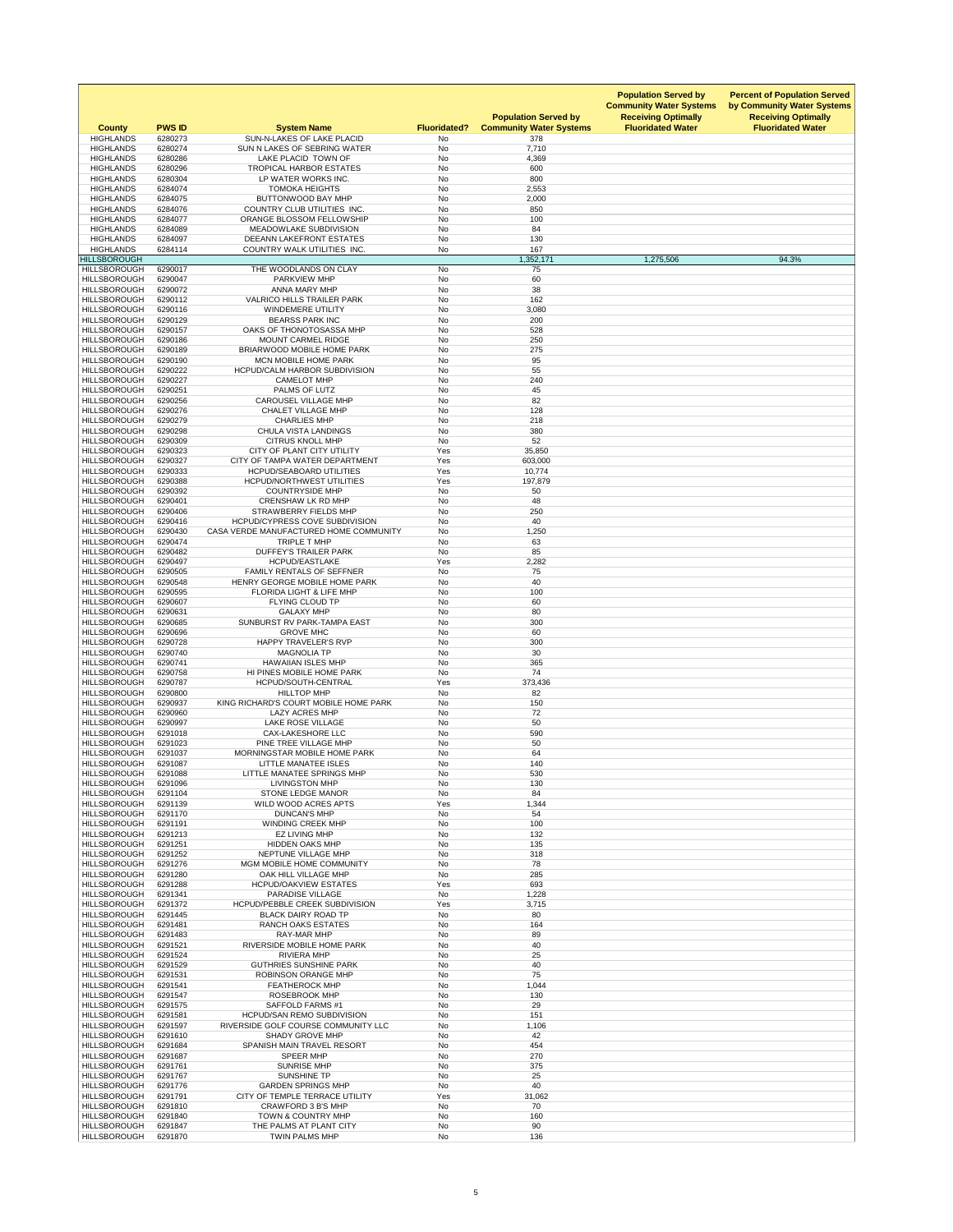| <b>County</b>                              | <b>PWS ID</b>      | <b>System Name</b>                                                    | <b>Fluoridated?</b>    | <b>Population Served by</b><br><b>Community Water Systems</b> | <b>Population Served by</b><br><b>Community Water Systems</b><br><b>Receiving Optimally</b><br><b>Fluoridated Water</b> | <b>Percent of Population Served</b><br>by Community Water Systems<br><b>Receiving Optimally</b><br><b>Fluoridated Water</b> |
|--------------------------------------------|--------------------|-----------------------------------------------------------------------|------------------------|---------------------------------------------------------------|-------------------------------------------------------------------------------------------------------------------------|-----------------------------------------------------------------------------------------------------------------------------|
| <b>HIGHLANDS</b><br><b>HIGHLANDS</b>       | 6280273<br>6280274 | SUN-N-LAKES OF LAKE PLACID<br>SUN N LAKES OF SEBRING WATER            | No<br><b>No</b>        | 378<br>7,710                                                  |                                                                                                                         |                                                                                                                             |
| <b>HIGHLANDS</b>                           | 6280286            | LAKE PLACID TOWN OF                                                   | No                     | 4,369                                                         |                                                                                                                         |                                                                                                                             |
| <b>HIGHLANDS</b>                           | 6280296            | <b>TROPICAL HARBOR ESTATES</b>                                        | No                     | 600                                                           |                                                                                                                         |                                                                                                                             |
| <b>HIGHLANDS</b><br><b>HIGHLANDS</b>       | 6280304<br>6284074 | LP WATER WORKS INC.<br><b>TOMOKA HEIGHTS</b>                          | <b>No</b><br>No        | 800<br>2,553                                                  |                                                                                                                         |                                                                                                                             |
| <b>HIGHLANDS</b>                           | 6284075            | <b>BUTTONWOOD BAY MHP</b>                                             | No                     | 2,000                                                         |                                                                                                                         |                                                                                                                             |
| <b>HIGHLANDS</b>                           | 6284076            | <b>COUNTRY CLUB UTILITIES INC.</b>                                    | No                     | 850                                                           |                                                                                                                         |                                                                                                                             |
| <b>HIGHLANDS</b><br><b>HIGHLANDS</b>       | 6284077<br>6284089 | ORANGE BLOSSOM FELLOWSHIP<br>MEADOWLAKE SUBDIVISION                   | No<br>No               | 100<br>84                                                     |                                                                                                                         |                                                                                                                             |
| <b>HIGHLANDS</b>                           | 6284097            | <b>DEEANN LAKEFRONT ESTATES</b>                                       | No                     | 130                                                           |                                                                                                                         |                                                                                                                             |
| <b>HIGHLANDS</b><br><b>HILLSBOROUGH</b>    | 6284114            | COUNTRY WALK UTILITIES INC.                                           | No                     | 167<br>1,352,171                                              | 1,275,506                                                                                                               | 94.3%                                                                                                                       |
| <b>HILLSBOROUGH</b>                        | 6290017            | THE WOODLANDS ON CLAY                                                 | No                     | 75                                                            |                                                                                                                         |                                                                                                                             |
| <b>HILLSBOROUGH</b>                        | 6290047            | <b>PARKVIEW MHP</b>                                                   | No                     | 60                                                            |                                                                                                                         |                                                                                                                             |
| <b>HILLSBOROUGH</b><br><b>HILLSBOROUGH</b> | 6290072<br>6290112 | ANNA MARY MHP<br><b>VALRICO HILLS TRAILER PARK</b>                    | <b>No</b><br><b>No</b> | 38<br>162                                                     |                                                                                                                         |                                                                                                                             |
| <b>HILLSBOROUGH</b>                        | 6290116            | <b>WINDEMERE UTILITY</b>                                              | No                     | 3,080                                                         |                                                                                                                         |                                                                                                                             |
| <b>HILLSBOROUGH</b><br><b>HILLSBOROUGH</b> | 6290129<br>6290157 | <b>BEARSS PARK INC</b><br>OAKS OF THONOTOSASSA MHP                    | <b>No</b><br><b>No</b> | 200<br>528                                                    |                                                                                                                         |                                                                                                                             |
| <b>HILLSBOROUGH</b>                        | 6290186            | <b>MOUNT CARMEL RIDGE</b>                                             | No                     | 250                                                           |                                                                                                                         |                                                                                                                             |
| <b>HILLSBOROUGH</b>                        | 6290189            | <b>BRIARWOOD MOBILE HOME PARK</b>                                     | <b>No</b>              | 275                                                           |                                                                                                                         |                                                                                                                             |
| <b>HILLSBOROUGH</b><br><b>HILLSBOROUGH</b> | 6290190<br>6290222 | <b>MCN MOBILE HOME PARK</b><br><b>HCPUD/CALM HARBOR SUBDIVISION</b>   | <b>No</b><br>No        | 95<br>55                                                      |                                                                                                                         |                                                                                                                             |
| <b>HILLSBOROUGH</b>                        | 6290227            | <b>CAMELOT MHP</b>                                                    | No                     | 240                                                           |                                                                                                                         |                                                                                                                             |
| <b>HILLSBOROUGH</b>                        | 6290251            | PALMS OF LUTZ                                                         | No                     | 45                                                            |                                                                                                                         |                                                                                                                             |
| <b>HILLSBOROUGH</b><br><b>HILLSBOROUGH</b> | 6290256<br>6290276 | <b>CAROUSEL VILLAGE MHP</b><br><b>CHALET VILLAGE MHP</b>              | No<br>No.              | 82<br>128                                                     |                                                                                                                         |                                                                                                                             |
| <b>HILLSBOROUGH</b>                        | 6290279            | <b>CHARLIES MHP</b>                                                   | No                     | 218                                                           |                                                                                                                         |                                                                                                                             |
| <b>HILLSBOROUGH</b>                        | 6290298            | <b>CHULA VISTA LANDINGS</b><br><b>CITRUS KNOLL MHP</b>                | <b>No</b><br>No        | 380                                                           |                                                                                                                         |                                                                                                                             |
| <b>HILLSBOROUGH</b><br><b>HILLSBOROUGH</b> | 6290309<br>6290323 | CITY OF PLANT CITY UTILITY                                            | Yes                    | 52<br>35,850                                                  |                                                                                                                         |                                                                                                                             |
| <b>HILLSBOROUGH</b>                        | 6290327            | CITY OF TAMPA WATER DEPARTMENT                                        | Yes                    | 603,000                                                       |                                                                                                                         |                                                                                                                             |
| <b>HILLSBOROUGH</b><br><b>HILLSBOROUGH</b> | 6290333<br>6290388 | <b>HCPUD/SEABOARD UTILITIES</b><br><b>HCPUD/NORTHWEST UTILITIES</b>   | Yes<br>Yes             | 10,774<br>197,879                                             |                                                                                                                         |                                                                                                                             |
| <b>HILLSBOROUGH</b>                        | 6290392            | <b>COUNTRYSIDE MHP</b>                                                | No                     | 50                                                            |                                                                                                                         |                                                                                                                             |
| <b>HILLSBOROUGH</b>                        | 6290401            | <b>CRENSHAW LK RD MHP</b>                                             | No                     | 48                                                            |                                                                                                                         |                                                                                                                             |
| <b>HILLSBOROUGH</b><br><b>HILLSBOROUGH</b> | 6290406<br>6290416 | <b>STRAWBERRY FIELDS MHP</b><br><b>HCPUD/CYPRESS COVE SUBDIVISION</b> | No<br><b>No</b>        | 250<br>40                                                     |                                                                                                                         |                                                                                                                             |
| <b>HILLSBOROUGH</b>                        | 6290430            | CASA VERDE MANUFACTURED HOME COMMUNITY                                | No                     | 1,250                                                         |                                                                                                                         |                                                                                                                             |
| <b>HILLSBOROUGH</b><br><b>HILLSBOROUGH</b> | 6290474<br>6290482 | TRIPLE T MHP<br><b>DUFFEY'S TRAILER PARK</b>                          | No<br>No               | 63<br>85                                                      |                                                                                                                         |                                                                                                                             |
| <b>HILLSBOROUGH</b>                        | 6290497            | <b>HCPUD/EASTLAKE</b>                                                 | Yes                    | 2,282                                                         |                                                                                                                         |                                                                                                                             |
| <b>HILLSBOROUGH</b>                        | 6290505            | <b>FAMILY RENTALS OF SEFFNER</b>                                      | <b>No</b>              | 75                                                            |                                                                                                                         |                                                                                                                             |
| <b>HILLSBOROUGH</b><br><b>HILLSBOROUGH</b> | 6290548<br>6290595 | HENRY GEORGE MOBILE HOME PARK<br>FLORIDA LIGHT & LIFE MHP             | <b>No</b><br>No        | 40<br>100                                                     |                                                                                                                         |                                                                                                                             |
| <b>HILLSBOROUGH</b>                        | 6290607            | <b>FLYING CLOUD TP</b>                                                | No                     | 60                                                            |                                                                                                                         |                                                                                                                             |
| <b>HILLSBOROUGH</b><br><b>HILLSBOROUGH</b> | 6290631<br>6290685 | <b>GALAXY MHP</b><br>SUNBURST RV PARK-TAMPA EAST                      | <b>No</b><br><b>No</b> | 80<br>300                                                     |                                                                                                                         |                                                                                                                             |
| <b>HILLSBOROUGH</b>                        | 6290696            | <b>GROVE MHC</b>                                                      | <b>No</b>              | 60                                                            |                                                                                                                         |                                                                                                                             |
| <b>HILLSBOROUGH</b>                        | 6290728            | <b>HAPPY TRAVELER'S RVP</b>                                           | <b>No</b>              | 300                                                           |                                                                                                                         |                                                                                                                             |
| <b>HILLSBOROUGH</b><br><b>HILLSBOROUGH</b> | 6290740<br>6290741 | <b>MAGNOLIA TP</b><br><b>HAWAIIAN ISLES MHP</b>                       | No<br><b>No</b>        | 30<br>365                                                     |                                                                                                                         |                                                                                                                             |
| <b>HILLSBOROUGH</b>                        | 6290758            | HI PINES MOBILE HOME PARK                                             | No                     | 74                                                            |                                                                                                                         |                                                                                                                             |
| <b>HILLSBOROUGH</b><br><b>HILLSBOROUGH</b> | 6290787<br>6290800 | HCPUD/SOUTH-CENTRAL<br><b>HILLTOP MHP</b>                             | Yes<br><b>No</b>       | 373,436<br>82                                                 |                                                                                                                         |                                                                                                                             |
| <b>HILLSBOROUGH</b>                        | 6290937            | KING RICHARD'S COURT MOBILE HOME PARK                                 | No                     | 150                                                           |                                                                                                                         |                                                                                                                             |
| <b>HILLSBOROUGH</b>                        | 6290960            | <b>LAZY ACRES MHP</b>                                                 | No                     | 72                                                            |                                                                                                                         |                                                                                                                             |
| <b>HILLSBOROUGH</b><br><b>HILLSBOROUGH</b> | 6290997<br>6291018 | LAKE ROSE VILLAGE<br><b>CAX-LAKESHORE LLC</b>                         | No<br>No               | 50<br>590                                                     |                                                                                                                         |                                                                                                                             |
| <b>HILLSBOROUGH</b>                        | 6291023            | PINE TREE VILLAGE MHP                                                 | No                     | 50                                                            |                                                                                                                         |                                                                                                                             |
| <b>HILLSBOROUGH</b><br><b>HILLSBOROUGH</b> | 6291037<br>6291087 | MORNINGSTAR MOBILE HOME PARK<br>LITTLE MANATEE ISLES                  | No<br><b>No</b>        | 64<br>140                                                     |                                                                                                                         |                                                                                                                             |
| <b>HILLSBOROUGH</b>                        | 6291088            | LITTLE MANATEE SPRINGS MHP                                            | No                     | 530                                                           |                                                                                                                         |                                                                                                                             |
| <b>HILLSBOROUGH</b>                        | 6291096            | <b>LIVINGSTON MHP</b>                                                 | <b>No</b>              | 130                                                           |                                                                                                                         |                                                                                                                             |
| <b>HILLSBOROUGH</b><br><b>HILLSBOROUGH</b> | 6291104<br>6291139 | <b>STONE LEDGE MANOR</b><br>WILD WOOD ACRES APTS                      | No<br>Yes              | 84<br>1,344                                                   |                                                                                                                         |                                                                                                                             |
| <b>HILLSBOROUGH</b>                        | 6291170            | <b>DUNCAN'S MHP</b>                                                   | <b>No</b>              | 54                                                            |                                                                                                                         |                                                                                                                             |
| <b>HILLSBOROUGH</b>                        | 6291191            | <b>WINDING CREEK MHP</b>                                              | <b>No</b>              | 100                                                           |                                                                                                                         |                                                                                                                             |
| <b>HILLSBOROUGH</b><br><b>HILLSBOROUGH</b> | 6291213<br>6291251 | <b>EZ LIVING MHP</b><br><b>HIDDEN OAKS MHP</b>                        | <b>No</b><br><b>No</b> | 132<br>135                                                    |                                                                                                                         |                                                                                                                             |
| <b>HILLSBOROUGH</b>                        | 6291252            | NEPTUNE VILLAGE MHP                                                   | No                     | 318                                                           |                                                                                                                         |                                                                                                                             |
| <b>HILLSBOROUGH</b><br><b>HILLSBOROUGH</b> | 6291276<br>6291280 | MGM MOBILE HOME COMMUNITY<br>OAK HILL VILLAGE MHP                     | <b>No</b><br>No        | 78<br>285                                                     |                                                                                                                         |                                                                                                                             |
| <b>HILLSBOROUGH</b>                        | 6291288            | <b>HCPUD/OAKVIEW ESTATES</b>                                          | Yes                    | 693                                                           |                                                                                                                         |                                                                                                                             |
| <b>HILLSBOROUGH</b><br><b>HILLSBOROUGH</b> | 6291341<br>6291372 | <b>PARADISE VILLAGE</b><br><b>HCPUD/PEBBLE CREEK SUBDIVISION</b>      | No<br>Yes              | 1,228<br>3,715                                                |                                                                                                                         |                                                                                                                             |
| <b>HILLSBOROUGH</b>                        | 6291445            | <b>BLACK DAIRY ROAD TP</b>                                            | No                     | 80                                                            |                                                                                                                         |                                                                                                                             |
| <b>HILLSBOROUGH</b>                        | 6291481            | <b>RANCH OAKS ESTATES</b>                                             | No                     | 164                                                           |                                                                                                                         |                                                                                                                             |
| <b>HILLSBOROUGH</b><br><b>HILLSBOROUGH</b> | 6291483<br>6291521 | <b>RAY-MAR MHP</b><br>RIVERSIDE MOBILE HOME PARK                      | <b>No</b><br><b>No</b> | 89<br>40                                                      |                                                                                                                         |                                                                                                                             |
| <b>HILLSBOROUGH</b>                        | 6291524            | <b>RIVIERA MHP</b>                                                    | <b>No</b>              | 25                                                            |                                                                                                                         |                                                                                                                             |
| <b>HILLSBOROUGH</b><br><b>HILLSBOROUGH</b> | 6291529<br>6291531 | <b>GUTHRIES SUNSHINE PARK</b><br><b>ROBINSON ORANGE MHP</b>           | No<br>No               | 40<br>75                                                      |                                                                                                                         |                                                                                                                             |
| <b>HILLSBOROUGH</b>                        | 6291541            | <b>FEATHEROCK MHP</b>                                                 | <b>No</b>              | 1,044                                                         |                                                                                                                         |                                                                                                                             |
| <b>HILLSBOROUGH</b>                        | 6291547            | <b>ROSEBROOK MHP</b>                                                  | <b>No</b>              | 130                                                           |                                                                                                                         |                                                                                                                             |
| <b>HILLSBOROUGH</b><br><b>HILLSBOROUGH</b> | 6291575<br>6291581 | <b>SAFFOLD FARMS #1</b><br><b>HCPUD/SAN REMO SUBDIVISION</b>          | No<br><b>No</b>        | 29<br>151                                                     |                                                                                                                         |                                                                                                                             |
| <b>HILLSBOROUGH</b>                        | 6291597            | RIVERSIDE GOLF COURSE COMMUNITY LLC                                   | No                     | 1,106                                                         |                                                                                                                         |                                                                                                                             |
| <b>HILLSBOROUGH</b>                        | 6291610            | <b>SHADY GROVE MHP</b>                                                | No                     | 42                                                            |                                                                                                                         |                                                                                                                             |
| <b>HILLSBOROUGH</b><br><b>HILLSBOROUGH</b> | 6291684<br>6291687 | SPANISH MAIN TRAVEL RESORT<br><b>SPEER MHP</b>                        | No<br>No               | 454<br>270                                                    |                                                                                                                         |                                                                                                                             |
| <b>HILLSBOROUGH</b>                        | 6291761            | <b>SUNRISE MHP</b>                                                    | No                     | 375                                                           |                                                                                                                         |                                                                                                                             |
| <b>HILLSBOROUGH</b><br><b>HILLSBOROUGH</b> | 6291767<br>6291776 | <b>SUNSHINE TP</b><br><b>GARDEN SPRINGS MHP</b>                       | No<br>No               | 25<br>40                                                      |                                                                                                                         |                                                                                                                             |
| <b>HILLSBOROUGH</b>                        | 6291791            | CITY OF TEMPLE TERRACE UTILITY                                        | Yes                    | 31,062                                                        |                                                                                                                         |                                                                                                                             |
| <b>HILLSBOROUGH</b>                        | 6291810            | <b>CRAWFORD 3 B'S MHP</b>                                             | No                     | 70                                                            |                                                                                                                         |                                                                                                                             |
| <b>HILLSBOROUGH</b><br><b>HILLSBOROUGH</b> | 6291840<br>6291847 | <b>TOWN &amp; COUNTRY MHP</b><br>THE PALMS AT PLANT CITY              | No<br>No               | 160<br>90                                                     |                                                                                                                         |                                                                                                                             |
| <b>HILLSBOROUGH</b>                        | 6291870            | <b>TWIN PALMS MHP</b>                                                 | No                     | 136                                                           |                                                                                                                         |                                                                                                                             |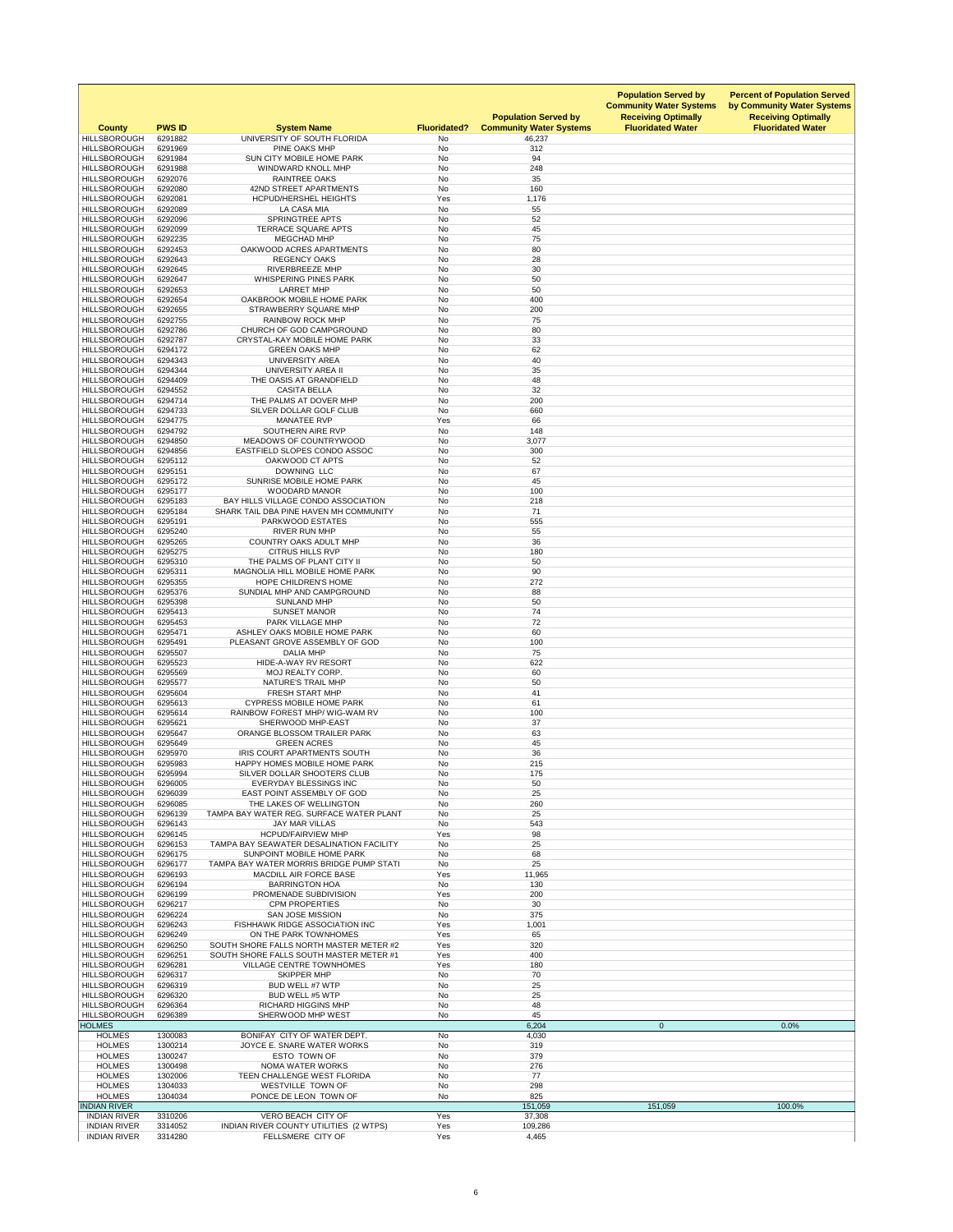| <b>County</b><br><b>HILLSBOROUGH</b>       | <b>PWS ID</b>      | <b>System Name</b><br>UNIVERSITY OF SOUTH FLORIDA                                  | <b>Fluoridated?</b>    | <b>Population Served by</b><br><b>Community Water Systems</b> | <b>Population Served by</b><br><b>Community Water Systems</b><br><b>Receiving Optimally</b><br><b>Fluoridated Water</b> | <b>Percent of Population Served</b><br>by Community Water Systems<br><b>Receiving Optimally</b><br><b>Fluoridated Water</b> |
|--------------------------------------------|--------------------|------------------------------------------------------------------------------------|------------------------|---------------------------------------------------------------|-------------------------------------------------------------------------------------------------------------------------|-----------------------------------------------------------------------------------------------------------------------------|
| <b>HILLSBOROUGH</b>                        | 6291882<br>6291969 | PINE OAKS MHP                                                                      | <b>No</b><br>No        | 46,237<br>312                                                 |                                                                                                                         |                                                                                                                             |
| <b>HILLSBOROUGH</b>                        | 6291984            | SUN CITY MOBILE HOME PARK                                                          | No                     | 94                                                            |                                                                                                                         |                                                                                                                             |
| <b>HILLSBOROUGH</b><br><b>HILLSBOROUGH</b> | 6291988<br>6292076 | WINDWARD KNOLL MHP<br><b>RAINTREE OAKS</b>                                         | No<br>No               | 248<br>35                                                     |                                                                                                                         |                                                                                                                             |
| <b>HILLSBOROUGH</b>                        | 6292080            | <b>42ND STREET APARTMENTS</b>                                                      | <b>No</b>              | 160                                                           |                                                                                                                         |                                                                                                                             |
| <b>HILLSBOROUGH</b>                        | 6292081            | <b>HCPUD/HERSHEL HEIGHTS</b>                                                       | Yes                    | 1,176                                                         |                                                                                                                         |                                                                                                                             |
| <b>HILLSBOROUGH</b><br><b>HILLSBOROUGH</b> | 6292089<br>6292096 | LA CASA MIA<br><b>SPRINGTREE APTS</b>                                              | No<br>No               | 55<br>52                                                      |                                                                                                                         |                                                                                                                             |
| <b>HILLSBOROUGH</b>                        | 6292099            | <b>TERRACE SQUARE APTS</b>                                                         | No                     | 45                                                            |                                                                                                                         |                                                                                                                             |
| <b>HILLSBOROUGH</b>                        | 6292235            | <b>MEGCHAD MHP</b>                                                                 | <b>No</b>              | 75                                                            |                                                                                                                         |                                                                                                                             |
| <b>HILLSBOROUGH</b><br><b>HILLSBOROUGH</b> | 6292453<br>6292643 | OAKWOOD ACRES APARTMENTS<br><b>REGENCY OAKS</b>                                    | <b>No</b><br>No        | 80<br>28                                                      |                                                                                                                         |                                                                                                                             |
| <b>HILLSBOROUGH</b>                        | 6292645            | <b>RIVERBREEZE MHP</b>                                                             | No                     | 30                                                            |                                                                                                                         |                                                                                                                             |
| <b>HILLSBOROUGH</b>                        | 6292647            | <b>WHISPERING PINES PARK</b>                                                       | No                     | 50                                                            |                                                                                                                         |                                                                                                                             |
| <b>HILLSBOROUGH</b><br><b>HILLSBOROUGH</b> | 6292653<br>6292654 | <b>LARRET MHP</b><br>OAKBROOK MOBILE HOME PARK                                     | No<br><b>No</b>        | 50<br>400                                                     |                                                                                                                         |                                                                                                                             |
| <b>HILLSBOROUGH</b>                        | 6292655            | <b>STRAWBERRY SQUARE MHP</b>                                                       | No                     | 200                                                           |                                                                                                                         |                                                                                                                             |
| <b>HILLSBOROUGH</b><br><b>HILLSBOROUGH</b> | 6292755<br>6292786 | <b>RAINBOW ROCK MHP</b><br>CHURCH OF GOD CAMPGROUND                                | No<br>No               | 75<br>80                                                      |                                                                                                                         |                                                                                                                             |
| <b>HILLSBOROUGH</b>                        | 6292787            | <b>CRYSTAL-KAY MOBILE HOME PARK</b>                                                | No                     | 33                                                            |                                                                                                                         |                                                                                                                             |
| <b>HILLSBOROUGH</b>                        | 6294172            | <b>GREEN OAKS MHP</b>                                                              | No                     | 62                                                            |                                                                                                                         |                                                                                                                             |
| <b>HILLSBOROUGH</b><br><b>HILLSBOROUGH</b> | 6294343<br>6294344 | <b>UNIVERSITY AREA</b><br>UNIVERSITY AREA II                                       | <b>No</b><br><b>No</b> | 40<br>35                                                      |                                                                                                                         |                                                                                                                             |
| <b>HILLSBOROUGH</b>                        | 6294409            | THE OASIS AT GRANDFIELD                                                            | No                     | 48                                                            |                                                                                                                         |                                                                                                                             |
| <b>HILLSBOROUGH</b>                        | 6294552            | <b>CASITA BELLA</b>                                                                | <b>No</b>              | 32                                                            |                                                                                                                         |                                                                                                                             |
| <b>HILLSBOROUGH</b><br><b>HILLSBOROUGH</b> | 6294714<br>6294733 | THE PALMS AT DOVER MHP<br>SILVER DOLLAR GOLF CLUB                                  | No<br>No               | 200<br>660                                                    |                                                                                                                         |                                                                                                                             |
| <b>HILLSBOROUGH</b>                        | 6294775            | <b>MANATEE RVP</b>                                                                 | Yes                    | 66                                                            |                                                                                                                         |                                                                                                                             |
| <b>HILLSBOROUGH</b>                        | 6294792            | SOUTHERN AIRE RVP                                                                  | No                     | 148                                                           |                                                                                                                         |                                                                                                                             |
| <b>HILLSBOROUGH</b><br><b>HILLSBOROUGH</b> | 6294850<br>6294856 | <b>MEADOWS OF COUNTRYWOOD</b><br>EASTFIELD SLOPES CONDO ASSOC                      | No<br>No               | 3,077<br>300                                                  |                                                                                                                         |                                                                                                                             |
| <b>HILLSBOROUGH</b>                        | 6295112            | OAKWOOD CT APTS                                                                    | No                     | 52                                                            |                                                                                                                         |                                                                                                                             |
| <b>HILLSBOROUGH</b>                        | 6295151            | <b>DOWNING LLC</b>                                                                 | <b>No</b>              | 67                                                            |                                                                                                                         |                                                                                                                             |
| <b>HILLSBOROUGH</b><br><b>HILLSBOROUGH</b> | 6295172<br>6295177 | <b>SUNRISE MOBILE HOME PARK</b><br><b>WOODARD MANOR</b>                            | No<br>No               | 45<br>100                                                     |                                                                                                                         |                                                                                                                             |
| <b>HILLSBOROUGH</b>                        | 6295183            | BAY HILLS VILLAGE CONDO ASSOCIATION                                                | No                     | 218                                                           |                                                                                                                         |                                                                                                                             |
| <b>HILLSBOROUGH</b>                        | 6295184            | SHARK TAIL DBA PINE HAVEN MH COMMUNITY                                             | No                     | 71                                                            |                                                                                                                         |                                                                                                                             |
| <b>HILLSBOROUGH</b><br><b>HILLSBOROUGH</b> | 6295191<br>6295240 | PARKWOOD ESTATES<br><b>RIVER RUN MHP</b>                                           | <b>No</b><br>No        | 555<br>55                                                     |                                                                                                                         |                                                                                                                             |
| <b>HILLSBOROUGH</b>                        | 6295265            | <b>COUNTRY OAKS ADULT MHP</b>                                                      | No                     | 36                                                            |                                                                                                                         |                                                                                                                             |
| <b>HILLSBOROUGH</b>                        | 6295275            | <b>CITRUS HILLS RVP</b>                                                            | No                     | 180                                                           |                                                                                                                         |                                                                                                                             |
| <b>HILLSBOROUGH</b><br><b>HILLSBOROUGH</b> | 6295310<br>6295311 | THE PALMS OF PLANT CITY II<br>MAGNOLIA HILL MOBILE HOME PARK                       | No<br>No               | 50<br>90                                                      |                                                                                                                         |                                                                                                                             |
| <b>HILLSBOROUGH</b>                        | 6295355            | HOPE CHILDREN'S HOME                                                               | No                     | 272                                                           |                                                                                                                         |                                                                                                                             |
| <b>HILLSBOROUGH</b>                        | 6295376            | SUNDIAL MHP AND CAMPGROUND                                                         | No                     | 88                                                            |                                                                                                                         |                                                                                                                             |
| <b>HILLSBOROUGH</b><br><b>HILLSBOROUGH</b> | 6295398<br>6295413 | <b>SUNLAND MHP</b><br><b>SUNSET MANOR</b>                                          | No<br><b>No</b>        | 50<br>74                                                      |                                                                                                                         |                                                                                                                             |
| <b>HILLSBOROUGH</b>                        | 6295453            | PARK VILLAGE MHP                                                                   | No                     | 72                                                            |                                                                                                                         |                                                                                                                             |
| <b>HILLSBOROUGH</b><br><b>HILLSBOROUGH</b> | 6295471<br>6295491 | ASHLEY OAKS MOBILE HOME PARK<br>PLEASANT GROVE ASSEMBLY OF GOD                     | No<br>No               | 60<br>100                                                     |                                                                                                                         |                                                                                                                             |
| <b>HILLSBOROUGH</b>                        | 6295507            | <b>DALIA MHP</b>                                                                   | No                     | 75                                                            |                                                                                                                         |                                                                                                                             |
| <b>HILLSBOROUGH</b>                        | 6295523            | HIDE-A-WAY RV RESORT                                                               | No                     | 622                                                           |                                                                                                                         |                                                                                                                             |
| <b>HILLSBOROUGH</b><br><b>HILLSBOROUGH</b> | 6295569<br>6295577 | MOJ REALTY CORP.<br><b>NATURE'S TRAIL MHP</b>                                      | No<br>No               | 60<br>50                                                      |                                                                                                                         |                                                                                                                             |
| <b>HILLSBOROUGH</b>                        | 6295604            | <b>FRESH START MHP</b>                                                             | No                     | 41                                                            |                                                                                                                         |                                                                                                                             |
| <b>HILLSBOROUGH</b>                        | 6295613            | <b>CYPRESS MOBILE HOME PARK</b>                                                    | No                     | 61                                                            |                                                                                                                         |                                                                                                                             |
| <b>HILLSBOROUGH</b><br><b>HILLSBOROUGH</b> | 6295614<br>6295621 | RAINBOW FOREST MHP/ WIG-WAM RV<br>SHERWOOD MHP-EAST                                | No<br><b>No</b>        | 100<br>37                                                     |                                                                                                                         |                                                                                                                             |
| <b>HILLSBOROUGH</b>                        | 6295647            | <b>ORANGE BLOSSOM TRAILER PARK</b>                                                 | <b>No</b>              | 63                                                            |                                                                                                                         |                                                                                                                             |
| <b>HILLSBOROUGH</b>                        | 6295649            | <b>GREEN ACRES</b>                                                                 | No                     | 45                                                            |                                                                                                                         |                                                                                                                             |
| <b>HILLSBOROUGH</b><br><b>HILLSBOROUGH</b> | 6295970<br>6295983 | IRIS COURT APARTMENTS SOUTH<br>HAPPY HOMES MOBILE HOME PARK                        | No<br>No               | 36<br>215                                                     |                                                                                                                         |                                                                                                                             |
| <b>HILLSBOROUGH</b>                        | 6295994            | SILVER DOLLAR SHOOTERS CLUB                                                        | No                     | 175                                                           |                                                                                                                         |                                                                                                                             |
| <b>HILLSBOROUGH</b>                        | 6296005            | <b>EVERYDAY BLESSINGS INC</b>                                                      | No                     | 50                                                            |                                                                                                                         |                                                                                                                             |
| <b>HILLSBOROUGH</b><br><b>HILLSBOROUGH</b> | 6296039<br>6296085 | EAST POINT ASSEMBLY OF GOD<br>THE LAKES OF WELLINGTON                              | No<br><b>No</b>        | 25<br>260                                                     |                                                                                                                         |                                                                                                                             |
| <b>HILLSBOROUGH</b>                        | 6296139            | TAMPA BAY WATER REG. SURFACE WATER PLANT                                           | <b>No</b>              | 25                                                            |                                                                                                                         |                                                                                                                             |
| <b>HILLSBOROUGH</b>                        | 6296143            | <b>JAY MAR VILLAS</b>                                                              | No                     | 543                                                           |                                                                                                                         |                                                                                                                             |
| <b>HILLSBOROUGH</b><br><b>HILLSBOROUGH</b> | 6296145<br>6296153 | <b>HCPUD/FAIRVIEW MHP</b><br><b>TAMPA BAY SEAWATER DESALINATION FACILITY</b>       | Yes<br><b>No</b>       | 98<br>25                                                      |                                                                                                                         |                                                                                                                             |
| <b>HILLSBOROUGH</b>                        | 6296175            | SUNPOINT MOBILE HOME PARK                                                          | No                     | 68                                                            |                                                                                                                         |                                                                                                                             |
| <b>HILLSBOROUGH</b><br><b>HILLSBOROUGH</b> | 6296177<br>6296193 | TAMPA BAY WATER MORRIS BRIDGE PUMP STATI<br><b>MACDILL AIR FORCE BASE</b>          | No<br>Yes              | 25<br>11,965                                                  |                                                                                                                         |                                                                                                                             |
| <b>HILLSBOROUGH</b>                        | 6296194            | <b>BARRINGTON HOA</b>                                                              | No                     | 130                                                           |                                                                                                                         |                                                                                                                             |
| <b>HILLSBOROUGH</b>                        | 6296199            | PROMENADE SUBDIVISION                                                              | Yes                    | 200                                                           |                                                                                                                         |                                                                                                                             |
| <b>HILLSBOROUGH</b><br><b>HILLSBOROUGH</b> | 6296217<br>6296224 | <b>CPM PROPERTIES</b><br><b>SAN JOSE MISSION</b>                                   | No<br>No               | 30<br>375                                                     |                                                                                                                         |                                                                                                                             |
| <b>HILLSBOROUGH</b>                        | 6296243            | <b>FISHHAWK RIDGE ASSOCIATION INC</b>                                              | Yes                    | 1,001                                                         |                                                                                                                         |                                                                                                                             |
| <b>HILLSBOROUGH</b>                        | 6296249            | ON THE PARK TOWNHOMES                                                              | Yes                    | 65                                                            |                                                                                                                         |                                                                                                                             |
| <b>HILLSBOROUGH</b><br><b>HILLSBOROUGH</b> | 6296250<br>6296251 | SOUTH SHORE FALLS NORTH MASTER METER #2<br>SOUTH SHORE FALLS SOUTH MASTER METER #1 | Yes<br>Yes             | 320<br>400                                                    |                                                                                                                         |                                                                                                                             |
| <b>HILLSBOROUGH</b>                        | 6296281            | <b>VILLAGE CENTRE TOWNHOMES</b>                                                    | Yes                    | 180                                                           |                                                                                                                         |                                                                                                                             |
| <b>HILLSBOROUGH</b>                        | 6296317            | <b>SKIPPER MHP</b>                                                                 | No                     | 70                                                            |                                                                                                                         |                                                                                                                             |
| <b>HILLSBOROUGH</b><br><b>HILLSBOROUGH</b> | 6296319<br>6296320 | <b>BUD WELL #7 WTP</b><br><b>BUD WELL #5 WTP</b>                                   | No<br>No               | 25<br>25                                                      |                                                                                                                         |                                                                                                                             |
| <b>HILLSBOROUGH</b>                        | 6296364            | <b>RICHARD HIGGINS MHP</b>                                                         | No                     | 48                                                            |                                                                                                                         |                                                                                                                             |
| <b>HILLSBOROUGH</b>                        | 6296389            | SHERWOOD MHP WEST                                                                  | No                     | 45                                                            |                                                                                                                         |                                                                                                                             |
| <b>HOLMES</b><br><b>HOLMES</b>             | 1300083            | BONIFAY CITY OF WATER DEPT.                                                        | No                     | 6,204<br>4,030                                                | $\overline{0}$                                                                                                          | 0.0%                                                                                                                        |
| <b>HOLMES</b>                              | 1300214            | JOYCE E. SNARE WATER WORKS                                                         | No                     | 319                                                           |                                                                                                                         |                                                                                                                             |
| <b>HOLMES</b><br><b>HOLMES</b>             | 1300247<br>1300498 | ESTO TOWN OF<br><b>NOMA WATER WORKS</b>                                            | No<br>No               | 379<br>276                                                    |                                                                                                                         |                                                                                                                             |
| <b>HOLMES</b>                              | 1302006            | TEEN CHALLENGE WEST FLORIDA                                                        | No                     | 77                                                            |                                                                                                                         |                                                                                                                             |
| <b>HOLMES</b>                              | 1304033            | WESTVILLE TOWN OF                                                                  | No                     | 298                                                           |                                                                                                                         |                                                                                                                             |
| <b>HOLMES</b><br><b>INDIAN RIVER</b>       | 1304034            | PONCE DE LEON TOWN OF                                                              | No                     | 825<br>151,059                                                | 151,059                                                                                                                 | 100.0%                                                                                                                      |
| <b>INDIAN RIVER</b>                        | 3310206            | VERO BEACH CITY OF                                                                 | Yes                    | 37,308                                                        |                                                                                                                         |                                                                                                                             |
| <b>INDIAN RIVER</b>                        | 3314052            | INDIAN RIVER COUNTY UTILITIES (2 WTPS)                                             | Yes                    | 109,286                                                       |                                                                                                                         |                                                                                                                             |
| <b>INDIAN RIVER</b>                        | 3314280            | FELLSMERE CITY OF                                                                  | Yes                    | 4,465                                                         |                                                                                                                         |                                                                                                                             |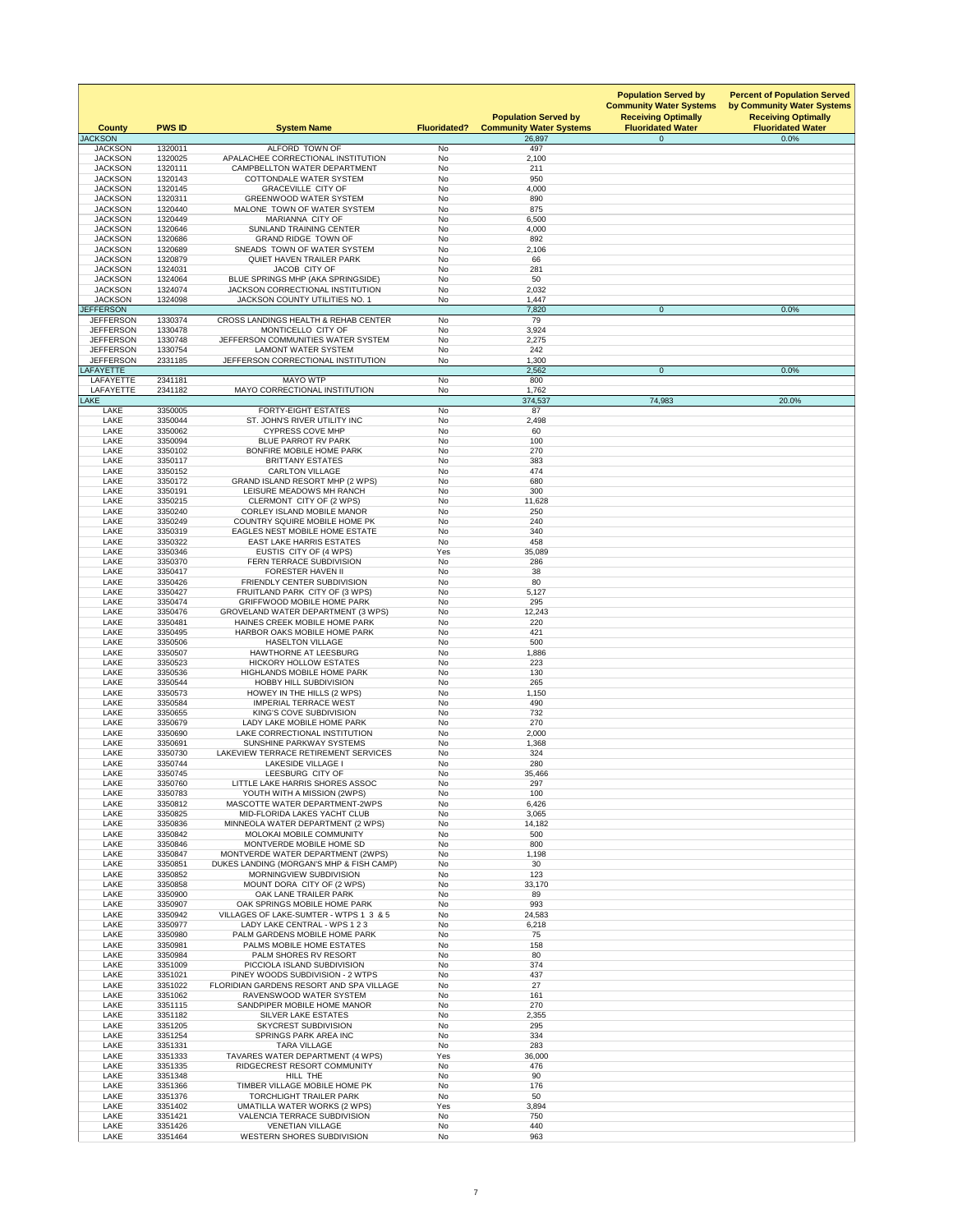| <b>County</b>                        | <b>PWS ID</b>      | <b>System Name</b>                                                           | <b>Fluoridated?</b>    | <b>Population Served by</b><br><b>Community Water Systems</b> | <b>Population Served by</b><br><b>Community Water Systems</b><br><b>Receiving Optimally</b><br><b>Fluoridated Water</b> | <b>Percent of Population Served</b><br>by Community Water Systems<br><b>Receiving Optimally</b><br><b>Fluoridated Water</b> |
|--------------------------------------|--------------------|------------------------------------------------------------------------------|------------------------|---------------------------------------------------------------|-------------------------------------------------------------------------------------------------------------------------|-----------------------------------------------------------------------------------------------------------------------------|
| <b>JACKSON</b><br><b>JACKSON</b>     | 1320011            | ALFORD TOWN OF                                                               | No                     | 26,897<br>497                                                 | $\overline{0}$                                                                                                          | 0.0%                                                                                                                        |
| <b>JACKSON</b>                       | 1320025            | APALACHEE CORRECTIONAL INSTITUTION                                           | <b>No</b>              | 2,100                                                         |                                                                                                                         |                                                                                                                             |
| <b>JACKSON</b><br><b>JACKSON</b>     | 1320111<br>1320143 | <b>CAMPBELLTON WATER DEPARTMENT</b><br><b>COTTONDALE WATER SYSTEM</b>        | <b>No</b><br><b>No</b> | 211<br>950                                                    |                                                                                                                         |                                                                                                                             |
| <b>JACKSON</b>                       | 1320145            | <b>GRACEVILLE CITY OF</b>                                                    | <b>No</b>              | 4,000                                                         |                                                                                                                         |                                                                                                                             |
| <b>JACKSON</b>                       | 1320311            | <b>GREENWOOD WATER SYSTEM</b>                                                | No                     | 890                                                           |                                                                                                                         |                                                                                                                             |
| <b>JACKSON</b><br><b>JACKSON</b>     | 1320440<br>1320449 | MALONE TOWN OF WATER SYSTEM<br>MARIANNA CITY OF                              | <b>No</b><br><b>No</b> | 875<br>6,500                                                  |                                                                                                                         |                                                                                                                             |
| <b>JACKSON</b>                       | 1320646            | <b>SUNLAND TRAINING CENTER</b>                                               | <b>No</b>              | 4,000                                                         |                                                                                                                         |                                                                                                                             |
| <b>JACKSON</b>                       | 1320686            | <b>GRAND RIDGE TOWN OF</b>                                                   | <b>No</b>              | 892                                                           |                                                                                                                         |                                                                                                                             |
| <b>JACKSON</b><br><b>JACKSON</b>     | 1320689<br>1320879 | SNEADS TOWN OF WATER SYSTEM<br><b>QUIET HAVEN TRAILER PARK</b>               | <b>No</b><br><b>No</b> | 2,106<br>66                                                   |                                                                                                                         |                                                                                                                             |
| <b>JACKSON</b>                       | 1324031            | JACOB CITY OF                                                                | <b>No</b>              | 281                                                           |                                                                                                                         |                                                                                                                             |
| <b>JACKSON</b>                       | 1324064            | BLUE SPRINGS MHP (AKA SPRINGSIDE)                                            | <b>No</b>              | 50                                                            |                                                                                                                         |                                                                                                                             |
| <b>JACKSON</b><br><b>JACKSON</b>     | 1324074<br>1324098 | JACKSON CORRECTIONAL INSTITUTION<br>JACKSON COUNTY UTILITIES NO. 1           | <b>No</b><br>No        | 2,032<br>1,447                                                |                                                                                                                         |                                                                                                                             |
| <b>JEFFERSON</b>                     |                    |                                                                              |                        | 7,820                                                         | $\overline{0}$                                                                                                          | 0.0%                                                                                                                        |
| <b>JEFFERSON</b>                     | 1330374            | CROSS LANDINGS HEALTH & REHAB CENTER                                         | <b>No</b>              | 79                                                            |                                                                                                                         |                                                                                                                             |
| <b>JEFFERSON</b><br><b>JEFFERSON</b> | 1330478<br>1330748 | MONTICELLO CITY OF<br>JEFFERSON COMMUNITIES WATER SYSTEM                     | <b>No</b><br><b>No</b> | 3,924<br>2,275                                                |                                                                                                                         |                                                                                                                             |
| <b>JEFFERSON</b>                     | 1330754            | <b>LAMONT WATER SYSTEM</b>                                                   | No                     | 242                                                           |                                                                                                                         |                                                                                                                             |
| <b>JEFFERSON</b>                     | 2331185            | JEFFERSON CORRECTIONAL INSTITUTION                                           | No                     | 1,300                                                         |                                                                                                                         |                                                                                                                             |
| LAFAYETTE<br><b>LAFAYETTE</b>        | 2341181            | <b>MAYO WTP</b>                                                              | No                     | 2,562<br>800                                                  | $\overline{0}$                                                                                                          | 0.0%                                                                                                                        |
| LAFAYETTE                            | 2341182            | MAYO CORRECTIONAL INSTITUTION                                                | <b>No</b>              | 1,762                                                         |                                                                                                                         |                                                                                                                             |
| <b>LAKE</b>                          |                    |                                                                              |                        | 374,537                                                       | 74,983                                                                                                                  | 20.0%                                                                                                                       |
| <b>LAKE</b><br><b>LAKE</b>           | 3350005<br>3350044 | <b>FORTY-EIGHT ESTATES</b><br>ST. JOHN'S RIVER UTILITY INC                   | <b>No</b><br>No        | 87<br>2,498                                                   |                                                                                                                         |                                                                                                                             |
| <b>LAKE</b>                          | 3350062            | <b>CYPRESS COVE MHP</b>                                                      | No                     | 60                                                            |                                                                                                                         |                                                                                                                             |
| LAKE                                 | 3350094            | <b>BLUE PARROT RV PARK</b>                                                   | No                     | 100                                                           |                                                                                                                         |                                                                                                                             |
| LAKE                                 | 3350102            | BONFIRE MOBILE HOME PARK                                                     | No                     | 270                                                           |                                                                                                                         |                                                                                                                             |
| LAKE<br><b>LAKE</b>                  | 3350117<br>3350152 | <b>BRITTANY ESTATES</b><br><b>CARLTON VILLAGE</b>                            | No<br>No               | 383<br>474                                                    |                                                                                                                         |                                                                                                                             |
| <b>LAKE</b>                          | 3350172            | <b>GRAND ISLAND RESORT MHP (2 WPS)</b>                                       | No                     | 680                                                           |                                                                                                                         |                                                                                                                             |
| LAKE                                 | 3350191            | LEISURE MEADOWS MH RANCH                                                     | No                     | 300                                                           |                                                                                                                         |                                                                                                                             |
| <b>LAKE</b><br>LAKE                  | 3350215<br>3350240 | CLERMONT CITY OF (2 WPS)<br><b>CORLEY ISLAND MOBILE MANOR</b>                | <b>No</b><br>No        | 11,628<br>250                                                 |                                                                                                                         |                                                                                                                             |
| LAKE                                 | 3350249            | <b>COUNTRY SQUIRE MOBILE HOME PK</b>                                         | No                     | 240                                                           |                                                                                                                         |                                                                                                                             |
| <b>LAKE</b>                          | 3350319            | <b>EAGLES NEST MOBILE HOME ESTATE</b>                                        | <b>No</b>              | 340                                                           |                                                                                                                         |                                                                                                                             |
| <b>LAKE</b><br><b>LAKE</b>           | 3350322<br>3350346 | <b>EAST LAKE HARRIS ESTATES</b><br>EUSTIS CITY OF (4 WPS)                    | No<br>Yes              | 458<br>35,089                                                 |                                                                                                                         |                                                                                                                             |
| LAKE                                 | 3350370            | FERN TERRACE SUBDIVISION                                                     | No                     | 286                                                           |                                                                                                                         |                                                                                                                             |
| LAKE                                 | 3350417            | <b>FORESTER HAVEN II</b>                                                     | No                     | 38                                                            |                                                                                                                         |                                                                                                                             |
| LAKE                                 | 3350426            | FRIENDLY CENTER SUBDIVISION                                                  | <b>No</b>              | 80                                                            |                                                                                                                         |                                                                                                                             |
| <b>LAKE</b><br>LAKE                  | 3350427<br>3350474 | FRUITLAND PARK CITY OF (3 WPS)<br><b>GRIFFWOOD MOBILE HOME PARK</b>          | <b>No</b><br>No        | 5,127<br>295                                                  |                                                                                                                         |                                                                                                                             |
| LAKE                                 | 3350476            | <b>GROVELAND WATER DEPARTMENT (3 WPS)</b>                                    | <b>No</b>              | 12,243                                                        |                                                                                                                         |                                                                                                                             |
| <b>LAKE</b>                          | 3350481            | HAINES CREEK MOBILE HOME PARK                                                | <b>No</b>              | 220                                                           |                                                                                                                         |                                                                                                                             |
| LAKE<br><b>LAKE</b>                  | 3350495<br>3350506 | HARBOR OAKS MOBILE HOME PARK<br><b>HASELTON VILLAGE</b>                      | No<br><b>No</b>        | 421<br>500                                                    |                                                                                                                         |                                                                                                                             |
| LAKE                                 | 3350507            | <b>HAWTHORNE AT LEESBURG</b>                                                 | No                     | 1,886                                                         |                                                                                                                         |                                                                                                                             |
| <b>LAKE</b>                          | 3350523            | <b>HICKORY HOLLOW ESTATES</b>                                                | No                     | 223                                                           |                                                                                                                         |                                                                                                                             |
| LAKE                                 | 3350536            | <b>HIGHLANDS MOBILE HOME PARK</b>                                            | No                     | 130                                                           |                                                                                                                         |                                                                                                                             |
| LAKE<br><b>LAKE</b>                  | 3350544<br>3350573 | <b>HOBBY HILL SUBDIVISION</b><br>HOWEY IN THE HILLS (2 WPS)                  | No<br>No               | 265<br>1,150                                                  |                                                                                                                         |                                                                                                                             |
| <b>LAKE</b>                          | 3350584            | <b>IMPERIAL TERRACE WEST</b>                                                 | <b>No</b>              | 490                                                           |                                                                                                                         |                                                                                                                             |
| <b>LAKE</b>                          | 3350655            | KING'S COVE SUBDIVISION<br>LADY LAKE MOBILE HOME PARK                        | No<br>No               | 732<br>270                                                    |                                                                                                                         |                                                                                                                             |
| LAKE<br><b>LAKE</b>                  | 3350679<br>3350690 | LAKE CORRECTIONAL INSTITUTION                                                | No.                    | 2,000                                                         |                                                                                                                         |                                                                                                                             |
| <b>LAKE</b>                          | 3350691            | SUNSHINE PARKWAY SYSTEMS                                                     | No                     | 1,368                                                         |                                                                                                                         |                                                                                                                             |
| <b>LAKE</b>                          | 3350730            | LAKEVIEW TERRACE RETIREMENT SERVICES                                         | <b>No</b>              | 324                                                           |                                                                                                                         |                                                                                                                             |
| <b>LAKE</b><br><b>LAKE</b>           | 3350744<br>3350745 | <b>LAKESIDE VILLAGE I</b><br>LEESBURG CITY OF                                | <b>No</b><br><b>No</b> | 280<br>35,466                                                 |                                                                                                                         |                                                                                                                             |
| <b>LAKE</b>                          | 3350760            | LITTLE LAKE HARRIS SHORES ASSOC                                              | No                     | 297                                                           |                                                                                                                         |                                                                                                                             |
| <b>LAKE</b>                          | 3350783            | YOUTH WITH A MISSION (2WPS)                                                  | No                     | 100                                                           |                                                                                                                         |                                                                                                                             |
| LAKE<br><b>LAKE</b>                  | 3350812<br>3350825 | MASCOTTE WATER DEPARTMENT-2WPS<br>MID-FLORIDA LAKES YACHT CLUB               | No<br>No               | 6,426<br>3,065                                                |                                                                                                                         |                                                                                                                             |
| <b>LAKE</b>                          | 3350836            | MINNEOLA WATER DEPARTMENT (2 WPS)                                            | <b>No</b>              | 14,182                                                        |                                                                                                                         |                                                                                                                             |
| LAKE                                 | 3350842            | MOLOKAI MOBILE COMMUNITY                                                     | No                     | 500                                                           |                                                                                                                         |                                                                                                                             |
| LAKE<br>LAKE                         | 3350846<br>3350847 | MONTVERDE MOBILE HOME SD<br>MONTVERDE WATER DEPARTMENT (2WPS)                | <b>No</b><br>No        | 800<br>1,198                                                  |                                                                                                                         |                                                                                                                             |
| <b>LAKE</b>                          | 3350851            | DUKES LANDING (MORGAN'S MHP & FISH CAMP)                                     | No                     | 30                                                            |                                                                                                                         |                                                                                                                             |
| <b>LAKE</b>                          | 3350852            | MORNINGVIEW SUBDIVISION                                                      | <b>No</b>              | 123                                                           |                                                                                                                         |                                                                                                                             |
| LAKE<br><b>LAKE</b>                  | 3350858<br>3350900 | MOUNT DORA CITY OF (2 WPS)<br>OAK LANE TRAILER PARK                          | No<br><b>No</b>        | 33,170<br>89                                                  |                                                                                                                         |                                                                                                                             |
| <b>LAKE</b>                          | 3350907            | OAK SPRINGS MOBILE HOME PARK                                                 | No                     | 993                                                           |                                                                                                                         |                                                                                                                             |
| <b>LAKE</b>                          | 3350942            | VILLAGES OF LAKE-SUMTER - WTPS 1 3 & 5                                       | No                     | 24,583                                                        |                                                                                                                         |                                                                                                                             |
| LAKE<br><b>LAKE</b>                  | 3350977<br>3350980 | LADY LAKE CENTRAL - WPS 1 2 3<br>PALM GARDENS MOBILE HOME PARK               | No<br>No               | 6,218<br>75                                                   |                                                                                                                         |                                                                                                                             |
| <b>LAKE</b>                          | 3350981            | PALMS MOBILE HOME ESTATES                                                    | No                     | 158                                                           |                                                                                                                         |                                                                                                                             |
| LAKE                                 | 3350984            | PALM SHORES RV RESORT                                                        | <b>No</b>              | 80                                                            |                                                                                                                         |                                                                                                                             |
| <b>LAKE</b>                          | 3351009            | PICCIOLA ISLAND SUBDIVISION                                                  | <b>No</b>              | 374                                                           |                                                                                                                         |                                                                                                                             |
| <b>LAKE</b><br><b>LAKE</b>           | 3351021<br>3351022 | PINEY WOODS SUBDIVISION - 2 WTPS<br>FLORIDIAN GARDENS RESORT AND SPA VILLAGE | No<br><b>No</b>        | 437<br>27                                                     |                                                                                                                         |                                                                                                                             |
| <b>LAKE</b>                          | 3351062            | RAVENSWOOD WATER SYSTEM                                                      | No                     | 161                                                           |                                                                                                                         |                                                                                                                             |
| LAKE                                 | 3351115            | SANDPIPER MOBILE HOME MANOR                                                  | <b>No</b>              | 270                                                           |                                                                                                                         |                                                                                                                             |
| <b>LAKE</b><br><b>LAKE</b>           | 3351182<br>3351205 | <b>SILVER LAKE ESTATES</b><br><b>SKYCREST SUBDIVISION</b>                    | No<br>No               | 2,355<br>295                                                  |                                                                                                                         |                                                                                                                             |
| <b>LAKE</b>                          | 3351254            | SPRINGS PARK AREA INC                                                        | No                     | 334                                                           |                                                                                                                         |                                                                                                                             |
| LAKE                                 | 3351331            | <b>TARA VILLAGE</b>                                                          | No                     | 283                                                           |                                                                                                                         |                                                                                                                             |
| LAKE<br>LAKE                         | 3351333<br>3351335 | TAVARES WATER DEPARTMENT (4 WPS)<br>RIDGECREST RESORT COMMUNITY              | Yes<br>No              | 36,000<br>476                                                 |                                                                                                                         |                                                                                                                             |
| LAKE                                 | 3351348            | HILL THE                                                                     | No                     | 90                                                            |                                                                                                                         |                                                                                                                             |
| LAKE                                 | 3351366            | TIMBER VILLAGE MOBILE HOME PK                                                | No                     | 176                                                           |                                                                                                                         |                                                                                                                             |
| <b>LAKE</b><br>LAKE                  | 3351376<br>3351402 | <b>TORCHLIGHT TRAILER PARK</b><br><b>UMATILLA WATER WORKS (2 WPS)</b>        | No<br>Yes              | 50<br>3,894                                                   |                                                                                                                         |                                                                                                                             |
| LAKE                                 | 3351421            | <b>VALENCIA TERRACE SUBDIVISION</b>                                          | No                     | 750                                                           |                                                                                                                         |                                                                                                                             |
| LAKE                                 | 3351426            | <b>VENETIAN VILLAGE</b>                                                      | No                     | 440                                                           |                                                                                                                         |                                                                                                                             |
| LAKE                                 | 3351464            | <b>WESTERN SHORES SUBDIVISION</b>                                            | No                     | 963                                                           |                                                                                                                         |                                                                                                                             |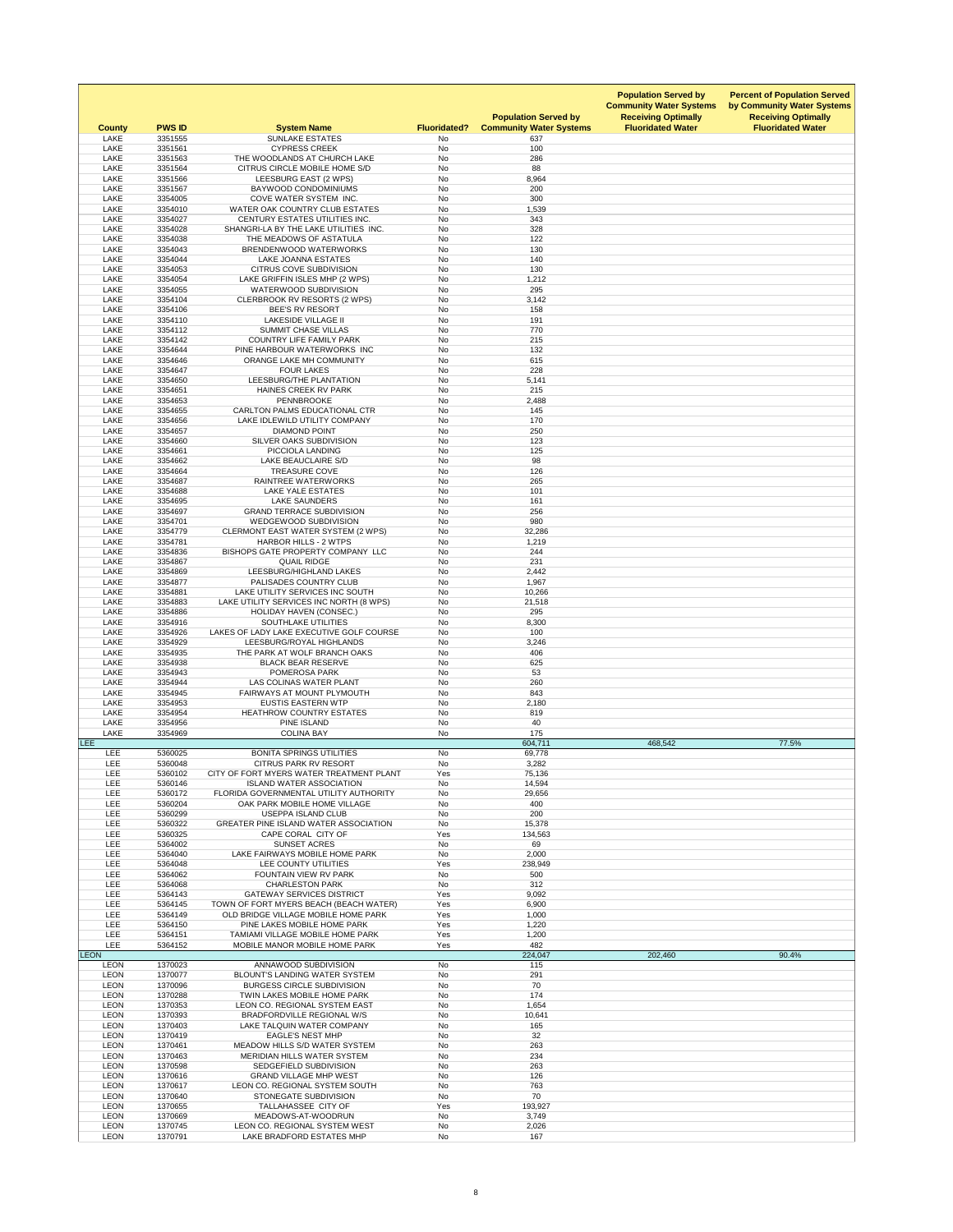| <b>County</b>              | <b>PWS ID</b>      | <b>System Name</b>                                                          | <b>Fluoridated?</b>    | <b>Population Served by</b><br><b>Community Water Systems</b> | <b>Population Served by</b><br><b>Community Water Systems</b><br><b>Receiving Optimally</b><br><b>Fluoridated Water</b> | <b>Percent of Population Served</b><br>by Community Water Systems<br><b>Receiving Optimally</b><br><b>Fluoridated Water</b> |
|----------------------------|--------------------|-----------------------------------------------------------------------------|------------------------|---------------------------------------------------------------|-------------------------------------------------------------------------------------------------------------------------|-----------------------------------------------------------------------------------------------------------------------------|
| <b>LAKE</b><br><b>LAKE</b> | 3351555<br>3351561 | <b>SUNLAKE ESTATES</b><br><b>CYPRESS CREEK</b>                              | No<br><b>No</b>        | 637<br>100                                                    |                                                                                                                         |                                                                                                                             |
| <b>LAKE</b>                | 3351563            | THE WOODLANDS AT CHURCH LAKE                                                | No                     | 286                                                           |                                                                                                                         |                                                                                                                             |
| LAKE                       | 3351564            | CITRUS CIRCLE MOBILE HOME S/D                                               | <b>No</b>              | 88                                                            |                                                                                                                         |                                                                                                                             |
| <b>LAKE</b>                | 3351566            | LEESBURG EAST (2 WPS)                                                       | <b>No</b>              | 8,964                                                         |                                                                                                                         |                                                                                                                             |
| <b>LAKE</b><br>LAKE        | 3351567<br>3354005 | <b>BAYWOOD CONDOMINIUMS</b><br>COVE WATER SYSTEM INC.                       | <b>No</b><br><b>No</b> | 200<br>300                                                    |                                                                                                                         |                                                                                                                             |
| <b>LAKE</b>                | 3354010            | <b>WATER OAK COUNTRY CLUB ESTATES</b>                                       | <b>No</b>              | 1,539                                                         |                                                                                                                         |                                                                                                                             |
| <b>LAKE</b>                | 3354027            | CENTURY ESTATES UTILITIES INC.                                              | No                     | 343                                                           |                                                                                                                         |                                                                                                                             |
| LAKE                       | 3354028            | SHANGRI-LA BY THE LAKE UTILITIES INC.                                       | <b>No</b>              | 328                                                           |                                                                                                                         |                                                                                                                             |
| <b>LAKE</b><br>LAKE        | 3354038<br>3354043 | THE MEADOWS OF ASTATULA<br>BRENDENWOOD WATERWORKS                           | <b>No</b><br>No        | 122<br>130                                                    |                                                                                                                         |                                                                                                                             |
| <b>LAKE</b>                | 3354044            | <b>LAKE JOANNA ESTATES</b>                                                  | <b>No</b>              | 140                                                           |                                                                                                                         |                                                                                                                             |
| <b>LAKE</b>                | 3354053            | <b>CITRUS COVE SUBDIVISION</b>                                              | No                     | 130                                                           |                                                                                                                         |                                                                                                                             |
| <b>LAKE</b>                | 3354054            | LAKE GRIFFIN ISLES MHP (2 WPS)                                              | No                     | 1,212                                                         |                                                                                                                         |                                                                                                                             |
| LAKE                       | 3354055            | WATERWOOD SUBDIVISION                                                       | <b>No</b>              | 295                                                           |                                                                                                                         |                                                                                                                             |
| <b>LAKE</b><br><b>LAKE</b> | 3354104<br>3354106 | CLERBROOK RV RESORTS (2 WPS)<br><b>BEE'S RV RESORT</b>                      | No<br><b>No</b>        | 3,142<br>158                                                  |                                                                                                                         |                                                                                                                             |
| LAKE                       | 3354110            | <b>LAKESIDE VILLAGE II</b>                                                  | <b>No</b>              | 191                                                           |                                                                                                                         |                                                                                                                             |
| <b>LAKE</b>                | 3354112            | <b>SUMMIT CHASE VILLAS</b>                                                  | No                     | 770                                                           |                                                                                                                         |                                                                                                                             |
| <b>LAKE</b>                | 3354142            | <b>COUNTRY LIFE FAMILY PARK</b>                                             | <b>No</b>              | 215                                                           |                                                                                                                         |                                                                                                                             |
| <b>LAKE</b><br><b>LAKE</b> | 3354644<br>3354646 | PINE HARBOUR WATERWORKS INC<br>ORANGE LAKE MH COMMUNITY                     | <b>No</b><br><b>No</b> | 132<br>615                                                    |                                                                                                                         |                                                                                                                             |
| <b>LAKE</b>                | 3354647            | <b>FOUR LAKES</b>                                                           | No                     | 228                                                           |                                                                                                                         |                                                                                                                             |
| <b>LAKE</b>                | 3354650            | LEESBURG/THE PLANTATION                                                     | No                     | 5,141                                                         |                                                                                                                         |                                                                                                                             |
| LAKE                       | 3354651            | <b>HAINES CREEK RV PARK</b>                                                 | <b>No</b>              | 215                                                           |                                                                                                                         |                                                                                                                             |
| LAKE                       | 3354653            | PENNBROOKE                                                                  | No                     | 2,488                                                         |                                                                                                                         |                                                                                                                             |
| <b>LAKE</b><br><b>LAKE</b> | 3354655<br>3354656 | CARLTON PALMS EDUCATIONAL CTR<br>LAKE IDLEWILD UTILITY COMPANY              | <b>No</b><br>No        | 145<br>170                                                    |                                                                                                                         |                                                                                                                             |
| <b>LAKE</b>                | 3354657            | <b>DIAMOND POINT</b>                                                        | <b>No</b>              | 250                                                           |                                                                                                                         |                                                                                                                             |
| <b>LAKE</b>                | 3354660            | SILVER OAKS SUBDIVISION                                                     | <b>No</b>              | 123                                                           |                                                                                                                         |                                                                                                                             |
| LAKE                       | 3354661            | PICCIOLA LANDING                                                            | No                     | 125                                                           |                                                                                                                         |                                                                                                                             |
| LAKE                       | 3354662            | LAKE BEAUCLAIRE S/D                                                         | <b>No</b>              | 98                                                            |                                                                                                                         |                                                                                                                             |
| <b>LAKE</b><br>LAKE        | 3354664<br>3354687 | <b>TREASURE COVE</b><br><b>RAINTREE WATERWORKS</b>                          | No<br>No               | 126<br>265                                                    |                                                                                                                         |                                                                                                                             |
| <b>LAKE</b>                | 3354688            | <b>LAKE YALE ESTATES</b>                                                    | <b>No</b>              | 101                                                           |                                                                                                                         |                                                                                                                             |
| <b>LAKE</b>                | 3354695            | <b>LAKE SAUNDERS</b>                                                        | No                     | 161                                                           |                                                                                                                         |                                                                                                                             |
| <b>LAKE</b>                | 3354697            | <b>GRAND TERRACE SUBDIVISION</b>                                            | No                     | 256                                                           |                                                                                                                         |                                                                                                                             |
| LAKE<br>LAKE               | 3354701<br>3354779 | WEDGEWOOD SUBDIVISION<br><b>CLERMONT EAST WATER SYSTEM (2 WPS)</b>          | <b>No</b><br>No        | 980<br>32,286                                                 |                                                                                                                         |                                                                                                                             |
| <b>LAKE</b>                | 3354781            | <b>HARBOR HILLS - 2 WTPS</b>                                                | No                     | 1,219                                                         |                                                                                                                         |                                                                                                                             |
| LAKE                       | 3354836            | BISHOPS GATE PROPERTY COMPANY LLC                                           | <b>No</b>              | 244                                                           |                                                                                                                         |                                                                                                                             |
| <b>LAKE</b>                | 3354867            | <b>QUAIL RIDGE</b>                                                          | No                     | 231                                                           |                                                                                                                         |                                                                                                                             |
| <b>LAKE</b><br><b>LAKE</b> | 3354869<br>3354877 | LEESBURG/HIGHLAND LAKES<br>PALISADES COUNTRY CLUB                           | No<br>No               | 2,442<br>1,967                                                |                                                                                                                         |                                                                                                                             |
| <b>LAKE</b>                | 3354881            | LAKE UTILITY SERVICES INC SOUTH                                             | No                     | 10,266                                                        |                                                                                                                         |                                                                                                                             |
| <b>LAKE</b>                | 3354883            | LAKE UTILITY SERVICES INC NORTH (8 WPS)                                     | <b>No</b>              | 21,518                                                        |                                                                                                                         |                                                                                                                             |
| <b>LAKE</b>                | 3354886            | <b>HOLIDAY HAVEN (CONSEC.)</b>                                              | No                     | 295                                                           |                                                                                                                         |                                                                                                                             |
| <b>LAKE</b><br>LAKE        | 3354916<br>3354926 | SOUTHLAKE UTILITIES<br>LAKES OF LADY LAKE EXECUTIVE GOLF COURSE             | <b>No</b><br><b>No</b> | 8,300<br>100                                                  |                                                                                                                         |                                                                                                                             |
| <b>LAKE</b>                | 3354929            | LEESBURG/ROYAL HIGHLANDS                                                    | <b>No</b>              | 3,246                                                         |                                                                                                                         |                                                                                                                             |
| <b>LAKE</b>                | 3354935            | THE PARK AT WOLF BRANCH OAKS                                                | No                     | 406                                                           |                                                                                                                         |                                                                                                                             |
| LAKE                       | 3354938            | <b>BLACK BEAR RESERVE</b>                                                   | <b>No</b>              | 625                                                           |                                                                                                                         |                                                                                                                             |
| <b>LAKE</b><br>LAKE        | 3354943<br>3354944 | POMEROSA PARK<br>LAS COLINAS WATER PLANT                                    | <b>No</b><br>No        | 53<br>260                                                     |                                                                                                                         |                                                                                                                             |
| <b>LAKE</b>                | 3354945            | FAIRWAYS AT MOUNT PLYMOUTH                                                  | <b>No</b>              | 843                                                           |                                                                                                                         |                                                                                                                             |
| <b>LAKE</b>                | 3354953            | <b>EUSTIS EASTERN WTP</b>                                                   | No                     | 2,180                                                         |                                                                                                                         |                                                                                                                             |
| <b>LAKE</b>                | 3354954            | <b>HEATHROW COUNTRY ESTATES</b>                                             | No                     | 819                                                           |                                                                                                                         |                                                                                                                             |
| LAKE<br><b>LAKE</b>        | 3354956<br>3354969 | PINE ISLAND<br><b>COLINA BAY</b>                                            | No<br>No               | 40<br>175                                                     |                                                                                                                         |                                                                                                                             |
| <b>LEE</b>                 |                    |                                                                             |                        | 604,711                                                       | 468,542                                                                                                                 | 77.5%                                                                                                                       |
| LEE                        | 5360025            | <b>BONITA SPRINGS UTILITIES</b>                                             | No                     | 69,778                                                        |                                                                                                                         |                                                                                                                             |
| <b>LEE</b>                 | 5360048            | <b>CITRUS PARK RV RESORT</b>                                                | <b>No</b>              | 3,282                                                         |                                                                                                                         |                                                                                                                             |
| LEE<br><b>LEE</b>          | 5360102<br>5360146 | CITY OF FORT MYERS WATER TREATMENT PLANT<br><b>ISLAND WATER ASSOCIATION</b> | Yes<br>No              | 75,136<br>14,594                                              |                                                                                                                         |                                                                                                                             |
| LEE                        | 5360172            | FLORIDA GOVERNMENTAL UTILITY AUTHORITY                                      | No                     | 29,656                                                        |                                                                                                                         |                                                                                                                             |
| LEE                        | 5360204            | OAK PARK MOBILE HOME VILLAGE                                                | <b>No</b>              | 400                                                           |                                                                                                                         |                                                                                                                             |
| LEE                        | 5360299            | <b>USEPPA ISLAND CLUB</b>                                                   | <b>No</b>              | 200                                                           |                                                                                                                         |                                                                                                                             |
| <b>LEE</b><br>LEE          | 5360322            | <b>GREATER PINE ISLAND WATER ASSOCIATION</b><br>CAPE CORAL CITY OF          | No<br>Yes              | 15,378                                                        |                                                                                                                         |                                                                                                                             |
| <b>LEE</b>                 | 5360325<br>5364002 | <b>SUNSET ACRES</b>                                                         | No                     | 134,563<br>69                                                 |                                                                                                                         |                                                                                                                             |
| <b>LEE</b>                 | 5364040            | LAKE FAIRWAYS MOBILE HOME PARK                                              | No                     | 2,000                                                         |                                                                                                                         |                                                                                                                             |
| LEE                        | 5364048            | LEE COUNTY UTILITIES                                                        | Yes                    | 238,949                                                       |                                                                                                                         |                                                                                                                             |
| <b>LEE</b>                 | 5364062            | <b>FOUNTAIN VIEW RV PARK</b><br><b>CHARLESTON PARK</b>                      | <b>No</b>              | 500                                                           |                                                                                                                         |                                                                                                                             |
| <b>LEE</b><br>LEE          | 5364068<br>5364143 | <b>GATEWAY SERVICES DISTRICT</b>                                            | No<br>Yes              | 312<br>9,092                                                  |                                                                                                                         |                                                                                                                             |
| <b>LEE</b>                 | 5364145            | TOWN OF FORT MYERS BEACH (BEACH WATER)                                      | Yes                    | 6,900                                                         |                                                                                                                         |                                                                                                                             |
| LEE                        | 5364149            | OLD BRIDGE VILLAGE MOBILE HOME PARK                                         | Yes                    | 1,000                                                         |                                                                                                                         |                                                                                                                             |
| LEE                        | 5364150            | PINE LAKES MOBILE HOME PARK                                                 | Yes                    | 1,220                                                         |                                                                                                                         |                                                                                                                             |
| LEE<br>LEE                 | 5364151<br>5364152 | TAMIAMI VILLAGE MOBILE HOME PARK<br>MOBILE MANOR MOBILE HOME PARK           | Yes<br>Yes             | 1,200<br>482                                                  |                                                                                                                         |                                                                                                                             |
| <b>LEON</b>                |                    |                                                                             |                        | 224,047                                                       | 202,460                                                                                                                 | 90.4%                                                                                                                       |
| <b>LEON</b>                | 1370023            | ANNAWOOD SUBDIVISION                                                        | No                     | 115                                                           |                                                                                                                         |                                                                                                                             |
| <b>LEON</b>                | 1370077            | <b>BLOUNT'S LANDING WATER SYSTEM</b>                                        | <b>No</b>              | 291                                                           |                                                                                                                         |                                                                                                                             |
| <b>LEON</b><br><b>LEON</b> | 1370096<br>1370288 | <b>BURGESS CIRCLE SUBDIVISION</b><br>TWIN LAKES MOBILE HOME PARK            | <b>No</b><br>No        | 70<br>174                                                     |                                                                                                                         |                                                                                                                             |
| <b>LEON</b>                | 1370353            | LEON CO. REGIONAL SYSTEM EAST                                               | No                     | 1,654                                                         |                                                                                                                         |                                                                                                                             |
| <b>LEON</b>                | 1370393            | <b>BRADFORDVILLE REGIONAL W/S</b>                                           | No                     | 10,641                                                        |                                                                                                                         |                                                                                                                             |
| <b>LEON</b>                | 1370403            | LAKE TALQUIN WATER COMPANY                                                  | No                     | 165                                                           |                                                                                                                         |                                                                                                                             |
| <b>LEON</b><br><b>LEON</b> | 1370419<br>1370461 | <b>EAGLE'S NEST MHP</b><br>MEADOW HILLS S/D WATER SYSTEM                    | <b>No</b><br>No        | 32<br>263                                                     |                                                                                                                         |                                                                                                                             |
| <b>LEON</b>                | 1370463            | MERIDIAN HILLS WATER SYSTEM                                                 | No                     | 234                                                           |                                                                                                                         |                                                                                                                             |
| <b>LEON</b>                | 1370598            | SEDGEFIELD SUBDIVISION                                                      | No                     | 263                                                           |                                                                                                                         |                                                                                                                             |
| <b>LEON</b>                | 1370616            | <b>GRAND VILLAGE MHP WEST</b>                                               | No                     | 126                                                           |                                                                                                                         |                                                                                                                             |
| <b>LEON</b><br><b>LEON</b> | 1370617<br>1370640 | LEON CO. REGIONAL SYSTEM SOUTH<br>STONEGATE SUBDIVISION                     | No<br>No               | 763<br>70                                                     |                                                                                                                         |                                                                                                                             |
| <b>LEON</b>                | 1370655            | TALLAHASSEE CITY OF                                                         | Yes                    | 193,927                                                       |                                                                                                                         |                                                                                                                             |
| <b>LEON</b>                | 1370669            | MEADOWS-AT-WOODRUN                                                          | No                     | 3,749                                                         |                                                                                                                         |                                                                                                                             |
| <b>LEON</b>                | 1370745            | LEON CO. REGIONAL SYSTEM WEST                                               | No                     | 2,026                                                         |                                                                                                                         |                                                                                                                             |
| <b>LEON</b>                | 1370791            | LAKE BRADFORD ESTATES MHP                                                   | No                     | 167                                                           |                                                                                                                         |                                                                                                                             |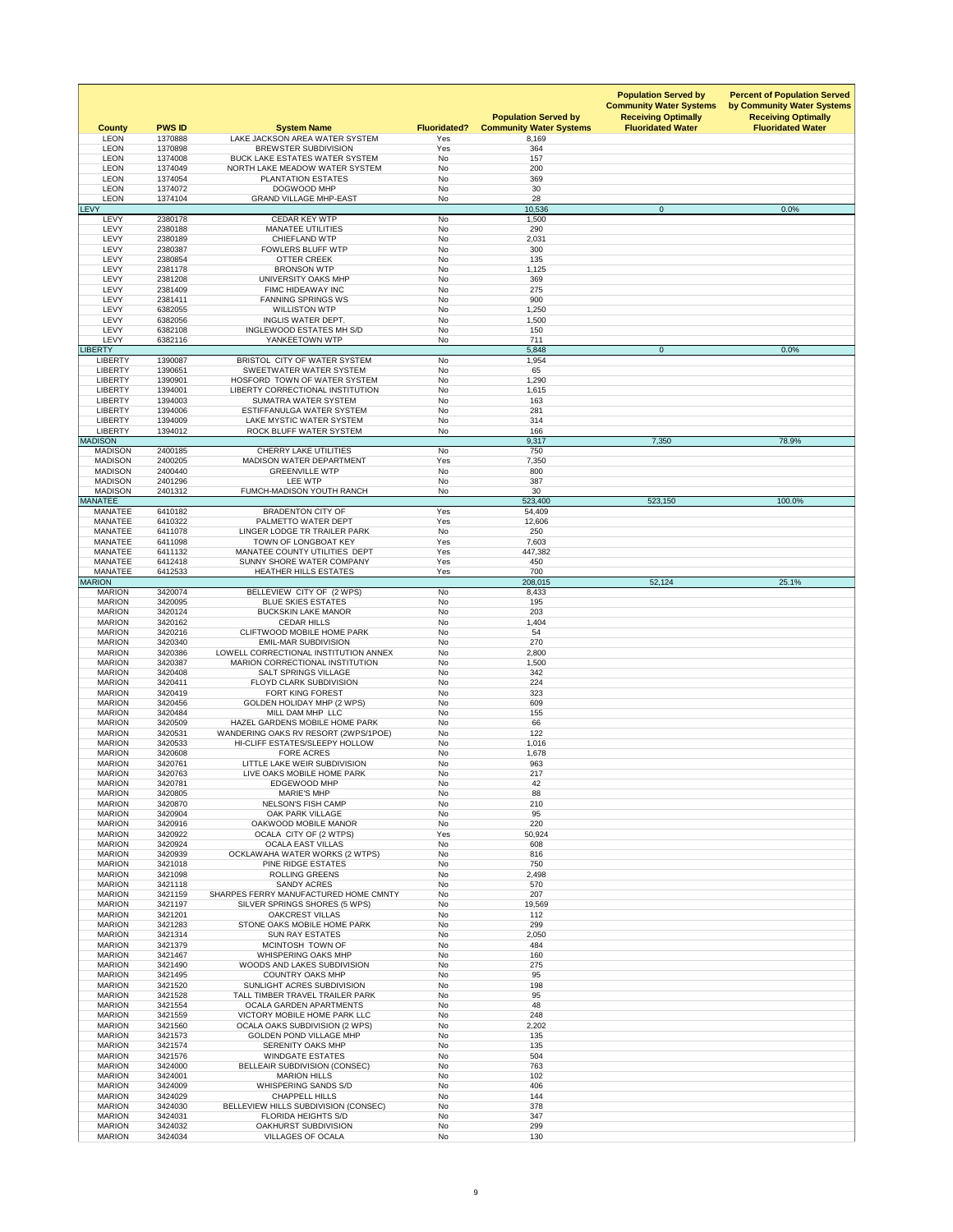| <b>County</b>                    | <b>PWS ID</b>      | <b>System Name</b>                                                     | <b>Fluoridated?</b>    | <b>Population Served by</b><br><b>Community Water Systems</b> | <b>Population Served by</b><br><b>Community Water Systems</b><br><b>Receiving Optimally</b><br><b>Fluoridated Water</b> | <b>Percent of Population Served</b><br>by Community Water Systems<br><b>Receiving Optimally</b><br><b>Fluoridated Water</b> |
|----------------------------------|--------------------|------------------------------------------------------------------------|------------------------|---------------------------------------------------------------|-------------------------------------------------------------------------------------------------------------------------|-----------------------------------------------------------------------------------------------------------------------------|
| <b>LEON</b><br><b>LEON</b>       | 1370888<br>1370898 | LAKE JACKSON AREA WATER SYSTEM<br><b>BREWSTER SUBDIVISION</b>          | Yes<br>Yes             | 8,169<br>364                                                  |                                                                                                                         |                                                                                                                             |
| <b>LEON</b>                      | 1374008            | <b>BUCK LAKE ESTATES WATER SYSTEM</b>                                  | <b>No</b>              | 157                                                           |                                                                                                                         |                                                                                                                             |
| <b>LEON</b><br><b>LEON</b>       | 1374049<br>1374054 | NORTH LAKE MEADOW WATER SYSTEM<br><b>PLANTATION ESTATES</b>            | No<br><b>No</b>        | 200<br>369                                                    |                                                                                                                         |                                                                                                                             |
| <b>LEON</b>                      | 1374072            | DOGWOOD MHP                                                            | <b>No</b>              | 30                                                            |                                                                                                                         |                                                                                                                             |
| <b>LEON</b><br><b>LEVY</b>       | 1374104            | <b>GRAND VILLAGE MHP-EAST</b>                                          | No                     | 28<br>10,536                                                  | $\overline{0}$                                                                                                          | 0.0%                                                                                                                        |
| <b>LEVY</b>                      | 2380178            | <b>CEDAR KEY WTP</b>                                                   | No                     | 1,500                                                         |                                                                                                                         |                                                                                                                             |
| <b>LEVY</b><br><b>LEVY</b>       | 2380188<br>2380189 | <b>MANATEE UTILITIES</b><br><b>CHIEFLAND WTP</b>                       | <b>No</b><br><b>No</b> | 290<br>2,031                                                  |                                                                                                                         |                                                                                                                             |
| <b>LEVY</b>                      | 2380387            | <b>FOWLERS BLUFF WTP</b>                                               | <b>No</b>              | 300                                                           |                                                                                                                         |                                                                                                                             |
| <b>LEVY</b>                      | 2380854            | <b>OTTER CREEK</b>                                                     | <b>No</b>              | 135                                                           |                                                                                                                         |                                                                                                                             |
| <b>LEVY</b><br><b>LEVY</b>       | 2381178<br>2381208 | <b>BRONSON WTP</b><br>UNIVERSITY OAKS MHP                              | No<br>No               | 1,125<br>369                                                  |                                                                                                                         |                                                                                                                             |
| <b>LEVY</b>                      | 2381409            | FIMC HIDEAWAY INC                                                      | <b>No</b>              | 275                                                           |                                                                                                                         |                                                                                                                             |
| LEVY<br><b>LEVY</b>              | 2381411<br>6382055 | <b>FANNING SPRINGS WS</b><br><b>WILLISTON WTP</b>                      | <b>No</b><br><b>No</b> | 900<br>1,250                                                  |                                                                                                                         |                                                                                                                             |
| <b>LEVY</b>                      | 6382056            | <b>INGLIS WATER DEPT.</b>                                              | <b>No</b>              | 1,500                                                         |                                                                                                                         |                                                                                                                             |
| <b>LEVY</b>                      | 6382108            | INGLEWOOD ESTATES MH S/D                                               | <b>No</b>              | 150                                                           |                                                                                                                         |                                                                                                                             |
| <b>LEVY</b><br><b>LIBERTY</b>    | 6382116            | YANKEETOWN WTP                                                         | No                     | 711<br>5,848                                                  | $\overline{0}$                                                                                                          | 0.0%                                                                                                                        |
| <b>LIBERTY</b>                   | 1390087            | BRISTOL CITY OF WATER SYSTEM                                           | <b>No</b>              | 1,954                                                         |                                                                                                                         |                                                                                                                             |
| <b>LIBERTY</b><br><b>LIBERTY</b> | 1390651            | SWEETWATER WATER SYSTEM<br>HOSFORD TOWN OF WATER SYSTEM                | No<br><b>No</b>        | 65                                                            |                                                                                                                         |                                                                                                                             |
| <b>LIBERTY</b>                   | 1390901<br>1394001 | LIBERTY CORRECTIONAL INSTITUTION                                       | No                     | 1,290<br>1,615                                                |                                                                                                                         |                                                                                                                             |
| <b>LIBERTY</b>                   | 1394003            | SUMATRA WATER SYSTEM                                                   | No                     | 163                                                           |                                                                                                                         |                                                                                                                             |
| <b>LIBERTY</b><br><b>LIBERTY</b> | 1394006<br>1394009 | ESTIFFANULGA WATER SYSTEM<br>LAKE MYSTIC WATER SYSTEM                  | No<br>No               | 281<br>314                                                    |                                                                                                                         |                                                                                                                             |
| <b>LIBERTY</b>                   | 1394012            | ROCK BLUFF WATER SYSTEM                                                | No                     | 166                                                           |                                                                                                                         |                                                                                                                             |
| <b>MADISON</b>                   |                    |                                                                        |                        | 9,317                                                         | 7,350                                                                                                                   | 78.9%                                                                                                                       |
| <b>MADISON</b><br><b>MADISON</b> | 2400185<br>2400205 | <b>CHERRY LAKE UTILITIES</b><br><b>MADISON WATER DEPARTMENT</b>        | No<br>Yes              | 750<br>7,350                                                  |                                                                                                                         |                                                                                                                             |
| <b>MADISON</b>                   | 2400440            | <b>GREENVILLE WTP</b>                                                  | <b>No</b>              | 800                                                           |                                                                                                                         |                                                                                                                             |
| <b>MADISON</b><br><b>MADISON</b> | 2401296<br>2401312 | LEE WTP<br>FUMCH-MADISON YOUTH RANCH                                   | No<br><b>No</b>        | 387<br>30                                                     |                                                                                                                         |                                                                                                                             |
| <b>MANATEE</b>                   |                    |                                                                        |                        | 523,400                                                       | 523,150                                                                                                                 | 100.0%                                                                                                                      |
| <b>MANATEE</b>                   | 6410182            | <b>BRADENTON CITY OF</b>                                               | Yes                    | 54,409                                                        |                                                                                                                         |                                                                                                                             |
| <b>MANATEE</b><br><b>MANATEE</b> | 6410322<br>6411078 | PALMETTO WATER DEPT<br>LINGER LODGE TR TRAILER PARK                    | Yes<br>No              | 12,606<br>250                                                 |                                                                                                                         |                                                                                                                             |
| <b>MANATEE</b>                   | 6411098            | TOWN OF LONGBOAT KEY                                                   | Yes                    | 7,603                                                         |                                                                                                                         |                                                                                                                             |
| <b>MANATEE</b><br><b>MANATEE</b> | 6411132<br>6412418 | MANATEE COUNTY UTILITIES DEPT<br>SUNNY SHORE WATER COMPANY             | Yes<br>Yes             | 447,382<br>450                                                |                                                                                                                         |                                                                                                                             |
| <b>MANATEE</b>                   | 6412533            | <b>HEATHER HILLS ESTATES</b>                                           | Yes                    | 700                                                           |                                                                                                                         |                                                                                                                             |
| <b>MARION</b>                    |                    |                                                                        |                        | 208,015                                                       | 52,124                                                                                                                  | 25.1%                                                                                                                       |
| <b>MARION</b><br><b>MARION</b>   | 3420074<br>3420095 | BELLEVIEW CITY OF (2 WPS)<br><b>BLUE SKIES ESTATES</b>                 | No<br>No               | 8,433<br>195                                                  |                                                                                                                         |                                                                                                                             |
| <b>MARION</b>                    | 3420124            | <b>BUCKSKIN LAKE MANOR</b>                                             | <b>No</b>              | 203                                                           |                                                                                                                         |                                                                                                                             |
| <b>MARION</b><br><b>MARION</b>   | 3420162<br>3420216 | <b>CEDAR HILLS</b><br><b>CLIFTWOOD MOBILE HOME PARK</b>                | No<br>No               | 1,404<br>54                                                   |                                                                                                                         |                                                                                                                             |
| <b>MARION</b>                    | 3420340            | <b>EMIL-MAR SUBDIVISION</b>                                            | No                     | 270                                                           |                                                                                                                         |                                                                                                                             |
| <b>MARION</b>                    | 3420386            | LOWELL CORRECTIONAL INSTITUTION ANNEX                                  | No                     | 2,800                                                         |                                                                                                                         |                                                                                                                             |
| <b>MARION</b><br><b>MARION</b>   | 3420387<br>3420408 | <b>MARION CORRECTIONAL INSTITUTION</b><br><b>SALT SPRINGS VILLAGE</b>  | <b>No</b><br><b>No</b> | 1,500<br>342                                                  |                                                                                                                         |                                                                                                                             |
| <b>MARION</b>                    | 3420411            | <b>FLOYD CLARK SUBDIVISION</b>                                         | No                     | 224                                                           |                                                                                                                         |                                                                                                                             |
| <b>MARION</b><br><b>MARION</b>   | 3420419<br>3420456 | FORT KING FOREST<br><b>GOLDEN HOLIDAY MHP (2 WPS)</b>                  | No<br><b>No</b>        | 323<br>609                                                    |                                                                                                                         |                                                                                                                             |
| <b>MARION</b>                    | 3420484            | MILL DAM MHP LLC                                                       | No                     | 155                                                           |                                                                                                                         |                                                                                                                             |
| <b>MARION</b><br><b>MARION</b>   | 3420509<br>3420531 | HAZEL GARDENS MOBILE HOME PARK<br>WANDERING OAKS RV RESORT (2WPS/1POE) | No<br>No               | 66<br>122                                                     |                                                                                                                         |                                                                                                                             |
| <b>MARION</b>                    | 3420533            | HI-CLIFF ESTATES/SLEEPY HOLLOW                                         | No                     | 1,016                                                         |                                                                                                                         |                                                                                                                             |
| <b>MARION</b>                    | 3420608            | <b>FORE ACRES</b>                                                      | No                     | 1,678                                                         |                                                                                                                         |                                                                                                                             |
| <b>MARION</b><br><b>MARION</b>   | 3420761<br>3420763 | LITTLE LAKE WEIR SUBDIVISION<br>LIVE OAKS MOBILE HOME PARK             | <b>No</b><br>No        | 963<br>217                                                    |                                                                                                                         |                                                                                                                             |
| <b>MARION</b>                    | 3420781            | <b>EDGEWOOD MHP</b>                                                    | No                     | 42                                                            |                                                                                                                         |                                                                                                                             |
| <b>MARION</b><br><b>MARION</b>   | 3420805<br>3420870 | <b>MARIE'S MHP</b><br><b>NELSON'S FISH CAMP</b>                        | <b>No</b><br>No        | 88<br>210                                                     |                                                                                                                         |                                                                                                                             |
| <b>MARION</b>                    | 3420904            | <b>OAK PARK VILLAGE</b>                                                | <b>No</b>              | 95                                                            |                                                                                                                         |                                                                                                                             |
| <b>MARION</b>                    | 3420916            | OAKWOOD MOBILE MANOR                                                   | No                     | 220                                                           |                                                                                                                         |                                                                                                                             |
| <b>MARION</b><br><b>MARION</b>   | 3420922<br>3420924 | OCALA CITY OF (2 WTPS)<br><b>OCALA EAST VILLAS</b>                     | Yes<br>No              | 50,924<br>608                                                 |                                                                                                                         |                                                                                                                             |
| <b>MARION</b>                    | 3420939            | OCKLAWAHA WATER WORKS (2 WTPS)                                         | No                     | 816                                                           |                                                                                                                         |                                                                                                                             |
| <b>MARION</b><br><b>MARION</b>   | 3421018<br>3421098 | PINE RIDGE ESTATES<br><b>ROLLING GREENS</b>                            | No<br><b>No</b>        | 750<br>2,498                                                  |                                                                                                                         |                                                                                                                             |
| <b>MARION</b>                    | 3421118            | <b>SANDY ACRES</b>                                                     | No                     | 570                                                           |                                                                                                                         |                                                                                                                             |
| <b>MARION</b>                    | 3421159            | SHARPES FERRY MANUFACTURED HOME CMNTY                                  | No<br>No               | 207                                                           |                                                                                                                         |                                                                                                                             |
| <b>MARION</b><br><b>MARION</b>   | 3421197<br>3421201 | SILVER SPRINGS SHORES (5 WPS)<br><b>OAKCREST VILLAS</b>                | No                     | 19,569<br>112                                                 |                                                                                                                         |                                                                                                                             |
| <b>MARION</b>                    | 3421283            | STONE OAKS MOBILE HOME PARK                                            | No                     | 299                                                           |                                                                                                                         |                                                                                                                             |
| <b>MARION</b><br><b>MARION</b>   | 3421314<br>3421379 | <b>SUN RAY ESTATES</b><br>MCINTOSH TOWN OF                             | <b>No</b><br>No        | 2,050<br>484                                                  |                                                                                                                         |                                                                                                                             |
| <b>MARION</b>                    | 3421467            | <b>WHISPERING OAKS MHP</b>                                             | No                     | 160                                                           |                                                                                                                         |                                                                                                                             |
| <b>MARION</b><br><b>MARION</b>   | 3421490<br>3421495 | WOODS AND LAKES SUBDIVISION<br><b>COUNTRY OAKS MHP</b>                 | No<br>No               | 275<br>95                                                     |                                                                                                                         |                                                                                                                             |
| <b>MARION</b>                    | 3421520            | SUNLIGHT ACRES SUBDIVISION                                             | <b>No</b>              | 198                                                           |                                                                                                                         |                                                                                                                             |
| <b>MARION</b>                    | 3421528            | TALL TIMBER TRAVEL TRAILER PARK                                        | No                     | 95                                                            |                                                                                                                         |                                                                                                                             |
| <b>MARION</b><br><b>MARION</b>   | 3421554<br>3421559 | <b>OCALA GARDEN APARTMENTS</b><br>VICTORY MOBILE HOME PARK LLC         | No<br><b>No</b>        | 48<br>248                                                     |                                                                                                                         |                                                                                                                             |
| <b>MARION</b>                    | 3421560            | <b>OCALA OAKS SUBDIVISION (2 WPS)</b>                                  | No                     | 2,202                                                         |                                                                                                                         |                                                                                                                             |
| <b>MARION</b>                    | 3421573            | <b>GOLDEN POND VILLAGE MHP</b>                                         | No<br><b>No</b>        | 135                                                           |                                                                                                                         |                                                                                                                             |
| <b>MARION</b><br><b>MARION</b>   | 3421574<br>3421576 | SERENITY OAKS MHP<br><b>WINDGATE ESTATES</b>                           | No                     | 135<br>504                                                    |                                                                                                                         |                                                                                                                             |
| <b>MARION</b>                    | 3424000            | <b>BELLEAIR SUBDIVISION (CONSEC)</b>                                   | No                     | 763                                                           |                                                                                                                         |                                                                                                                             |
| <b>MARION</b><br><b>MARION</b>   | 3424001<br>3424009 | <b>MARION HILLS</b><br>WHISPERING SANDS S/D                            | <b>No</b><br>No        | 102<br>406                                                    |                                                                                                                         |                                                                                                                             |
| <b>MARION</b>                    | 3424029            | <b>CHAPPELL HILLS</b>                                                  | No                     | 144                                                           |                                                                                                                         |                                                                                                                             |
| <b>MARION</b><br><b>MARION</b>   | 3424030<br>3424031 | BELLEVIEW HILLS SUBDIVISION (CONSEC)<br><b>FLORIDA HEIGHTS S/D</b>     | No<br>No               | 378<br>347                                                    |                                                                                                                         |                                                                                                                             |
| <b>MARION</b>                    | 3424032            | OAKHURST SUBDIVISION                                                   | No                     | 299                                                           |                                                                                                                         |                                                                                                                             |
| <b>MARION</b>                    | 3424034            | <b>VILLAGES OF OCALA</b>                                               | No                     | 130                                                           |                                                                                                                         |                                                                                                                             |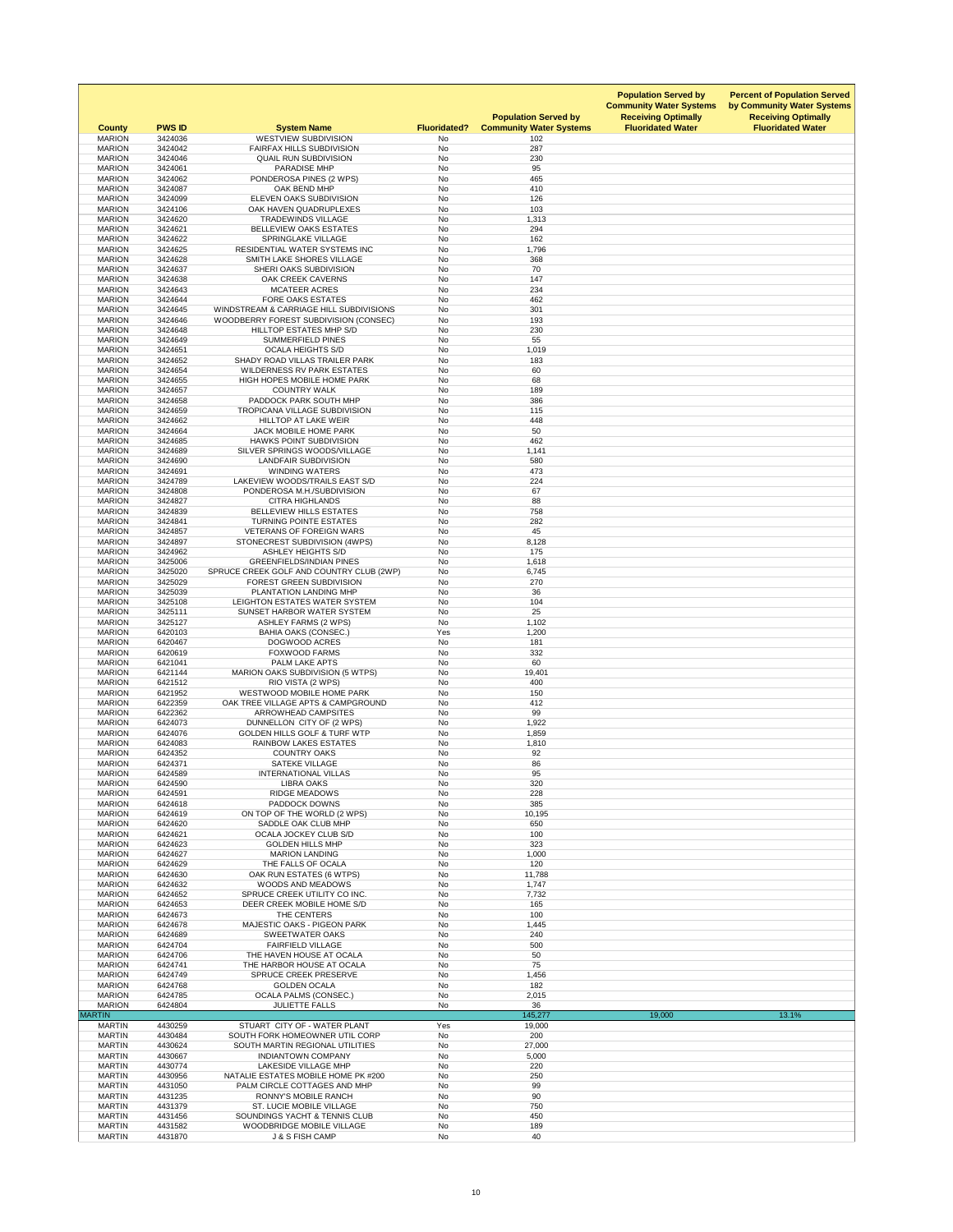| <b>County</b>                  | <b>PWS ID</b>      | <b>System Name</b>                                                  | <b>Fluoridated?</b>    | <b>Population Served by</b><br><b>Community Water Systems</b> | <b>Population Served by</b><br><b>Community Water Systems</b><br><b>Receiving Optimally</b><br><b>Fluoridated Water</b> | <b>Percent of Population Served</b><br>by Community Water Systems<br><b>Receiving Optimally</b><br><b>Fluoridated Water</b> |
|--------------------------------|--------------------|---------------------------------------------------------------------|------------------------|---------------------------------------------------------------|-------------------------------------------------------------------------------------------------------------------------|-----------------------------------------------------------------------------------------------------------------------------|
| <b>MARION</b><br><b>MARION</b> | 3424036<br>3424042 | <b>WESTVIEW SUBDIVISION</b><br><b>FAIRFAX HILLS SUBDIVISION</b>     | No<br><b>No</b>        | 102<br>287                                                    |                                                                                                                         |                                                                                                                             |
| <b>MARION</b>                  | 3424046            | <b>QUAIL RUN SUBDIVISION</b>                                        | No                     | 230                                                           |                                                                                                                         |                                                                                                                             |
| <b>MARION</b>                  | 3424061            | <b>PARADISE MHP</b>                                                 | <b>No</b>              | 95                                                            |                                                                                                                         |                                                                                                                             |
| <b>MARION</b><br><b>MARION</b> | 3424062<br>3424087 | PONDEROSA PINES (2 WPS)<br>OAK BEND MHP                             | <b>No</b><br>No        | 465<br>410                                                    |                                                                                                                         |                                                                                                                             |
| <b>MARION</b>                  | 3424099            | ELEVEN OAKS SUBDIVISION                                             | No                     | 126                                                           |                                                                                                                         |                                                                                                                             |
| <b>MARION</b>                  | 3424106            | OAK HAVEN QUADRUPLEXES                                              | <b>No</b>              | 103                                                           |                                                                                                                         |                                                                                                                             |
| <b>MARION</b><br><b>MARION</b> | 3424620<br>3424621 | <b>TRADEWINDS VILLAGE</b><br><b>BELLEVIEW OAKS ESTATES</b>          | No<br><b>No</b>        | 1,313<br>294                                                  |                                                                                                                         |                                                                                                                             |
| <b>MARION</b>                  | 3424622            | <b>SPRINGLAKE VILLAGE</b>                                           | No                     | 162                                                           |                                                                                                                         |                                                                                                                             |
| <b>MARION</b>                  | 3424625            | RESIDENTIAL WATER SYSTEMS INC                                       | <b>No</b>              | 1,796                                                         |                                                                                                                         |                                                                                                                             |
| <b>MARION</b><br><b>MARION</b> | 3424628<br>3424637 | SMITH LAKE SHORES VILLAGE<br>SHERI OAKS SUBDIVISION                 | <b>No</b><br>No        | 368<br>70                                                     |                                                                                                                         |                                                                                                                             |
| <b>MARION</b>                  | 3424638            | <b>OAK CREEK CAVERNS</b>                                            | No                     | 147                                                           |                                                                                                                         |                                                                                                                             |
| <b>MARION</b>                  | 3424643            | <b>MCATEER ACRES</b>                                                | <b>No</b>              | 234                                                           |                                                                                                                         |                                                                                                                             |
| <b>MARION</b><br><b>MARION</b> | 3424644<br>3424645 | <b>FORE OAKS ESTATES</b><br>WINDSTREAM & CARRIAGE HILL SUBDIVISIONS | <b>No</b><br>No        | 462<br>301                                                    |                                                                                                                         |                                                                                                                             |
| <b>MARION</b>                  | 3424646            | WOODBERRY FOREST SUBDIVISION (CONSEC)                               | No                     | 193                                                           |                                                                                                                         |                                                                                                                             |
| <b>MARION</b>                  | 3424648            | HILLTOP ESTATES MHP S/D                                             | No                     | 230                                                           |                                                                                                                         |                                                                                                                             |
| <b>MARION</b><br><b>MARION</b> | 3424649<br>3424651 | <b>SUMMERFIELD PINES</b><br><b>OCALA HEIGHTS S/D</b>                | No<br><b>No</b>        | 55<br>1,019                                                   |                                                                                                                         |                                                                                                                             |
| <b>MARION</b>                  | 3424652            | SHADY ROAD VILLAS TRAILER PARK                                      | <b>No</b>              | 183                                                           |                                                                                                                         |                                                                                                                             |
| <b>MARION</b>                  | 3424654            | <b>WILDERNESS RV PARK ESTATES</b>                                   | No                     | 60                                                            |                                                                                                                         |                                                                                                                             |
| <b>MARION</b><br><b>MARION</b> | 3424655<br>3424657 | HIGH HOPES MOBILE HOME PARK<br><b>COUNTRY WALK</b>                  | <b>No</b><br>No        | 68<br>189                                                     |                                                                                                                         |                                                                                                                             |
| <b>MARION</b>                  | 3424658            | PADDOCK PARK SOUTH MHP                                              | No                     | 386                                                           |                                                                                                                         |                                                                                                                             |
| <b>MARION</b>                  | 3424659            | <b>TROPICANA VILLAGE SUBDIVISION</b>                                | <b>No</b>              | 115                                                           |                                                                                                                         |                                                                                                                             |
| <b>MARION</b><br><b>MARION</b> | 3424662            | <b>HILLTOP AT LAKE WEIR</b>                                         | No<br><b>No</b>        | 448                                                           |                                                                                                                         |                                                                                                                             |
| <b>MARION</b>                  | 3424664<br>3424685 | JACK MOBILE HOME PARK<br><b>HAWKS POINT SUBDIVISION</b>             | <b>No</b>              | 50<br>462                                                     |                                                                                                                         |                                                                                                                             |
| <b>MARION</b>                  | 3424689            | SILVER SPRINGS WOODS/VILLAGE                                        | No                     | 1,141                                                         |                                                                                                                         |                                                                                                                             |
| <b>MARION</b>                  | 3424690            | <b>LANDFAIR SUBDIVISION</b>                                         | <b>No</b>              | 580                                                           |                                                                                                                         |                                                                                                                             |
| <b>MARION</b><br><b>MARION</b> | 3424691<br>3424789 | <b>WINDING WATERS</b><br>LAKEVIEW WOODS/TRAILS EAST S/D             | No<br>No               | 473<br>224                                                    |                                                                                                                         |                                                                                                                             |
| <b>MARION</b>                  | 3424808            | PONDEROSA M.H./SUBDIVISION                                          | No                     | 67                                                            |                                                                                                                         |                                                                                                                             |
| <b>MARION</b>                  | 3424827            | <b>CITRA HIGHLANDS</b>                                              | No                     | 88                                                            |                                                                                                                         |                                                                                                                             |
| <b>MARION</b><br><b>MARION</b> | 3424839<br>3424841 | BELLEVIEW HILLS ESTATES<br>TURNING POINTE ESTATES                   | No<br>No               | 758<br>282                                                    |                                                                                                                         |                                                                                                                             |
| <b>MARION</b>                  | 3424857            | <b>VETERANS OF FOREIGN WARS</b>                                     | No                     | 45                                                            |                                                                                                                         |                                                                                                                             |
| <b>MARION</b>                  | 3424897            | STONECREST SUBDIVISION (4WPS)                                       | No                     | 8,128                                                         |                                                                                                                         |                                                                                                                             |
| <b>MARION</b><br><b>MARION</b> | 3424962<br>3425006 | <b>ASHLEY HEIGHTS S/D</b><br><b>GREENFIELDS/INDIAN PINES</b>        | No<br>No               | 175<br>1,618                                                  |                                                                                                                         |                                                                                                                             |
| <b>MARION</b>                  | 3425020            | SPRUCE CREEK GOLF AND COUNTRY CLUB (2WP)                            | No                     | 6,745                                                         |                                                                                                                         |                                                                                                                             |
| <b>MARION</b>                  | 3425029            | <b>FOREST GREEN SUBDIVISION</b>                                     | No                     | 270                                                           |                                                                                                                         |                                                                                                                             |
| <b>MARION</b><br><b>MARION</b> | 3425039<br>3425108 | PLANTATION LANDING MHP<br>LEIGHTON ESTATES WATER SYSTEM             | No<br>No               | 36<br>104                                                     |                                                                                                                         |                                                                                                                             |
| <b>MARION</b>                  | 3425111            | SUNSET HARBOR WATER SYSTEM                                          | <b>No</b>              | 25                                                            |                                                                                                                         |                                                                                                                             |
| <b>MARION</b>                  | 3425127            | <b>ASHLEY FARMS (2 WPS)</b>                                         | No                     | 1,102                                                         |                                                                                                                         |                                                                                                                             |
| <b>MARION</b><br><b>MARION</b> | 6420103<br>6420467 | <b>BAHIA OAKS (CONSEC.)</b><br><b>DOGWOOD ACRES</b>                 | Yes<br>No              | 1,200<br>181                                                  |                                                                                                                         |                                                                                                                             |
| <b>MARION</b>                  | 6420619            | <b>FOXWOOD FARMS</b>                                                | No                     | 332                                                           |                                                                                                                         |                                                                                                                             |
| <b>MARION</b><br><b>MARION</b> | 6421041            | PALM LAKE APTS                                                      | <b>No</b><br><b>No</b> | 60                                                            |                                                                                                                         |                                                                                                                             |
| <b>MARION</b>                  | 6421144<br>6421512 | <b>MARION OAKS SUBDIVISION (5 WTPS)</b><br>RIO VISTA (2 WPS)        | No                     | 19,401<br>400                                                 |                                                                                                                         |                                                                                                                             |
| <b>MARION</b>                  | 6421952            | <b>WESTWOOD MOBILE HOME PARK</b>                                    | No                     | 150                                                           |                                                                                                                         |                                                                                                                             |
| <b>MARION</b><br><b>MARION</b> | 6422359<br>6422362 | OAK TREE VILLAGE APTS & CAMPGROUND<br>ARROWHEAD CAMPSITES           | No<br>No               | 412<br>99                                                     |                                                                                                                         |                                                                                                                             |
| <b>MARION</b>                  | 6424073            | DUNNELLON CITY OF (2 WPS)                                           | No                     | 1,922                                                         |                                                                                                                         |                                                                                                                             |
| <b>MARION</b>                  | 6424076            | <b>GOLDEN HILLS GOLF &amp; TURF WTP</b>                             | No                     | 1,859                                                         |                                                                                                                         |                                                                                                                             |
| <b>MARION</b><br><b>MARION</b> | 6424083<br>6424352 | <b>RAINBOW LAKES ESTATES</b><br><b>COUNTRY OAKS</b>                 | No<br>No               | 1,810<br>92                                                   |                                                                                                                         |                                                                                                                             |
| <b>MARION</b>                  | 6424371            | <b>SATEKE VILLAGE</b>                                               | <b>No</b>              | 86                                                            |                                                                                                                         |                                                                                                                             |
| <b>MARION</b>                  | 6424589            | <b>INTERNATIONAL VILLAS</b>                                         | No                     | 95                                                            |                                                                                                                         |                                                                                                                             |
| <b>MARION</b>                  | 6424590            | <b>LIBRA OAKS</b>                                                   | <b>No</b>              | 320                                                           |                                                                                                                         |                                                                                                                             |
| <b>MARION</b><br><b>MARION</b> | 6424591<br>6424618 | <b>RIDGE MEADOWS</b><br>PADDOCK DOWNS                               | No<br><b>No</b>        | 228<br>385                                                    |                                                                                                                         |                                                                                                                             |
| <b>MARION</b>                  | 6424619            | ON TOP OF THE WORLD (2 WPS)                                         | <b>No</b>              | 10,195                                                        |                                                                                                                         |                                                                                                                             |
| <b>MARION</b>                  | 6424620            | SADDLE OAK CLUB MHP                                                 | No                     | 650                                                           |                                                                                                                         |                                                                                                                             |
| <b>MARION</b><br><b>MARION</b> | 6424621<br>6424623 | OCALA JOCKEY CLUB S/D<br><b>GOLDEN HILLS MHP</b>                    | <b>No</b><br><b>No</b> | 100<br>323                                                    |                                                                                                                         |                                                                                                                             |
| <b>MARION</b>                  | 6424627            | <b>MARION LANDING</b>                                               | No                     | 1,000                                                         |                                                                                                                         |                                                                                                                             |
| <b>MARION</b>                  | 6424629            | THE FALLS OF OCALA                                                  | <b>No</b>              | 120                                                           |                                                                                                                         |                                                                                                                             |
| <b>MARION</b><br><b>MARION</b> | 6424630<br>6424632 | OAK RUN ESTATES (6 WTPS)<br><b>WOODS AND MEADOWS</b>                | <b>No</b><br>No        | 11,788<br>1,747                                               |                                                                                                                         |                                                                                                                             |
| <b>MARION</b>                  | 6424652            | SPRUCE CREEK UTILITY CO INC.                                        | <b>No</b>              | 7,732                                                         |                                                                                                                         |                                                                                                                             |
| <b>MARION</b>                  | 6424653            | DEER CREEK MOBILE HOME S/D                                          | No                     | 165                                                           |                                                                                                                         |                                                                                                                             |
| <b>MARION</b><br><b>MARION</b> | 6424673<br>6424678 | THE CENTERS<br><b>MAJESTIC OAKS - PIGEON PARK</b>                   | No<br>No               | 100<br>1,445                                                  |                                                                                                                         |                                                                                                                             |
| <b>MARION</b>                  | 6424689            | <b>SWEETWATER OAKS</b>                                              | No                     | 240                                                           |                                                                                                                         |                                                                                                                             |
| <b>MARION</b>                  | 6424704            | <b>FAIRFIELD VILLAGE</b>                                            | No                     | 500                                                           |                                                                                                                         |                                                                                                                             |
| <b>MARION</b><br><b>MARION</b> | 6424706<br>6424741 | THE HAVEN HOUSE AT OCALA<br>THE HARBOR HOUSE AT OCALA               | No<br><b>No</b>        | 50<br>75                                                      |                                                                                                                         |                                                                                                                             |
| <b>MARION</b>                  | 6424749            | SPRUCE CREEK PRESERVE                                               | No                     | 1,456                                                         |                                                                                                                         |                                                                                                                             |
| <b>MARION</b>                  | 6424768            | <b>GOLDEN OCALA</b>                                                 | No                     | 182                                                           |                                                                                                                         |                                                                                                                             |
| <b>MARION</b><br><b>MARION</b> | 6424785<br>6424804 | <b>OCALA PALMS (CONSEC.)</b><br><b>JULIETTE FALLS</b>               | <b>No</b><br>No        | 2,015<br>36                                                   |                                                                                                                         |                                                                                                                             |
| <b>MARTIN</b>                  |                    |                                                                     |                        | 145,277                                                       | 19,000                                                                                                                  | 13.1%                                                                                                                       |
| <b>MARTIN</b><br><b>MARTIN</b> | 4430259<br>4430484 | STUART CITY OF - WATER PLANT<br>SOUTH FORK HOMEOWNER UTIL CORP      | Yes<br>No              | 19,000<br>200                                                 |                                                                                                                         |                                                                                                                             |
| <b>MARTIN</b>                  | 4430624            | SOUTH MARTIN REGIONAL UTILITIES                                     | No                     | 27,000                                                        |                                                                                                                         |                                                                                                                             |
| <b>MARTIN</b>                  | 4430667            | <b>INDIANTOWN COMPANY</b>                                           | No                     | 5,000                                                         |                                                                                                                         |                                                                                                                             |
| <b>MARTIN</b><br><b>MARTIN</b> | 4430774<br>4430956 | <b>LAKESIDE VILLAGE MHP</b><br>NATALIE ESTATES MOBILE HOME PK #200  | No<br>No               | 220<br>250                                                    |                                                                                                                         |                                                                                                                             |
| <b>MARTIN</b>                  | 4431050            | PALM CIRCLE COTTAGES AND MHP                                        | No                     | 99                                                            |                                                                                                                         |                                                                                                                             |
| <b>MARTIN</b><br><b>MARTIN</b> | 4431235<br>4431379 | <b>RONNY'S MOBILE RANCH</b><br><b>ST. LUCIE MOBILE VILLAGE</b>      | No<br>No               | 90<br>750                                                     |                                                                                                                         |                                                                                                                             |
| <b>MARTIN</b>                  | 4431456            | SOUNDINGS YACHT & TENNIS CLUB                                       | No                     | 450                                                           |                                                                                                                         |                                                                                                                             |
| <b>MARTIN</b>                  | 4431582            | <b>WOODBRIDGE MOBILE VILLAGE</b>                                    | No                     | 189                                                           |                                                                                                                         |                                                                                                                             |
| <b>MARTIN</b>                  | 4431870            | <b>J &amp; S FISH CAMP</b>                                          | No                     | 40                                                            |                                                                                                                         |                                                                                                                             |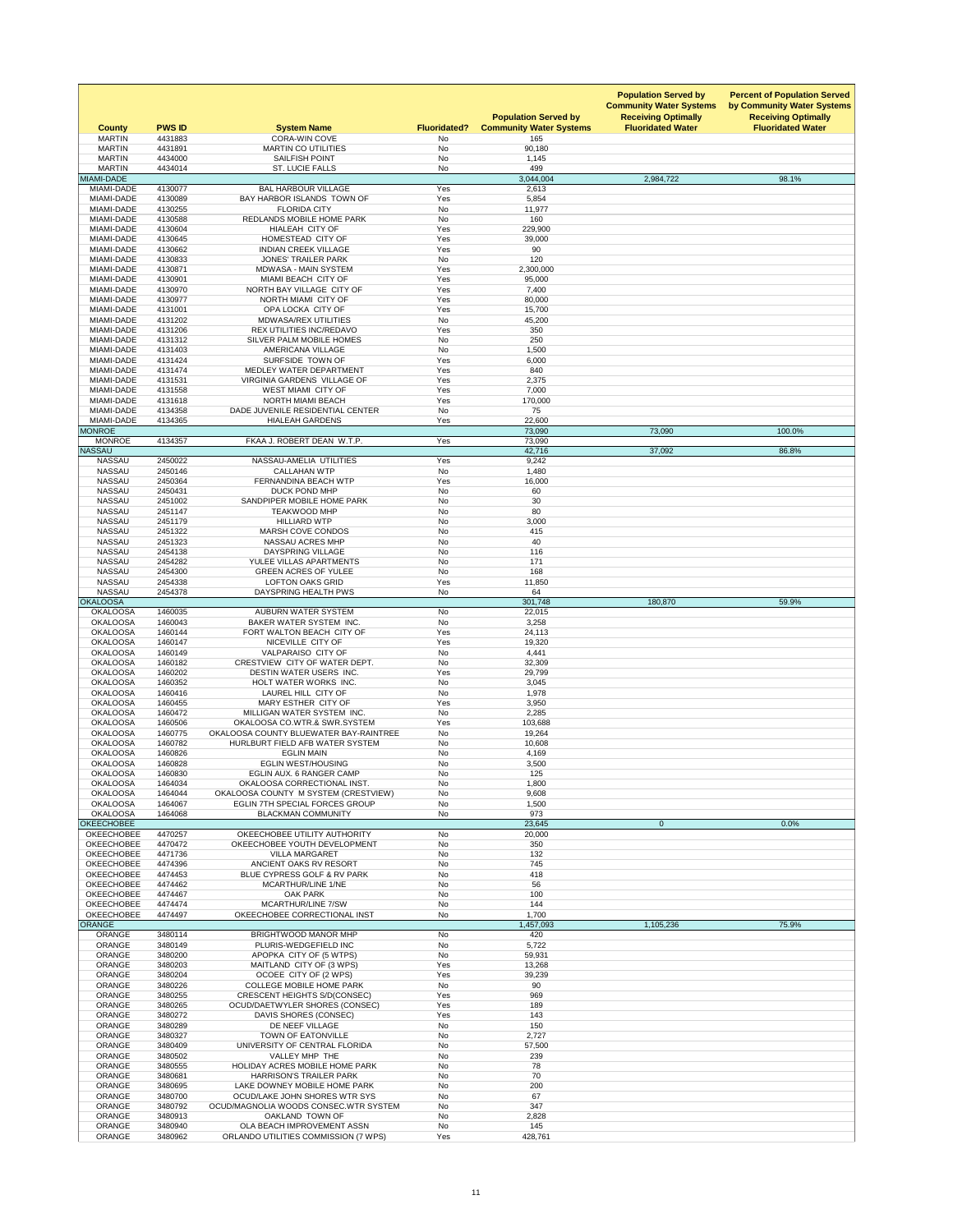| <b>County</b>                          | <b>PWS ID</b>      | <b>System Name</b>                                                      | <b>Fluoridated?</b>    | <b>Population Served by</b><br><b>Community Water Systems</b> | <b>Population Served by</b><br><b>Community Water Systems</b><br><b>Receiving Optimally</b><br><b>Fluoridated Water</b> | <b>Percent of Population Served</b><br>by Community Water Systems<br><b>Receiving Optimally</b><br><b>Fluoridated Water</b> |
|----------------------------------------|--------------------|-------------------------------------------------------------------------|------------------------|---------------------------------------------------------------|-------------------------------------------------------------------------------------------------------------------------|-----------------------------------------------------------------------------------------------------------------------------|
| <b>MARTIN</b><br><b>MARTIN</b>         | 4431883<br>4431891 | <b>CORA-WIN COVE</b><br><b>MARTIN CO UTILITIES</b>                      | No<br><b>No</b>        | 165<br>90,180                                                 |                                                                                                                         |                                                                                                                             |
| <b>MARTIN</b>                          | 4434000            | <b>SAILFISH POINT</b>                                                   | <b>No</b>              | 1,145                                                         |                                                                                                                         |                                                                                                                             |
| <b>MARTIN</b><br>MIAMI-DADE            | 4434014            | ST. LUCIE FALLS                                                         | No                     | 499<br>3,044,004                                              | 2,984,722                                                                                                               | 98.1%                                                                                                                       |
| MIAMI-DADE                             | 4130077            | <b>BAL HARBOUR VILLAGE</b>                                              | Yes                    | 2,613                                                         |                                                                                                                         |                                                                                                                             |
| MIAMI-DADE<br><b>MIAMI-DADE</b>        | 4130089<br>4130255 | BAY HARBOR ISLANDS TOWN OF<br><b>FLORIDA CITY</b>                       | Yes<br><b>No</b>       | 5,854                                                         |                                                                                                                         |                                                                                                                             |
| MIAMI-DADE                             | 4130588            | REDLANDS MOBILE HOME PARK                                               | No                     | 11,977<br>160                                                 |                                                                                                                         |                                                                                                                             |
| <b>MIAMI-DADE</b>                      | 4130604            | <b>HIALEAH CITY OF</b>                                                  | Yes                    | 229,900                                                       |                                                                                                                         |                                                                                                                             |
| MIAMI-DADE<br>MIAMI-DADE               | 4130645<br>4130662 | HOMESTEAD CITY OF<br><b>INDIAN CREEK VILLAGE</b>                        | Yes<br>Yes             | 39,000<br>90                                                  |                                                                                                                         |                                                                                                                             |
| MIAMI-DADE                             | 4130833            | <b>JONES' TRAILER PARK</b>                                              | No                     | 120                                                           |                                                                                                                         |                                                                                                                             |
| MIAMI-DADE                             | 4130871            | <b>MDWASA - MAIN SYSTEM</b>                                             | Yes                    | 2,300,000                                                     |                                                                                                                         |                                                                                                                             |
| MIAMI-DADE<br>MIAMI-DADE               | 4130901<br>4130970 | MIAMI BEACH CITY OF<br>NORTH BAY VILLAGE CITY OF                        | Yes<br>Yes             | 95,000<br>7,400                                               |                                                                                                                         |                                                                                                                             |
| MIAMI-DADE                             | 4130977            | NORTH MIAMI CITY OF                                                     | Yes                    | 80,000                                                        |                                                                                                                         |                                                                                                                             |
| <b>MIAMI-DADE</b><br>MIAMI-DADE        | 4131001<br>4131202 | OPA LOCKA CITY OF<br><b>MDWASA/REX UTILITIES</b>                        | Yes<br><b>No</b>       | 15,700<br>45,200                                              |                                                                                                                         |                                                                                                                             |
| MIAMI-DADE                             | 4131206            | <b>REX UTILITIES INC/REDAVO</b>                                         | Yes                    | 350                                                           |                                                                                                                         |                                                                                                                             |
| MIAMI-DADE                             | 4131312            | SILVER PALM MOBILE HOMES                                                | <b>No</b>              | 250                                                           |                                                                                                                         |                                                                                                                             |
| MIAMI-DADE<br>MIAMI-DADE               | 4131403<br>4131424 | AMERICANA VILLAGE<br>SURFSIDE TOWN OF                                   | <b>No</b><br>Yes       | 1,500<br>6,000                                                |                                                                                                                         |                                                                                                                             |
| MIAMI-DADE                             | 4131474            | MEDLEY WATER DEPARTMENT                                                 | Yes                    | 840                                                           |                                                                                                                         |                                                                                                                             |
| MIAMI-DADE<br><b>MIAMI-DADE</b>        | 4131531<br>4131558 | <b>VIRGINIA GARDENS VILLAGE OF</b><br><b>WEST MIAMI CITY OF</b>         | Yes<br>Yes             | 2,375<br>7,000                                                |                                                                                                                         |                                                                                                                             |
| MIAMI-DADE                             | 4131618            | NORTH MIAMI BEACH                                                       | Yes                    | 170,000                                                       |                                                                                                                         |                                                                                                                             |
| MIAMI-DADE                             | 4134358            | DADE JUVENILE RESIDENTIAL CENTER                                        | <b>No</b>              | 75                                                            |                                                                                                                         |                                                                                                                             |
| <b>MIAMI-DADE</b><br><b>MONROE</b>     | 4134365            | <b>HIALEAH GARDENS</b>                                                  | Yes                    | 22,600<br>73,090                                              | 73,090                                                                                                                  | 100.0%                                                                                                                      |
| <b>MONROE</b>                          | 4134357            | FKAA J. ROBERT DEAN W.T.P.                                              | Yes                    | 73,090                                                        |                                                                                                                         |                                                                                                                             |
| <b>NASSAU</b>                          |                    |                                                                         |                        | 42,716                                                        | 37,092                                                                                                                  | 86.8%                                                                                                                       |
| <b>NASSAU</b><br><b>NASSAU</b>         | 2450022<br>2450146 | NASSAU-AMELIA UTILITIES<br><b>CALLAHAN WTP</b>                          | Yes<br><b>No</b>       | 9,242<br>1,480                                                |                                                                                                                         |                                                                                                                             |
| <b>NASSAU</b>                          | 2450364            | <b>FERNANDINA BEACH WTP</b>                                             | Yes                    | 16,000                                                        |                                                                                                                         |                                                                                                                             |
| <b>NASSAU</b><br><b>NASSAU</b>         | 2450431<br>2451002 | DUCK POND MHP<br>SANDPIPER MOBILE HOME PARK                             | <b>No</b><br><b>No</b> | 60<br>30                                                      |                                                                                                                         |                                                                                                                             |
| <b>NASSAU</b>                          | 2451147            | <b>TEAKWOOD MHP</b>                                                     | <b>No</b>              | 80                                                            |                                                                                                                         |                                                                                                                             |
| <b>NASSAU</b>                          | 2451179            | <b>HILLIARD WTP</b>                                                     | <b>No</b>              | 3,000                                                         |                                                                                                                         |                                                                                                                             |
| <b>NASSAU</b><br><b>NASSAU</b>         | 2451322<br>2451323 | <b>MARSH COVE CONDOS</b><br><b>NASSAU ACRES MHP</b>                     | No<br>No               | 415<br>40                                                     |                                                                                                                         |                                                                                                                             |
| <b>NASSAU</b>                          | 2454138            | DAYSPRING VILLAGE                                                       | <b>No</b>              | 116                                                           |                                                                                                                         |                                                                                                                             |
| <b>NASSAU</b>                          | 2454282            | YULEE VILLAS APARTMENTS                                                 | No                     | 171                                                           |                                                                                                                         |                                                                                                                             |
| <b>NASSAU</b><br><b>NASSAU</b>         | 2454300<br>2454338 | <b>GREEN ACRES OF YULEE</b><br><b>LOFTON OAKS GRID</b>                  | No<br>Yes              | 168<br>11,850                                                 |                                                                                                                         |                                                                                                                             |
| <b>NASSAU</b>                          | 2454378            | DAYSPRING HEALTH PWS                                                    | No                     | 64                                                            |                                                                                                                         |                                                                                                                             |
| <b>OKALOOSA</b><br><b>OKALOOSA</b>     | 1460035            | <b>AUBURN WATER SYSTEM</b>                                              | <b>No</b>              | 301,748<br>22,015                                             | 180,870                                                                                                                 | 59.9%                                                                                                                       |
| <b>OKALOOSA</b>                        | 1460043            | BAKER WATER SYSTEM INC.                                                 | <b>No</b>              | 3,258                                                         |                                                                                                                         |                                                                                                                             |
| <b>OKALOOSA</b>                        | 1460144            | FORT WALTON BEACH CITY OF                                               | Yes                    | 24,113                                                        |                                                                                                                         |                                                                                                                             |
| <b>OKALOOSA</b><br><b>OKALOOSA</b>     | 1460147<br>1460149 | NICEVILLE CITY OF<br><b>VALPARAISO CITY OF</b>                          | Yes<br><b>No</b>       | 19,320<br>4,441                                               |                                                                                                                         |                                                                                                                             |
| <b>OKALOOSA</b>                        | 1460182            | CRESTVIEW CITY OF WATER DEPT.                                           | <b>No</b>              | 32,309                                                        |                                                                                                                         |                                                                                                                             |
| <b>OKALOOSA</b><br><b>OKALOOSA</b>     | 1460202<br>1460352 | <b>DESTIN WATER USERS INC.</b><br><b>HOLT WATER WORKS INC.</b>          | Yes<br><b>No</b>       | 29,799<br>3,045                                               |                                                                                                                         |                                                                                                                             |
| <b>OKALOOSA</b>                        | 1460416            | LAUREL HILL CITY OF                                                     | <b>No</b>              | 1,978                                                         |                                                                                                                         |                                                                                                                             |
| <b>OKALOOSA</b>                        | 1460455            | MARY ESTHER CITY OF                                                     | Yes                    | 3,950                                                         |                                                                                                                         |                                                                                                                             |
| <b>OKALOOSA</b><br><b>OKALOOSA</b>     | 1460472<br>1460506 | MILLIGAN WATER SYSTEM INC.<br>OKALOOSA CO.WTR.& SWR.SYSTEM              | <b>No</b><br>Yes       | 2,285<br>103,688                                              |                                                                                                                         |                                                                                                                             |
| <b>OKALOOSA</b>                        | 1460775            | OKALOOSA COUNTY BLUEWATER BAY-RAINTREE                                  | <b>No</b>              | 19,264                                                        |                                                                                                                         |                                                                                                                             |
| <b>OKALOOSA</b><br><b>OKALOOSA</b>     | 1460782<br>1460826 | <b>HURLBURT FIELD AFB WATER SYSTEM</b><br><b>EGLIN MAIN</b>             | <b>No</b><br><b>No</b> | 10,608<br>4,169                                               |                                                                                                                         |                                                                                                                             |
| <b>OKALOOSA</b>                        | 1460828            | <b>EGLIN WEST/HOUSING</b>                                               | <b>No</b>              | 3,500                                                         |                                                                                                                         |                                                                                                                             |
| <b>OKALOOSA</b>                        | 1460830            | EGLIN AUX. 6 RANGER CAMP                                                | No                     | 125                                                           |                                                                                                                         |                                                                                                                             |
| <b>OKALOOSA</b><br><b>OKALOOSA</b>     | 1464034<br>1464044 | OKALOOSA CORRECTIONAL INST.<br>OKALOOSA COUNTY M SYSTEM (CRESTVIEW)     | <b>No</b><br><b>No</b> | 1,800<br>9,608                                                |                                                                                                                         |                                                                                                                             |
| <b>OKALOOSA</b>                        | 1464067            | <b>EGLIN 7TH SPECIAL FORCES GROUP</b>                                   | No                     | 1,500                                                         |                                                                                                                         |                                                                                                                             |
| <b>OKALOOSA</b><br><b>OKEECHOBEE</b>   | 1464068            | <b>BLACKMAN COMMUNITY</b>                                               | <b>No</b>              | 973<br>23,645                                                 | $\overline{0}$                                                                                                          | 0.0%                                                                                                                        |
| <b>OKEECHOBEE</b>                      | 4470257            | OKEECHOBEE UTILITY AUTHORITY                                            | No                     | 20,000                                                        |                                                                                                                         |                                                                                                                             |
| <b>OKEECHOBEE</b>                      | 4470472            | OKEECHOBEE YOUTH DEVELOPMENT                                            | <b>No</b>              | 350                                                           |                                                                                                                         |                                                                                                                             |
| <b>OKEECHOBEE</b><br><b>OKEECHOBEE</b> | 4471736<br>4474396 | <b>VILLA MARGARET</b><br>ANCIENT OAKS RV RESORT                         | <b>No</b><br><b>No</b> | 132<br>745                                                    |                                                                                                                         |                                                                                                                             |
| <b>OKEECHOBEE</b>                      | 4474453            | <b>BLUE CYPRESS GOLF &amp; RV PARK</b>                                  | <b>No</b>              | 418                                                           |                                                                                                                         |                                                                                                                             |
| <b>OKEECHOBEE</b><br><b>OKEECHOBEE</b> | 4474462<br>4474467 | <b>MCARTHUR/LINE 1/NE</b><br><b>OAK PARK</b>                            | No<br><b>No</b>        | 56<br>100                                                     |                                                                                                                         |                                                                                                                             |
| <b>OKEECHOBEE</b>                      | 4474474            | MCARTHUR/LINE 7/SW                                                      | <b>No</b>              | 144                                                           |                                                                                                                         |                                                                                                                             |
| <b>OKEECHOBEE</b><br><b>ORANGE</b>     | 4474497            | OKEECHOBEE CORRECTIONAL INST                                            | <b>No</b>              | 1,700                                                         |                                                                                                                         |                                                                                                                             |
| <b>ORANGE</b>                          | 3480114            | <b>BRIGHTWOOD MANOR MHP</b>                                             | No                     | 1,457,093<br>420                                              | 1,105,236                                                                                                               | 75.9%                                                                                                                       |
| <b>ORANGE</b>                          | 3480149            | PLURIS-WEDGEFIELD INC                                                   | <b>No</b>              | 5,722                                                         |                                                                                                                         |                                                                                                                             |
| <b>ORANGE</b><br><b>ORANGE</b>         | 3480200<br>3480203 | APOPKA CITY OF (5 WTPS)<br>MAITLAND CITY OF (3 WPS)                     | <b>No</b><br>Yes       | 59,931<br>13,268                                              |                                                                                                                         |                                                                                                                             |
| <b>ORANGE</b>                          | 3480204            | OCOEE CITY OF (2 WPS)                                                   | Yes                    | 39,239                                                        |                                                                                                                         |                                                                                                                             |
| <b>ORANGE</b><br><b>ORANGE</b>         | 3480226<br>3480255 | <b>COLLEGE MOBILE HOME PARK</b><br><b>CRESCENT HEIGHTS S/D(CONSEC)</b>  | <b>No</b><br>Yes       | 90<br>969                                                     |                                                                                                                         |                                                                                                                             |
| <b>ORANGE</b>                          | 3480265            | <b>OCUD/DAETWYLER SHORES (CONSEC)</b>                                   | Yes                    | 189                                                           |                                                                                                                         |                                                                                                                             |
| <b>ORANGE</b>                          | 3480272            | DAVIS SHORES (CONSEC)                                                   | Yes                    | 143                                                           |                                                                                                                         |                                                                                                                             |
| <b>ORANGE</b><br><b>ORANGE</b>         | 3480289<br>3480327 | DE NEEF VILLAGE<br><b>TOWN OF EATONVILLE</b>                            | <b>No</b><br><b>No</b> | 150<br>2,727                                                  |                                                                                                                         |                                                                                                                             |
| ORANGE                                 | 3480409            | UNIVERSITY OF CENTRAL FLORIDA                                           | <b>No</b>              | 57,500                                                        |                                                                                                                         |                                                                                                                             |
| <b>ORANGE</b>                          | 3480502            | VALLEY MHP THE                                                          | No                     | 239                                                           |                                                                                                                         |                                                                                                                             |
| <b>ORANGE</b><br><b>ORANGE</b>         | 3480555<br>3480681 | <b>HOLIDAY ACRES MOBILE HOME PARK</b><br><b>HARRISON'S TRAILER PARK</b> | <b>No</b><br><b>No</b> | 78<br>70                                                      |                                                                                                                         |                                                                                                                             |
| <b>ORANGE</b>                          | 3480695            | LAKE DOWNEY MOBILE HOME PARK                                            | No                     | 200                                                           |                                                                                                                         |                                                                                                                             |
| <b>ORANGE</b><br><b>ORANGE</b>         | 3480700<br>3480792 | OCUD/LAKE JOHN SHORES WTR SYS<br>OCUD/MAGNOLIA WOODS CONSEC.WTR SYSTEM  | No<br><b>No</b>        | 67<br>347                                                     |                                                                                                                         |                                                                                                                             |
| <b>ORANGE</b>                          | 3480913            | OAKLAND TOWN OF                                                         | No                     | 2,828                                                         |                                                                                                                         |                                                                                                                             |
| <b>ORANGE</b>                          | 3480940            | OLA BEACH IMPROVEMENT ASSN                                              | No                     | 145                                                           |                                                                                                                         |                                                                                                                             |
| <b>ORANGE</b>                          | 3480962            | <b>ORLANDO UTILITIES COMMISSION (7 WPS)</b>                             | Yes                    | 428,761                                                       |                                                                                                                         |                                                                                                                             |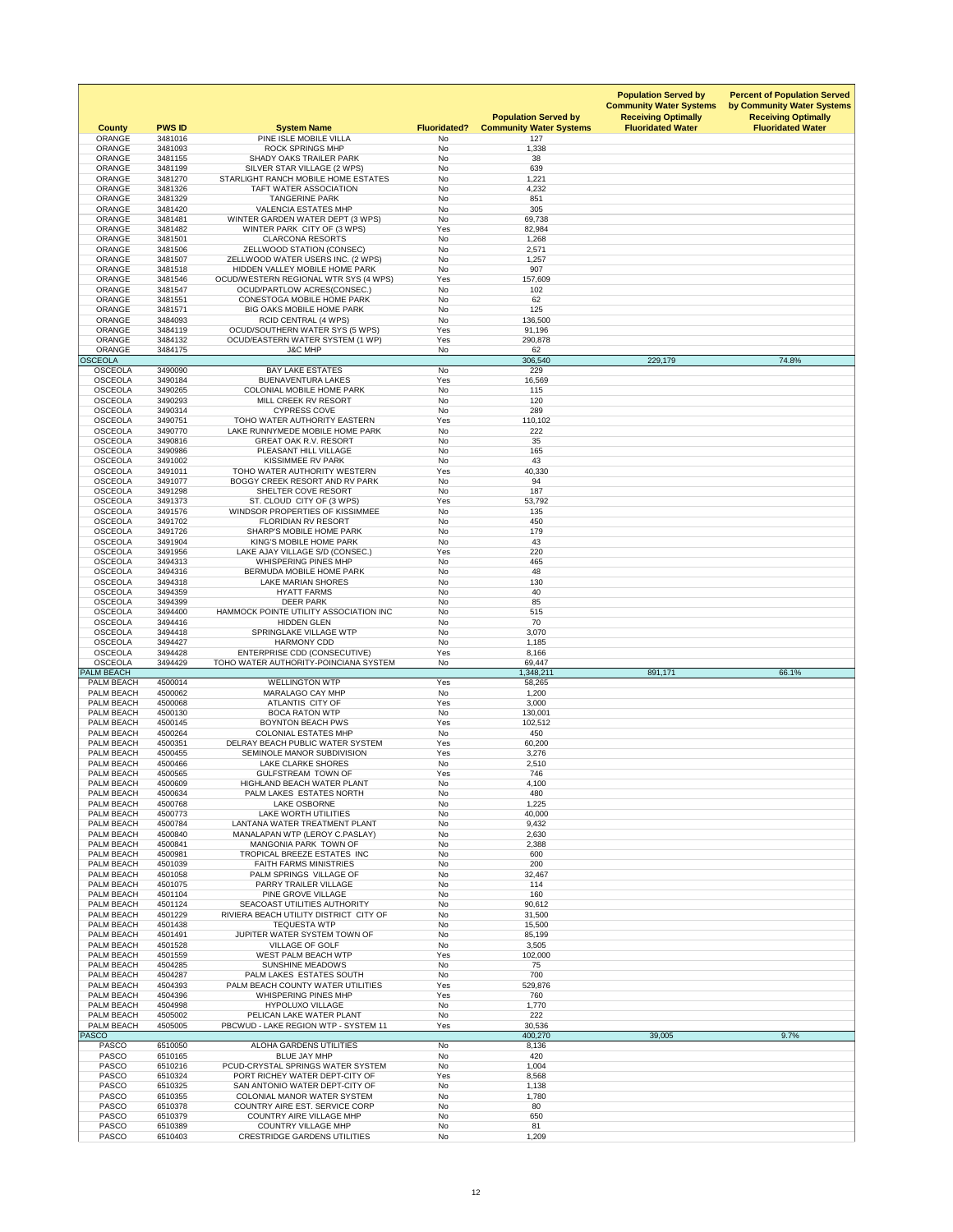| <b>County</b>                          | <b>PWS ID</b>      | <b>System Name</b>                                                      | <b>Fluoridated?</b>    | <b>Population Served by</b><br><b>Community Water Systems</b> | <b>Population Served by</b><br><b>Community Water Systems</b><br><b>Receiving Optimally</b><br><b>Fluoridated Water</b> | <b>Percent of Population Served</b><br>by Community Water Systems<br><b>Receiving Optimally</b><br><b>Fluoridated Water</b> |
|----------------------------------------|--------------------|-------------------------------------------------------------------------|------------------------|---------------------------------------------------------------|-------------------------------------------------------------------------------------------------------------------------|-----------------------------------------------------------------------------------------------------------------------------|
| <b>ORANGE</b><br><b>ORANGE</b>         | 3481016<br>3481093 | PINE ISLE MOBILE VILLA<br><b>ROCK SPRINGS MHP</b>                       | <b>No</b><br><b>No</b> | 127<br>1,338                                                  |                                                                                                                         |                                                                                                                             |
| <b>ORANGE</b>                          | 3481155            | <b>SHADY OAKS TRAILER PARK</b>                                          | <b>No</b>              | 38                                                            |                                                                                                                         |                                                                                                                             |
| <b>ORANGE</b>                          | 3481199            | SILVER STAR VILLAGE (2 WPS)                                             | <b>No</b>              | 639                                                           |                                                                                                                         |                                                                                                                             |
| <b>ORANGE</b>                          | 3481270            | STARLIGHT RANCH MOBILE HOME ESTATES                                     | <b>No</b>              | 1,221                                                         |                                                                                                                         |                                                                                                                             |
| <b>ORANGE</b><br><b>ORANGE</b>         | 3481326<br>3481329 | TAFT WATER ASSOCIATION<br><b>TANGERINE PARK</b>                         | <b>No</b><br><b>No</b> | 4,232<br>851                                                  |                                                                                                                         |                                                                                                                             |
| <b>ORANGE</b>                          | 3481420            | <b>VALENCIA ESTATES MHP</b>                                             | <b>No</b>              | 305                                                           |                                                                                                                         |                                                                                                                             |
| <b>ORANGE</b>                          | 3481481            | WINTER GARDEN WATER DEPT (3 WPS)                                        | <b>No</b>              | 69,738                                                        |                                                                                                                         |                                                                                                                             |
| <b>ORANGE</b>                          | 3481482            | WINTER PARK CITY OF (3 WPS)                                             | Yes                    | 82,984                                                        |                                                                                                                         |                                                                                                                             |
| <b>ORANGE</b><br><b>ORANGE</b>         | 3481501<br>3481506 | <b>CLARCONA RESORTS</b><br>ZELLWOOD STATION (CONSEC)                    | <b>No</b><br><b>No</b> | 1,268<br>2,571                                                |                                                                                                                         |                                                                                                                             |
| <b>ORANGE</b>                          | 3481507            | ZELLWOOD WATER USERS INC. (2 WPS)                                       | <b>No</b>              | 1,257                                                         |                                                                                                                         |                                                                                                                             |
| <b>ORANGE</b>                          | 3481518            | HIDDEN VALLEY MOBILE HOME PARK                                          | <b>No</b>              | 907                                                           |                                                                                                                         |                                                                                                                             |
| <b>ORANGE</b>                          | 3481546            | OCUD/WESTERN REGIONAL WTR SYS (4 WPS)                                   | Yes                    | 157,609                                                       |                                                                                                                         |                                                                                                                             |
| <b>ORANGE</b><br><b>ORANGE</b>         | 3481547<br>3481551 | <b>OCUD/PARTLOW ACRES(CONSEC.)</b><br><b>CONESTOGA MOBILE HOME PARK</b> | <b>No</b><br><b>No</b> | 102<br>62                                                     |                                                                                                                         |                                                                                                                             |
| <b>ORANGE</b>                          | 3481571            | <b>BIG OAKS MOBILE HOME PARK</b>                                        | <b>No</b>              | 125                                                           |                                                                                                                         |                                                                                                                             |
| <b>ORANGE</b>                          | 3484093            | <b>RCID CENTRAL (4 WPS)</b>                                             | <b>No</b>              | 136,500                                                       |                                                                                                                         |                                                                                                                             |
| <b>ORANGE</b>                          | 3484119            | <b>OCUD/SOUTHERN WATER SYS (5 WPS)</b>                                  | Yes                    | 91,196                                                        |                                                                                                                         |                                                                                                                             |
| <b>ORANGE</b><br><b>ORANGE</b>         | 3484132<br>3484175 | OCUD/EASTERN WATER SYSTEM (1 WP)<br><b>J&amp;C MHP</b>                  | Yes<br><b>No</b>       | 290,878<br>62                                                 |                                                                                                                         |                                                                                                                             |
| <b>OSCEOLA</b>                         |                    |                                                                         |                        | 306,540                                                       | 229,179                                                                                                                 | 74.8%                                                                                                                       |
| <b>OSCEOLA</b>                         | 3490090            | <b>BAY LAKE ESTATES</b>                                                 | <b>No</b>              | 229                                                           |                                                                                                                         |                                                                                                                             |
| <b>OSCEOLA</b>                         | 3490184            | <b>BUENAVENTURA LAKES</b>                                               | Yes                    | 16,569                                                        |                                                                                                                         |                                                                                                                             |
| <b>OSCEOLA</b><br><b>OSCEOLA</b>       | 3490265<br>3490293 | <b>COLONIAL MOBILE HOME PARK</b><br>MILL CREEK RV RESORT                | <b>No</b><br>No        | 115<br>120                                                    |                                                                                                                         |                                                                                                                             |
| <b>OSCEOLA</b>                         | 3490314            | <b>CYPRESS COVE</b>                                                     | No                     | 289                                                           |                                                                                                                         |                                                                                                                             |
| <b>OSCEOLA</b>                         | 3490751            | TOHO WATER AUTHORITY EASTERN                                            | Yes                    | 110,102                                                       |                                                                                                                         |                                                                                                                             |
| <b>OSCEOLA</b>                         | 3490770            | LAKE RUNNYMEDE MOBILE HOME PARK                                         | <b>No</b>              | 222                                                           |                                                                                                                         |                                                                                                                             |
| <b>OSCEOLA</b><br><b>OSCEOLA</b>       | 3490816<br>3490986 | <b>GREAT OAK R.V. RESORT</b><br>PLEASANT HILL VILLAGE                   | <b>No</b><br>No        | 35<br>165                                                     |                                                                                                                         |                                                                                                                             |
| <b>OSCEOLA</b>                         | 3491002            | <b>KISSIMMEE RV PARK</b>                                                | <b>No</b>              | 43                                                            |                                                                                                                         |                                                                                                                             |
| <b>OSCEOLA</b>                         | 3491011            | TOHO WATER AUTHORITY WESTERN                                            | Yes                    | 40,330                                                        |                                                                                                                         |                                                                                                                             |
| <b>OSCEOLA</b>                         | 3491077            | BOGGY CREEK RESORT AND RV PARK                                          | <b>No</b>              | 94                                                            |                                                                                                                         |                                                                                                                             |
| <b>OSCEOLA</b><br><b>OSCEOLA</b>       | 3491298<br>3491373 | SHELTER COVE RESORT                                                     | <b>No</b><br>Yes       | 187                                                           |                                                                                                                         |                                                                                                                             |
| <b>OSCEOLA</b>                         | 3491576            | ST. CLOUD CITY OF (3 WPS)<br>WINDSOR PROPERTIES OF KISSIMMEE            | No                     | 53,792<br>135                                                 |                                                                                                                         |                                                                                                                             |
| <b>OSCEOLA</b>                         | 3491702            | <b>FLORIDIAN RV RESORT</b>                                              | <b>No</b>              | 450                                                           |                                                                                                                         |                                                                                                                             |
| <b>OSCEOLA</b>                         | 3491726            | <b>SHARP'S MOBILE HOME PARK</b>                                         | No                     | 179                                                           |                                                                                                                         |                                                                                                                             |
| <b>OSCEOLA</b>                         | 3491904            | <b>KING'S MOBILE HOME PARK</b>                                          | No                     | 43                                                            |                                                                                                                         |                                                                                                                             |
| <b>OSCEOLA</b><br><b>OSCEOLA</b>       | 3491956<br>3494313 | LAKE AJAY VILLAGE S/D (CONSEC.)<br><b>WHISPERING PINES MHP</b>          | Yes<br>No              | 220<br>465                                                    |                                                                                                                         |                                                                                                                             |
| <b>OSCEOLA</b>                         | 3494316            | BERMUDA MOBILE HOME PARK                                                | <b>No</b>              | 48                                                            |                                                                                                                         |                                                                                                                             |
| <b>OSCEOLA</b>                         | 3494318            | <b>LAKE MARIAN SHORES</b>                                               | No                     | 130                                                           |                                                                                                                         |                                                                                                                             |
| <b>OSCEOLA</b>                         | 3494359            | <b>HYATT FARMS</b>                                                      | No                     | 40                                                            |                                                                                                                         |                                                                                                                             |
| <b>OSCEOLA</b><br><b>OSCEOLA</b>       | 3494399<br>3494400 | <b>DEER PARK</b><br>HAMMOCK POINTE UTILITY ASSOCIATION INC              | <b>No</b><br>No        | 85<br>515                                                     |                                                                                                                         |                                                                                                                             |
| <b>OSCEOLA</b>                         | 3494416            | <b>HIDDEN GLEN</b>                                                      | <b>No</b>              | 70                                                            |                                                                                                                         |                                                                                                                             |
| <b>OSCEOLA</b>                         | 3494418            | SPRINGLAKE VILLAGE WTP                                                  | <b>No</b>              | 3,070                                                         |                                                                                                                         |                                                                                                                             |
| <b>OSCEOLA</b>                         | 3494427            | <b>HARMONY CDD</b>                                                      | <b>No</b>              | 1,185                                                         |                                                                                                                         |                                                                                                                             |
| <b>OSCEOLA</b><br><b>OSCEOLA</b>       | 3494428<br>3494429 | ENTERPRISE CDD (CONSECUTIVE)<br>TOHO WATER AUTHORITY-POINCIANA SYSTEM   | Yes<br>No              | 8,166<br>69,447                                               |                                                                                                                         |                                                                                                                             |
| <b>PALM BEACH</b>                      |                    |                                                                         |                        | 1,348,211                                                     | 891,171                                                                                                                 | 66.1%                                                                                                                       |
| PALM BEACH                             | 4500014            | <b>WELLINGTON WTP</b>                                                   | Yes                    | 58,265                                                        |                                                                                                                         |                                                                                                                             |
| <b>PALM BEACH</b><br><b>PALM BEACH</b> | 4500062<br>4500068 | MARALAGO CAY MHP<br>ATLANTIS CITY OF                                    | No<br>Yes              | 1,200<br>3,000                                                |                                                                                                                         |                                                                                                                             |
| PALM BEACH                             | 4500130            | <b>BOCA RATON WTP</b>                                                   | No                     | 130,001                                                       |                                                                                                                         |                                                                                                                             |
| <b>PALM BEACH</b>                      | 4500145            | <b>BOYNTON BEACH PWS</b>                                                | Yes                    | 102,512                                                       |                                                                                                                         |                                                                                                                             |
| <b>PALM BEACH</b>                      | 4500264            | <b>COLONIAL ESTATES MHP</b>                                             | No                     | 450                                                           |                                                                                                                         |                                                                                                                             |
| PALM BEACH<br><b>PALM BEACH</b>        | 4500351<br>4500455 | DELRAY BEACH PUBLIC WATER SYSTEM<br>SEMINOLE MANOR SUBDIVISION          | Yes<br>Yes             | 60,200<br>3,276                                               |                                                                                                                         |                                                                                                                             |
| <b>PALM BEACH</b>                      | 4500466            | <b>LAKE CLARKE SHORES</b>                                               | <b>No</b>              | 2,510                                                         |                                                                                                                         |                                                                                                                             |
| <b>PALM BEACH</b>                      | 4500565            | <b>GULFSTREAM TOWN OF</b>                                               | Yes                    | 746                                                           |                                                                                                                         |                                                                                                                             |
| <b>PALM BEACH</b>                      | 4500609            | <b>HIGHLAND BEACH WATER PLANT</b>                                       | <b>No</b>              | 4,100                                                         |                                                                                                                         |                                                                                                                             |
| <b>PALM BEACH</b><br><b>PALM BEACH</b> | 4500634<br>4500768 | PALM LAKES ESTATES NORTH<br><b>LAKE OSBORNE</b>                         | <b>No</b><br>No        | 480<br>1,225                                                  |                                                                                                                         |                                                                                                                             |
| PALM BEACH                             | 4500773            | <b>LAKE WORTH UTILITIES</b>                                             | No                     | 40,000                                                        |                                                                                                                         |                                                                                                                             |
| <b>PALM BEACH</b>                      | 4500784            | LANTANA WATER TREATMENT PLANT                                           | No                     | 9,432                                                         |                                                                                                                         |                                                                                                                             |
| <b>PALM BEACH</b>                      | 4500840            | MANALAPAN WTP (LEROY C.PASLAY)                                          | <b>No</b>              | 2,630                                                         |                                                                                                                         |                                                                                                                             |
| <b>PALM BEACH</b><br><b>PALM BEACH</b> | 4500841<br>4500981 | <b>MANGONIA PARK TOWN OF</b><br>TROPICAL BREEZE ESTATES INC             | <b>No</b><br>No        | 2,388<br>600                                                  |                                                                                                                         |                                                                                                                             |
| <b>PALM BEACH</b>                      | 4501039            | <b>FAITH FARMS MINISTRIES</b>                                           | <b>No</b>              | 200                                                           |                                                                                                                         |                                                                                                                             |
| <b>PALM BEACH</b>                      | 4501058            | PALM SPRINGS VILLAGE OF                                                 | <b>No</b>              | 32,467                                                        |                                                                                                                         |                                                                                                                             |
| <b>PALM BEACH</b>                      | 4501075            | PARRY TRAILER VILLAGE                                                   | No                     | 114                                                           |                                                                                                                         |                                                                                                                             |
| <b>PALM BEACH</b><br><b>PALM BEACH</b> | 4501104<br>4501124 | PINE GROVE VILLAGE<br>SEACOAST UTILITIES AUTHORITY                      | <b>No</b><br><b>No</b> | 160<br>90,612                                                 |                                                                                                                         |                                                                                                                             |
| <b>PALM BEACH</b>                      | 4501229            | RIVIERA BEACH UTILITY DISTRICT CITY OF                                  | No                     | 31,500                                                        |                                                                                                                         |                                                                                                                             |
| <b>PALM BEACH</b>                      | 4501438            | <b>TEQUESTA WTP</b>                                                     | <b>No</b>              | 15,500                                                        |                                                                                                                         |                                                                                                                             |
| <b>PALM BEACH</b>                      | 4501491            | JUPITER WATER SYSTEM TOWN OF                                            | No                     | 85,199                                                        |                                                                                                                         |                                                                                                                             |
| <b>PALM BEACH</b><br><b>PALM BEACH</b> | 4501528<br>4501559 | <b>VILLAGE OF GOLF</b><br><b>WEST PALM BEACH WTP</b>                    | No<br>Yes              | 3,505<br>102,000                                              |                                                                                                                         |                                                                                                                             |
| <b>PALM BEACH</b>                      | 4504285            | <b>SUNSHINE MEADOWS</b>                                                 | <b>No</b>              | 75                                                            |                                                                                                                         |                                                                                                                             |
| <b>PALM BEACH</b>                      | 4504287            | PALM LAKES ESTATES SOUTH                                                | No                     | 700                                                           |                                                                                                                         |                                                                                                                             |
| <b>PALM BEACH</b><br><b>PALM BEACH</b> | 4504393<br>4504396 | PALM BEACH COUNTY WATER UTILITIES<br><b>WHISPERING PINES MHP</b>        | Yes<br>Yes             | 529,876<br>760                                                |                                                                                                                         |                                                                                                                             |
| <b>PALM BEACH</b>                      | 4504998            | <b>HYPOLUXO VILLAGE</b>                                                 | No                     | 1,770                                                         |                                                                                                                         |                                                                                                                             |
| <b>PALM BEACH</b>                      | 4505002            | PELICAN LAKE WATER PLANT                                                | <b>No</b>              | 222                                                           |                                                                                                                         |                                                                                                                             |
| <b>PALM BEACH</b>                      | 4505005            | PBCWUD - LAKE REGION WTP - SYSTEM 11                                    | Yes                    | 30,536                                                        |                                                                                                                         |                                                                                                                             |
| <b>PASCO</b><br><b>PASCO</b>           | 6510050            | ALOHA GARDENS UTILITIES                                                 | No                     | 400,270<br>8,136                                              | 39,005                                                                                                                  | 9.7%                                                                                                                        |
| <b>PASCO</b>                           | 6510165            | <b>BLUE JAY MHP</b>                                                     | No                     | 420                                                           |                                                                                                                         |                                                                                                                             |
| <b>PASCO</b>                           | 6510216            | PCUD-CRYSTAL SPRINGS WATER SYSTEM                                       | <b>No</b>              | 1,004                                                         |                                                                                                                         |                                                                                                                             |
| <b>PASCO</b>                           | 6510324            | PORT RICHEY WATER DEPT-CITY OF                                          | Yes                    | 8,568                                                         |                                                                                                                         |                                                                                                                             |
| <b>PASCO</b><br><b>PASCO</b>           | 6510325<br>6510355 | SAN ANTONIO WATER DEPT-CITY OF<br><b>COLONIAL MANOR WATER SYSTEM</b>    | No<br>No               | 1,138<br>1,780                                                |                                                                                                                         |                                                                                                                             |
| <b>PASCO</b>                           | 6510378            | COUNTRY AIRE EST. SERVICE CORP                                          | No                     | 80                                                            |                                                                                                                         |                                                                                                                             |
| <b>PASCO</b>                           | 6510379            | <b>COUNTRY AIRE VILLAGE MHP</b>                                         | No                     | 650                                                           |                                                                                                                         |                                                                                                                             |
| <b>PASCO</b><br><b>PASCO</b>           | 6510389<br>6510403 | <b>COUNTRY VILLAGE MHP</b><br><b>CRESTRIDGE GARDENS UTILITIES</b>       | No<br>No               | 81<br>1,209                                                   |                                                                                                                         |                                                                                                                             |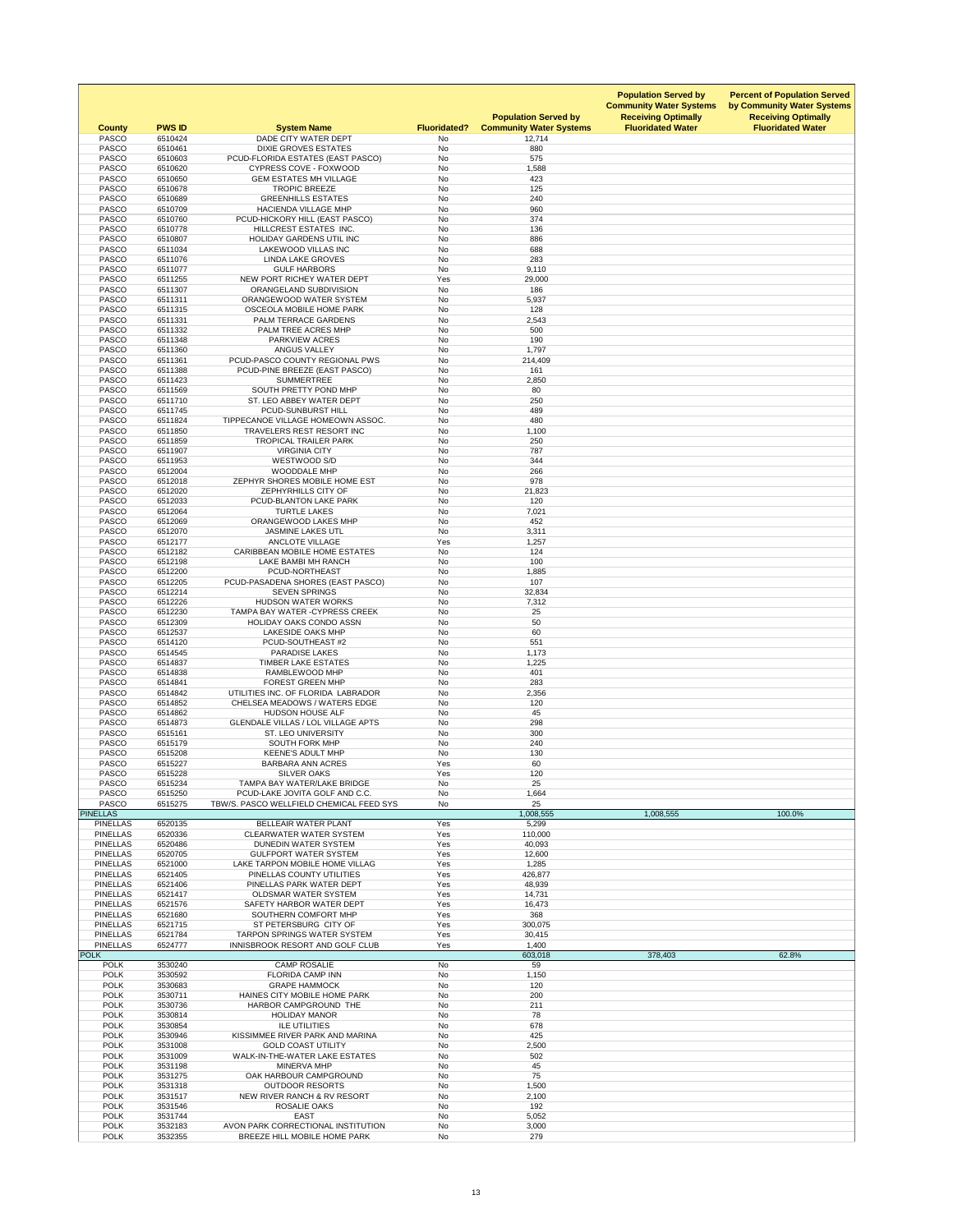| <b>County</b>                      | <b>PWS ID</b>      | <b>System Name</b>                                                       | <b>Fluoridated?</b>    | <b>Population Served by</b><br><b>Community Water Systems</b> | <b>Population Served by</b><br><b>Community Water Systems</b><br><b>Receiving Optimally</b><br><b>Fluoridated Water</b> | <b>Percent of Population Served</b><br>by Community Water Systems<br><b>Receiving Optimally</b><br><b>Fluoridated Water</b> |
|------------------------------------|--------------------|--------------------------------------------------------------------------|------------------------|---------------------------------------------------------------|-------------------------------------------------------------------------------------------------------------------------|-----------------------------------------------------------------------------------------------------------------------------|
| <b>PASCO</b><br><b>PASCO</b>       | 6510424<br>6510461 | DADE CITY WATER DEPT<br><b>DIXIE GROVES ESTATES</b>                      | No<br><b>No</b>        | 12,714<br>880                                                 |                                                                                                                         |                                                                                                                             |
| <b>PASCO</b>                       | 6510603            | PCUD-FLORIDA ESTATES (EAST PASCO)                                        | No                     | 575                                                           |                                                                                                                         |                                                                                                                             |
| <b>PASCO</b>                       | 6510620            | <b>CYPRESS COVE - FOXWOOD</b>                                            | <b>No</b>              | 1,588                                                         |                                                                                                                         |                                                                                                                             |
| <b>PASCO</b>                       | 6510650            | <b>GEM ESTATES MH VILLAGE</b>                                            | <b>No</b>              | 423                                                           |                                                                                                                         |                                                                                                                             |
| <b>PASCO</b>                       | 6510678            | <b>TROPIC BREEZE</b>                                                     | <b>No</b>              | 125                                                           |                                                                                                                         |                                                                                                                             |
| <b>PASCO</b><br><b>PASCO</b>       | 6510689<br>6510709 | <b>GREENHILLS ESTATES</b><br><b>HACIENDA VILLAGE MHP</b>                 | <b>No</b><br>No        | 240<br>960                                                    |                                                                                                                         |                                                                                                                             |
| <b>PASCO</b>                       | 6510760            | PCUD-HICKORY HILL (EAST PASCO)                                           | No                     | 374                                                           |                                                                                                                         |                                                                                                                             |
| <b>PASCO</b>                       | 6510778            | HILLCREST ESTATES INC.                                                   | <b>No</b>              | 136                                                           |                                                                                                                         |                                                                                                                             |
| <b>PASCO</b>                       | 6510807            | <b>HOLIDAY GARDENS UTIL INC</b>                                          | <b>No</b>              | 886                                                           |                                                                                                                         |                                                                                                                             |
| <b>PASCO</b><br><b>PASCO</b>       | 6511034<br>6511076 | <b>LAKEWOOD VILLAS INC</b><br><b>LINDA LAKE GROVES</b>                   | <b>No</b><br><b>No</b> | 688<br>283                                                    |                                                                                                                         |                                                                                                                             |
| <b>PASCO</b>                       | 6511077            | <b>GULF HARBORS</b>                                                      | <b>No</b>              | 9,110                                                         |                                                                                                                         |                                                                                                                             |
| <b>PASCO</b>                       | 6511255            | NEW PORT RICHEY WATER DEPT                                               | Yes                    | 29,000                                                        |                                                                                                                         |                                                                                                                             |
| <b>PASCO</b>                       | 6511307            | ORANGELAND SUBDIVISION                                                   | <b>No</b>              | 186                                                           |                                                                                                                         |                                                                                                                             |
| <b>PASCO</b>                       | 6511311            | ORANGEWOOD WATER SYSTEM                                                  | <b>No</b>              | 5,937                                                         |                                                                                                                         |                                                                                                                             |
| <b>PASCO</b><br><b>PASCO</b>       | 6511315<br>6511331 | OSCEOLA MOBILE HOME PARK<br>PALM TERRACE GARDENS                         | <b>No</b><br><b>No</b> | 128<br>2,543                                                  |                                                                                                                         |                                                                                                                             |
| <b>PASCO</b>                       | 6511332            | PALM TREE ACRES MHP                                                      | No                     | 500                                                           |                                                                                                                         |                                                                                                                             |
| <b>PASCO</b>                       | 6511348            | PARKVIEW ACRES                                                           | <b>No</b>              | 190                                                           |                                                                                                                         |                                                                                                                             |
| <b>PASCO</b>                       | 6511360            | <b>ANGUS VALLEY</b>                                                      | <b>No</b>              | 1,797                                                         |                                                                                                                         |                                                                                                                             |
| <b>PASCO</b><br><b>PASCO</b>       | 6511361<br>6511388 | PCUD-PASCO COUNTY REGIONAL PWS                                           | <b>No</b><br><b>No</b> | 214,409<br>161                                                |                                                                                                                         |                                                                                                                             |
| <b>PASCO</b>                       | 6511423            | PCUD-PINE BREEZE (EAST PASCO)<br><b>SUMMERTREE</b>                       | No                     | 2,850                                                         |                                                                                                                         |                                                                                                                             |
| <b>PASCO</b>                       | 6511569            | SOUTH PRETTY POND MHP                                                    | <b>No</b>              | 80                                                            |                                                                                                                         |                                                                                                                             |
| <b>PASCO</b>                       | 6511710            | ST. LEO ABBEY WATER DEPT                                                 | No                     | 250                                                           |                                                                                                                         |                                                                                                                             |
| <b>PASCO</b>                       | 6511745            | PCUD-SUNBURST HILL                                                       | No                     | 489                                                           |                                                                                                                         |                                                                                                                             |
| <b>PASCO</b><br><b>PASCO</b>       | 6511824<br>6511850 | TIPPECANOE VILLAGE HOMEOWN ASSOC.<br>TRAVELERS REST RESORT INC           | No<br>No               | 480<br>1,100                                                  |                                                                                                                         |                                                                                                                             |
| <b>PASCO</b>                       | 6511859            | <b>TROPICAL TRAILER PARK</b>                                             | <b>No</b>              | 250                                                           |                                                                                                                         |                                                                                                                             |
| <b>PASCO</b>                       | 6511907            | <b>VIRGINIA CITY</b>                                                     | No                     | 787                                                           |                                                                                                                         |                                                                                                                             |
| <b>PASCO</b>                       | 6511953            | WESTWOOD S/D                                                             | <b>No</b>              | 344                                                           |                                                                                                                         |                                                                                                                             |
| <b>PASCO</b>                       | 6512004            | WOODDALE MHP                                                             | <b>No</b>              | 266                                                           |                                                                                                                         |                                                                                                                             |
| <b>PASCO</b><br><b>PASCO</b>       | 6512018<br>6512020 | ZEPHYR SHORES MOBILE HOME EST<br>ZEPHYRHILLS CITY OF                     | No<br><b>No</b>        | 978                                                           |                                                                                                                         |                                                                                                                             |
| <b>PASCO</b>                       | 6512033            | PCUD-BLANTON LAKE PARK                                                   | <b>No</b>              | 21,823<br>120                                                 |                                                                                                                         |                                                                                                                             |
| <b>PASCO</b>                       | 6512064            | <b>TURTLE LAKES</b>                                                      | No                     | 7,021                                                         |                                                                                                                         |                                                                                                                             |
| <b>PASCO</b>                       | 6512069            | ORANGEWOOD LAKES MHP                                                     | <b>No</b>              | 452                                                           |                                                                                                                         |                                                                                                                             |
| <b>PASCO</b>                       | 6512070            | <b>JASMINE LAKES UTL</b>                                                 | No                     | 3,311                                                         |                                                                                                                         |                                                                                                                             |
| <b>PASCO</b><br><b>PASCO</b>       | 6512177<br>6512182 | <b>ANCLOTE VILLAGE</b><br><b>CARIBBEAN MOBILE HOME ESTATES</b>           | Yes<br><b>No</b>       | 1,257<br>124                                                  |                                                                                                                         |                                                                                                                             |
| <b>PASCO</b>                       | 6512198            | LAKE BAMBI MH RANCH                                                      | No                     | 100                                                           |                                                                                                                         |                                                                                                                             |
| <b>PASCO</b>                       | 6512200            | PCUD-NORTHEAST                                                           | <b>No</b>              | 1,885                                                         |                                                                                                                         |                                                                                                                             |
| <b>PASCO</b>                       | 6512205            | PCUD-PASADENA SHORES (EAST PASCO)                                        | <b>No</b>              | 107                                                           |                                                                                                                         |                                                                                                                             |
| <b>PASCO</b>                       | 6512214            | <b>SEVEN SPRINGS</b>                                                     | No                     | 32,834                                                        |                                                                                                                         |                                                                                                                             |
| <b>PASCO</b>                       | 6512226            | <b>HUDSON WATER WORKS</b>                                                | <b>No</b>              | 7,312                                                         |                                                                                                                         |                                                                                                                             |
| <b>PASCO</b><br><b>PASCO</b>       | 6512230<br>6512309 | <b>TAMPA BAY WATER - CYPRESS CREEK</b><br><b>HOLIDAY OAKS CONDO ASSN</b> | <b>No</b><br><b>No</b> | 25<br>50                                                      |                                                                                                                         |                                                                                                                             |
| <b>PASCO</b>                       | 6512537            | LAKESIDE OAKS MHP                                                        | <b>No</b>              | 60                                                            |                                                                                                                         |                                                                                                                             |
| <b>PASCO</b>                       | 6514120            | PCUD-SOUTHEAST #2                                                        | <b>No</b>              | 551                                                           |                                                                                                                         |                                                                                                                             |
| <b>PASCO</b>                       | 6514545            | <b>PARADISE LAKES</b>                                                    | No                     | 1,173                                                         |                                                                                                                         |                                                                                                                             |
| <b>PASCO</b><br><b>PASCO</b>       | 6514837<br>6514838 | <b>TIMBER LAKE ESTATES</b><br>RAMBLEWOOD MHP                             | <b>No</b><br><b>No</b> | 1,225<br>401                                                  |                                                                                                                         |                                                                                                                             |
| <b>PASCO</b>                       | 6514841            | <b>FOREST GREEN MHP</b>                                                  | No                     | 283                                                           |                                                                                                                         |                                                                                                                             |
| <b>PASCO</b>                       | 6514842            | UTILITIES INC. OF FLORIDA LABRADOR                                       | <b>No</b>              | 2,356                                                         |                                                                                                                         |                                                                                                                             |
| <b>PASCO</b>                       | 6514852            | <b>CHELSEA MEADOWS / WATERS EDGE</b>                                     | <b>No</b>              | 120                                                           |                                                                                                                         |                                                                                                                             |
| <b>PASCO</b><br><b>PASCO</b>       | 6514862            | <b>HUDSON HOUSE ALF</b><br><b>GLENDALE VILLAS / LOL VILLAGE APTS</b>     | No<br>No               | 45                                                            |                                                                                                                         |                                                                                                                             |
| <b>PASCO</b>                       | 6514873<br>6515161 | <b>ST. LEO UNIVERSITY</b>                                                | No                     | 298<br>300                                                    |                                                                                                                         |                                                                                                                             |
| <b>PASCO</b>                       | 6515179            | <b>SOUTH FORK MHP</b>                                                    | No                     | 240                                                           |                                                                                                                         |                                                                                                                             |
| <b>PASCO</b>                       | 6515208            | <b>KEENE'S ADULT MHP</b>                                                 | No                     | 130                                                           |                                                                                                                         |                                                                                                                             |
| <b>PASCO</b>                       | 6515227            | <b>BARBARA ANN ACRES</b>                                                 | Yes                    | 60                                                            |                                                                                                                         |                                                                                                                             |
| <b>PASCO</b><br><b>PASCO</b>       | 6515228<br>6515234 | <b>SILVER OAKS</b><br>TAMPA BAY WATER/LAKE BRIDGE                        | Yes<br><b>No</b>       | 120<br>25                                                     |                                                                                                                         |                                                                                                                             |
| <b>PASCO</b>                       | 6515250            | PCUD-LAKE JOVITA GOLF AND C.C.                                           | No                     | 1,664                                                         |                                                                                                                         |                                                                                                                             |
| <b>PASCO</b>                       | 6515275            | TBW/S. PASCO WELLFIELD CHEMICAL FEED SYS                                 | No                     | 25                                                            |                                                                                                                         |                                                                                                                             |
| <b>PINELLAS</b>                    |                    |                                                                          |                        | 1,008,555                                                     | 1,008,555                                                                                                               | 100.0%                                                                                                                      |
| <b>PINELLAS</b><br><b>PINELLAS</b> | 6520135<br>6520336 | <b>BELLEAIR WATER PLANT</b><br><b>CLEARWATER WATER SYSTEM</b>            | Yes<br>Yes             | 5,299<br>110,000                                              |                                                                                                                         |                                                                                                                             |
| <b>PINELLAS</b>                    | 6520486            | <b>DUNEDIN WATER SYSTEM</b>                                              | Yes                    | 40,093                                                        |                                                                                                                         |                                                                                                                             |
| <b>PINELLAS</b>                    | 6520705            | <b>GULFPORT WATER SYSTEM</b>                                             | Yes                    | 12,600                                                        |                                                                                                                         |                                                                                                                             |
| <b>PINELLAS</b>                    | 6521000            | LAKE TARPON MOBILE HOME VILLAG                                           | Yes                    | 1,285                                                         |                                                                                                                         |                                                                                                                             |
| <b>PINELLAS</b>                    | 6521405            | PINELLAS COUNTY UTILITIES                                                | Yes                    | 426,877                                                       |                                                                                                                         |                                                                                                                             |
| <b>PINELLAS</b><br><b>PINELLAS</b> | 6521406<br>6521417 | PINELLAS PARK WATER DEPT<br><b>OLDSMAR WATER SYSTEM</b>                  | Yes<br>Yes             | 48,939<br>14,731                                              |                                                                                                                         |                                                                                                                             |
| <b>PINELLAS</b>                    | 6521576            | SAFETY HARBOR WATER DEPT                                                 | Yes                    | 16,473                                                        |                                                                                                                         |                                                                                                                             |
| <b>PINELLAS</b>                    | 6521680            | SOUTHERN COMFORT MHP                                                     | Yes                    | 368                                                           |                                                                                                                         |                                                                                                                             |
| <b>PINELLAS</b>                    | 6521715            | ST PETERSBURG CITY OF                                                    | Yes                    | 300,075                                                       |                                                                                                                         |                                                                                                                             |
| <b>PINELLAS</b>                    | 6521784            | <b>TARPON SPRINGS WATER SYSTEM</b>                                       | Yes                    | 30,415                                                        |                                                                                                                         |                                                                                                                             |
| <b>PINELLAS</b><br><b>POLK</b>     | 6524777            | INNISBROOK RESORT AND GOLF CLUB                                          | Yes                    | 1,400<br>603,018                                              | 378,403                                                                                                                 | 62.8%                                                                                                                       |
| <b>POLK</b>                        | 3530240            | <b>CAMP ROSALIE</b>                                                      | No                     | 59                                                            |                                                                                                                         |                                                                                                                             |
| <b>POLK</b>                        | 3530592            | <b>FLORIDA CAMP INN</b>                                                  | No                     | 1,150                                                         |                                                                                                                         |                                                                                                                             |
| <b>POLK</b>                        | 3530683            | <b>GRAPE HAMMOCK</b>                                                     | <b>No</b>              | 120                                                           |                                                                                                                         |                                                                                                                             |
| <b>POLK</b><br><b>POLK</b>         | 3530711<br>3530736 | HAINES CITY MOBILE HOME PARK<br>HARBOR CAMPGROUND THE                    | No<br><b>No</b>        | 200<br>211                                                    |                                                                                                                         |                                                                                                                             |
| <b>POLK</b>                        | 3530814            | <b>HOLIDAY MANOR</b>                                                     | <b>No</b>              | 78                                                            |                                                                                                                         |                                                                                                                             |
| <b>POLK</b>                        | 3530854            | <b>ILE UTILITIES</b>                                                     | No                     | 678                                                           |                                                                                                                         |                                                                                                                             |
| <b>POLK</b>                        | 3530946            | KISSIMMEE RIVER PARK AND MARINA                                          | <b>No</b>              | 425                                                           |                                                                                                                         |                                                                                                                             |
| <b>POLK</b>                        | 3531008            | <b>GOLD COAST UTILITY</b>                                                | No                     | 2,500                                                         |                                                                                                                         |                                                                                                                             |
| <b>POLK</b><br><b>POLK</b>         | 3531009<br>3531198 | WALK-IN-THE-WATER LAKE ESTATES<br><b>MINERVA MHP</b>                     | No<br><b>No</b>        | 502<br>45                                                     |                                                                                                                         |                                                                                                                             |
| <b>POLK</b>                        | 3531275            | OAK HARBOUR CAMPGROUND                                                   | No                     | 75                                                            |                                                                                                                         |                                                                                                                             |
| <b>POLK</b>                        | 3531318            | <b>OUTDOOR RESORTS</b>                                                   | <b>No</b>              | 1,500                                                         |                                                                                                                         |                                                                                                                             |
| <b>POLK</b>                        | 3531517            | NEW RIVER RANCH & RV RESORT                                              | <b>No</b>              | 2,100                                                         |                                                                                                                         |                                                                                                                             |
| <b>POLK</b>                        | 3531546            | ROSALIE OAKS                                                             | <b>No</b>              | 192                                                           |                                                                                                                         |                                                                                                                             |
| <b>POLK</b><br><b>POLK</b>         | 3531744<br>3532183 | <b>EAST</b><br>AVON PARK CORRECTIONAL INSTITUTION                        | No<br>No               | 5,052<br>3,000                                                |                                                                                                                         |                                                                                                                             |
| <b>POLK</b>                        | 3532355            | BREEZE HILL MOBILE HOME PARK                                             | No                     | 279                                                           |                                                                                                                         |                                                                                                                             |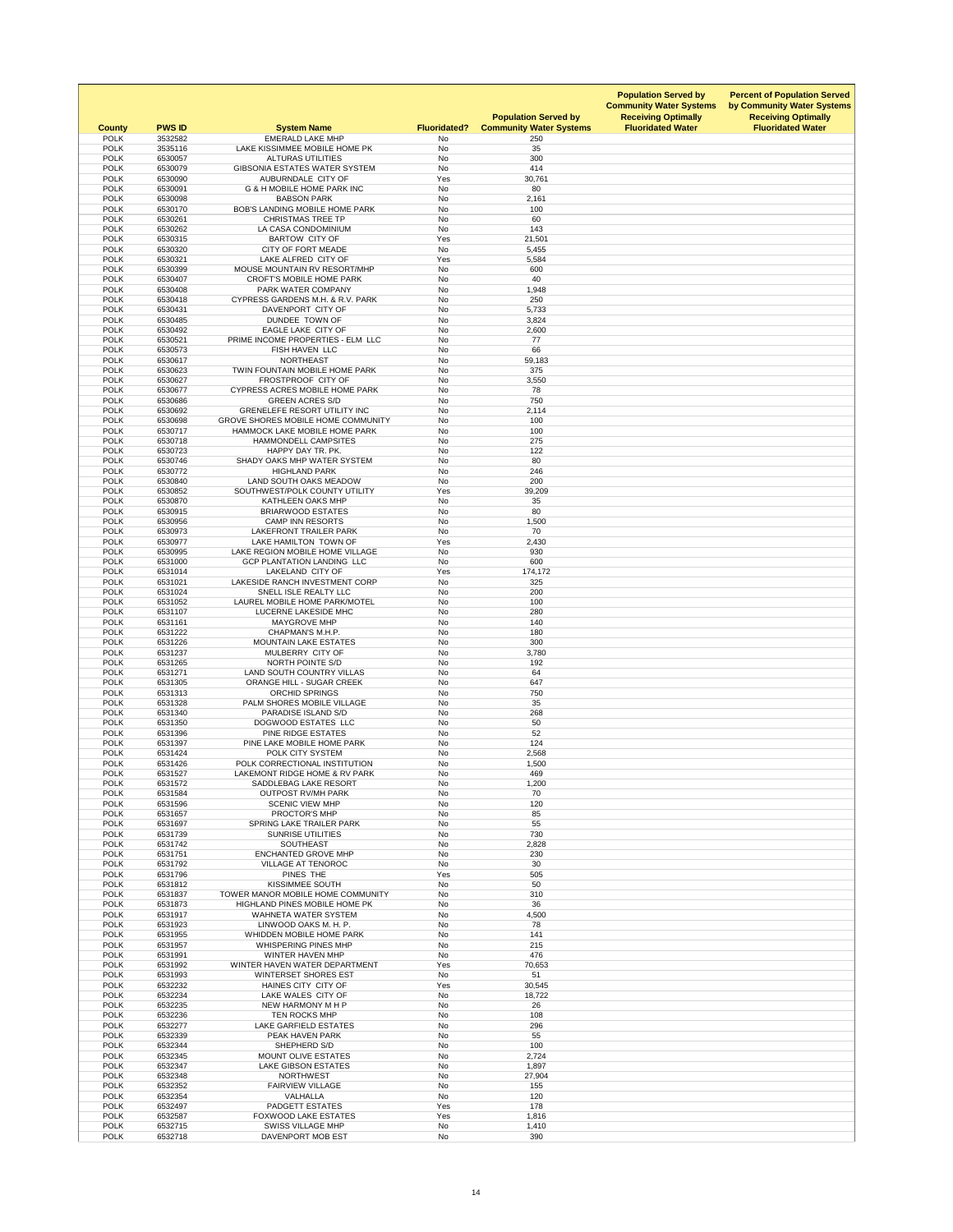| <b>County</b>              | <b>PWS ID</b>      | <b>System Name</b>                                                 | <b>Fluoridated?</b> | <b>Population Served by</b><br><b>Community Water Systems</b> | <b>Population Served by</b><br><b>Community Water Systems</b><br><b>Receiving Optimally</b><br><b>Fluoridated Water</b> | <b>Percent of Population Served</b><br>by Community Water Systems<br><b>Receiving Optimally</b><br><b>Fluoridated Water</b> |
|----------------------------|--------------------|--------------------------------------------------------------------|---------------------|---------------------------------------------------------------|-------------------------------------------------------------------------------------------------------------------------|-----------------------------------------------------------------------------------------------------------------------------|
| <b>POLK</b><br><b>POLK</b> | 3532582<br>3535116 | <b>EMERALD LAKE MHP</b><br>LAKE KISSIMMEE MOBILE HOME PK           | No<br><b>No</b>     | 250<br>35                                                     |                                                                                                                         |                                                                                                                             |
| <b>POLK</b>                | 6530057            | <b>ALTURAS UTILITIES</b>                                           | No                  | 300                                                           |                                                                                                                         |                                                                                                                             |
| <b>POLK</b>                | 6530079            | GIBSONIA ESTATES WATER SYSTEM                                      | <b>No</b>           | 414                                                           |                                                                                                                         |                                                                                                                             |
| <b>POLK</b>                | 6530090            | AUBURNDALE CITY OF                                                 | Yes                 | 30,761                                                        |                                                                                                                         |                                                                                                                             |
| <b>POLK</b><br><b>POLK</b> | 6530091<br>6530098 | <b>G &amp; H MOBILE HOME PARK INC</b><br><b>BABSON PARK</b>        | No<br><b>No</b>     | 80<br>2,161                                                   |                                                                                                                         |                                                                                                                             |
| <b>POLK</b>                | 6530170            | <b>BOB'S LANDING MOBILE HOME PARK</b>                              | <b>No</b>           | 100                                                           |                                                                                                                         |                                                                                                                             |
| <b>POLK</b>                | 6530261            | <b>CHRISTMAS TREE TP</b>                                           | No                  | 60                                                            |                                                                                                                         |                                                                                                                             |
| <b>POLK</b>                | 6530262            | LA CASA CONDOMINIUM                                                | <b>No</b>           | 143                                                           |                                                                                                                         |                                                                                                                             |
| <b>POLK</b><br><b>POLK</b> | 6530315<br>6530320 | <b>BARTOW CITY OF</b><br><b>CITY OF FORT MEADE</b>                 | Yes<br>No           | 21,501<br>5,455                                               |                                                                                                                         |                                                                                                                             |
| <b>POLK</b>                | 6530321            | LAKE ALFRED CITY OF                                                | Yes                 | 5,584                                                         |                                                                                                                         |                                                                                                                             |
| <b>POLK</b>                | 6530399            | MOUSE MOUNTAIN RV RESORT/MHP                                       | No                  | 600                                                           |                                                                                                                         |                                                                                                                             |
| <b>POLK</b>                | 6530407            | <b>CROFT'S MOBILE HOME PARK</b>                                    | No                  | 40                                                            |                                                                                                                         |                                                                                                                             |
| <b>POLK</b><br><b>POLK</b> | 6530408<br>6530418 | PARK WATER COMPANY<br><b>CYPRESS GARDENS M.H. &amp; R.V. PARK</b>  | <b>No</b><br>No     | 1,948<br>250                                                  |                                                                                                                         |                                                                                                                             |
| <b>POLK</b>                | 6530431            | DAVENPORT CITY OF                                                  | No                  | 5,733                                                         |                                                                                                                         |                                                                                                                             |
| <b>POLK</b>                | 6530485            | DUNDEE TOWN OF                                                     | <b>No</b>           | 3,824                                                         |                                                                                                                         |                                                                                                                             |
| <b>POLK</b>                | 6530492            | EAGLE LAKE CITY OF                                                 | No                  | 2,600                                                         |                                                                                                                         |                                                                                                                             |
| <b>POLK</b>                | 6530521            | PRIME INCOME PROPERTIES - ELM LLC                                  | No                  | 77                                                            |                                                                                                                         |                                                                                                                             |
| <b>POLK</b><br><b>POLK</b> | 6530573<br>6530617 | FISH HAVEN LLC<br><b>NORTHEAST</b>                                 | <b>No</b><br>No     | 66<br>59,183                                                  |                                                                                                                         |                                                                                                                             |
| <b>POLK</b>                | 6530623            | TWIN FOUNTAIN MOBILE HOME PARK                                     | No                  | 375                                                           |                                                                                                                         |                                                                                                                             |
| <b>POLK</b>                | 6530627            | FROSTPROOF CITY OF                                                 | No                  | 3,550                                                         |                                                                                                                         |                                                                                                                             |
| <b>POLK</b>                | 6530677            | <b>CYPRESS ACRES MOBILE HOME PARK</b>                              | No                  | 78                                                            |                                                                                                                         |                                                                                                                             |
| <b>POLK</b><br><b>POLK</b> | 6530686<br>6530692 | <b>GREEN ACRES S/D</b><br><b>GRENELEFE RESORT UTILITY INC</b>      | No                  | 750                                                           |                                                                                                                         |                                                                                                                             |
| <b>POLK</b>                | 6530698            | GROVE SHORES MOBILE HOME COMMUNITY                                 | No<br>No            | 2,114<br>100                                                  |                                                                                                                         |                                                                                                                             |
| <b>POLK</b>                | 6530717            | HAMMOCK LAKE MOBILE HOME PARK                                      | No                  | 100                                                           |                                                                                                                         |                                                                                                                             |
| <b>POLK</b>                | 6530718            | <b>HAMMONDELL CAMPSITES</b>                                        | <b>No</b>           | 275                                                           |                                                                                                                         |                                                                                                                             |
| <b>POLK</b>                | 6530723            | HAPPY DAY TR. PK.                                                  | No                  | 122                                                           |                                                                                                                         |                                                                                                                             |
| <b>POLK</b><br><b>POLK</b> | 6530746<br>6530772 | SHADY OAKS MHP WATER SYSTEM<br><b>HIGHLAND PARK</b>                | No<br>No            | 80<br>246                                                     |                                                                                                                         |                                                                                                                             |
| <b>POLK</b>                | 6530840            | LAND SOUTH OAKS MEADOW                                             | No                  | 200                                                           |                                                                                                                         |                                                                                                                             |
| <b>POLK</b>                | 6530852            | SOUTHWEST/POLK COUNTY UTILITY                                      | Yes                 | 39,209                                                        |                                                                                                                         |                                                                                                                             |
| <b>POLK</b>                | 6530870            | <b>KATHLEEN OAKS MHP</b>                                           | No                  | 35                                                            |                                                                                                                         |                                                                                                                             |
| <b>POLK</b>                | 6530915            | <b>BRIARWOOD ESTATES</b>                                           | No                  | 80                                                            |                                                                                                                         |                                                                                                                             |
| <b>POLK</b><br><b>POLK</b> | 6530956<br>6530973 | <b>CAMP INN RESORTS</b><br>LAKEFRONT TRAILER PARK                  | No<br>No            | 1,500<br>70                                                   |                                                                                                                         |                                                                                                                             |
| <b>POLK</b>                | 6530977            | LAKE HAMILTON TOWN OF                                              | Yes                 | 2,430                                                         |                                                                                                                         |                                                                                                                             |
| <b>POLK</b>                | 6530995            | LAKE REGION MOBILE HOME VILLAGE                                    | No                  | 930                                                           |                                                                                                                         |                                                                                                                             |
| <b>POLK</b>                | 6531000            | <b>GCP PLANTATION LANDING LLC</b>                                  | No                  | 600                                                           |                                                                                                                         |                                                                                                                             |
| <b>POLK</b><br><b>POLK</b> | 6531014<br>6531021 | LAKELAND CITY OF<br>LAKESIDE RANCH INVESTMENT CORP                 | Yes<br>No           | 174,172<br>325                                                |                                                                                                                         |                                                                                                                             |
| <b>POLK</b>                | 6531024            | SNELL ISLE REALTY LLC                                              | No                  | 200                                                           |                                                                                                                         |                                                                                                                             |
| <b>POLK</b>                | 6531052            | LAUREL MOBILE HOME PARK/MOTEL                                      | No                  | 100                                                           |                                                                                                                         |                                                                                                                             |
| <b>POLK</b>                | 6531107            | LUCERNE LAKESIDE MHC                                               | No                  | 280                                                           |                                                                                                                         |                                                                                                                             |
| <b>POLK</b><br><b>POLK</b> | 6531161            | <b>MAYGROVE MHP</b>                                                | No                  | 140                                                           |                                                                                                                         |                                                                                                                             |
| <b>POLK</b>                | 6531222<br>6531226 | CHAPMAN'S M.H.P.<br><b>MOUNTAIN LAKE ESTATES</b>                   | No<br><b>No</b>     | 180<br>300                                                    |                                                                                                                         |                                                                                                                             |
| <b>POLK</b>                | 6531237            | MULBERRY CITY OF                                                   | No                  | 3,780                                                         |                                                                                                                         |                                                                                                                             |
| <b>POLK</b>                | 6531265            | NORTH POINTE S/D                                                   | No                  | 192                                                           |                                                                                                                         |                                                                                                                             |
| <b>POLK</b>                | 6531271            | <b>LAND SOUTH COUNTRY VILLAS</b>                                   | <b>No</b>           | 64                                                            |                                                                                                                         |                                                                                                                             |
| <b>POLK</b><br><b>POLK</b> | 6531305<br>6531313 | <b>ORANGE HILL - SUGAR CREEK</b><br><b>ORCHID SPRINGS</b>          | No<br>No            | 647<br>750                                                    |                                                                                                                         |                                                                                                                             |
| <b>POLK</b>                | 6531328            | PALM SHORES MOBILE VILLAGE                                         | No                  | 35                                                            |                                                                                                                         |                                                                                                                             |
| <b>POLK</b>                | 6531340            | <b>PARADISE ISLAND S/D</b>                                         | No                  | 268                                                           |                                                                                                                         |                                                                                                                             |
| <b>POLK</b>                | 6531350            | DOGWOOD ESTATES LLC                                                | <b>No</b>           | 50                                                            |                                                                                                                         |                                                                                                                             |
| <b>POLK</b><br><b>POLK</b> | 6531396<br>6531397 | PINE RIDGE ESTATES<br>PINE LAKE MOBILE HOME PARK                   | No<br>No            | 52<br>124                                                     |                                                                                                                         |                                                                                                                             |
| <b>POLK</b>                | 6531424            | POLK CITY SYSTEM                                                   | No                  | 2,568                                                         |                                                                                                                         |                                                                                                                             |
| <b>POLK</b>                | 6531426            | POLK CORRECTIONAL INSTITUTION                                      | No                  | 1,500                                                         |                                                                                                                         |                                                                                                                             |
| <b>POLK</b>                | 6531527            | LAKEMONT RIDGE HOME & RV PARK                                      | No                  | 469                                                           |                                                                                                                         |                                                                                                                             |
| <b>POLK</b><br><b>POLK</b> | 6531572<br>6531584 | SADDLEBAG LAKE RESORT<br><b>OUTPOST RV/MH PARK</b>                 | No<br>No            | 1,200<br>70                                                   |                                                                                                                         |                                                                                                                             |
| <b>POLK</b>                | 6531596            | <b>SCENIC VIEW MHP</b>                                             | No                  | 120                                                           |                                                                                                                         |                                                                                                                             |
| <b>POLK</b>                | 6531657            | <b>PROCTOR'S MHP</b>                                               | No                  | 85                                                            |                                                                                                                         |                                                                                                                             |
| <b>POLK</b>                | 6531697            | <b>SPRING LAKE TRAILER PARK</b>                                    | No                  | 55                                                            |                                                                                                                         |                                                                                                                             |
| <b>POLK</b>                | 6531739            | <b>SUNRISE UTILITIES</b>                                           | No                  | 730                                                           |                                                                                                                         |                                                                                                                             |
| <b>POLK</b><br><b>POLK</b> | 6531742<br>6531751 | <b>SOUTHEAST</b><br><b>ENCHANTED GROVE MHP</b>                     | No<br>No            | 2,828<br>230                                                  |                                                                                                                         |                                                                                                                             |
| <b>POLK</b>                | 6531792            | <b>VILLAGE AT TENOROC</b>                                          | No                  | 30                                                            |                                                                                                                         |                                                                                                                             |
| <b>POLK</b>                | 6531796            | PINES THE                                                          | Yes                 | 505                                                           |                                                                                                                         |                                                                                                                             |
| <b>POLK</b>                | 6531812            | <b>KISSIMMEE SOUTH</b>                                             | No                  | 50                                                            |                                                                                                                         |                                                                                                                             |
| <b>POLK</b><br><b>POLK</b> | 6531837<br>6531873 | TOWER MANOR MOBILE HOME COMMUNITY<br>HIGHLAND PINES MOBILE HOME PK | No<br>No            | 310<br>36                                                     |                                                                                                                         |                                                                                                                             |
| <b>POLK</b>                | 6531917            | <b>WAHNETA WATER SYSTEM</b>                                        | No                  | 4,500                                                         |                                                                                                                         |                                                                                                                             |
| <b>POLK</b>                | 6531923            | LINWOOD OAKS M. H. P.                                              | <b>No</b>           | 78                                                            |                                                                                                                         |                                                                                                                             |
| <b>POLK</b>                | 6531955            | WHIDDEN MOBILE HOME PARK                                           | No                  | 141                                                           |                                                                                                                         |                                                                                                                             |
| <b>POLK</b><br><b>POLK</b> | 6531957<br>6531991 | <b>WHISPERING PINES MHP</b><br><b>WINTER HAVEN MHP</b>             | No<br><b>No</b>     | 215<br>476                                                    |                                                                                                                         |                                                                                                                             |
| <b>POLK</b>                | 6531992            | WINTER HAVEN WATER DEPARTMENT                                      | Yes                 | 70,653                                                        |                                                                                                                         |                                                                                                                             |
| <b>POLK</b>                | 6531993            | <b>WINTERSET SHORES EST</b>                                        | No                  | 51                                                            |                                                                                                                         |                                                                                                                             |
| <b>POLK</b>                | 6532232            | HAINES CITY CITY OF                                                | Yes                 | 30,545                                                        |                                                                                                                         |                                                                                                                             |
| <b>POLK</b><br><b>POLK</b> | 6532234            | LAKE WALES CITY OF<br>NEW HARMONY M H P                            | No<br>No            | 18,722                                                        |                                                                                                                         |                                                                                                                             |
| <b>POLK</b>                | 6532235<br>6532236 | <b>TEN ROCKS MHP</b>                                               | No                  | 26<br>108                                                     |                                                                                                                         |                                                                                                                             |
| <b>POLK</b>                | 6532277            | <b>LAKE GARFIELD ESTATES</b>                                       | No                  | 296                                                           |                                                                                                                         |                                                                                                                             |
| <b>POLK</b>                | 6532339            | PEAK HAVEN PARK                                                    | No                  | 55                                                            |                                                                                                                         |                                                                                                                             |
| <b>POLK</b>                | 6532344            | SHEPHERD S/D                                                       | <b>No</b>           | 100                                                           |                                                                                                                         |                                                                                                                             |
| <b>POLK</b><br><b>POLK</b> | 6532345<br>6532347 | <b>MOUNT OLIVE ESTATES</b><br><b>LAKE GIBSON ESTATES</b>           | No<br>No            | 2,724<br>1,897                                                |                                                                                                                         |                                                                                                                             |
| <b>POLK</b>                | 6532348            | <b>NORTHWEST</b>                                                   | No                  | 27,904                                                        |                                                                                                                         |                                                                                                                             |
| <b>POLK</b>                | 6532352            | <b>FAIRVIEW VILLAGE</b>                                            | No                  | 155                                                           |                                                                                                                         |                                                                                                                             |
| <b>POLK</b>                | 6532354            | VALHALLA                                                           | No                  | 120                                                           |                                                                                                                         |                                                                                                                             |
| <b>POLK</b><br><b>POLK</b> | 6532497<br>6532587 | <b>PADGETT ESTATES</b><br><b>FOXWOOD LAKE ESTATES</b>              | Yes<br>Yes          | 178<br>1,816                                                  |                                                                                                                         |                                                                                                                             |
| <b>POLK</b>                | 6532715            | <b>SWISS VILLAGE MHP</b>                                           | No                  | 1,410                                                         |                                                                                                                         |                                                                                                                             |
| <b>POLK</b>                | 6532718            | DAVENPORT MOB EST                                                  | No                  | 390                                                           |                                                                                                                         |                                                                                                                             |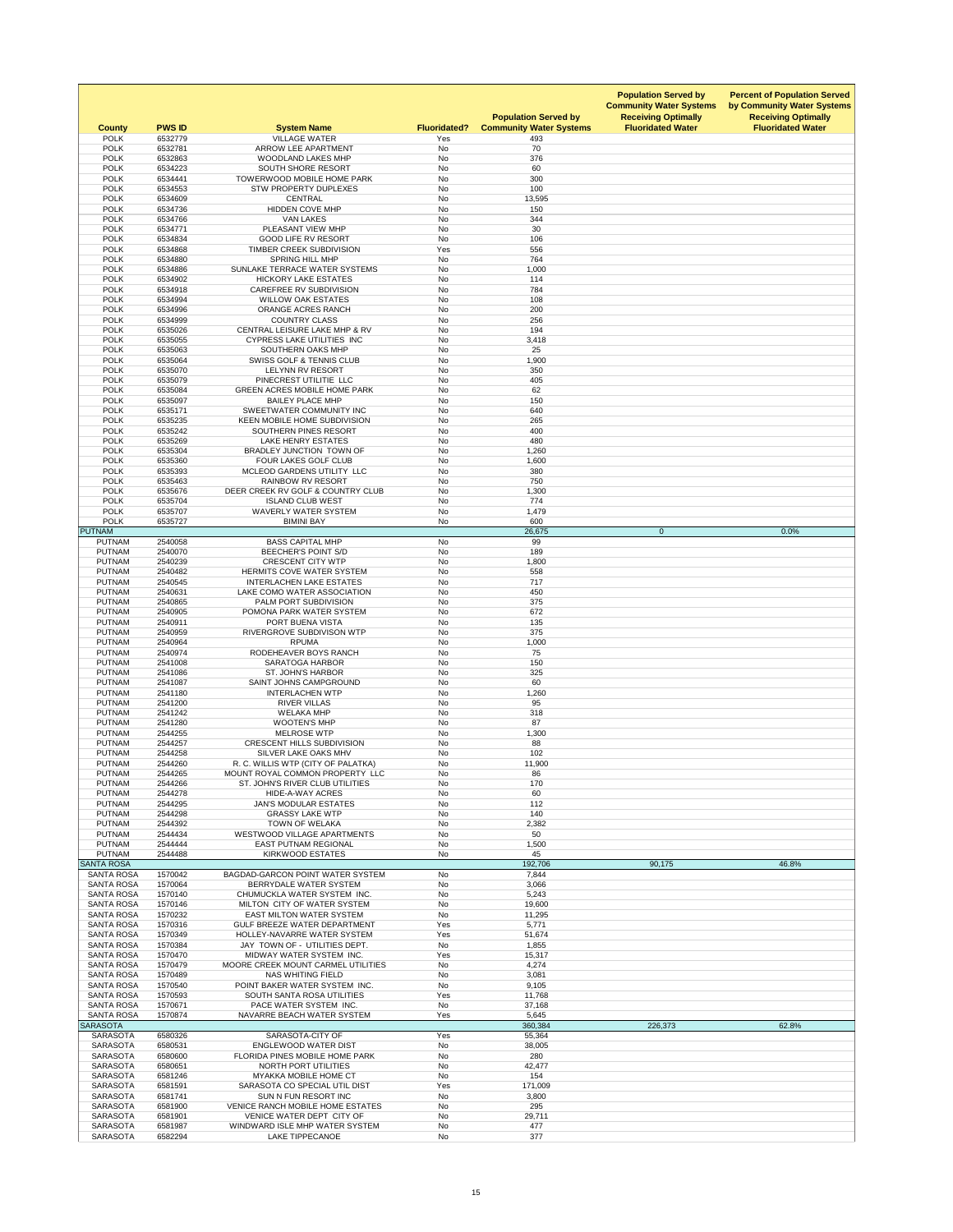| <b>County</b><br><b>POLK</b>           | <b>PWS ID</b><br>6532779 | <b>System Name</b><br><b>VILLAGE WATER</b>                           | <b>Fluoridated?</b><br>Yes | <b>Population Served by</b><br><b>Community Water Systems</b> | <b>Population Served by</b><br><b>Community Water Systems</b><br><b>Receiving Optimally</b><br><b>Fluoridated Water</b> | <b>Percent of Population Served</b><br>by Community Water Systems<br><b>Receiving Optimally</b><br><b>Fluoridated Water</b> |
|----------------------------------------|--------------------------|----------------------------------------------------------------------|----------------------------|---------------------------------------------------------------|-------------------------------------------------------------------------------------------------------------------------|-----------------------------------------------------------------------------------------------------------------------------|
| <b>POLK</b>                            | 6532781                  | ARROW LEE APARTMENT                                                  | <b>No</b>                  | 493<br>70                                                     |                                                                                                                         |                                                                                                                             |
| <b>POLK</b>                            | 6532863                  | <b>WOODLAND LAKES MHP</b>                                            | No                         | 376                                                           |                                                                                                                         |                                                                                                                             |
| <b>POLK</b>                            | 6534223                  | SOUTH SHORE RESORT                                                   | No                         | 60                                                            |                                                                                                                         |                                                                                                                             |
| <b>POLK</b><br><b>POLK</b>             | 6534441<br>6534553       | <b>TOWERWOOD MOBILE HOME PARK</b><br><b>STW PROPERTY DUPLEXES</b>    | <b>No</b><br>No            | 300<br>100                                                    |                                                                                                                         |                                                                                                                             |
| <b>POLK</b>                            | 6534609                  | <b>CENTRAL</b>                                                       | <b>No</b>                  | 13,595                                                        |                                                                                                                         |                                                                                                                             |
| <b>POLK</b>                            | 6534736                  | <b>HIDDEN COVE MHP</b>                                               | No                         | 150                                                           |                                                                                                                         |                                                                                                                             |
| <b>POLK</b>                            | 6534766                  | <b>VAN LAKES</b>                                                     | No                         | 344                                                           |                                                                                                                         |                                                                                                                             |
| <b>POLK</b>                            | 6534771                  | PLEASANT VIEW MHP                                                    | <b>No</b>                  | 30                                                            |                                                                                                                         |                                                                                                                             |
| <b>POLK</b><br><b>POLK</b>             | 6534834<br>6534868       | <b>GOOD LIFE RV RESORT</b><br>TIMBER CREEK SUBDIVISION               | <b>No</b><br>Yes           | 106<br>556                                                    |                                                                                                                         |                                                                                                                             |
| <b>POLK</b>                            | 6534880                  | <b>SPRING HILL MHP</b>                                               | <b>No</b>                  | 764                                                           |                                                                                                                         |                                                                                                                             |
| <b>POLK</b>                            | 6534886                  | SUNLAKE TERRACE WATER SYSTEMS                                        | No                         | 1,000                                                         |                                                                                                                         |                                                                                                                             |
| <b>POLK</b><br><b>POLK</b>             | 6534902<br>6534918       | <b>HICKORY LAKE ESTATES</b><br><b>CAREFREE RV SUBDIVISION</b>        | No<br><b>No</b>            | 114<br>784                                                    |                                                                                                                         |                                                                                                                             |
| <b>POLK</b>                            | 6534994                  | <b>WILLOW OAK ESTATES</b>                                            | No                         | 108                                                           |                                                                                                                         |                                                                                                                             |
| <b>POLK</b>                            | 6534996                  | <b>ORANGE ACRES RANCH</b>                                            | <b>No</b>                  | 200                                                           |                                                                                                                         |                                                                                                                             |
| <b>POLK</b>                            | 6534999                  | <b>COUNTRY CLASS</b>                                                 | <b>No</b>                  | 256                                                           |                                                                                                                         |                                                                                                                             |
| <b>POLK</b><br><b>POLK</b>             | 6535026<br>6535055       | CENTRAL LEISURE LAKE MHP & RV<br><b>CYPRESS LAKE UTILITIES INC</b>   | No<br>No                   | 194<br>3,418                                                  |                                                                                                                         |                                                                                                                             |
| <b>POLK</b>                            | 6535063                  | SOUTHERN OAKS MHP                                                    | <b>No</b>                  | 25                                                            |                                                                                                                         |                                                                                                                             |
| <b>POLK</b>                            | 6535064                  | <b>SWISS GOLF &amp; TENNIS CLUB</b>                                  | No                         | 1,900                                                         |                                                                                                                         |                                                                                                                             |
| <b>POLK</b>                            | 6535070                  | LELYNN RV RESORT                                                     | No                         | 350                                                           |                                                                                                                         |                                                                                                                             |
| <b>POLK</b>                            | 6535079                  | PINECREST UTILITIE LLC<br><b>GREEN ACRES MOBILE HOME PARK</b>        | No<br><b>No</b>            | 405                                                           |                                                                                                                         |                                                                                                                             |
| <b>POLK</b><br><b>POLK</b>             | 6535084<br>6535097       | <b>BAILEY PLACE MHP</b>                                              | No                         | 62<br>150                                                     |                                                                                                                         |                                                                                                                             |
| <b>POLK</b>                            | 6535171                  | SWEETWATER COMMUNITY INC                                             | <b>No</b>                  | 640                                                           |                                                                                                                         |                                                                                                                             |
| <b>POLK</b>                            | 6535235                  | <b>KEEN MOBILE HOME SUBDIVISION</b>                                  | No                         | 265                                                           |                                                                                                                         |                                                                                                                             |
| <b>POLK</b>                            | 6535242                  | SOUTHERN PINES RESORT                                                | No                         | 400                                                           |                                                                                                                         |                                                                                                                             |
| <b>POLK</b><br><b>POLK</b>             | 6535269<br>6535304       | <b>LAKE HENRY ESTATES</b><br>BRADLEY JUNCTION TOWN OF                | <b>No</b><br>No            | 480<br>1,260                                                  |                                                                                                                         |                                                                                                                             |
| <b>POLK</b>                            | 6535360                  | FOUR LAKES GOLF CLUB                                                 | <b>No</b>                  | 1,600                                                         |                                                                                                                         |                                                                                                                             |
| <b>POLK</b>                            | 6535393                  | MCLEOD GARDENS UTILITY LLC                                           | No                         | 380                                                           |                                                                                                                         |                                                                                                                             |
| <b>POLK</b>                            | 6535463                  | <b>RAINBOW RV RESORT</b>                                             | No                         | 750                                                           |                                                                                                                         |                                                                                                                             |
| <b>POLK</b><br><b>POLK</b>             | 6535676<br>6535704       | DEER CREEK RV GOLF & COUNTRY CLUB<br><b>ISLAND CLUB WEST</b>         | No<br>No                   | 1,300<br>774                                                  |                                                                                                                         |                                                                                                                             |
| <b>POLK</b>                            | 6535707                  | <b>WAVERLY WATER SYSTEM</b>                                          | No                         | 1,479                                                         |                                                                                                                         |                                                                                                                             |
| <b>POLK</b>                            | 6535727                  | <b>BIMINI BAY</b>                                                    | <b>No</b>                  | 600                                                           |                                                                                                                         |                                                                                                                             |
| <b>PUTNAM</b>                          |                          |                                                                      |                            | 26,675                                                        | $\overline{0}$                                                                                                          | 0.0%                                                                                                                        |
| <b>PUTNAM</b><br><b>PUTNAM</b>         | 2540058<br>2540070       | <b>BASS CAPITAL MHP</b><br><b>BEECHER'S POINT S/D</b>                | <b>No</b><br><b>No</b>     | 99<br>189                                                     |                                                                                                                         |                                                                                                                             |
| <b>PUTNAM</b>                          | 2540239                  | <b>CRESCENT CITY WTP</b>                                             | No                         | 1,800                                                         |                                                                                                                         |                                                                                                                             |
| <b>PUTNAM</b>                          | 2540482                  | HERMITS COVE WATER SYSTEM                                            | No                         | 558                                                           |                                                                                                                         |                                                                                                                             |
| <b>PUTNAM</b>                          | 2540545                  | <b>INTERLACHEN LAKE ESTATES</b>                                      | No                         | 717                                                           |                                                                                                                         |                                                                                                                             |
| <b>PUTNAM</b><br><b>PUTNAM</b>         | 2540631<br>2540865       | LAKE COMO WATER ASSOCIATION<br>PALM PORT SUBDIVISION                 | No<br>No                   | 450<br>375                                                    |                                                                                                                         |                                                                                                                             |
| <b>PUTNAM</b>                          | 2540905                  | POMONA PARK WATER SYSTEM                                             | No                         | 672                                                           |                                                                                                                         |                                                                                                                             |
| <b>PUTNAM</b>                          | 2540911                  | PORT BUENA VISTA                                                     | <b>No</b>                  | 135                                                           |                                                                                                                         |                                                                                                                             |
| <b>PUTNAM</b>                          | 2540959                  | RIVERGROVE SUBDIVISON WTP                                            | <b>No</b>                  | 375                                                           |                                                                                                                         |                                                                                                                             |
| <b>PUTNAM</b><br><b>PUTNAM</b>         | 2540964<br>2540974       | <b>RPUMA</b><br>RODEHEAVER BOYS RANCH                                | No<br>No                   | 1,000<br>75                                                   |                                                                                                                         |                                                                                                                             |
| <b>PUTNAM</b>                          | 2541008                  | <b>SARATOGA HARBOR</b>                                               | No                         | 150                                                           |                                                                                                                         |                                                                                                                             |
| <b>PUTNAM</b>                          | 2541086                  | <b>ST. JOHN'S HARBOR</b>                                             | No                         | 325                                                           |                                                                                                                         |                                                                                                                             |
| <b>PUTNAM</b>                          | 2541087                  | SAINT JOHNS CAMPGROUND                                               | No                         | 60                                                            |                                                                                                                         |                                                                                                                             |
| <b>PUTNAM</b><br><b>PUTNAM</b>         | 2541180<br>2541200       | <b>INTERLACHEN WTP</b><br><b>RIVER VILLAS</b>                        | <b>No</b><br>No            | 1,260<br>95                                                   |                                                                                                                         |                                                                                                                             |
| <b>PUTNAM</b>                          | 2541242                  | <b>WELAKA MHP</b>                                                    | No                         | 318                                                           |                                                                                                                         |                                                                                                                             |
| <b>PUTNAM</b>                          | 2541280                  | <b>WOOTEN'S MHP</b>                                                  | No                         | 87                                                            |                                                                                                                         |                                                                                                                             |
| <b>PUTNAM</b>                          | 2544255                  | <b>MELROSE WTP</b>                                                   | No                         | 1,300                                                         |                                                                                                                         |                                                                                                                             |
| <b>PUTNAM</b><br><b>PUTNAM</b>         | 2544257<br>2544258       | <b>CRESCENT HILLS SUBDIVISION</b><br>SILVER LAKE OAKS MHV            | <b>No</b><br><b>No</b>     | 88<br>102                                                     |                                                                                                                         |                                                                                                                             |
| <b>PUTNAM</b>                          | 2544260                  | R. C. WILLIS WTP (CITY OF PALATKA)                                   | No                         | 11,900                                                        |                                                                                                                         |                                                                                                                             |
| <b>PUTNAM</b>                          | 2544265                  | MOUNT ROYAL COMMON PROPERTY LLC                                      | No                         | 86                                                            |                                                                                                                         |                                                                                                                             |
| <b>PUTNAM</b>                          | 2544266                  | ST. JOHN'S RIVER CLUB UTILITIES                                      | No                         | 170                                                           |                                                                                                                         |                                                                                                                             |
| <b>PUTNAM</b>                          | 2544278                  | <b>HIDE-A-WAY ACRES</b>                                              | No                         | 60                                                            |                                                                                                                         |                                                                                                                             |
| <b>PUTNAM</b><br><b>PUTNAM</b>         | 2544295<br>2544298       | <b>JAN'S MODULAR ESTATES</b><br><b>GRASSY LAKE WTP</b>               | No<br>No                   | 112<br>140                                                    |                                                                                                                         |                                                                                                                             |
| <b>PUTNAM</b>                          | 2544392                  | <b>TOWN OF WELAKA</b>                                                | No                         | 2,382                                                         |                                                                                                                         |                                                                                                                             |
| <b>PUTNAM</b>                          | 2544434                  | <b>WESTWOOD VILLAGE APARTMENTS</b>                                   | <b>No</b>                  | 50                                                            |                                                                                                                         |                                                                                                                             |
| <b>PUTNAM</b>                          | 2544444                  | <b>EAST PUTNAM REGIONAL</b>                                          | No                         | 1,500                                                         |                                                                                                                         |                                                                                                                             |
| <b>PUTNAM</b><br><b>SANTA ROSA</b>     | 2544488                  | <b>KIRKWOOD ESTATES</b>                                              | No                         | 45<br>192,706                                                 | 90,175                                                                                                                  | 46.8%                                                                                                                       |
| <b>SANTA ROSA</b>                      | 1570042                  | BAGDAD-GARCON POINT WATER SYSTEM                                     | No                         | 7,844                                                         |                                                                                                                         |                                                                                                                             |
| <b>SANTA ROSA</b>                      | 1570064                  | <b>BERRYDALE WATER SYSTEM</b>                                        | No                         | 3,066                                                         |                                                                                                                         |                                                                                                                             |
| <b>SANTA ROSA</b>                      | 1570140                  | CHUMUCKLA WATER SYSTEM INC.                                          | <b>No</b>                  | 5,243                                                         |                                                                                                                         |                                                                                                                             |
| <b>SANTA ROSA</b><br><b>SANTA ROSA</b> | 1570146<br>1570232       | MILTON CITY OF WATER SYSTEM<br><b>EAST MILTON WATER SYSTEM</b>       | No<br>No                   | 19,600<br>11,295                                              |                                                                                                                         |                                                                                                                             |
| <b>SANTA ROSA</b>                      | 1570316                  | <b>GULF BREEZE WATER DEPARTMENT</b>                                  | Yes                        | 5,771                                                         |                                                                                                                         |                                                                                                                             |
| <b>SANTA ROSA</b>                      | 1570349                  | HOLLEY-NAVARRE WATER SYSTEM                                          | Yes                        | 51,674                                                        |                                                                                                                         |                                                                                                                             |
| <b>SANTA ROSA</b>                      | 1570384                  | JAY TOWN OF - UTILITIES DEPT.                                        | No                         | 1,855                                                         |                                                                                                                         |                                                                                                                             |
| <b>SANTA ROSA</b><br><b>SANTA ROSA</b> | 1570470<br>1570479       | MIDWAY WATER SYSTEM INC.<br>MOORE CREEK MOUNT CARMEL UTILITIES       | Yes<br>No                  | 15,317                                                        |                                                                                                                         |                                                                                                                             |
| <b>SANTA ROSA</b>                      | 1570489                  | <b>NAS WHITING FIELD</b>                                             | No                         | 4,274<br>3,081                                                |                                                                                                                         |                                                                                                                             |
| <b>SANTA ROSA</b>                      | 1570540                  | POINT BAKER WATER SYSTEM INC.                                        | No                         | 9,105                                                         |                                                                                                                         |                                                                                                                             |
| <b>SANTA ROSA</b>                      | 1570593                  | SOUTH SANTA ROSA UTILITIES                                           | Yes                        | 11,768                                                        |                                                                                                                         |                                                                                                                             |
| <b>SANTA ROSA</b>                      | 1570671                  | PACE WATER SYSTEM INC.                                               | No                         | 37,168                                                        |                                                                                                                         |                                                                                                                             |
| <b>SANTA ROSA</b><br>SARASOTA          | 1570874                  | NAVARRE BEACH WATER SYSTEM                                           | Yes                        | 5,645<br>360,384                                              | 226,373                                                                                                                 | 62.8%                                                                                                                       |
| <b>SARASOTA</b>                        | 6580326                  | SARASOTA-CITY OF                                                     | Yes                        | 55,364                                                        |                                                                                                                         |                                                                                                                             |
| <b>SARASOTA</b>                        | 6580531                  | <b>ENGLEWOOD WATER DIST</b>                                          | <b>No</b>                  | 38,005                                                        |                                                                                                                         |                                                                                                                             |
| <b>SARASOTA</b><br><b>SARASOTA</b>     | 6580600<br>6580651       | <b>FLORIDA PINES MOBILE HOME PARK</b><br>NORTH PORT UTILITIES        | No<br>No                   | 280<br>42,477                                                 |                                                                                                                         |                                                                                                                             |
| <b>SARASOTA</b>                        | 6581246                  | <b>MYAKKA MOBILE HOME CT</b>                                         | No                         | 154                                                           |                                                                                                                         |                                                                                                                             |
| <b>SARASOTA</b>                        | 6581591                  | SARASOTA CO SPECIAL UTIL DIST                                        | Yes                        | 171,009                                                       |                                                                                                                         |                                                                                                                             |
| <b>SARASOTA</b>                        | 6581741                  | SUN N FUN RESORT INC                                                 | No                         | 3,800                                                         |                                                                                                                         |                                                                                                                             |
| <b>SARASOTA</b><br><b>SARASOTA</b>     | 6581900<br>6581901       | <b>VENICE RANCH MOBILE HOME ESTATES</b><br>VENICE WATER DEPT CITY OF | No<br>No                   | 295<br>29,711                                                 |                                                                                                                         |                                                                                                                             |
| <b>SARASOTA</b>                        | 6581987                  | WINDWARD ISLE MHP WATER SYSTEM                                       | No                         | 477                                                           |                                                                                                                         |                                                                                                                             |
| <b>SARASOTA</b>                        | 6582294                  | <b>LAKE TIPPECANOE</b>                                               | No                         | 377                                                           |                                                                                                                         |                                                                                                                             |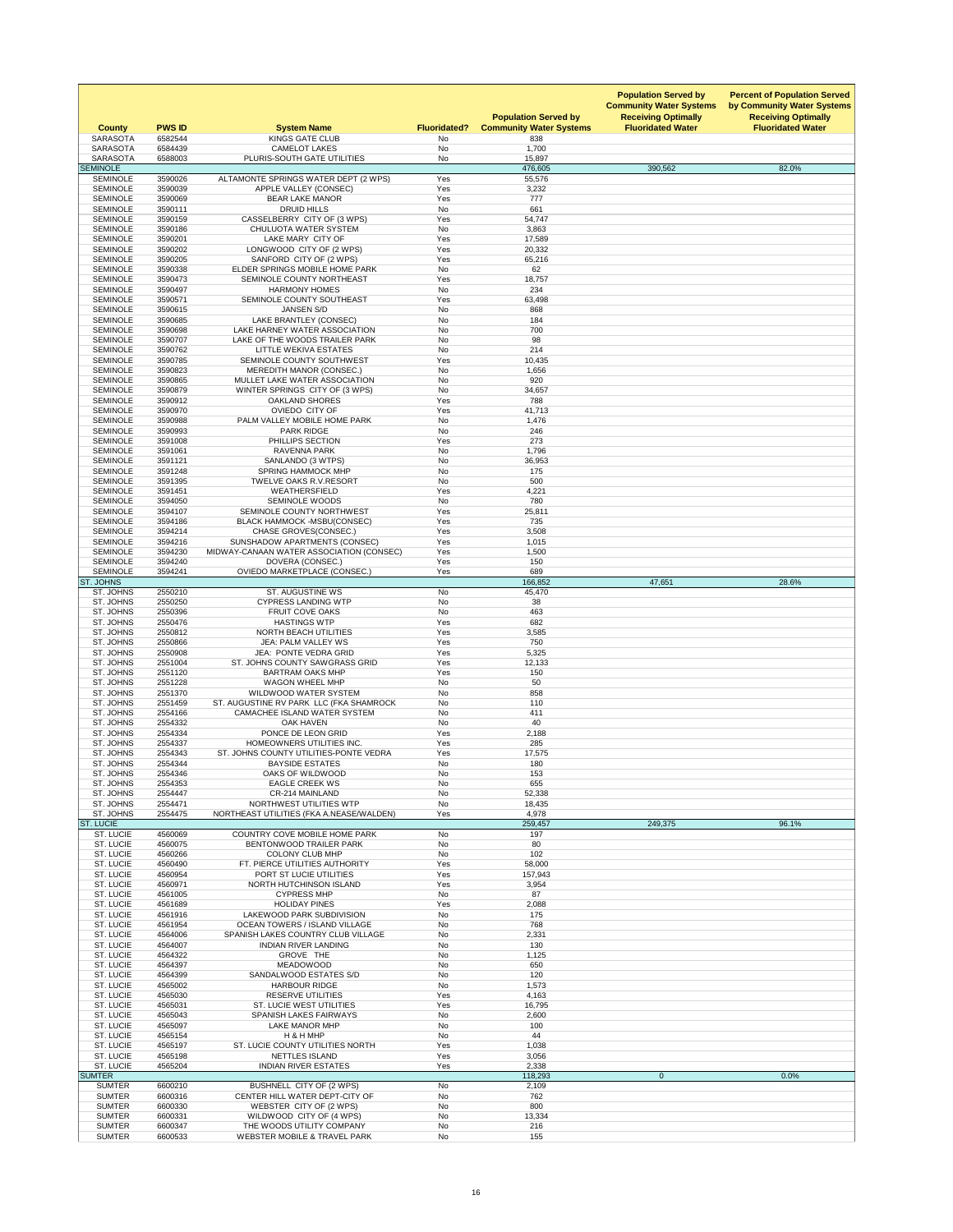| <b>No</b><br><b>SARASOTA</b><br><b>CAMELOT LAKES</b><br>1,700<br>6584439<br><b>SARASOTA</b><br>6588003<br>PLURIS-SOUTH GATE UTILITIES<br>No<br>15,897<br><b>SEMINOLE</b><br>476,605<br>390,562<br>82.0%<br>3590026<br>Yes<br><b>SEMINOLE</b><br>ALTAMONTE SPRINGS WATER DEPT (2 WPS)<br>55,576<br>Yes<br><b>SEMINOLE</b><br>3590039<br>APPLE VALLEY (CONSEC)<br>3,232<br><b>SEMINOLE</b><br>3590069<br><b>BEAR LAKE MANOR</b><br>Yes<br>777<br><b>DRUID HILLS</b><br><b>No</b><br>661<br><b>SEMINOLE</b><br>3590111<br><b>SEMINOLE</b><br>3590159<br>CASSELBERRY CITY OF (3 WPS)<br>Yes<br>54,747<br><b>CHULUOTA WATER SYSTEM</b><br><b>SEMINOLE</b><br>3590186<br><b>No</b><br>3,863<br>3590201<br>Yes<br><b>SEMINOLE</b><br>LAKE MARY CITY OF<br>17,589<br>Yes<br><b>SEMINOLE</b><br>3590202<br>LONGWOOD CITY OF (2 WPS)<br>20,332<br><b>SEMINOLE</b><br>SANFORD CITY OF (2 WPS)<br>Yes<br>3590205<br>65,216<br>62<br>ELDER SPRINGS MOBILE HOME PARK<br><b>No</b><br><b>SEMINOLE</b><br>3590338<br><b>SEMINOLE</b><br>3590473<br>SEMINOLE COUNTY NORTHEAST<br>Yes<br>18,757<br>234<br><b>SEMINOLE</b><br>3590497<br><b>No</b><br><b>HARMONY HOMES</b><br><b>SEMINOLE</b><br>Yes<br>3590571<br>SEMINOLE COUNTY SOUTHEAST<br>63,498<br><b>SEMINOLE</b><br>3590615<br><b>JANSEN S/D</b><br><b>No</b><br>868<br><b>SEMINOLE</b><br>LAKE BRANTLEY (CONSEC)<br><b>No</b><br>3590685<br>184<br>LAKE HARNEY WATER ASSOCIATION<br><b>SEMINOLE</b><br>3590698<br><b>No</b><br>700<br><b>SEMINOLE</b><br>3590707<br>LAKE OF THE WOODS TRAILER PARK<br><b>No</b><br>98<br><b>No</b><br>214<br><b>SEMINOLE</b><br>3590762<br><b>LITTLE WEKIVA ESTATES</b><br><b>SEMINOLE</b><br>3590785<br>SEMINOLE COUNTY SOUTHWEST<br>Yes<br>10,435<br><b>SEMINOLE</b><br>3590823<br><b>MEREDITH MANOR (CONSEC.)</b><br><b>No</b><br>1,656<br>MULLET LAKE WATER ASSOCIATION<br><b>No</b><br>920<br><b>SEMINOLE</b><br>3590865<br><b>SEMINOLE</b><br>WINTER SPRINGS CITY OF (3 WPS)<br><b>No</b><br>3590879<br>34,657<br>Yes<br><b>SEMINOLE</b><br>3590912<br><b>OAKLAND SHORES</b><br>788<br><b>OVIEDO CITY OF</b><br><b>SEMINOLE</b><br>41,713<br>3590970<br>Yes<br><b>SEMINOLE</b><br>3590988<br>PALM VALLEY MOBILE HOME PARK<br>1,476<br>No<br><b>SEMINOLE</b><br>3590993<br><b>PARK RIDGE</b><br>No<br>246<br><b>SEMINOLE</b><br>3591008<br>Yes<br>273<br>PHILLIPS SECTION<br><b>SEMINOLE</b><br>3591061<br><b>RAVENNA PARK</b><br>1,796<br>No<br><b>SEMINOLE</b><br>3591121<br>SANLANDO (3 WTPS)<br>No<br>36,953<br><b>SEMINOLE</b><br>3591248<br><b>SPRING HAMMOCK MHP</b><br><b>No</b><br>175<br><b>SEMINOLE</b><br>TWELVE OAKS R.V.RESORT<br>3591395<br>No<br>500<br><b>SEMINOLE</b><br>3591451<br><b>WEATHERSFIELD</b><br>Yes<br>4,221<br><b>SEMINOLE</b><br>3594050<br><b>SEMINOLE WOODS</b><br><b>No</b><br>780<br><b>SEMINOLE</b><br>3594107<br>SEMINOLE COUNTY NORTHWEST<br>Yes<br>25,811<br><b>SEMINOLE</b><br>3594186<br><b>BLACK HAMMOCK -MSBU(CONSEC)</b><br>Yes<br>735<br><b>SEMINOLE</b><br>3594214<br><b>CHASE GROVES(CONSEC.)</b><br>Yes<br>3,508<br><b>SEMINOLE</b><br>SUNSHADOW APARTMENTS (CONSEC)<br>Yes<br>3594216<br>1,015<br><b>SEMINOLE</b><br>3594230<br>MIDWAY-CANAAN WATER ASSOCIATION (CONSEC)<br>Yes<br>1,500<br><b>SEMINOLE</b><br>3594240<br>DOVERA (CONSEC.)<br>Yes<br>150<br><b>OVIEDO MARKETPLACE (CONSEC.)</b><br><b>SEMINOLE</b><br>3594241<br>Yes<br>689<br><b>ST. JOHNS</b><br>166,852<br>47,651<br>28.6%<br>ST. JOHNS<br>2550210<br><b>ST. AUGUSTINE WS</b><br><b>No</b><br>45,470<br>ST. JOHNS<br>2550250<br><b>CYPRESS LANDING WTP</b><br><b>No</b><br>38<br><b>No</b><br>ST. JOHNS<br>2550396<br><b>FRUIT COVE OAKS</b><br>463<br>ST. JOHNS<br>2550476<br><b>HASTINGS WTP</b><br>Yes<br>682<br>ST. JOHNS<br>2550812<br>3,585<br><b>NORTH BEACH UTILITIES</b><br>Yes<br>ST. JOHNS<br>2550866<br>JEA: PALM VALLEY WS<br>Yes<br>750<br>2550908<br>JEA: PONTE VEDRA GRID<br>Yes<br>5,325<br>ST. JOHNS<br>ST. JOHNS<br>2551004<br>ST. JOHNS COUNTY SAWGRASS GRID<br>Yes<br>12,133<br>ST. JOHNS<br>2551120<br>Yes<br><b>BARTRAM OAKS MHP</b><br>150<br>ST. JOHNS<br>2551228<br><b>WAGON WHEEL MHP</b><br><b>No</b><br>50<br>ST. JOHNS<br><b>WILDWOOD WATER SYSTEM</b><br>2551370<br>No<br>858<br>ST. JOHNS<br>2551459<br>ST. AUGUSTINE RV PARK LLC (FKA SHAMROCK<br><b>No</b><br>110<br>ST. JOHNS<br>2554166<br>CAMACHEE ISLAND WATER SYSTEM<br>No<br>411<br>ST. JOHNS<br>2554332<br>No<br><b>OAK HAVEN</b><br>40<br>ST. JOHNS<br>2554334<br>PONCE DE LEON GRID<br>2,188<br>Yes<br>2554337<br>285<br>ST. JOHNS<br>HOMEOWNERS UTILITIES INC.<br>Yes<br>ST. JOHNS<br>2554343<br>ST. JOHNS COUNTY UTILITIES-PONTE VEDRA<br>Yes<br>17,575<br>ST. JOHNS<br>2554344<br><b>BAYSIDE ESTATES</b><br>No<br>180<br>ST. JOHNS<br>OAKS OF WILDWOOD<br>2554346<br>No<br>153<br>655<br>ST. JOHNS<br>2554353<br><b>EAGLE CREEK WS</b><br><b>No</b><br>ST. JOHNS<br>2554447<br>CR-214 MAINLAND<br><b>No</b><br>52,338<br>ST. JOHNS<br>2554471<br>NORTHWEST UTILITIES WTP<br>No<br>18,435<br>Yes<br>ST. JOHNS<br>2554475<br>NORTHEAST UTILITIES (FKA A.NEASE/WALDEN)<br>4,978<br><b>ST. LUCIE</b><br>259,457<br>249,375<br>96.1%<br>ST. LUCIE<br><b>COUNTRY COVE MOBILE HOME PARK</b><br>197<br>4560069<br>No<br><b>No</b><br>ST. LUCIE<br>80<br>4560075<br>BENTONWOOD TRAILER PARK<br>ST. LUCIE<br>4560266<br><b>COLONY CLUB MHP</b><br><b>No</b><br>102<br>ST. LUCIE<br>4560490<br>FT. PIERCE UTILITIES AUTHORITY<br>Yes<br>58,000<br>ST. LUCIE<br>Yes<br>4560954<br>PORT ST LUCIE UTILITIES<br>157,943<br>ST. LUCIE<br>4560971<br><b>NORTH HUTCHINSON ISLAND</b><br>Yes<br>3,954<br>ST. LUCIE<br><b>CYPRESS MHP</b><br><b>No</b><br>87<br>4561005<br>ST. LUCIE<br>4561689<br><b>HOLIDAY PINES</b><br>Yes<br>2,088<br>ST. LUCIE<br>4561916<br>LAKEWOOD PARK SUBDIVISION<br>175<br>No<br>ST. LUCIE<br>4561954<br><b>OCEAN TOWERS / ISLAND VILLAGE</b><br>No<br>768<br>ST. LUCIE<br>4564006<br>SPANISH LAKES COUNTRY CLUB VILLAGE<br><b>No</b><br>2,331<br>ST. LUCIE<br><b>INDIAN RIVER LANDING</b><br>4564007<br><b>No</b><br>130<br>ST. LUCIE<br>4564322<br>GROVE THE<br>No<br>1,125<br><b>ST. LUCIE</b><br><b>MEADOWOOD</b><br>4564397<br>No<br>650<br>ST. LUCIE<br>4564399<br>SANDALWOOD ESTATES S/D<br>No<br>120<br>ST. LUCIE<br>4565002<br><b>HARBOUR RIDGE</b><br>No<br>1,573<br>ST. LUCIE<br>4565030<br><b>RESERVE UTILITIES</b><br>Yes<br>4,163<br>ST. LUCIE<br><b>ST. LUCIE WEST UTILITIES</b><br>4565031<br>Yes<br>16,795<br>ST. LUCIE<br>4565043<br><b>SPANISH LAKES FAIRWAYS</b><br>No<br>2,600<br><b>ST. LUCIE</b><br><b>No</b><br>4565097<br><b>LAKE MANOR MHP</b><br>100<br>ST. LUCIE<br>4565154<br>H & H MHP<br>No<br>44<br>ST. LUCIE<br>ST. LUCIE COUNTY UTILITIES NORTH<br>Yes<br>4565197<br>1,038<br>ST. LUCIE<br>Yes<br>4565198<br><b>NETTLES ISLAND</b><br>3,056<br>Yes<br>ST. LUCIE<br>4565204<br><b>INDIAN RIVER ESTATES</b><br>2,338<br><b>SUMTER</b><br>$\overline{0}$<br>0.0%<br>118,293<br><b>SUMTER</b><br>6600210<br>BUSHNELL CITY OF (2 WPS)<br>No<br>2,109<br><b>SUMTER</b><br>6600316<br>CENTER HILL WATER DEPT-CITY OF<br>No<br>762<br>No<br>800<br><b>SUMTER</b><br>6600330<br>WEBSTER CITY OF (2 WPS)<br><b>SUMTER</b><br>6600331<br>WILDWOOD CITY OF (4 WPS)<br>No<br>13,334<br><b>SUMTER</b><br>6600347<br>THE WOODS UTILITY COMPANY<br>No<br>216 | <b>County</b><br><b>SARASOTA</b> | <b>PWS ID</b><br>6582544 | <b>System Name</b><br><b>KINGS GATE CLUB</b> | <b>Fluoridated?</b><br>No | <b>Population Served by</b><br><b>Community Water Systems</b><br>838 | <b>Population Served by</b><br><b>Community Water Systems</b><br><b>Receiving Optimally</b><br><b>Fluoridated Water</b> | <b>Percent of Population Served</b><br>by Community Water Systems<br><b>Receiving Optimally</b><br><b>Fluoridated Water</b> |
|---------------------------------------------------------------------------------------------------------------------------------------------------------------------------------------------------------------------------------------------------------------------------------------------------------------------------------------------------------------------------------------------------------------------------------------------------------------------------------------------------------------------------------------------------------------------------------------------------------------------------------------------------------------------------------------------------------------------------------------------------------------------------------------------------------------------------------------------------------------------------------------------------------------------------------------------------------------------------------------------------------------------------------------------------------------------------------------------------------------------------------------------------------------------------------------------------------------------------------------------------------------------------------------------------------------------------------------------------------------------------------------------------------------------------------------------------------------------------------------------------------------------------------------------------------------------------------------------------------------------------------------------------------------------------------------------------------------------------------------------------------------------------------------------------------------------------------------------------------------------------------------------------------------------------------------------------------------------------------------------------------------------------------------------------------------------------------------------------------------------------------------------------------------------------------------------------------------------------------------------------------------------------------------------------------------------------------------------------------------------------------------------------------------------------------------------------------------------------------------------------------------------------------------------------------------------------------------------------------------------------------------------------------------------------------------------------------------------------------------------------------------------------------------------------------------------------------------------------------------------------------------------------------------------------------------------------------------------------------------------------------------------------------------------------------------------------------------------------------------------------------------------------------------------------------------------------------------------------------------------------------------------------------------------------------------------------------------------------------------------------------------------------------------------------------------------------------------------------------------------------------------------------------------------------------------------------------------------------------------------------------------------------------------------------------------------------------------------------------------------------------------------------------------------------------------------------------------------------------------------------------------------------------------------------------------------------------------------------------------------------------------------------------------------------------------------------------------------------------------------------------------------------------------------------------------------------------------------------------------------------------------------------------------------------------------------------------------------------------------------------------------------------------------------------------------------------------------------------------------------------------------------------------------------------------------------------------------------------------------------------------------------------------------------------------------------------------------------------------------------------------------------------------------------------------------------------------------------------------------------------------------------------------------------------------------------------------------------------------------------------------------------------------------------------------------------------------------------------------------------------------------------------------------------------------------------------------------------------------------------------------------------------------------------------------------------------------------------------------------------------------------------------------------------------------------------------------------------------------------------------------------------------------------------------------------------------------------------------------------------------------------------------------------------------------------------------------------------------------------------------------------------------------------------------------------------------------------------------------------------------------------------------------------------------------------------------------------------------------------------------------------------------------------------------------------------------------------------------------------------------------------------------------------------------------------------------------------------------------------------------------------------------------------------------------------------------------------------------------------------------------------------------------------------------------------------------------------------------------------------------------------------------------------------------------------------------------------------------------------------------------------------------------------------------------------------------------------------------------------------------------------------------------------------------------------------------------------------------------------------------------------------------------------------------------------------------------------------------------------------------------------------------------------------------------------------------------------------------------------------------------------------------------------------------------------------------------------------------------------------------------------------------------------|----------------------------------|--------------------------|----------------------------------------------|---------------------------|----------------------------------------------------------------------|-------------------------------------------------------------------------------------------------------------------------|-----------------------------------------------------------------------------------------------------------------------------|
|                                                                                                                                                                                                                                                                                                                                                                                                                                                                                                                                                                                                                                                                                                                                                                                                                                                                                                                                                                                                                                                                                                                                                                                                                                                                                                                                                                                                                                                                                                                                                                                                                                                                                                                                                                                                                                                                                                                                                                                                                                                                                                                                                                                                                                                                                                                                                                                                                                                                                                                                                                                                                                                                                                                                                                                                                                                                                                                                                                                                                                                                                                                                                                                                                                                                                                                                                                                                                                                                                                                                                                                                                                                                                                                                                                                                                                                                                                                                                                                                                                                                                                                                                                                                                                                                                                                                                                                                                                                                                                                                                                                                                                                                                                                                                                                                                                                                                                                                                                                                                                                                                                                                                                                                                                                                                                                                                                                                                                                                                                                                                                                                                                                                                                                                                                                                                                                                                                                                                                                                                                                                                                                                                                                                                                                                                                                                                                                                                                                                                                                                                                                                                                                                                                                                                                                                                                                                                                                                                                                                                                                                                                                                                                                                                                                                                       |                                  |                          |                                              |                           |                                                                      |                                                                                                                         |                                                                                                                             |
|                                                                                                                                                                                                                                                                                                                                                                                                                                                                                                                                                                                                                                                                                                                                                                                                                                                                                                                                                                                                                                                                                                                                                                                                                                                                                                                                                                                                                                                                                                                                                                                                                                                                                                                                                                                                                                                                                                                                                                                                                                                                                                                                                                                                                                                                                                                                                                                                                                                                                                                                                                                                                                                                                                                                                                                                                                                                                                                                                                                                                                                                                                                                                                                                                                                                                                                                                                                                                                                                                                                                                                                                                                                                                                                                                                                                                                                                                                                                                                                                                                                                                                                                                                                                                                                                                                                                                                                                                                                                                                                                                                                                                                                                                                                                                                                                                                                                                                                                                                                                                                                                                                                                                                                                                                                                                                                                                                                                                                                                                                                                                                                                                                                                                                                                                                                                                                                                                                                                                                                                                                                                                                                                                                                                                                                                                                                                                                                                                                                                                                                                                                                                                                                                                                                                                                                                                                                                                                                                                                                                                                                                                                                                                                                                                                                                                       |                                  |                          |                                              |                           |                                                                      |                                                                                                                         |                                                                                                                             |
|                                                                                                                                                                                                                                                                                                                                                                                                                                                                                                                                                                                                                                                                                                                                                                                                                                                                                                                                                                                                                                                                                                                                                                                                                                                                                                                                                                                                                                                                                                                                                                                                                                                                                                                                                                                                                                                                                                                                                                                                                                                                                                                                                                                                                                                                                                                                                                                                                                                                                                                                                                                                                                                                                                                                                                                                                                                                                                                                                                                                                                                                                                                                                                                                                                                                                                                                                                                                                                                                                                                                                                                                                                                                                                                                                                                                                                                                                                                                                                                                                                                                                                                                                                                                                                                                                                                                                                                                                                                                                                                                                                                                                                                                                                                                                                                                                                                                                                                                                                                                                                                                                                                                                                                                                                                                                                                                                                                                                                                                                                                                                                                                                                                                                                                                                                                                                                                                                                                                                                                                                                                                                                                                                                                                                                                                                                                                                                                                                                                                                                                                                                                                                                                                                                                                                                                                                                                                                                                                                                                                                                                                                                                                                                                                                                                                                       |                                  |                          |                                              |                           |                                                                      |                                                                                                                         |                                                                                                                             |
|                                                                                                                                                                                                                                                                                                                                                                                                                                                                                                                                                                                                                                                                                                                                                                                                                                                                                                                                                                                                                                                                                                                                                                                                                                                                                                                                                                                                                                                                                                                                                                                                                                                                                                                                                                                                                                                                                                                                                                                                                                                                                                                                                                                                                                                                                                                                                                                                                                                                                                                                                                                                                                                                                                                                                                                                                                                                                                                                                                                                                                                                                                                                                                                                                                                                                                                                                                                                                                                                                                                                                                                                                                                                                                                                                                                                                                                                                                                                                                                                                                                                                                                                                                                                                                                                                                                                                                                                                                                                                                                                                                                                                                                                                                                                                                                                                                                                                                                                                                                                                                                                                                                                                                                                                                                                                                                                                                                                                                                                                                                                                                                                                                                                                                                                                                                                                                                                                                                                                                                                                                                                                                                                                                                                                                                                                                                                                                                                                                                                                                                                                                                                                                                                                                                                                                                                                                                                                                                                                                                                                                                                                                                                                                                                                                                                                       |                                  |                          |                                              |                           |                                                                      |                                                                                                                         |                                                                                                                             |
|                                                                                                                                                                                                                                                                                                                                                                                                                                                                                                                                                                                                                                                                                                                                                                                                                                                                                                                                                                                                                                                                                                                                                                                                                                                                                                                                                                                                                                                                                                                                                                                                                                                                                                                                                                                                                                                                                                                                                                                                                                                                                                                                                                                                                                                                                                                                                                                                                                                                                                                                                                                                                                                                                                                                                                                                                                                                                                                                                                                                                                                                                                                                                                                                                                                                                                                                                                                                                                                                                                                                                                                                                                                                                                                                                                                                                                                                                                                                                                                                                                                                                                                                                                                                                                                                                                                                                                                                                                                                                                                                                                                                                                                                                                                                                                                                                                                                                                                                                                                                                                                                                                                                                                                                                                                                                                                                                                                                                                                                                                                                                                                                                                                                                                                                                                                                                                                                                                                                                                                                                                                                                                                                                                                                                                                                                                                                                                                                                                                                                                                                                                                                                                                                                                                                                                                                                                                                                                                                                                                                                                                                                                                                                                                                                                                                                       |                                  |                          |                                              |                           |                                                                      |                                                                                                                         |                                                                                                                             |
|                                                                                                                                                                                                                                                                                                                                                                                                                                                                                                                                                                                                                                                                                                                                                                                                                                                                                                                                                                                                                                                                                                                                                                                                                                                                                                                                                                                                                                                                                                                                                                                                                                                                                                                                                                                                                                                                                                                                                                                                                                                                                                                                                                                                                                                                                                                                                                                                                                                                                                                                                                                                                                                                                                                                                                                                                                                                                                                                                                                                                                                                                                                                                                                                                                                                                                                                                                                                                                                                                                                                                                                                                                                                                                                                                                                                                                                                                                                                                                                                                                                                                                                                                                                                                                                                                                                                                                                                                                                                                                                                                                                                                                                                                                                                                                                                                                                                                                                                                                                                                                                                                                                                                                                                                                                                                                                                                                                                                                                                                                                                                                                                                                                                                                                                                                                                                                                                                                                                                                                                                                                                                                                                                                                                                                                                                                                                                                                                                                                                                                                                                                                                                                                                                                                                                                                                                                                                                                                                                                                                                                                                                                                                                                                                                                                                                       |                                  |                          |                                              |                           |                                                                      |                                                                                                                         |                                                                                                                             |
|                                                                                                                                                                                                                                                                                                                                                                                                                                                                                                                                                                                                                                                                                                                                                                                                                                                                                                                                                                                                                                                                                                                                                                                                                                                                                                                                                                                                                                                                                                                                                                                                                                                                                                                                                                                                                                                                                                                                                                                                                                                                                                                                                                                                                                                                                                                                                                                                                                                                                                                                                                                                                                                                                                                                                                                                                                                                                                                                                                                                                                                                                                                                                                                                                                                                                                                                                                                                                                                                                                                                                                                                                                                                                                                                                                                                                                                                                                                                                                                                                                                                                                                                                                                                                                                                                                                                                                                                                                                                                                                                                                                                                                                                                                                                                                                                                                                                                                                                                                                                                                                                                                                                                                                                                                                                                                                                                                                                                                                                                                                                                                                                                                                                                                                                                                                                                                                                                                                                                                                                                                                                                                                                                                                                                                                                                                                                                                                                                                                                                                                                                                                                                                                                                                                                                                                                                                                                                                                                                                                                                                                                                                                                                                                                                                                                                       |                                  |                          |                                              |                           |                                                                      |                                                                                                                         |                                                                                                                             |
|                                                                                                                                                                                                                                                                                                                                                                                                                                                                                                                                                                                                                                                                                                                                                                                                                                                                                                                                                                                                                                                                                                                                                                                                                                                                                                                                                                                                                                                                                                                                                                                                                                                                                                                                                                                                                                                                                                                                                                                                                                                                                                                                                                                                                                                                                                                                                                                                                                                                                                                                                                                                                                                                                                                                                                                                                                                                                                                                                                                                                                                                                                                                                                                                                                                                                                                                                                                                                                                                                                                                                                                                                                                                                                                                                                                                                                                                                                                                                                                                                                                                                                                                                                                                                                                                                                                                                                                                                                                                                                                                                                                                                                                                                                                                                                                                                                                                                                                                                                                                                                                                                                                                                                                                                                                                                                                                                                                                                                                                                                                                                                                                                                                                                                                                                                                                                                                                                                                                                                                                                                                                                                                                                                                                                                                                                                                                                                                                                                                                                                                                                                                                                                                                                                                                                                                                                                                                                                                                                                                                                                                                                                                                                                                                                                                                                       |                                  |                          |                                              |                           |                                                                      |                                                                                                                         |                                                                                                                             |
|                                                                                                                                                                                                                                                                                                                                                                                                                                                                                                                                                                                                                                                                                                                                                                                                                                                                                                                                                                                                                                                                                                                                                                                                                                                                                                                                                                                                                                                                                                                                                                                                                                                                                                                                                                                                                                                                                                                                                                                                                                                                                                                                                                                                                                                                                                                                                                                                                                                                                                                                                                                                                                                                                                                                                                                                                                                                                                                                                                                                                                                                                                                                                                                                                                                                                                                                                                                                                                                                                                                                                                                                                                                                                                                                                                                                                                                                                                                                                                                                                                                                                                                                                                                                                                                                                                                                                                                                                                                                                                                                                                                                                                                                                                                                                                                                                                                                                                                                                                                                                                                                                                                                                                                                                                                                                                                                                                                                                                                                                                                                                                                                                                                                                                                                                                                                                                                                                                                                                                                                                                                                                                                                                                                                                                                                                                                                                                                                                                                                                                                                                                                                                                                                                                                                                                                                                                                                                                                                                                                                                                                                                                                                                                                                                                                                                       |                                  |                          |                                              |                           |                                                                      |                                                                                                                         |                                                                                                                             |
|                                                                                                                                                                                                                                                                                                                                                                                                                                                                                                                                                                                                                                                                                                                                                                                                                                                                                                                                                                                                                                                                                                                                                                                                                                                                                                                                                                                                                                                                                                                                                                                                                                                                                                                                                                                                                                                                                                                                                                                                                                                                                                                                                                                                                                                                                                                                                                                                                                                                                                                                                                                                                                                                                                                                                                                                                                                                                                                                                                                                                                                                                                                                                                                                                                                                                                                                                                                                                                                                                                                                                                                                                                                                                                                                                                                                                                                                                                                                                                                                                                                                                                                                                                                                                                                                                                                                                                                                                                                                                                                                                                                                                                                                                                                                                                                                                                                                                                                                                                                                                                                                                                                                                                                                                                                                                                                                                                                                                                                                                                                                                                                                                                                                                                                                                                                                                                                                                                                                                                                                                                                                                                                                                                                                                                                                                                                                                                                                                                                                                                                                                                                                                                                                                                                                                                                                                                                                                                                                                                                                                                                                                                                                                                                                                                                                                       |                                  |                          |                                              |                           |                                                                      |                                                                                                                         |                                                                                                                             |
|                                                                                                                                                                                                                                                                                                                                                                                                                                                                                                                                                                                                                                                                                                                                                                                                                                                                                                                                                                                                                                                                                                                                                                                                                                                                                                                                                                                                                                                                                                                                                                                                                                                                                                                                                                                                                                                                                                                                                                                                                                                                                                                                                                                                                                                                                                                                                                                                                                                                                                                                                                                                                                                                                                                                                                                                                                                                                                                                                                                                                                                                                                                                                                                                                                                                                                                                                                                                                                                                                                                                                                                                                                                                                                                                                                                                                                                                                                                                                                                                                                                                                                                                                                                                                                                                                                                                                                                                                                                                                                                                                                                                                                                                                                                                                                                                                                                                                                                                                                                                                                                                                                                                                                                                                                                                                                                                                                                                                                                                                                                                                                                                                                                                                                                                                                                                                                                                                                                                                                                                                                                                                                                                                                                                                                                                                                                                                                                                                                                                                                                                                                                                                                                                                                                                                                                                                                                                                                                                                                                                                                                                                                                                                                                                                                                                                       |                                  |                          |                                              |                           |                                                                      |                                                                                                                         |                                                                                                                             |
|                                                                                                                                                                                                                                                                                                                                                                                                                                                                                                                                                                                                                                                                                                                                                                                                                                                                                                                                                                                                                                                                                                                                                                                                                                                                                                                                                                                                                                                                                                                                                                                                                                                                                                                                                                                                                                                                                                                                                                                                                                                                                                                                                                                                                                                                                                                                                                                                                                                                                                                                                                                                                                                                                                                                                                                                                                                                                                                                                                                                                                                                                                                                                                                                                                                                                                                                                                                                                                                                                                                                                                                                                                                                                                                                                                                                                                                                                                                                                                                                                                                                                                                                                                                                                                                                                                                                                                                                                                                                                                                                                                                                                                                                                                                                                                                                                                                                                                                                                                                                                                                                                                                                                                                                                                                                                                                                                                                                                                                                                                                                                                                                                                                                                                                                                                                                                                                                                                                                                                                                                                                                                                                                                                                                                                                                                                                                                                                                                                                                                                                                                                                                                                                                                                                                                                                                                                                                                                                                                                                                                                                                                                                                                                                                                                                                                       |                                  |                          |                                              |                           |                                                                      |                                                                                                                         |                                                                                                                             |
|                                                                                                                                                                                                                                                                                                                                                                                                                                                                                                                                                                                                                                                                                                                                                                                                                                                                                                                                                                                                                                                                                                                                                                                                                                                                                                                                                                                                                                                                                                                                                                                                                                                                                                                                                                                                                                                                                                                                                                                                                                                                                                                                                                                                                                                                                                                                                                                                                                                                                                                                                                                                                                                                                                                                                                                                                                                                                                                                                                                                                                                                                                                                                                                                                                                                                                                                                                                                                                                                                                                                                                                                                                                                                                                                                                                                                                                                                                                                                                                                                                                                                                                                                                                                                                                                                                                                                                                                                                                                                                                                                                                                                                                                                                                                                                                                                                                                                                                                                                                                                                                                                                                                                                                                                                                                                                                                                                                                                                                                                                                                                                                                                                                                                                                                                                                                                                                                                                                                                                                                                                                                                                                                                                                                                                                                                                                                                                                                                                                                                                                                                                                                                                                                                                                                                                                                                                                                                                                                                                                                                                                                                                                                                                                                                                                                                       |                                  |                          |                                              |                           |                                                                      |                                                                                                                         |                                                                                                                             |
|                                                                                                                                                                                                                                                                                                                                                                                                                                                                                                                                                                                                                                                                                                                                                                                                                                                                                                                                                                                                                                                                                                                                                                                                                                                                                                                                                                                                                                                                                                                                                                                                                                                                                                                                                                                                                                                                                                                                                                                                                                                                                                                                                                                                                                                                                                                                                                                                                                                                                                                                                                                                                                                                                                                                                                                                                                                                                                                                                                                                                                                                                                                                                                                                                                                                                                                                                                                                                                                                                                                                                                                                                                                                                                                                                                                                                                                                                                                                                                                                                                                                                                                                                                                                                                                                                                                                                                                                                                                                                                                                                                                                                                                                                                                                                                                                                                                                                                                                                                                                                                                                                                                                                                                                                                                                                                                                                                                                                                                                                                                                                                                                                                                                                                                                                                                                                                                                                                                                                                                                                                                                                                                                                                                                                                                                                                                                                                                                                                                                                                                                                                                                                                                                                                                                                                                                                                                                                                                                                                                                                                                                                                                                                                                                                                                                                       |                                  |                          |                                              |                           |                                                                      |                                                                                                                         |                                                                                                                             |
|                                                                                                                                                                                                                                                                                                                                                                                                                                                                                                                                                                                                                                                                                                                                                                                                                                                                                                                                                                                                                                                                                                                                                                                                                                                                                                                                                                                                                                                                                                                                                                                                                                                                                                                                                                                                                                                                                                                                                                                                                                                                                                                                                                                                                                                                                                                                                                                                                                                                                                                                                                                                                                                                                                                                                                                                                                                                                                                                                                                                                                                                                                                                                                                                                                                                                                                                                                                                                                                                                                                                                                                                                                                                                                                                                                                                                                                                                                                                                                                                                                                                                                                                                                                                                                                                                                                                                                                                                                                                                                                                                                                                                                                                                                                                                                                                                                                                                                                                                                                                                                                                                                                                                                                                                                                                                                                                                                                                                                                                                                                                                                                                                                                                                                                                                                                                                                                                                                                                                                                                                                                                                                                                                                                                                                                                                                                                                                                                                                                                                                                                                                                                                                                                                                                                                                                                                                                                                                                                                                                                                                                                                                                                                                                                                                                                                       |                                  |                          |                                              |                           |                                                                      |                                                                                                                         |                                                                                                                             |
|                                                                                                                                                                                                                                                                                                                                                                                                                                                                                                                                                                                                                                                                                                                                                                                                                                                                                                                                                                                                                                                                                                                                                                                                                                                                                                                                                                                                                                                                                                                                                                                                                                                                                                                                                                                                                                                                                                                                                                                                                                                                                                                                                                                                                                                                                                                                                                                                                                                                                                                                                                                                                                                                                                                                                                                                                                                                                                                                                                                                                                                                                                                                                                                                                                                                                                                                                                                                                                                                                                                                                                                                                                                                                                                                                                                                                                                                                                                                                                                                                                                                                                                                                                                                                                                                                                                                                                                                                                                                                                                                                                                                                                                                                                                                                                                                                                                                                                                                                                                                                                                                                                                                                                                                                                                                                                                                                                                                                                                                                                                                                                                                                                                                                                                                                                                                                                                                                                                                                                                                                                                                                                                                                                                                                                                                                                                                                                                                                                                                                                                                                                                                                                                                                                                                                                                                                                                                                                                                                                                                                                                                                                                                                                                                                                                                                       |                                  |                          |                                              |                           |                                                                      |                                                                                                                         |                                                                                                                             |
|                                                                                                                                                                                                                                                                                                                                                                                                                                                                                                                                                                                                                                                                                                                                                                                                                                                                                                                                                                                                                                                                                                                                                                                                                                                                                                                                                                                                                                                                                                                                                                                                                                                                                                                                                                                                                                                                                                                                                                                                                                                                                                                                                                                                                                                                                                                                                                                                                                                                                                                                                                                                                                                                                                                                                                                                                                                                                                                                                                                                                                                                                                                                                                                                                                                                                                                                                                                                                                                                                                                                                                                                                                                                                                                                                                                                                                                                                                                                                                                                                                                                                                                                                                                                                                                                                                                                                                                                                                                                                                                                                                                                                                                                                                                                                                                                                                                                                                                                                                                                                                                                                                                                                                                                                                                                                                                                                                                                                                                                                                                                                                                                                                                                                                                                                                                                                                                                                                                                                                                                                                                                                                                                                                                                                                                                                                                                                                                                                                                                                                                                                                                                                                                                                                                                                                                                                                                                                                                                                                                                                                                                                                                                                                                                                                                                                       |                                  |                          |                                              |                           |                                                                      |                                                                                                                         |                                                                                                                             |
|                                                                                                                                                                                                                                                                                                                                                                                                                                                                                                                                                                                                                                                                                                                                                                                                                                                                                                                                                                                                                                                                                                                                                                                                                                                                                                                                                                                                                                                                                                                                                                                                                                                                                                                                                                                                                                                                                                                                                                                                                                                                                                                                                                                                                                                                                                                                                                                                                                                                                                                                                                                                                                                                                                                                                                                                                                                                                                                                                                                                                                                                                                                                                                                                                                                                                                                                                                                                                                                                                                                                                                                                                                                                                                                                                                                                                                                                                                                                                                                                                                                                                                                                                                                                                                                                                                                                                                                                                                                                                                                                                                                                                                                                                                                                                                                                                                                                                                                                                                                                                                                                                                                                                                                                                                                                                                                                                                                                                                                                                                                                                                                                                                                                                                                                                                                                                                                                                                                                                                                                                                                                                                                                                                                                                                                                                                                                                                                                                                                                                                                                                                                                                                                                                                                                                                                                                                                                                                                                                                                                                                                                                                                                                                                                                                                                                       |                                  |                          |                                              |                           |                                                                      |                                                                                                                         |                                                                                                                             |
|                                                                                                                                                                                                                                                                                                                                                                                                                                                                                                                                                                                                                                                                                                                                                                                                                                                                                                                                                                                                                                                                                                                                                                                                                                                                                                                                                                                                                                                                                                                                                                                                                                                                                                                                                                                                                                                                                                                                                                                                                                                                                                                                                                                                                                                                                                                                                                                                                                                                                                                                                                                                                                                                                                                                                                                                                                                                                                                                                                                                                                                                                                                                                                                                                                                                                                                                                                                                                                                                                                                                                                                                                                                                                                                                                                                                                                                                                                                                                                                                                                                                                                                                                                                                                                                                                                                                                                                                                                                                                                                                                                                                                                                                                                                                                                                                                                                                                                                                                                                                                                                                                                                                                                                                                                                                                                                                                                                                                                                                                                                                                                                                                                                                                                                                                                                                                                                                                                                                                                                                                                                                                                                                                                                                                                                                                                                                                                                                                                                                                                                                                                                                                                                                                                                                                                                                                                                                                                                                                                                                                                                                                                                                                                                                                                                                                       |                                  |                          |                                              |                           |                                                                      |                                                                                                                         |                                                                                                                             |
|                                                                                                                                                                                                                                                                                                                                                                                                                                                                                                                                                                                                                                                                                                                                                                                                                                                                                                                                                                                                                                                                                                                                                                                                                                                                                                                                                                                                                                                                                                                                                                                                                                                                                                                                                                                                                                                                                                                                                                                                                                                                                                                                                                                                                                                                                                                                                                                                                                                                                                                                                                                                                                                                                                                                                                                                                                                                                                                                                                                                                                                                                                                                                                                                                                                                                                                                                                                                                                                                                                                                                                                                                                                                                                                                                                                                                                                                                                                                                                                                                                                                                                                                                                                                                                                                                                                                                                                                                                                                                                                                                                                                                                                                                                                                                                                                                                                                                                                                                                                                                                                                                                                                                                                                                                                                                                                                                                                                                                                                                                                                                                                                                                                                                                                                                                                                                                                                                                                                                                                                                                                                                                                                                                                                                                                                                                                                                                                                                                                                                                                                                                                                                                                                                                                                                                                                                                                                                                                                                                                                                                                                                                                                                                                                                                                                                       |                                  |                          |                                              |                           |                                                                      |                                                                                                                         |                                                                                                                             |
|                                                                                                                                                                                                                                                                                                                                                                                                                                                                                                                                                                                                                                                                                                                                                                                                                                                                                                                                                                                                                                                                                                                                                                                                                                                                                                                                                                                                                                                                                                                                                                                                                                                                                                                                                                                                                                                                                                                                                                                                                                                                                                                                                                                                                                                                                                                                                                                                                                                                                                                                                                                                                                                                                                                                                                                                                                                                                                                                                                                                                                                                                                                                                                                                                                                                                                                                                                                                                                                                                                                                                                                                                                                                                                                                                                                                                                                                                                                                                                                                                                                                                                                                                                                                                                                                                                                                                                                                                                                                                                                                                                                                                                                                                                                                                                                                                                                                                                                                                                                                                                                                                                                                                                                                                                                                                                                                                                                                                                                                                                                                                                                                                                                                                                                                                                                                                                                                                                                                                                                                                                                                                                                                                                                                                                                                                                                                                                                                                                                                                                                                                                                                                                                                                                                                                                                                                                                                                                                                                                                                                                                                                                                                                                                                                                                                                       |                                  |                          |                                              |                           |                                                                      |                                                                                                                         |                                                                                                                             |
|                                                                                                                                                                                                                                                                                                                                                                                                                                                                                                                                                                                                                                                                                                                                                                                                                                                                                                                                                                                                                                                                                                                                                                                                                                                                                                                                                                                                                                                                                                                                                                                                                                                                                                                                                                                                                                                                                                                                                                                                                                                                                                                                                                                                                                                                                                                                                                                                                                                                                                                                                                                                                                                                                                                                                                                                                                                                                                                                                                                                                                                                                                                                                                                                                                                                                                                                                                                                                                                                                                                                                                                                                                                                                                                                                                                                                                                                                                                                                                                                                                                                                                                                                                                                                                                                                                                                                                                                                                                                                                                                                                                                                                                                                                                                                                                                                                                                                                                                                                                                                                                                                                                                                                                                                                                                                                                                                                                                                                                                                                                                                                                                                                                                                                                                                                                                                                                                                                                                                                                                                                                                                                                                                                                                                                                                                                                                                                                                                                                                                                                                                                                                                                                                                                                                                                                                                                                                                                                                                                                                                                                                                                                                                                                                                                                                                       |                                  |                          |                                              |                           |                                                                      |                                                                                                                         |                                                                                                                             |
|                                                                                                                                                                                                                                                                                                                                                                                                                                                                                                                                                                                                                                                                                                                                                                                                                                                                                                                                                                                                                                                                                                                                                                                                                                                                                                                                                                                                                                                                                                                                                                                                                                                                                                                                                                                                                                                                                                                                                                                                                                                                                                                                                                                                                                                                                                                                                                                                                                                                                                                                                                                                                                                                                                                                                                                                                                                                                                                                                                                                                                                                                                                                                                                                                                                                                                                                                                                                                                                                                                                                                                                                                                                                                                                                                                                                                                                                                                                                                                                                                                                                                                                                                                                                                                                                                                                                                                                                                                                                                                                                                                                                                                                                                                                                                                                                                                                                                                                                                                                                                                                                                                                                                                                                                                                                                                                                                                                                                                                                                                                                                                                                                                                                                                                                                                                                                                                                                                                                                                                                                                                                                                                                                                                                                                                                                                                                                                                                                                                                                                                                                                                                                                                                                                                                                                                                                                                                                                                                                                                                                                                                                                                                                                                                                                                                                       |                                  |                          |                                              |                           |                                                                      |                                                                                                                         |                                                                                                                             |
|                                                                                                                                                                                                                                                                                                                                                                                                                                                                                                                                                                                                                                                                                                                                                                                                                                                                                                                                                                                                                                                                                                                                                                                                                                                                                                                                                                                                                                                                                                                                                                                                                                                                                                                                                                                                                                                                                                                                                                                                                                                                                                                                                                                                                                                                                                                                                                                                                                                                                                                                                                                                                                                                                                                                                                                                                                                                                                                                                                                                                                                                                                                                                                                                                                                                                                                                                                                                                                                                                                                                                                                                                                                                                                                                                                                                                                                                                                                                                                                                                                                                                                                                                                                                                                                                                                                                                                                                                                                                                                                                                                                                                                                                                                                                                                                                                                                                                                                                                                                                                                                                                                                                                                                                                                                                                                                                                                                                                                                                                                                                                                                                                                                                                                                                                                                                                                                                                                                                                                                                                                                                                                                                                                                                                                                                                                                                                                                                                                                                                                                                                                                                                                                                                                                                                                                                                                                                                                                                                                                                                                                                                                                                                                                                                                                                                       |                                  |                          |                                              |                           |                                                                      |                                                                                                                         |                                                                                                                             |
|                                                                                                                                                                                                                                                                                                                                                                                                                                                                                                                                                                                                                                                                                                                                                                                                                                                                                                                                                                                                                                                                                                                                                                                                                                                                                                                                                                                                                                                                                                                                                                                                                                                                                                                                                                                                                                                                                                                                                                                                                                                                                                                                                                                                                                                                                                                                                                                                                                                                                                                                                                                                                                                                                                                                                                                                                                                                                                                                                                                                                                                                                                                                                                                                                                                                                                                                                                                                                                                                                                                                                                                                                                                                                                                                                                                                                                                                                                                                                                                                                                                                                                                                                                                                                                                                                                                                                                                                                                                                                                                                                                                                                                                                                                                                                                                                                                                                                                                                                                                                                                                                                                                                                                                                                                                                                                                                                                                                                                                                                                                                                                                                                                                                                                                                                                                                                                                                                                                                                                                                                                                                                                                                                                                                                                                                                                                                                                                                                                                                                                                                                                                                                                                                                                                                                                                                                                                                                                                                                                                                                                                                                                                                                                                                                                                                                       |                                  |                          |                                              |                           |                                                                      |                                                                                                                         |                                                                                                                             |
|                                                                                                                                                                                                                                                                                                                                                                                                                                                                                                                                                                                                                                                                                                                                                                                                                                                                                                                                                                                                                                                                                                                                                                                                                                                                                                                                                                                                                                                                                                                                                                                                                                                                                                                                                                                                                                                                                                                                                                                                                                                                                                                                                                                                                                                                                                                                                                                                                                                                                                                                                                                                                                                                                                                                                                                                                                                                                                                                                                                                                                                                                                                                                                                                                                                                                                                                                                                                                                                                                                                                                                                                                                                                                                                                                                                                                                                                                                                                                                                                                                                                                                                                                                                                                                                                                                                                                                                                                                                                                                                                                                                                                                                                                                                                                                                                                                                                                                                                                                                                                                                                                                                                                                                                                                                                                                                                                                                                                                                                                                                                                                                                                                                                                                                                                                                                                                                                                                                                                                                                                                                                                                                                                                                                                                                                                                                                                                                                                                                                                                                                                                                                                                                                                                                                                                                                                                                                                                                                                                                                                                                                                                                                                                                                                                                                                       |                                  |                          |                                              |                           |                                                                      |                                                                                                                         |                                                                                                                             |
|                                                                                                                                                                                                                                                                                                                                                                                                                                                                                                                                                                                                                                                                                                                                                                                                                                                                                                                                                                                                                                                                                                                                                                                                                                                                                                                                                                                                                                                                                                                                                                                                                                                                                                                                                                                                                                                                                                                                                                                                                                                                                                                                                                                                                                                                                                                                                                                                                                                                                                                                                                                                                                                                                                                                                                                                                                                                                                                                                                                                                                                                                                                                                                                                                                                                                                                                                                                                                                                                                                                                                                                                                                                                                                                                                                                                                                                                                                                                                                                                                                                                                                                                                                                                                                                                                                                                                                                                                                                                                                                                                                                                                                                                                                                                                                                                                                                                                                                                                                                                                                                                                                                                                                                                                                                                                                                                                                                                                                                                                                                                                                                                                                                                                                                                                                                                                                                                                                                                                                                                                                                                                                                                                                                                                                                                                                                                                                                                                                                                                                                                                                                                                                                                                                                                                                                                                                                                                                                                                                                                                                                                                                                                                                                                                                                                                       |                                  |                          |                                              |                           |                                                                      |                                                                                                                         |                                                                                                                             |
|                                                                                                                                                                                                                                                                                                                                                                                                                                                                                                                                                                                                                                                                                                                                                                                                                                                                                                                                                                                                                                                                                                                                                                                                                                                                                                                                                                                                                                                                                                                                                                                                                                                                                                                                                                                                                                                                                                                                                                                                                                                                                                                                                                                                                                                                                                                                                                                                                                                                                                                                                                                                                                                                                                                                                                                                                                                                                                                                                                                                                                                                                                                                                                                                                                                                                                                                                                                                                                                                                                                                                                                                                                                                                                                                                                                                                                                                                                                                                                                                                                                                                                                                                                                                                                                                                                                                                                                                                                                                                                                                                                                                                                                                                                                                                                                                                                                                                                                                                                                                                                                                                                                                                                                                                                                                                                                                                                                                                                                                                                                                                                                                                                                                                                                                                                                                                                                                                                                                                                                                                                                                                                                                                                                                                                                                                                                                                                                                                                                                                                                                                                                                                                                                                                                                                                                                                                                                                                                                                                                                                                                                                                                                                                                                                                                                                       |                                  |                          |                                              |                           |                                                                      |                                                                                                                         |                                                                                                                             |
|                                                                                                                                                                                                                                                                                                                                                                                                                                                                                                                                                                                                                                                                                                                                                                                                                                                                                                                                                                                                                                                                                                                                                                                                                                                                                                                                                                                                                                                                                                                                                                                                                                                                                                                                                                                                                                                                                                                                                                                                                                                                                                                                                                                                                                                                                                                                                                                                                                                                                                                                                                                                                                                                                                                                                                                                                                                                                                                                                                                                                                                                                                                                                                                                                                                                                                                                                                                                                                                                                                                                                                                                                                                                                                                                                                                                                                                                                                                                                                                                                                                                                                                                                                                                                                                                                                                                                                                                                                                                                                                                                                                                                                                                                                                                                                                                                                                                                                                                                                                                                                                                                                                                                                                                                                                                                                                                                                                                                                                                                                                                                                                                                                                                                                                                                                                                                                                                                                                                                                                                                                                                                                                                                                                                                                                                                                                                                                                                                                                                                                                                                                                                                                                                                                                                                                                                                                                                                                                                                                                                                                                                                                                                                                                                                                                                                       |                                  |                          |                                              |                           |                                                                      |                                                                                                                         |                                                                                                                             |
|                                                                                                                                                                                                                                                                                                                                                                                                                                                                                                                                                                                                                                                                                                                                                                                                                                                                                                                                                                                                                                                                                                                                                                                                                                                                                                                                                                                                                                                                                                                                                                                                                                                                                                                                                                                                                                                                                                                                                                                                                                                                                                                                                                                                                                                                                                                                                                                                                                                                                                                                                                                                                                                                                                                                                                                                                                                                                                                                                                                                                                                                                                                                                                                                                                                                                                                                                                                                                                                                                                                                                                                                                                                                                                                                                                                                                                                                                                                                                                                                                                                                                                                                                                                                                                                                                                                                                                                                                                                                                                                                                                                                                                                                                                                                                                                                                                                                                                                                                                                                                                                                                                                                                                                                                                                                                                                                                                                                                                                                                                                                                                                                                                                                                                                                                                                                                                                                                                                                                                                                                                                                                                                                                                                                                                                                                                                                                                                                                                                                                                                                                                                                                                                                                                                                                                                                                                                                                                                                                                                                                                                                                                                                                                                                                                                                                       |                                  |                          |                                              |                           |                                                                      |                                                                                                                         |                                                                                                                             |
|                                                                                                                                                                                                                                                                                                                                                                                                                                                                                                                                                                                                                                                                                                                                                                                                                                                                                                                                                                                                                                                                                                                                                                                                                                                                                                                                                                                                                                                                                                                                                                                                                                                                                                                                                                                                                                                                                                                                                                                                                                                                                                                                                                                                                                                                                                                                                                                                                                                                                                                                                                                                                                                                                                                                                                                                                                                                                                                                                                                                                                                                                                                                                                                                                                                                                                                                                                                                                                                                                                                                                                                                                                                                                                                                                                                                                                                                                                                                                                                                                                                                                                                                                                                                                                                                                                                                                                                                                                                                                                                                                                                                                                                                                                                                                                                                                                                                                                                                                                                                                                                                                                                                                                                                                                                                                                                                                                                                                                                                                                                                                                                                                                                                                                                                                                                                                                                                                                                                                                                                                                                                                                                                                                                                                                                                                                                                                                                                                                                                                                                                                                                                                                                                                                                                                                                                                                                                                                                                                                                                                                                                                                                                                                                                                                                                                       |                                  |                          |                                              |                           |                                                                      |                                                                                                                         |                                                                                                                             |
|                                                                                                                                                                                                                                                                                                                                                                                                                                                                                                                                                                                                                                                                                                                                                                                                                                                                                                                                                                                                                                                                                                                                                                                                                                                                                                                                                                                                                                                                                                                                                                                                                                                                                                                                                                                                                                                                                                                                                                                                                                                                                                                                                                                                                                                                                                                                                                                                                                                                                                                                                                                                                                                                                                                                                                                                                                                                                                                                                                                                                                                                                                                                                                                                                                                                                                                                                                                                                                                                                                                                                                                                                                                                                                                                                                                                                                                                                                                                                                                                                                                                                                                                                                                                                                                                                                                                                                                                                                                                                                                                                                                                                                                                                                                                                                                                                                                                                                                                                                                                                                                                                                                                                                                                                                                                                                                                                                                                                                                                                                                                                                                                                                                                                                                                                                                                                                                                                                                                                                                                                                                                                                                                                                                                                                                                                                                                                                                                                                                                                                                                                                                                                                                                                                                                                                                                                                                                                                                                                                                                                                                                                                                                                                                                                                                                                       |                                  |                          |                                              |                           |                                                                      |                                                                                                                         |                                                                                                                             |
|                                                                                                                                                                                                                                                                                                                                                                                                                                                                                                                                                                                                                                                                                                                                                                                                                                                                                                                                                                                                                                                                                                                                                                                                                                                                                                                                                                                                                                                                                                                                                                                                                                                                                                                                                                                                                                                                                                                                                                                                                                                                                                                                                                                                                                                                                                                                                                                                                                                                                                                                                                                                                                                                                                                                                                                                                                                                                                                                                                                                                                                                                                                                                                                                                                                                                                                                                                                                                                                                                                                                                                                                                                                                                                                                                                                                                                                                                                                                                                                                                                                                                                                                                                                                                                                                                                                                                                                                                                                                                                                                                                                                                                                                                                                                                                                                                                                                                                                                                                                                                                                                                                                                                                                                                                                                                                                                                                                                                                                                                                                                                                                                                                                                                                                                                                                                                                                                                                                                                                                                                                                                                                                                                                                                                                                                                                                                                                                                                                                                                                                                                                                                                                                                                                                                                                                                                                                                                                                                                                                                                                                                                                                                                                                                                                                                                       |                                  |                          |                                              |                           |                                                                      |                                                                                                                         |                                                                                                                             |
|                                                                                                                                                                                                                                                                                                                                                                                                                                                                                                                                                                                                                                                                                                                                                                                                                                                                                                                                                                                                                                                                                                                                                                                                                                                                                                                                                                                                                                                                                                                                                                                                                                                                                                                                                                                                                                                                                                                                                                                                                                                                                                                                                                                                                                                                                                                                                                                                                                                                                                                                                                                                                                                                                                                                                                                                                                                                                                                                                                                                                                                                                                                                                                                                                                                                                                                                                                                                                                                                                                                                                                                                                                                                                                                                                                                                                                                                                                                                                                                                                                                                                                                                                                                                                                                                                                                                                                                                                                                                                                                                                                                                                                                                                                                                                                                                                                                                                                                                                                                                                                                                                                                                                                                                                                                                                                                                                                                                                                                                                                                                                                                                                                                                                                                                                                                                                                                                                                                                                                                                                                                                                                                                                                                                                                                                                                                                                                                                                                                                                                                                                                                                                                                                                                                                                                                                                                                                                                                                                                                                                                                                                                                                                                                                                                                                                       |                                  |                          |                                              |                           |                                                                      |                                                                                                                         |                                                                                                                             |
|                                                                                                                                                                                                                                                                                                                                                                                                                                                                                                                                                                                                                                                                                                                                                                                                                                                                                                                                                                                                                                                                                                                                                                                                                                                                                                                                                                                                                                                                                                                                                                                                                                                                                                                                                                                                                                                                                                                                                                                                                                                                                                                                                                                                                                                                                                                                                                                                                                                                                                                                                                                                                                                                                                                                                                                                                                                                                                                                                                                                                                                                                                                                                                                                                                                                                                                                                                                                                                                                                                                                                                                                                                                                                                                                                                                                                                                                                                                                                                                                                                                                                                                                                                                                                                                                                                                                                                                                                                                                                                                                                                                                                                                                                                                                                                                                                                                                                                                                                                                                                                                                                                                                                                                                                                                                                                                                                                                                                                                                                                                                                                                                                                                                                                                                                                                                                                                                                                                                                                                                                                                                                                                                                                                                                                                                                                                                                                                                                                                                                                                                                                                                                                                                                                                                                                                                                                                                                                                                                                                                                                                                                                                                                                                                                                                                                       |                                  |                          |                                              |                           |                                                                      |                                                                                                                         |                                                                                                                             |
|                                                                                                                                                                                                                                                                                                                                                                                                                                                                                                                                                                                                                                                                                                                                                                                                                                                                                                                                                                                                                                                                                                                                                                                                                                                                                                                                                                                                                                                                                                                                                                                                                                                                                                                                                                                                                                                                                                                                                                                                                                                                                                                                                                                                                                                                                                                                                                                                                                                                                                                                                                                                                                                                                                                                                                                                                                                                                                                                                                                                                                                                                                                                                                                                                                                                                                                                                                                                                                                                                                                                                                                                                                                                                                                                                                                                                                                                                                                                                                                                                                                                                                                                                                                                                                                                                                                                                                                                                                                                                                                                                                                                                                                                                                                                                                                                                                                                                                                                                                                                                                                                                                                                                                                                                                                                                                                                                                                                                                                                                                                                                                                                                                                                                                                                                                                                                                                                                                                                                                                                                                                                                                                                                                                                                                                                                                                                                                                                                                                                                                                                                                                                                                                                                                                                                                                                                                                                                                                                                                                                                                                                                                                                                                                                                                                                                       |                                  |                          |                                              |                           |                                                                      |                                                                                                                         |                                                                                                                             |
|                                                                                                                                                                                                                                                                                                                                                                                                                                                                                                                                                                                                                                                                                                                                                                                                                                                                                                                                                                                                                                                                                                                                                                                                                                                                                                                                                                                                                                                                                                                                                                                                                                                                                                                                                                                                                                                                                                                                                                                                                                                                                                                                                                                                                                                                                                                                                                                                                                                                                                                                                                                                                                                                                                                                                                                                                                                                                                                                                                                                                                                                                                                                                                                                                                                                                                                                                                                                                                                                                                                                                                                                                                                                                                                                                                                                                                                                                                                                                                                                                                                                                                                                                                                                                                                                                                                                                                                                                                                                                                                                                                                                                                                                                                                                                                                                                                                                                                                                                                                                                                                                                                                                                                                                                                                                                                                                                                                                                                                                                                                                                                                                                                                                                                                                                                                                                                                                                                                                                                                                                                                                                                                                                                                                                                                                                                                                                                                                                                                                                                                                                                                                                                                                                                                                                                                                                                                                                                                                                                                                                                                                                                                                                                                                                                                                                       |                                  |                          |                                              |                           |                                                                      |                                                                                                                         |                                                                                                                             |
|                                                                                                                                                                                                                                                                                                                                                                                                                                                                                                                                                                                                                                                                                                                                                                                                                                                                                                                                                                                                                                                                                                                                                                                                                                                                                                                                                                                                                                                                                                                                                                                                                                                                                                                                                                                                                                                                                                                                                                                                                                                                                                                                                                                                                                                                                                                                                                                                                                                                                                                                                                                                                                                                                                                                                                                                                                                                                                                                                                                                                                                                                                                                                                                                                                                                                                                                                                                                                                                                                                                                                                                                                                                                                                                                                                                                                                                                                                                                                                                                                                                                                                                                                                                                                                                                                                                                                                                                                                                                                                                                                                                                                                                                                                                                                                                                                                                                                                                                                                                                                                                                                                                                                                                                                                                                                                                                                                                                                                                                                                                                                                                                                                                                                                                                                                                                                                                                                                                                                                                                                                                                                                                                                                                                                                                                                                                                                                                                                                                                                                                                                                                                                                                                                                                                                                                                                                                                                                                                                                                                                                                                                                                                                                                                                                                                                       |                                  |                          |                                              |                           |                                                                      |                                                                                                                         |                                                                                                                             |
|                                                                                                                                                                                                                                                                                                                                                                                                                                                                                                                                                                                                                                                                                                                                                                                                                                                                                                                                                                                                                                                                                                                                                                                                                                                                                                                                                                                                                                                                                                                                                                                                                                                                                                                                                                                                                                                                                                                                                                                                                                                                                                                                                                                                                                                                                                                                                                                                                                                                                                                                                                                                                                                                                                                                                                                                                                                                                                                                                                                                                                                                                                                                                                                                                                                                                                                                                                                                                                                                                                                                                                                                                                                                                                                                                                                                                                                                                                                                                                                                                                                                                                                                                                                                                                                                                                                                                                                                                                                                                                                                                                                                                                                                                                                                                                                                                                                                                                                                                                                                                                                                                                                                                                                                                                                                                                                                                                                                                                                                                                                                                                                                                                                                                                                                                                                                                                                                                                                                                                                                                                                                                                                                                                                                                                                                                                                                                                                                                                                                                                                                                                                                                                                                                                                                                                                                                                                                                                                                                                                                                                                                                                                                                                                                                                                                                       |                                  |                          |                                              |                           |                                                                      |                                                                                                                         |                                                                                                                             |
|                                                                                                                                                                                                                                                                                                                                                                                                                                                                                                                                                                                                                                                                                                                                                                                                                                                                                                                                                                                                                                                                                                                                                                                                                                                                                                                                                                                                                                                                                                                                                                                                                                                                                                                                                                                                                                                                                                                                                                                                                                                                                                                                                                                                                                                                                                                                                                                                                                                                                                                                                                                                                                                                                                                                                                                                                                                                                                                                                                                                                                                                                                                                                                                                                                                                                                                                                                                                                                                                                                                                                                                                                                                                                                                                                                                                                                                                                                                                                                                                                                                                                                                                                                                                                                                                                                                                                                                                                                                                                                                                                                                                                                                                                                                                                                                                                                                                                                                                                                                                                                                                                                                                                                                                                                                                                                                                                                                                                                                                                                                                                                                                                                                                                                                                                                                                                                                                                                                                                                                                                                                                                                                                                                                                                                                                                                                                                                                                                                                                                                                                                                                                                                                                                                                                                                                                                                                                                                                                                                                                                                                                                                                                                                                                                                                                                       |                                  |                          |                                              |                           |                                                                      |                                                                                                                         |                                                                                                                             |
|                                                                                                                                                                                                                                                                                                                                                                                                                                                                                                                                                                                                                                                                                                                                                                                                                                                                                                                                                                                                                                                                                                                                                                                                                                                                                                                                                                                                                                                                                                                                                                                                                                                                                                                                                                                                                                                                                                                                                                                                                                                                                                                                                                                                                                                                                                                                                                                                                                                                                                                                                                                                                                                                                                                                                                                                                                                                                                                                                                                                                                                                                                                                                                                                                                                                                                                                                                                                                                                                                                                                                                                                                                                                                                                                                                                                                                                                                                                                                                                                                                                                                                                                                                                                                                                                                                                                                                                                                                                                                                                                                                                                                                                                                                                                                                                                                                                                                                                                                                                                                                                                                                                                                                                                                                                                                                                                                                                                                                                                                                                                                                                                                                                                                                                                                                                                                                                                                                                                                                                                                                                                                                                                                                                                                                                                                                                                                                                                                                                                                                                                                                                                                                                                                                                                                                                                                                                                                                                                                                                                                                                                                                                                                                                                                                                                                       |                                  |                          |                                              |                           |                                                                      |                                                                                                                         |                                                                                                                             |
|                                                                                                                                                                                                                                                                                                                                                                                                                                                                                                                                                                                                                                                                                                                                                                                                                                                                                                                                                                                                                                                                                                                                                                                                                                                                                                                                                                                                                                                                                                                                                                                                                                                                                                                                                                                                                                                                                                                                                                                                                                                                                                                                                                                                                                                                                                                                                                                                                                                                                                                                                                                                                                                                                                                                                                                                                                                                                                                                                                                                                                                                                                                                                                                                                                                                                                                                                                                                                                                                                                                                                                                                                                                                                                                                                                                                                                                                                                                                                                                                                                                                                                                                                                                                                                                                                                                                                                                                                                                                                                                                                                                                                                                                                                                                                                                                                                                                                                                                                                                                                                                                                                                                                                                                                                                                                                                                                                                                                                                                                                                                                                                                                                                                                                                                                                                                                                                                                                                                                                                                                                                                                                                                                                                                                                                                                                                                                                                                                                                                                                                                                                                                                                                                                                                                                                                                                                                                                                                                                                                                                                                                                                                                                                                                                                                                                       |                                  |                          |                                              |                           |                                                                      |                                                                                                                         |                                                                                                                             |
|                                                                                                                                                                                                                                                                                                                                                                                                                                                                                                                                                                                                                                                                                                                                                                                                                                                                                                                                                                                                                                                                                                                                                                                                                                                                                                                                                                                                                                                                                                                                                                                                                                                                                                                                                                                                                                                                                                                                                                                                                                                                                                                                                                                                                                                                                                                                                                                                                                                                                                                                                                                                                                                                                                                                                                                                                                                                                                                                                                                                                                                                                                                                                                                                                                                                                                                                                                                                                                                                                                                                                                                                                                                                                                                                                                                                                                                                                                                                                                                                                                                                                                                                                                                                                                                                                                                                                                                                                                                                                                                                                                                                                                                                                                                                                                                                                                                                                                                                                                                                                                                                                                                                                                                                                                                                                                                                                                                                                                                                                                                                                                                                                                                                                                                                                                                                                                                                                                                                                                                                                                                                                                                                                                                                                                                                                                                                                                                                                                                                                                                                                                                                                                                                                                                                                                                                                                                                                                                                                                                                                                                                                                                                                                                                                                                                                       |                                  |                          |                                              |                           |                                                                      |                                                                                                                         |                                                                                                                             |
|                                                                                                                                                                                                                                                                                                                                                                                                                                                                                                                                                                                                                                                                                                                                                                                                                                                                                                                                                                                                                                                                                                                                                                                                                                                                                                                                                                                                                                                                                                                                                                                                                                                                                                                                                                                                                                                                                                                                                                                                                                                                                                                                                                                                                                                                                                                                                                                                                                                                                                                                                                                                                                                                                                                                                                                                                                                                                                                                                                                                                                                                                                                                                                                                                                                                                                                                                                                                                                                                                                                                                                                                                                                                                                                                                                                                                                                                                                                                                                                                                                                                                                                                                                                                                                                                                                                                                                                                                                                                                                                                                                                                                                                                                                                                                                                                                                                                                                                                                                                                                                                                                                                                                                                                                                                                                                                                                                                                                                                                                                                                                                                                                                                                                                                                                                                                                                                                                                                                                                                                                                                                                                                                                                                                                                                                                                                                                                                                                                                                                                                                                                                                                                                                                                                                                                                                                                                                                                                                                                                                                                                                                                                                                                                                                                                                                       |                                  |                          |                                              |                           |                                                                      |                                                                                                                         |                                                                                                                             |
|                                                                                                                                                                                                                                                                                                                                                                                                                                                                                                                                                                                                                                                                                                                                                                                                                                                                                                                                                                                                                                                                                                                                                                                                                                                                                                                                                                                                                                                                                                                                                                                                                                                                                                                                                                                                                                                                                                                                                                                                                                                                                                                                                                                                                                                                                                                                                                                                                                                                                                                                                                                                                                                                                                                                                                                                                                                                                                                                                                                                                                                                                                                                                                                                                                                                                                                                                                                                                                                                                                                                                                                                                                                                                                                                                                                                                                                                                                                                                                                                                                                                                                                                                                                                                                                                                                                                                                                                                                                                                                                                                                                                                                                                                                                                                                                                                                                                                                                                                                                                                                                                                                                                                                                                                                                                                                                                                                                                                                                                                                                                                                                                                                                                                                                                                                                                                                                                                                                                                                                                                                                                                                                                                                                                                                                                                                                                                                                                                                                                                                                                                                                                                                                                                                                                                                                                                                                                                                                                                                                                                                                                                                                                                                                                                                                                                       |                                  |                          |                                              |                           |                                                                      |                                                                                                                         |                                                                                                                             |
|                                                                                                                                                                                                                                                                                                                                                                                                                                                                                                                                                                                                                                                                                                                                                                                                                                                                                                                                                                                                                                                                                                                                                                                                                                                                                                                                                                                                                                                                                                                                                                                                                                                                                                                                                                                                                                                                                                                                                                                                                                                                                                                                                                                                                                                                                                                                                                                                                                                                                                                                                                                                                                                                                                                                                                                                                                                                                                                                                                                                                                                                                                                                                                                                                                                                                                                                                                                                                                                                                                                                                                                                                                                                                                                                                                                                                                                                                                                                                                                                                                                                                                                                                                                                                                                                                                                                                                                                                                                                                                                                                                                                                                                                                                                                                                                                                                                                                                                                                                                                                                                                                                                                                                                                                                                                                                                                                                                                                                                                                                                                                                                                                                                                                                                                                                                                                                                                                                                                                                                                                                                                                                                                                                                                                                                                                                                                                                                                                                                                                                                                                                                                                                                                                                                                                                                                                                                                                                                                                                                                                                                                                                                                                                                                                                                                                       |                                  |                          |                                              |                           |                                                                      |                                                                                                                         |                                                                                                                             |
|                                                                                                                                                                                                                                                                                                                                                                                                                                                                                                                                                                                                                                                                                                                                                                                                                                                                                                                                                                                                                                                                                                                                                                                                                                                                                                                                                                                                                                                                                                                                                                                                                                                                                                                                                                                                                                                                                                                                                                                                                                                                                                                                                                                                                                                                                                                                                                                                                                                                                                                                                                                                                                                                                                                                                                                                                                                                                                                                                                                                                                                                                                                                                                                                                                                                                                                                                                                                                                                                                                                                                                                                                                                                                                                                                                                                                                                                                                                                                                                                                                                                                                                                                                                                                                                                                                                                                                                                                                                                                                                                                                                                                                                                                                                                                                                                                                                                                                                                                                                                                                                                                                                                                                                                                                                                                                                                                                                                                                                                                                                                                                                                                                                                                                                                                                                                                                                                                                                                                                                                                                                                                                                                                                                                                                                                                                                                                                                                                                                                                                                                                                                                                                                                                                                                                                                                                                                                                                                                                                                                                                                                                                                                                                                                                                                                                       |                                  |                          |                                              |                           |                                                                      |                                                                                                                         |                                                                                                                             |
|                                                                                                                                                                                                                                                                                                                                                                                                                                                                                                                                                                                                                                                                                                                                                                                                                                                                                                                                                                                                                                                                                                                                                                                                                                                                                                                                                                                                                                                                                                                                                                                                                                                                                                                                                                                                                                                                                                                                                                                                                                                                                                                                                                                                                                                                                                                                                                                                                                                                                                                                                                                                                                                                                                                                                                                                                                                                                                                                                                                                                                                                                                                                                                                                                                                                                                                                                                                                                                                                                                                                                                                                                                                                                                                                                                                                                                                                                                                                                                                                                                                                                                                                                                                                                                                                                                                                                                                                                                                                                                                                                                                                                                                                                                                                                                                                                                                                                                                                                                                                                                                                                                                                                                                                                                                                                                                                                                                                                                                                                                                                                                                                                                                                                                                                                                                                                                                                                                                                                                                                                                                                                                                                                                                                                                                                                                                                                                                                                                                                                                                                                                                                                                                                                                                                                                                                                                                                                                                                                                                                                                                                                                                                                                                                                                                                                       |                                  |                          |                                              |                           |                                                                      |                                                                                                                         |                                                                                                                             |
|                                                                                                                                                                                                                                                                                                                                                                                                                                                                                                                                                                                                                                                                                                                                                                                                                                                                                                                                                                                                                                                                                                                                                                                                                                                                                                                                                                                                                                                                                                                                                                                                                                                                                                                                                                                                                                                                                                                                                                                                                                                                                                                                                                                                                                                                                                                                                                                                                                                                                                                                                                                                                                                                                                                                                                                                                                                                                                                                                                                                                                                                                                                                                                                                                                                                                                                                                                                                                                                                                                                                                                                                                                                                                                                                                                                                                                                                                                                                                                                                                                                                                                                                                                                                                                                                                                                                                                                                                                                                                                                                                                                                                                                                                                                                                                                                                                                                                                                                                                                                                                                                                                                                                                                                                                                                                                                                                                                                                                                                                                                                                                                                                                                                                                                                                                                                                                                                                                                                                                                                                                                                                                                                                                                                                                                                                                                                                                                                                                                                                                                                                                                                                                                                                                                                                                                                                                                                                                                                                                                                                                                                                                                                                                                                                                                                                       |                                  |                          |                                              |                           |                                                                      |                                                                                                                         |                                                                                                                             |
|                                                                                                                                                                                                                                                                                                                                                                                                                                                                                                                                                                                                                                                                                                                                                                                                                                                                                                                                                                                                                                                                                                                                                                                                                                                                                                                                                                                                                                                                                                                                                                                                                                                                                                                                                                                                                                                                                                                                                                                                                                                                                                                                                                                                                                                                                                                                                                                                                                                                                                                                                                                                                                                                                                                                                                                                                                                                                                                                                                                                                                                                                                                                                                                                                                                                                                                                                                                                                                                                                                                                                                                                                                                                                                                                                                                                                                                                                                                                                                                                                                                                                                                                                                                                                                                                                                                                                                                                                                                                                                                                                                                                                                                                                                                                                                                                                                                                                                                                                                                                                                                                                                                                                                                                                                                                                                                                                                                                                                                                                                                                                                                                                                                                                                                                                                                                                                                                                                                                                                                                                                                                                                                                                                                                                                                                                                                                                                                                                                                                                                                                                                                                                                                                                                                                                                                                                                                                                                                                                                                                                                                                                                                                                                                                                                                                                       |                                  |                          |                                              |                           |                                                                      |                                                                                                                         |                                                                                                                             |
|                                                                                                                                                                                                                                                                                                                                                                                                                                                                                                                                                                                                                                                                                                                                                                                                                                                                                                                                                                                                                                                                                                                                                                                                                                                                                                                                                                                                                                                                                                                                                                                                                                                                                                                                                                                                                                                                                                                                                                                                                                                                                                                                                                                                                                                                                                                                                                                                                                                                                                                                                                                                                                                                                                                                                                                                                                                                                                                                                                                                                                                                                                                                                                                                                                                                                                                                                                                                                                                                                                                                                                                                                                                                                                                                                                                                                                                                                                                                                                                                                                                                                                                                                                                                                                                                                                                                                                                                                                                                                                                                                                                                                                                                                                                                                                                                                                                                                                                                                                                                                                                                                                                                                                                                                                                                                                                                                                                                                                                                                                                                                                                                                                                                                                                                                                                                                                                                                                                                                                                                                                                                                                                                                                                                                                                                                                                                                                                                                                                                                                                                                                                                                                                                                                                                                                                                                                                                                                                                                                                                                                                                                                                                                                                                                                                                                       |                                  |                          |                                              |                           |                                                                      |                                                                                                                         |                                                                                                                             |
|                                                                                                                                                                                                                                                                                                                                                                                                                                                                                                                                                                                                                                                                                                                                                                                                                                                                                                                                                                                                                                                                                                                                                                                                                                                                                                                                                                                                                                                                                                                                                                                                                                                                                                                                                                                                                                                                                                                                                                                                                                                                                                                                                                                                                                                                                                                                                                                                                                                                                                                                                                                                                                                                                                                                                                                                                                                                                                                                                                                                                                                                                                                                                                                                                                                                                                                                                                                                                                                                                                                                                                                                                                                                                                                                                                                                                                                                                                                                                                                                                                                                                                                                                                                                                                                                                                                                                                                                                                                                                                                                                                                                                                                                                                                                                                                                                                                                                                                                                                                                                                                                                                                                                                                                                                                                                                                                                                                                                                                                                                                                                                                                                                                                                                                                                                                                                                                                                                                                                                                                                                                                                                                                                                                                                                                                                                                                                                                                                                                                                                                                                                                                                                                                                                                                                                                                                                                                                                                                                                                                                                                                                                                                                                                                                                                                                       |                                  |                          |                                              |                           |                                                                      |                                                                                                                         |                                                                                                                             |
|                                                                                                                                                                                                                                                                                                                                                                                                                                                                                                                                                                                                                                                                                                                                                                                                                                                                                                                                                                                                                                                                                                                                                                                                                                                                                                                                                                                                                                                                                                                                                                                                                                                                                                                                                                                                                                                                                                                                                                                                                                                                                                                                                                                                                                                                                                                                                                                                                                                                                                                                                                                                                                                                                                                                                                                                                                                                                                                                                                                                                                                                                                                                                                                                                                                                                                                                                                                                                                                                                                                                                                                                                                                                                                                                                                                                                                                                                                                                                                                                                                                                                                                                                                                                                                                                                                                                                                                                                                                                                                                                                                                                                                                                                                                                                                                                                                                                                                                                                                                                                                                                                                                                                                                                                                                                                                                                                                                                                                                                                                                                                                                                                                                                                                                                                                                                                                                                                                                                                                                                                                                                                                                                                                                                                                                                                                                                                                                                                                                                                                                                                                                                                                                                                                                                                                                                                                                                                                                                                                                                                                                                                                                                                                                                                                                                                       |                                  |                          |                                              |                           |                                                                      |                                                                                                                         |                                                                                                                             |
|                                                                                                                                                                                                                                                                                                                                                                                                                                                                                                                                                                                                                                                                                                                                                                                                                                                                                                                                                                                                                                                                                                                                                                                                                                                                                                                                                                                                                                                                                                                                                                                                                                                                                                                                                                                                                                                                                                                                                                                                                                                                                                                                                                                                                                                                                                                                                                                                                                                                                                                                                                                                                                                                                                                                                                                                                                                                                                                                                                                                                                                                                                                                                                                                                                                                                                                                                                                                                                                                                                                                                                                                                                                                                                                                                                                                                                                                                                                                                                                                                                                                                                                                                                                                                                                                                                                                                                                                                                                                                                                                                                                                                                                                                                                                                                                                                                                                                                                                                                                                                                                                                                                                                                                                                                                                                                                                                                                                                                                                                                                                                                                                                                                                                                                                                                                                                                                                                                                                                                                                                                                                                                                                                                                                                                                                                                                                                                                                                                                                                                                                                                                                                                                                                                                                                                                                                                                                                                                                                                                                                                                                                                                                                                                                                                                                                       |                                  |                          |                                              |                           |                                                                      |                                                                                                                         |                                                                                                                             |
|                                                                                                                                                                                                                                                                                                                                                                                                                                                                                                                                                                                                                                                                                                                                                                                                                                                                                                                                                                                                                                                                                                                                                                                                                                                                                                                                                                                                                                                                                                                                                                                                                                                                                                                                                                                                                                                                                                                                                                                                                                                                                                                                                                                                                                                                                                                                                                                                                                                                                                                                                                                                                                                                                                                                                                                                                                                                                                                                                                                                                                                                                                                                                                                                                                                                                                                                                                                                                                                                                                                                                                                                                                                                                                                                                                                                                                                                                                                                                                                                                                                                                                                                                                                                                                                                                                                                                                                                                                                                                                                                                                                                                                                                                                                                                                                                                                                                                                                                                                                                                                                                                                                                                                                                                                                                                                                                                                                                                                                                                                                                                                                                                                                                                                                                                                                                                                                                                                                                                                                                                                                                                                                                                                                                                                                                                                                                                                                                                                                                                                                                                                                                                                                                                                                                                                                                                                                                                                                                                                                                                                                                                                                                                                                                                                                                                       |                                  |                          |                                              |                           |                                                                      |                                                                                                                         |                                                                                                                             |
|                                                                                                                                                                                                                                                                                                                                                                                                                                                                                                                                                                                                                                                                                                                                                                                                                                                                                                                                                                                                                                                                                                                                                                                                                                                                                                                                                                                                                                                                                                                                                                                                                                                                                                                                                                                                                                                                                                                                                                                                                                                                                                                                                                                                                                                                                                                                                                                                                                                                                                                                                                                                                                                                                                                                                                                                                                                                                                                                                                                                                                                                                                                                                                                                                                                                                                                                                                                                                                                                                                                                                                                                                                                                                                                                                                                                                                                                                                                                                                                                                                                                                                                                                                                                                                                                                                                                                                                                                                                                                                                                                                                                                                                                                                                                                                                                                                                                                                                                                                                                                                                                                                                                                                                                                                                                                                                                                                                                                                                                                                                                                                                                                                                                                                                                                                                                                                                                                                                                                                                                                                                                                                                                                                                                                                                                                                                                                                                                                                                                                                                                                                                                                                                                                                                                                                                                                                                                                                                                                                                                                                                                                                                                                                                                                                                                                       |                                  |                          |                                              |                           |                                                                      |                                                                                                                         |                                                                                                                             |
|                                                                                                                                                                                                                                                                                                                                                                                                                                                                                                                                                                                                                                                                                                                                                                                                                                                                                                                                                                                                                                                                                                                                                                                                                                                                                                                                                                                                                                                                                                                                                                                                                                                                                                                                                                                                                                                                                                                                                                                                                                                                                                                                                                                                                                                                                                                                                                                                                                                                                                                                                                                                                                                                                                                                                                                                                                                                                                                                                                                                                                                                                                                                                                                                                                                                                                                                                                                                                                                                                                                                                                                                                                                                                                                                                                                                                                                                                                                                                                                                                                                                                                                                                                                                                                                                                                                                                                                                                                                                                                                                                                                                                                                                                                                                                                                                                                                                                                                                                                                                                                                                                                                                                                                                                                                                                                                                                                                                                                                                                                                                                                                                                                                                                                                                                                                                                                                                                                                                                                                                                                                                                                                                                                                                                                                                                                                                                                                                                                                                                                                                                                                                                                                                                                                                                                                                                                                                                                                                                                                                                                                                                                                                                                                                                                                                                       |                                  |                          |                                              |                           |                                                                      |                                                                                                                         |                                                                                                                             |
|                                                                                                                                                                                                                                                                                                                                                                                                                                                                                                                                                                                                                                                                                                                                                                                                                                                                                                                                                                                                                                                                                                                                                                                                                                                                                                                                                                                                                                                                                                                                                                                                                                                                                                                                                                                                                                                                                                                                                                                                                                                                                                                                                                                                                                                                                                                                                                                                                                                                                                                                                                                                                                                                                                                                                                                                                                                                                                                                                                                                                                                                                                                                                                                                                                                                                                                                                                                                                                                                                                                                                                                                                                                                                                                                                                                                                                                                                                                                                                                                                                                                                                                                                                                                                                                                                                                                                                                                                                                                                                                                                                                                                                                                                                                                                                                                                                                                                                                                                                                                                                                                                                                                                                                                                                                                                                                                                                                                                                                                                                                                                                                                                                                                                                                                                                                                                                                                                                                                                                                                                                                                                                                                                                                                                                                                                                                                                                                                                                                                                                                                                                                                                                                                                                                                                                                                                                                                                                                                                                                                                                                                                                                                                                                                                                                                                       |                                  |                          |                                              |                           |                                                                      |                                                                                                                         |                                                                                                                             |
|                                                                                                                                                                                                                                                                                                                                                                                                                                                                                                                                                                                                                                                                                                                                                                                                                                                                                                                                                                                                                                                                                                                                                                                                                                                                                                                                                                                                                                                                                                                                                                                                                                                                                                                                                                                                                                                                                                                                                                                                                                                                                                                                                                                                                                                                                                                                                                                                                                                                                                                                                                                                                                                                                                                                                                                                                                                                                                                                                                                                                                                                                                                                                                                                                                                                                                                                                                                                                                                                                                                                                                                                                                                                                                                                                                                                                                                                                                                                                                                                                                                                                                                                                                                                                                                                                                                                                                                                                                                                                                                                                                                                                                                                                                                                                                                                                                                                                                                                                                                                                                                                                                                                                                                                                                                                                                                                                                                                                                                                                                                                                                                                                                                                                                                                                                                                                                                                                                                                                                                                                                                                                                                                                                                                                                                                                                                                                                                                                                                                                                                                                                                                                                                                                                                                                                                                                                                                                                                                                                                                                                                                                                                                                                                                                                                                                       |                                  |                          |                                              |                           |                                                                      |                                                                                                                         |                                                                                                                             |
|                                                                                                                                                                                                                                                                                                                                                                                                                                                                                                                                                                                                                                                                                                                                                                                                                                                                                                                                                                                                                                                                                                                                                                                                                                                                                                                                                                                                                                                                                                                                                                                                                                                                                                                                                                                                                                                                                                                                                                                                                                                                                                                                                                                                                                                                                                                                                                                                                                                                                                                                                                                                                                                                                                                                                                                                                                                                                                                                                                                                                                                                                                                                                                                                                                                                                                                                                                                                                                                                                                                                                                                                                                                                                                                                                                                                                                                                                                                                                                                                                                                                                                                                                                                                                                                                                                                                                                                                                                                                                                                                                                                                                                                                                                                                                                                                                                                                                                                                                                                                                                                                                                                                                                                                                                                                                                                                                                                                                                                                                                                                                                                                                                                                                                                                                                                                                                                                                                                                                                                                                                                                                                                                                                                                                                                                                                                                                                                                                                                                                                                                                                                                                                                                                                                                                                                                                                                                                                                                                                                                                                                                                                                                                                                                                                                                                       |                                  |                          |                                              |                           |                                                                      |                                                                                                                         |                                                                                                                             |
|                                                                                                                                                                                                                                                                                                                                                                                                                                                                                                                                                                                                                                                                                                                                                                                                                                                                                                                                                                                                                                                                                                                                                                                                                                                                                                                                                                                                                                                                                                                                                                                                                                                                                                                                                                                                                                                                                                                                                                                                                                                                                                                                                                                                                                                                                                                                                                                                                                                                                                                                                                                                                                                                                                                                                                                                                                                                                                                                                                                                                                                                                                                                                                                                                                                                                                                                                                                                                                                                                                                                                                                                                                                                                                                                                                                                                                                                                                                                                                                                                                                                                                                                                                                                                                                                                                                                                                                                                                                                                                                                                                                                                                                                                                                                                                                                                                                                                                                                                                                                                                                                                                                                                                                                                                                                                                                                                                                                                                                                                                                                                                                                                                                                                                                                                                                                                                                                                                                                                                                                                                                                                                                                                                                                                                                                                                                                                                                                                                                                                                                                                                                                                                                                                                                                                                                                                                                                                                                                                                                                                                                                                                                                                                                                                                                                                       |                                  |                          |                                              |                           |                                                                      |                                                                                                                         |                                                                                                                             |
|                                                                                                                                                                                                                                                                                                                                                                                                                                                                                                                                                                                                                                                                                                                                                                                                                                                                                                                                                                                                                                                                                                                                                                                                                                                                                                                                                                                                                                                                                                                                                                                                                                                                                                                                                                                                                                                                                                                                                                                                                                                                                                                                                                                                                                                                                                                                                                                                                                                                                                                                                                                                                                                                                                                                                                                                                                                                                                                                                                                                                                                                                                                                                                                                                                                                                                                                                                                                                                                                                                                                                                                                                                                                                                                                                                                                                                                                                                                                                                                                                                                                                                                                                                                                                                                                                                                                                                                                                                                                                                                                                                                                                                                                                                                                                                                                                                                                                                                                                                                                                                                                                                                                                                                                                                                                                                                                                                                                                                                                                                                                                                                                                                                                                                                                                                                                                                                                                                                                                                                                                                                                                                                                                                                                                                                                                                                                                                                                                                                                                                                                                                                                                                                                                                                                                                                                                                                                                                                                                                                                                                                                                                                                                                                                                                                                                       |                                  |                          |                                              |                           |                                                                      |                                                                                                                         |                                                                                                                             |
|                                                                                                                                                                                                                                                                                                                                                                                                                                                                                                                                                                                                                                                                                                                                                                                                                                                                                                                                                                                                                                                                                                                                                                                                                                                                                                                                                                                                                                                                                                                                                                                                                                                                                                                                                                                                                                                                                                                                                                                                                                                                                                                                                                                                                                                                                                                                                                                                                                                                                                                                                                                                                                                                                                                                                                                                                                                                                                                                                                                                                                                                                                                                                                                                                                                                                                                                                                                                                                                                                                                                                                                                                                                                                                                                                                                                                                                                                                                                                                                                                                                                                                                                                                                                                                                                                                                                                                                                                                                                                                                                                                                                                                                                                                                                                                                                                                                                                                                                                                                                                                                                                                                                                                                                                                                                                                                                                                                                                                                                                                                                                                                                                                                                                                                                                                                                                                                                                                                                                                                                                                                                                                                                                                                                                                                                                                                                                                                                                                                                                                                                                                                                                                                                                                                                                                                                                                                                                                                                                                                                                                                                                                                                                                                                                                                                                       |                                  |                          |                                              |                           |                                                                      |                                                                                                                         |                                                                                                                             |
|                                                                                                                                                                                                                                                                                                                                                                                                                                                                                                                                                                                                                                                                                                                                                                                                                                                                                                                                                                                                                                                                                                                                                                                                                                                                                                                                                                                                                                                                                                                                                                                                                                                                                                                                                                                                                                                                                                                                                                                                                                                                                                                                                                                                                                                                                                                                                                                                                                                                                                                                                                                                                                                                                                                                                                                                                                                                                                                                                                                                                                                                                                                                                                                                                                                                                                                                                                                                                                                                                                                                                                                                                                                                                                                                                                                                                                                                                                                                                                                                                                                                                                                                                                                                                                                                                                                                                                                                                                                                                                                                                                                                                                                                                                                                                                                                                                                                                                                                                                                                                                                                                                                                                                                                                                                                                                                                                                                                                                                                                                                                                                                                                                                                                                                                                                                                                                                                                                                                                                                                                                                                                                                                                                                                                                                                                                                                                                                                                                                                                                                                                                                                                                                                                                                                                                                                                                                                                                                                                                                                                                                                                                                                                                                                                                                                                       |                                  |                          |                                              |                           |                                                                      |                                                                                                                         |                                                                                                                             |
|                                                                                                                                                                                                                                                                                                                                                                                                                                                                                                                                                                                                                                                                                                                                                                                                                                                                                                                                                                                                                                                                                                                                                                                                                                                                                                                                                                                                                                                                                                                                                                                                                                                                                                                                                                                                                                                                                                                                                                                                                                                                                                                                                                                                                                                                                                                                                                                                                                                                                                                                                                                                                                                                                                                                                                                                                                                                                                                                                                                                                                                                                                                                                                                                                                                                                                                                                                                                                                                                                                                                                                                                                                                                                                                                                                                                                                                                                                                                                                                                                                                                                                                                                                                                                                                                                                                                                                                                                                                                                                                                                                                                                                                                                                                                                                                                                                                                                                                                                                                                                                                                                                                                                                                                                                                                                                                                                                                                                                                                                                                                                                                                                                                                                                                                                                                                                                                                                                                                                                                                                                                                                                                                                                                                                                                                                                                                                                                                                                                                                                                                                                                                                                                                                                                                                                                                                                                                                                                                                                                                                                                                                                                                                                                                                                                                                       | <b>SUMTER</b>                    | 6600533                  | <b>WEBSTER MOBILE &amp; TRAVEL PARK</b>      | <b>No</b>                 | 155                                                                  |                                                                                                                         |                                                                                                                             |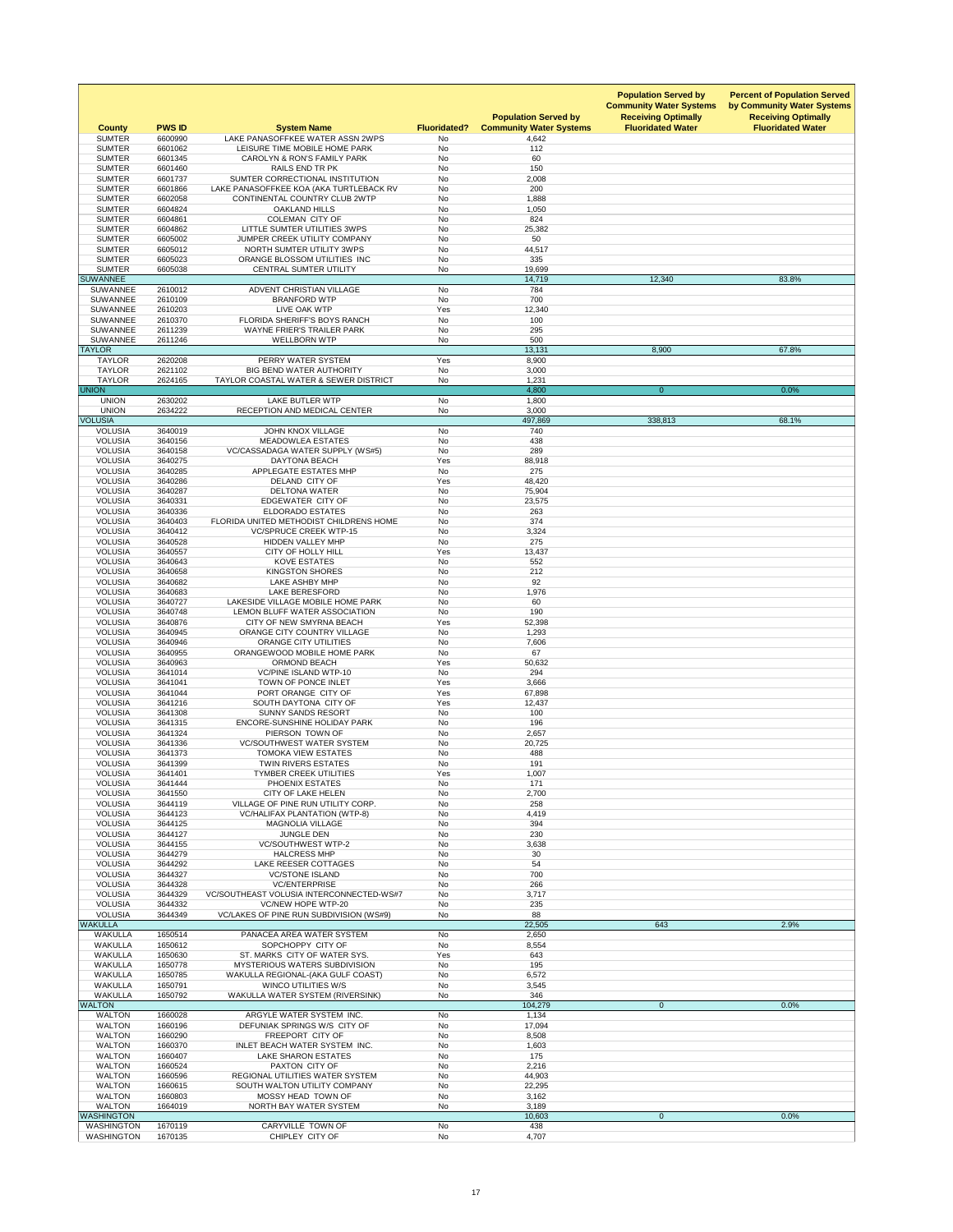| <b>County</b><br><b>SUMTER</b>     | <b>PWS ID</b><br>6600990 | <b>System Name</b><br>LAKE PANASOFFKEE WATER ASSN 2WPS                   | <b>Fluoridated?</b><br><b>No</b> | <b>Population Served by</b><br><b>Community Water Systems</b><br>4,642 | <b>Population Served by</b><br><b>Community Water Systems</b><br><b>Receiving Optimally</b><br><b>Fluoridated Water</b> | <b>Percent of Population Served</b><br>by Community Water Systems<br><b>Receiving Optimally</b><br><b>Fluoridated Water</b> |
|------------------------------------|--------------------------|--------------------------------------------------------------------------|----------------------------------|------------------------------------------------------------------------|-------------------------------------------------------------------------------------------------------------------------|-----------------------------------------------------------------------------------------------------------------------------|
| <b>SUMTER</b>                      | 6601062                  | LEISURE TIME MOBILE HOME PARK                                            | <b>No</b>                        | 112                                                                    |                                                                                                                         |                                                                                                                             |
| <b>SUMTER</b>                      | 6601345                  | <b>CAROLYN &amp; RON'S FAMILY PARK</b>                                   | <b>No</b>                        | 60                                                                     |                                                                                                                         |                                                                                                                             |
| <b>SUMTER</b><br><b>SUMTER</b>     | 6601460<br>6601737       | RAILS END TR PK<br>SUMTER CORRECTIONAL INSTITUTION                       | No<br><b>No</b>                  | 150<br>2,008                                                           |                                                                                                                         |                                                                                                                             |
| <b>SUMTER</b>                      | 6601866                  | LAKE PANASOFFKEE KOA (AKA TURTLEBACK RV                                  | <b>No</b>                        | 200                                                                    |                                                                                                                         |                                                                                                                             |
| <b>SUMTER</b>                      | 6602058                  | CONTINENTAL COUNTRY CLUB 2WTP                                            | No                               | 1,888                                                                  |                                                                                                                         |                                                                                                                             |
| <b>SUMTER</b><br><b>SUMTER</b>     | 6604824<br>6604861       | <b>OAKLAND HILLS</b><br><b>COLEMAN CITY OF</b>                           | <b>No</b><br>No                  | 1,050<br>824                                                           |                                                                                                                         |                                                                                                                             |
| <b>SUMTER</b>                      | 6604862                  | LITTLE SUMTER UTILITIES 3WPS                                             | <b>No</b>                        | 25,382                                                                 |                                                                                                                         |                                                                                                                             |
| <b>SUMTER</b>                      | 6605002                  | JUMPER CREEK UTILITY COMPANY                                             | <b>No</b>                        | 50                                                                     |                                                                                                                         |                                                                                                                             |
| <b>SUMTER</b><br><b>SUMTER</b>     | 6605012<br>6605023       | NORTH SUMTER UTILITY 3WPS<br>ORANGE BLOSSOM UTILITIES INC                | <b>No</b><br><b>No</b>           | 44,517<br>335                                                          |                                                                                                                         |                                                                                                                             |
| <b>SUMTER</b>                      | 6605038                  | <b>CENTRAL SUMTER UTILITY</b>                                            | <b>No</b>                        | 19,699                                                                 |                                                                                                                         |                                                                                                                             |
| <b>SUWANNEE</b>                    |                          |                                                                          |                                  | 14,719                                                                 | 12,340                                                                                                                  | 83.8%                                                                                                                       |
| <b>SUWANNEE</b><br><b>SUWANNEE</b> | 2610012<br>2610109       | ADVENT CHRISTIAN VILLAGE<br><b>BRANFORD WTP</b>                          | <b>No</b><br><b>No</b>           | 784<br>700                                                             |                                                                                                                         |                                                                                                                             |
| <b>SUWANNEE</b>                    | 2610203                  | LIVE OAK WTP                                                             | Yes                              | 12,340                                                                 |                                                                                                                         |                                                                                                                             |
| <b>SUWANNEE</b>                    | 2610370                  | FLORIDA SHERIFF'S BOYS RANCH                                             | <b>No</b>                        | 100                                                                    |                                                                                                                         |                                                                                                                             |
| <b>SUWANNEE</b><br><b>SUWANNEE</b> | 2611239<br>2611246       | <b>WAYNE FRIER'S TRAILER PARK</b><br><b>WELLBORN WTP</b>                 | <b>No</b><br>No                  | 295<br>500                                                             |                                                                                                                         |                                                                                                                             |
| <b>TAYLOR</b>                      |                          |                                                                          |                                  | 13,131                                                                 | 8,900                                                                                                                   | 67.8%                                                                                                                       |
| <b>TAYLOR</b>                      | 2620208                  | PERRY WATER SYSTEM                                                       | Yes                              | 8,900                                                                  |                                                                                                                         |                                                                                                                             |
| <b>TAYLOR</b><br><b>TAYLOR</b>     | 2621102<br>2624165       | <b>BIG BEND WATER AUTHORITY</b><br>TAYLOR COASTAL WATER & SEWER DISTRICT | <b>No</b><br><b>No</b>           | 3,000<br>1,231                                                         |                                                                                                                         |                                                                                                                             |
| <b>UNION</b>                       |                          |                                                                          |                                  | 4,800                                                                  | $\overline{0}$                                                                                                          | 0.0%                                                                                                                        |
| <b>UNION</b>                       | 2630202                  | <b>LAKE BUTLER WTP</b>                                                   | No                               | 1,800                                                                  |                                                                                                                         |                                                                                                                             |
| <b>UNION</b><br><b>VOLUSIA</b>     | 2634222                  | RECEPTION AND MEDICAL CENTER                                             | No                               | 3,000<br>497,869                                                       | 338,813                                                                                                                 | 68.1%                                                                                                                       |
| <b>VOLUSIA</b>                     | 3640019                  | <b>JOHN KNOX VILLAGE</b>                                                 | No                               | 740                                                                    |                                                                                                                         |                                                                                                                             |
| <b>VOLUSIA</b>                     | 3640156                  | <b>MEADOWLEA ESTATES</b>                                                 | <b>No</b>                        | 438                                                                    |                                                                                                                         |                                                                                                                             |
| <b>VOLUSIA</b><br><b>VOLUSIA</b>   | 3640158<br>3640275       | VC/CASSADAGA WATER SUPPLY (WS#5)<br><b>DAYTONA BEACH</b>                 | No<br>Yes                        | 289<br>88,918                                                          |                                                                                                                         |                                                                                                                             |
| <b>VOLUSIA</b>                     | 3640285                  | APPLEGATE ESTATES MHP                                                    | No                               | 275                                                                    |                                                                                                                         |                                                                                                                             |
| <b>VOLUSIA</b>                     | 3640286                  | DELAND CITY OF                                                           | Yes                              | 48,420                                                                 |                                                                                                                         |                                                                                                                             |
| <b>VOLUSIA</b><br><b>VOLUSIA</b>   | 3640287<br>3640331       | <b>DELTONA WATER</b><br>EDGEWATER CITY OF                                | <b>No</b><br>No                  | 75,904<br>23,575                                                       |                                                                                                                         |                                                                                                                             |
| <b>VOLUSIA</b>                     | 3640336                  | <b>ELDORADO ESTATES</b>                                                  | No                               | 263                                                                    |                                                                                                                         |                                                                                                                             |
| <b>VOLUSIA</b>                     | 3640403                  | FLORIDA UNITED METHODIST CHILDRENS HOME                                  | <b>No</b>                        | 374                                                                    |                                                                                                                         |                                                                                                                             |
| <b>VOLUSIA</b><br><b>VOLUSIA</b>   | 3640412<br>3640528       | <b>VC/SPRUCE CREEK WTP-15</b><br><b>HIDDEN VALLEY MHP</b>                | No<br>No                         | 3,324<br>275                                                           |                                                                                                                         |                                                                                                                             |
| <b>VOLUSIA</b>                     | 3640557                  | <b>CITY OF HOLLY HILL</b>                                                | Yes                              | 13,437                                                                 |                                                                                                                         |                                                                                                                             |
| <b>VOLUSIA</b>                     | 3640643                  | <b>KOVE ESTATES</b>                                                      | <b>No</b>                        | 552                                                                    |                                                                                                                         |                                                                                                                             |
| <b>VOLUSIA</b><br><b>VOLUSIA</b>   | 3640658<br>3640682       | <b>KINGSTON SHORES</b><br>LAKE ASHBY MHP                                 | No<br>No                         | 212<br>92                                                              |                                                                                                                         |                                                                                                                             |
| <b>VOLUSIA</b>                     | 3640683                  | <b>LAKE BERESFORD</b>                                                    | <b>No</b>                        | 1,976                                                                  |                                                                                                                         |                                                                                                                             |
| <b>VOLUSIA</b>                     | 3640727                  | LAKESIDE VILLAGE MOBILE HOME PARK                                        | No                               | 60                                                                     |                                                                                                                         |                                                                                                                             |
| <b>VOLUSIA</b><br><b>VOLUSIA</b>   | 3640748<br>3640876       | LEMON BLUFF WATER ASSOCIATION<br>CITY OF NEW SMYRNA BEACH                | No<br>Yes                        | 190<br>52,398                                                          |                                                                                                                         |                                                                                                                             |
| <b>VOLUSIA</b>                     | 3640945                  | ORANGE CITY COUNTRY VILLAGE                                              | No                               | 1,293                                                                  |                                                                                                                         |                                                                                                                             |
| <b>VOLUSIA</b>                     | 3640946                  | <b>ORANGE CITY UTILITIES</b>                                             | No                               | 7,606                                                                  |                                                                                                                         |                                                                                                                             |
| <b>VOLUSIA</b><br><b>VOLUSIA</b>   | 3640955<br>3640963       | ORANGEWOOD MOBILE HOME PARK<br><b>ORMOND BEACH</b>                       | No<br>Yes                        | 67<br>50,632                                                           |                                                                                                                         |                                                                                                                             |
| <b>VOLUSIA</b>                     | 3641014                  | <b>VC/PINE ISLAND WTP-10</b>                                             | <b>No</b>                        | 294                                                                    |                                                                                                                         |                                                                                                                             |
| <b>VOLUSIA</b>                     | 3641041                  | TOWN OF PONCE INLET                                                      | Yes                              | 3,666                                                                  |                                                                                                                         |                                                                                                                             |
| <b>VOLUSIA</b><br><b>VOLUSIA</b>   | 3641044<br>3641216       | PORT ORANGE CITY OF<br>SOUTH DAYTONA CITY OF                             | Yes<br>Yes                       | 67,898<br>12,437                                                       |                                                                                                                         |                                                                                                                             |
| <b>VOLUSIA</b>                     | 3641308                  | <b>SUNNY SANDS RESORT</b>                                                | No                               | 100                                                                    |                                                                                                                         |                                                                                                                             |
| <b>VOLUSIA</b>                     | 3641315                  | ENCORE-SUNSHINE HOLIDAY PARK                                             | No                               | 196                                                                    |                                                                                                                         |                                                                                                                             |
| <b>VOLUSIA</b><br><b>VOLUSIA</b>   | 3641324<br>3641336       | PIERSON TOWN OF<br><b>VC/SOUTHWEST WATER SYSTEM</b>                      | <b>No</b><br>No                  | 2,657<br>20,725                                                        |                                                                                                                         |                                                                                                                             |
| <b>VOLUSIA</b>                     | 3641373                  | <b>TOMOKA VIEW ESTATES</b>                                               | <b>No</b>                        | 488                                                                    |                                                                                                                         |                                                                                                                             |
| <b>VOLUSIA</b>                     | 3641399                  | <b>TWIN RIVERS ESTATES</b>                                               | <b>No</b>                        | 191                                                                    |                                                                                                                         |                                                                                                                             |
| <b>VOLUSIA</b><br><b>VOLUSIA</b>   | 3641401<br>3641444       | <b>TYMBER CREEK UTILITIES</b><br>PHOENIX ESTATES                         | Yes<br><b>No</b>                 | 1,007<br>171                                                           |                                                                                                                         |                                                                                                                             |
| <b>VOLUSIA</b>                     | 3641550                  | <b>CITY OF LAKE HELEN</b>                                                | No                               | 2,700                                                                  |                                                                                                                         |                                                                                                                             |
| <b>VOLUSIA</b>                     | 3644119                  | VILLAGE OF PINE RUN UTILITY CORP.                                        | No                               | 258                                                                    |                                                                                                                         |                                                                                                                             |
| <b>VOLUSIA</b><br><b>VOLUSIA</b>   | 3644123<br>3644125       | <b>VC/HALIFAX PLANTATION (WTP-8)</b><br><b>MAGNOLIA VILLAGE</b>          | <b>No</b><br><b>No</b>           | 4,419<br>394                                                           |                                                                                                                         |                                                                                                                             |
| <b>VOLUSIA</b>                     | 3644127                  | <b>JUNGLE DEN</b>                                                        | No                               | 230                                                                    |                                                                                                                         |                                                                                                                             |
| <b>VOLUSIA</b>                     | 3644155                  | <b>VC/SOUTHWEST WTP-2</b>                                                | <b>No</b>                        | 3,638                                                                  |                                                                                                                         |                                                                                                                             |
| <b>VOLUSIA</b><br><b>VOLUSIA</b>   | 3644279<br>3644292       | <b>HALCRESS MHP</b><br>LAKE REESER COTTAGES                              | No<br>No                         | 30<br>54                                                               |                                                                                                                         |                                                                                                                             |
| <b>VOLUSIA</b>                     | 3644327                  | <b>VC/STONE ISLAND</b>                                                   | <b>No</b>                        | 700                                                                    |                                                                                                                         |                                                                                                                             |
| <b>VOLUSIA</b>                     | 3644328                  | <b>VC/ENTERPRISE</b>                                                     | No                               | 266                                                                    |                                                                                                                         |                                                                                                                             |
| <b>VOLUSIA</b><br><b>VOLUSIA</b>   | 3644329<br>3644332       | <b>VC/SOUTHEAST VOLUSIA INTERCONNECTED-WS#7</b><br>VC/NEW HOPE WTP-20    | No<br><b>No</b>                  | 3,717<br>235                                                           |                                                                                                                         |                                                                                                                             |
| <b>VOLUSIA</b>                     | 3644349                  | VC/LAKES OF PINE RUN SUBDIVISION (WS#9)                                  | No                               | 88                                                                     |                                                                                                                         |                                                                                                                             |
| <b>WAKULLA</b>                     |                          |                                                                          |                                  | 22,505                                                                 | 643                                                                                                                     | 2.9%                                                                                                                        |
| <b>WAKULLA</b><br><b>WAKULLA</b>   | 1650514<br>1650612       | PANACEA AREA WATER SYSTEM<br>SOPCHOPPY CITY OF                           | <b>No</b><br><b>No</b>           | 2,650<br>8,554                                                         |                                                                                                                         |                                                                                                                             |
| <b>WAKULLA</b>                     | 1650630                  | ST. MARKS CITY OF WATER SYS.                                             | Yes                              | 643                                                                    |                                                                                                                         |                                                                                                                             |
| <b>WAKULLA</b>                     | 1650778                  | <b>MYSTERIOUS WATERS SUBDIVISION</b>                                     | <b>No</b>                        | 195                                                                    |                                                                                                                         |                                                                                                                             |
| <b>WAKULLA</b><br><b>WAKULLA</b>   | 1650785<br>1650791       | WAKULLA REGIONAL-(AKA GULF COAST)<br><b>WINCO UTILITIES W/S</b>          | No<br><b>No</b>                  | 6,572<br>3,545                                                         |                                                                                                                         |                                                                                                                             |
| <b>WAKULLA</b>                     | 1650792                  | <b>WAKULLA WATER SYSTEM (RIVERSINK)</b>                                  | No                               | 346                                                                    |                                                                                                                         |                                                                                                                             |
| <b>WALTON</b>                      |                          |                                                                          |                                  | 104,279                                                                | $\overline{0}$                                                                                                          | 0.0%                                                                                                                        |
| <b>WALTON</b><br><b>WALTON</b>     | 1660028<br>1660196       | ARGYLE WATER SYSTEM INC.<br>DEFUNIAK SPRINGS W/S CITY OF                 | <b>No</b><br>No                  | 1,134<br>17,094                                                        |                                                                                                                         |                                                                                                                             |
| <b>WALTON</b>                      | 1660290                  | FREEPORT CITY OF                                                         | No                               | 8,508                                                                  |                                                                                                                         |                                                                                                                             |
| <b>WALTON</b>                      | 1660370                  | INLET BEACH WATER SYSTEM INC.                                            | No                               | 1,603                                                                  |                                                                                                                         |                                                                                                                             |
| <b>WALTON</b><br><b>WALTON</b>     | 1660407<br>1660524       | LAKE SHARON ESTATES<br>PAXTON CITY OF                                    | No<br>No                         | 175<br>2,216                                                           |                                                                                                                         |                                                                                                                             |
| <b>WALTON</b>                      | 1660596                  | REGIONAL UTILITIES WATER SYSTEM                                          | <b>No</b>                        | 44,903                                                                 |                                                                                                                         |                                                                                                                             |
| <b>WALTON</b>                      | 1660615                  | SOUTH WALTON UTILITY COMPANY                                             | No                               | 22,295                                                                 |                                                                                                                         |                                                                                                                             |
| <b>WALTON</b><br><b>WALTON</b>     | 1660803<br>1664019       | MOSSY HEAD TOWN OF<br>NORTH BAY WATER SYSTEM                             | No<br>No                         | 3,162<br>3,189                                                         |                                                                                                                         |                                                                                                                             |
| <b>WASHINGTON</b>                  |                          |                                                                          |                                  | 10,603                                                                 | $\overline{0}$                                                                                                          | 0.0%                                                                                                                        |
| <b>WASHINGTON</b>                  | 1670119                  | CARYVILLE TOWN OF                                                        | No                               | 438                                                                    |                                                                                                                         |                                                                                                                             |
| <b>WASHINGTON</b>                  | 1670135                  | CHIPLEY CITY OF                                                          | No                               | 4,707                                                                  |                                                                                                                         |                                                                                                                             |